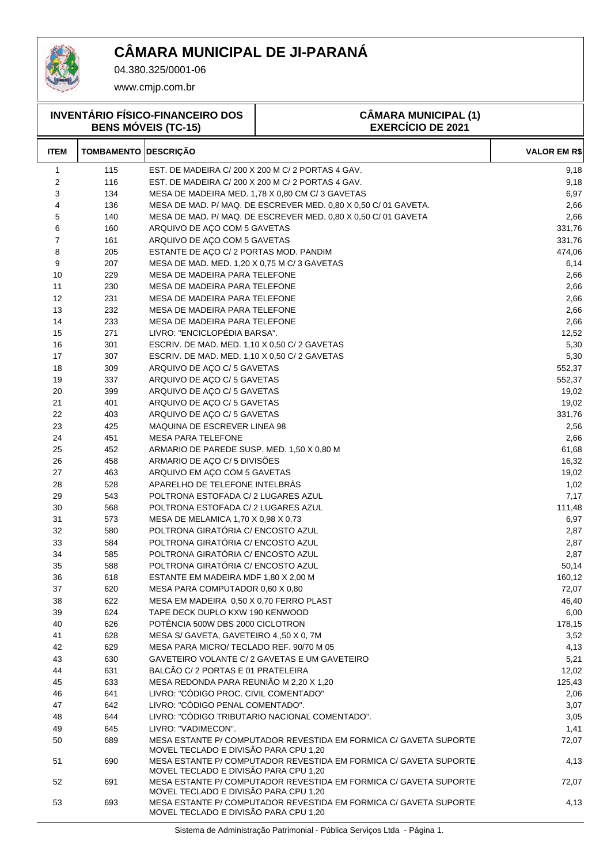

04.380.325/0001-06

www.cmjp.com.br

| <b>INVENTÁRIO FÍSICO-FINANCEIRO DOS</b><br><b>BENS MÓVEIS (TC-15)</b> |                   |                                               | <b>CÂMARA MUNICIPAL (1)</b><br><b>EXERCÍCIO DE 2021</b>           |                     |  |
|-----------------------------------------------------------------------|-------------------|-----------------------------------------------|-------------------------------------------------------------------|---------------------|--|
| <b>ITEM</b>                                                           | <b>TOMBAMENTO</b> | <b>DESCRIÇÃO</b>                              |                                                                   | <b>VALOR EM R\$</b> |  |
| 1                                                                     | 115               |                                               | EST. DE MADEIRA C/200 X 200 M C/2 PORTAS 4 GAV.                   | 9,18                |  |
| $\overline{c}$                                                        | 116               |                                               | EST. DE MADEIRA C/200 X 200 M C/2 PORTAS 4 GAV.                   | 9,18                |  |
| 3                                                                     | 134               |                                               | MESA DE MADEIRA MED. 1,78 X 0,80 CM C/ 3 GAVETAS                  | 6,97                |  |
| 4                                                                     | 136               |                                               | MESA DE MAD. P/ MAQ. DE ESCREVER MED. 0,80 X 0,50 C/ 01 GAVETA.   | 2,66                |  |
| 5                                                                     | 140               |                                               | MESA DE MAD. P/ MAQ. DE ESCREVER MED. 0,80 X 0,50 C/ 01 GAVETA    | 2,66                |  |
| 6                                                                     | 160               | ARQUIVO DE AÇO COM 5 GAVETAS                  |                                                                   | 331,76              |  |
| 7                                                                     | 161               | ARQUIVO DE ACO COM 5 GAVETAS                  |                                                                   | 331,76              |  |
| 8                                                                     | 205               | ESTANTE DE AÇO C/ 2 PORTAS MOD. PANDIM        |                                                                   | 474,06              |  |
| 9                                                                     | 207               | MESA DE MAD. MED. 1,20 X 0,75 M C/ 3 GAVETAS  |                                                                   | 6,14                |  |
| 10                                                                    | 229               | MESA DE MADEIRA PARA TELEFONE                 |                                                                   | 2,66                |  |
| 11                                                                    | 230               | MESA DE MADEIRA PARA TELEFONE                 |                                                                   | 2,66                |  |
| 12                                                                    | 231               | MESA DE MADEIRA PARA TELEFONE                 |                                                                   | 2,66                |  |
| 13                                                                    | 232               | MESA DE MADEIRA PARA TELEFONE                 |                                                                   | 2,66                |  |
| 14                                                                    | 233               | MESA DE MADEIRA PARA TELEFONE                 |                                                                   | 2,66                |  |
| 15                                                                    | 271               | LIVRO: "ENCICLOPÉDIA BARSA".                  |                                                                   | 12,52               |  |
| 16                                                                    | 301               | ESCRIV. DE MAD. MED. 1,10 X 0,50 C/ 2 GAVETAS |                                                                   | 5,30                |  |
| 17                                                                    | 307               | ESCRIV. DE MAD. MED. 1,10 X 0,50 C/ 2 GAVETAS |                                                                   | 5,30                |  |
| 18                                                                    | 309               | ARQUIVO DE AÇO C/5 GAVETAS                    |                                                                   | 552,37              |  |
| 19                                                                    | 337               | ARQUIVO DE AÇO C/ 5 GAVETAS                   |                                                                   | 552,37              |  |
| 20                                                                    | 399               | ARQUIVO DE AÇO C/ 5 GAVETAS                   |                                                                   | 19,02               |  |
| 21                                                                    | 401               | ARQUIVO DE AÇO C/ 5 GAVETAS                   |                                                                   | 19,02               |  |
| 22                                                                    | 403               | ARQUIVO DE AÇO C/ 5 GAVETAS                   |                                                                   | 331,76              |  |
| 23                                                                    | 425               | MAQUINA DE ESCREVER LINEA 98                  |                                                                   | 2,56                |  |
| 24                                                                    | 451               | <b>MESA PARA TELEFONE</b>                     |                                                                   | 2,66                |  |
| 25                                                                    | 452               | ARMARIO DE PAREDE SUSP. MED. 1,50 X 0,80 M    |                                                                   | 61,68               |  |
| 26                                                                    | 458               | ARMARIO DE AÇO C/5 DIVISÕES                   |                                                                   | 16,32               |  |
| 27                                                                    | 463               | ARQUIVO EM AÇO COM 5 GAVETAS                  |                                                                   | 19,02               |  |
| 28                                                                    | 528               | APARELHO DE TELEFONE INTELBRAS                |                                                                   | 1,02                |  |
| 29                                                                    | 543               | POLTRONA ESTOFADA C/ 2 LUGARES AZUL           |                                                                   | 7,17                |  |
| 30                                                                    | 568               | POLTRONA ESTOFADA C/ 2 LUGARES AZUL           |                                                                   | 111,48              |  |
| 31                                                                    | 573               | MESA DE MELAMICA 1,70 X 0,98 X 0,73           |                                                                   | 6,97                |  |
| 32                                                                    | 580               | POLTRONA GIRATÓRIA C/ ENCOSTO AZUL            |                                                                   | 2,87                |  |
| 33                                                                    | 584               | POLTRONA GIRATÓRIA C/ ENCOSTO AZUL            |                                                                   | 2,87                |  |
| 34                                                                    | 585               | POLTRONA GIRATÓRIA C/ ENCOSTO AZUL            |                                                                   | 2,87                |  |
| 35                                                                    | 588               | POLTRONA GIRATÓRIA C/ ENCOSTO AZUL            |                                                                   | 50,14               |  |
| 36                                                                    | 618               | ESTANTE EM MADEIRA MDF 1,80 X 2,00 M          |                                                                   | 160,12              |  |
| 37                                                                    | 620               | MESA PARA COMPUTADOR 0,60 X 0,80              |                                                                   | 72,07               |  |
| 38                                                                    | 622               | MESA EM MADEIRA 0,50 X 0,70 FERRO PLAST       |                                                                   | 46,40               |  |
| 39                                                                    | 624               | TAPE DECK DUPLO KXW 190 KENWOOD               |                                                                   | 6,00                |  |
| 40                                                                    | 626               | POTÊNCIA 500W DBS 2000 CICLOTRON              |                                                                   | 178,15              |  |
| 41                                                                    | 628               | MESA S/ GAVETA, GAVETEIRO 4,50 X 0, 7M        |                                                                   | 3,52                |  |
| 42                                                                    | 629               | MESA PARA MICRO/ TECLADO REF. 90/70 M 05      |                                                                   | 4,13                |  |
| 43                                                                    | 630               |                                               | GAVETEIRO VOLANTE C/2 GAVETAS E UM GAVETEIRO                      | 5,21                |  |
| 44                                                                    | 631               | BALCÃO C/2 PORTAS E 01 PRATELEIRA             |                                                                   | 12,02               |  |
| 45                                                                    | 633               | MESA REDONDA PARA REUNIÃO M 2,20 X 1,20       |                                                                   | 125,43              |  |
| 46                                                                    | 641               | LIVRO: "CÓDIGO PROC. CIVIL COMENTADO"         |                                                                   | 2,06                |  |
| 47                                                                    | 642               | LIVRO: "CÓDIGO PENAL COMENTADO".              |                                                                   | 3,07                |  |
| 48                                                                    | 644               |                                               | LIVRO: "CÓDIGO TRIBUTARIO NACIONAL COMENTADO".                    | 3,05                |  |
| 49                                                                    | 645               | LIVRO: "VADIMECON".                           |                                                                   | 1,41                |  |
| 50                                                                    | 689               | MOVEL TECLADO E DIVISÃO PARA CPU 1,20         | MESA ESTANTE P/ COMPUTADOR REVESTIDA EM FORMICA C/ GAVETA SUPORTE | 72,07               |  |
| 51                                                                    | 690               | MOVEL TECLADO E DIVISÃO PARA CPU 1,20         | MESA ESTANTE P/ COMPUTADOR REVESTIDA EM FORMICA C/ GAVETA SUPORTE | 4,13                |  |
| 52                                                                    | 691               | MOVEL TECLADO E DIVISÃO PARA CPU 1,20         | MESA ESTANTE P/ COMPUTADOR REVESTIDA EM FORMICA C/ GAVETA SUPORTE | 72,07               |  |
| 53                                                                    | 693               | MOVEL TECLADO E DIVISÃO PARA CPU 1,20         | MESA ESTANTE P/ COMPUTADOR REVESTIDA EM FORMICA C/ GAVETA SUPORTE | 4,13                |  |

Sistema de Administração Patrimonial - Pública Serviços Ltda - Página 1.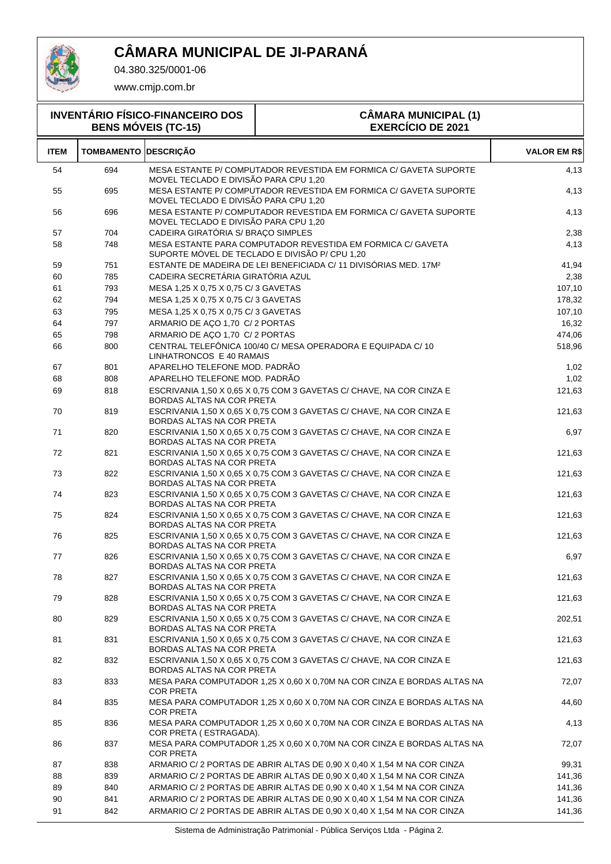

04.380.325/0001-06

| <b>INVENTÁRIO FÍSICO-FINANCEIRO DOS</b><br><b>BENS MÓVEIS (TC-15)</b> |                   |                                       | <b>CÂMARA MUNICIPAL (1)</b><br><b>EXERCÍCIO DE 2021</b>                                                       |                     |  |
|-----------------------------------------------------------------------|-------------------|---------------------------------------|---------------------------------------------------------------------------------------------------------------|---------------------|--|
| <b>ITEM</b>                                                           | <b>TOMBAMENTO</b> | <b>DESCRICÃO</b>                      |                                                                                                               | <b>VALOR EM R\$</b> |  |
| 54                                                                    | 694               | MOVEL TECLADO E DIVISÃO PARA CPU 1,20 | MESA ESTANTE P/ COMPUTADOR REVESTIDA EM FORMICA C/ GAVETA SUPORTE                                             | 4,13                |  |
| 55                                                                    | 695               | MOVEL TECLADO E DIVISÃO PARA CPU 1,20 | MESA ESTANTE P/ COMPUTADOR REVESTIDA EM FORMICA C/ GAVETA SUPORTE                                             | 4,13                |  |
| 56                                                                    | 696               | MOVEL TECLADO E DIVISÃO PARA CPU 1,20 | MESA ESTANTE P/ COMPUTADOR REVESTIDA EM FORMICA C/ GAVETA SUPORTE                                             | 4,13                |  |
| 57                                                                    | 704               | CADEIRA GIRATÓRIA S/ BRAÇO SIMPLES    |                                                                                                               | 2,38                |  |
| 58                                                                    | 748               |                                       | MESA ESTANTE PARA COMPUTADOR REVESTIDA EM FORMICA C/ GAVETA<br>SUPORTE MÓVEL DE TECLADO E DIVISÃO P/ CPU 1,20 | 4,13                |  |
| 59                                                                    | 751               |                                       | ESTANTE DE MADEIRA DE LEI BENEFICIADA C/ 11 DIVISÓRIAS MED. 17M <sup>2</sup>                                  | 41,94               |  |
| 60                                                                    | 785               | CADEIRA SECRETÁRIA GIRATÓRIA AZUL     |                                                                                                               | 2,38                |  |
| 61                                                                    | 793               | MESA 1,25 X 0,75 X 0,75 C/3 GAVETAS   |                                                                                                               | 107,10              |  |
| 62                                                                    | 794               | MESA 1,25 X 0,75 X 0,75 C/ 3 GAVETAS  |                                                                                                               | 178,32              |  |
| 63                                                                    | 795               | MESA 1,25 X 0,75 X 0,75 C/3 GAVETAS   |                                                                                                               | 107,10              |  |
| 64                                                                    | 797               | ARMARIO DE AÇO 1,70 C/2 PORTAS        |                                                                                                               | 16,32               |  |
| 65                                                                    | 798               | ARMARIO DE AÇO 1,70 C/2 PORTAS        |                                                                                                               | 474,06              |  |
| 66                                                                    | 800               | LINHATRONCOS E 40 RAMAIS              | CENTRAL TELEFÔNICA 100/40 C/ MESA OPERADORA E EQUIPADA C/ 10                                                  | 518,96              |  |
| 67                                                                    | 801               | APARELHO TELEFONE MOD. PADRÃO         |                                                                                                               | 1,02                |  |
| 68                                                                    | 808               | APARELHO TELEFONE MOD. PADRÃO         |                                                                                                               | 1,02                |  |
| 69                                                                    | 818               | BORDAS ALTAS NA COR PRETA             | ESCRIVANIA 1,50 X 0,65 X 0,75 COM 3 GAVETAS C/ CHAVE, NA COR CINZA E                                          | 121,63              |  |
| 70                                                                    | 819               | BORDAS ALTAS NA COR PRETA             | ESCRIVANIA 1,50 X 0,65 X 0,75 COM 3 GAVETAS C/ CHAVE, NA COR CINZA E                                          | 121,63              |  |
| 71                                                                    | 820               | BORDAS ALTAS NA COR PRETA             | ESCRIVANIA 1,50 X 0,65 X 0,75 COM 3 GAVETAS C/ CHAVE, NA COR CINZA E                                          | 6,97                |  |
| 72                                                                    | 821               | BORDAS ALTAS NA COR PRETA             | ESCRIVANIA 1,50 X 0,65 X 0,75 COM 3 GAVETAS C/ CHAVE, NA COR CINZA E                                          | 121,63              |  |
| 73                                                                    | 822               | BORDAS ALTAS NA COR PRETA             | ESCRIVANIA 1,50 X 0,65 X 0,75 COM 3 GAVETAS C/ CHAVE, NA COR CINZA E                                          | 121,63              |  |
| 74                                                                    | 823               | BORDAS ALTAS NA COR PRETA             | ESCRIVANIA 1,50 X 0,65 X 0,75 COM 3 GAVETAS C/ CHAVE, NA COR CINZA E                                          | 121,63              |  |
| 75                                                                    | 824               | BORDAS ALTAS NA COR PRETA             | ESCRIVANIA 1,50 X 0,65 X 0,75 COM 3 GAVETAS C/ CHAVE, NA COR CINZA E                                          | 121,63              |  |
| 76                                                                    | 825               | BORDAS ALTAS NA COR PRETA             | ESCRIVANIA 1,50 X 0,65 X 0,75 COM 3 GAVETAS C/ CHAVE, NA COR CINZA E                                          | 121,63              |  |
| 77                                                                    | 826               | BORDAS ALTAS NA COR PRETA             | ESCRIVANIA 1,50 X 0,65 X 0,75 COM 3 GAVETAS C/ CHAVE, NA COR CINZA E                                          | 6,97                |  |
| 78                                                                    | 827               | BORDAS ALTAS NA COR PRETA             | ESCRIVANIA 1,50 X 0,65 X 0,75 COM 3 GAVETAS C/ CHAVE, NA COR CINZA E                                          | 121,63              |  |
| 79                                                                    | 828               | BORDAS ALTAS NA COR PRETA             | ESCRIVANIA 1,50 X 0,65 X 0,75 COM 3 GAVETAS C/ CHAVE, NA COR CINZA E                                          | 121,63              |  |
| 80                                                                    | 829               | BORDAS ALTAS NA COR PRETA             | ESCRIVANIA 1,50 X 0,65 X 0,75 COM 3 GAVETAS C/ CHAVE, NA COR CINZA E                                          | 202,51              |  |
| 81                                                                    | 831               | BORDAS ALTAS NA COR PRETA             | ESCRIVANIA 1,50 X 0,65 X 0,75 COM 3 GAVETAS C/ CHAVE, NA COR CINZA E                                          | 121,63              |  |
| 82                                                                    | 832               | BORDAS ALTAS NA COR PRETA             | ESCRIVANIA 1,50 X 0,65 X 0,75 COM 3 GAVETAS C/ CHAVE, NA COR CINZA E                                          | 121,63              |  |
| 83                                                                    | 833               | <b>COR PRETA</b>                      | MESA PARA COMPUTADOR 1,25 X 0,60 X 0,70M NA COR CINZA E BORDAS ALTAS NA                                       | 72,07               |  |
| 84                                                                    | 835               | <b>COR PRETA</b>                      | MESA PARA COMPUTADOR 1,25 X 0,60 X 0,70M NA COR CINZA E BORDAS ALTAS NA                                       | 44,60               |  |
| 85                                                                    | 836               | COR PRETA (ESTRAGADA).                | MESA PARA COMPUTADOR 1,25 X 0,60 X 0,70M NA COR CINZA E BORDAS ALTAS NA                                       | 4,13                |  |
| 86                                                                    | 837               | <b>COR PRETA</b>                      | MESA PARA COMPUTADOR 1,25 X 0,60 X 0,70M NA COR CINZA E BORDAS ALTAS NA                                       | 72,07               |  |
| 87                                                                    | 838               |                                       | ARMARIO C/ 2 PORTAS DE ABRIR ALTAS DE 0,90 X 0,40 X 1,54 M NA COR CINZA                                       | 99,31               |  |
| 88                                                                    | 839               |                                       | ARMARIO C/ 2 PORTAS DE ABRIR ALTAS DE 0,90 X 0,40 X 1,54 M NA COR CINZA                                       | 141,36              |  |
| 89                                                                    | 840               |                                       | ARMARIO C/2 PORTAS DE ABRIR ALTAS DE 0,90 X 0,40 X 1,54 M NA COR CINZA                                        | 141,36              |  |
| 90                                                                    | 841               |                                       | ARMARIO C/2 PORTAS DE ABRIR ALTAS DE 0,90 X 0,40 X 1,54 M NA COR CINZA                                        | 141,36              |  |
| 91                                                                    | 842               |                                       | ARMARIO C/ 2 PORTAS DE ABRIR ALTAS DE 0,90 X 0,40 X 1,54 M NA COR CINZA                                       | 141,36              |  |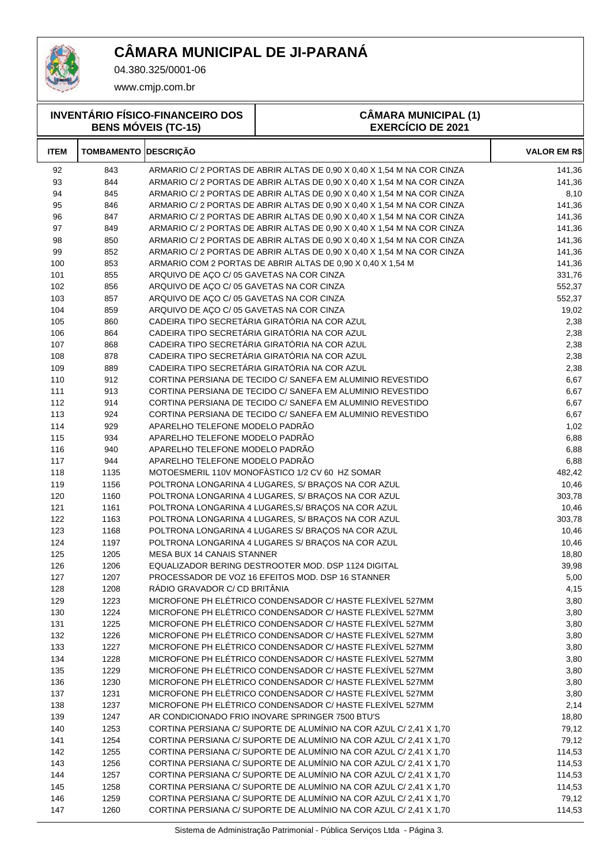

04.380.325/0001-06

www.cmjp.com.br

**INVENTÁRIO FÍSICO-FINANCEIRO DOS BENS MÓVEIS (TC-15)**

#### **CÂMARA MUNICIPAL (1) EXERCÍCIO DE 2021**

| <b>ITEM</b> | <b>TOMBAMENTO DESCRIÇÃO</b> |                                                                        | <b>VALOR EM R\$</b> |
|-------------|-----------------------------|------------------------------------------------------------------------|---------------------|
| 92          | 843                         | ARMARIO C/2 PORTAS DE ABRIR ALTAS DE 0,90 X 0,40 X 1,54 M NA COR CINZA | 141,36              |
| 93          | 844                         | ARMARIO C/2 PORTAS DE ABRIR ALTAS DE 0,90 X 0,40 X 1,54 M NA COR CINZA | 141,36              |
| 94          | 845                         | ARMARIO C/2 PORTAS DE ABRIR ALTAS DE 0,90 X 0,40 X 1,54 M NA COR CINZA | 8,10                |
| 95          | 846                         | ARMARIO C/2 PORTAS DE ABRIR ALTAS DE 0,90 X 0,40 X 1,54 M NA COR CINZA | 141,36              |
| 96          | 847                         | ARMARIO C/2 PORTAS DE ABRIR ALTAS DE 0,90 X 0,40 X 1,54 M NA COR CINZA | 141,36              |
| 97          | 849                         | ARMARIO C/2 PORTAS DE ABRIR ALTAS DE 0,90 X 0,40 X 1,54 M NA COR CINZA | 141,36              |
| 98          | 850                         | ARMARIO C/2 PORTAS DE ABRIR ALTAS DE 0,90 X 0,40 X 1,54 M NA COR CINZA | 141,36              |
| 99          | 852                         | ARMARIO C/2 PORTAS DE ABRIR ALTAS DE 0,90 X 0,40 X 1,54 M NA COR CINZA | 141,36              |
| 100         | 853                         | ARMARIO COM 2 PORTAS DE ABRIR ALTAS DE 0,90 X 0,40 X 1,54 M            | 141,36              |
| 101         | 855                         | ARQUIVO DE AÇO C/ 05 GAVETAS NA COR CINZA                              | 331,76              |
| 102         | 856                         | ARQUIVO DE AÇO C/ 05 GAVETAS NA COR CINZA                              | 552,37              |
| 103         | 857                         | ARQUIVO DE AÇO C/ 05 GAVETAS NA COR CINZA                              | 552,37              |
| 104         | 859                         | ARQUIVO DE AÇO C/ 05 GAVETAS NA COR CINZA                              | 19,02               |
| 105         | 860                         | CADEIRA TIPO SECRETÁRIA GIRATÓRIA NA COR AZUL                          | 2,38                |
| 106         | 864                         | CADEIRA TIPO SECRETÁRIA GIRATÓRIA NA COR AZUL                          | 2,38                |
| 107         | 868                         | CADEIRA TIPO SECRETÁRIA GIRATÓRIA NA COR AZUL                          | 2,38                |
| 108         | 878                         | CADEIRA TIPO SECRETÁRIA GIRATÓRIA NA COR AZUL                          | 2,38                |
| 109         | 889                         | CADEIRA TIPO SECRETÁRIA GIRATÓRIA NA COR AZUL                          | 2,38                |
| 110         | 912                         | CORTINA PERSIANA DE TECIDO C/ SANEFA EM ALUMINIO REVESTIDO             | 6,67                |
| 111         | 913                         | CORTINA PERSIANA DE TECIDO C/ SANEFA EM ALUMINIO REVESTIDO             | 6,67                |
| 112         | 914                         | CORTINA PERSIANA DE TECIDO C/ SANEFA EM ALUMINIO REVESTIDO             | 6,67                |
| 113         | 924                         | CORTINA PERSIANA DE TECIDO C/ SANEFA EM ALUMINIO REVESTIDO             | 6,67                |
| 114         | 929                         | APARELHO TELEFONE MODELO PADRÃO                                        | 1,02                |
| 115         | 934                         | APARELHO TELEFONE MODELO PADRÃO                                        | 6,88                |
| 116         | 940                         | APARELHO TELEFONE MODELO PADRÃO                                        | 6,88                |
| 117         | 944                         | APARELHO TELEFONE MODELO PADRÃO                                        | 6,88                |
| 118         | 1135                        | MOTOESMERIL 110V MONOFÀSTICO 1/2 CV 60 HZ SOMAR                        | 482,42              |
| 119         | 1156                        | POLTRONA LONGARINA 4 LUGARES, S/ BRAÇOS NA COR AZUL                    | 10,46               |
| 120         | 1160                        | POLTRONA LONGARINA 4 LUGARES, S/ BRAÇOS NA COR AZUL                    | 303,78              |
| 121         | 1161                        | POLTRONA LONGARINA 4 LUGARES, S/ BRAÇOS NA COR AZUL                    | 10,46               |
| 122         | 1163                        | POLTRONA LONGARINA 4 LUGARES, S/ BRAÇOS NA COR AZUL                    | 303,78              |
| 123         | 1168                        | POLTRONA LONGARINA 4 LUGARES S/ BRAÇOS NA COR AZUL                     | 10,46               |
| 124         | 1197                        | POLTRONA LONGARINA 4 LUGARES S/ BRAÇOS NA COR AZUL                     | 10,46               |
| 125         | 1205                        | MESA BUX 14 CANAIS STANNER                                             | 18,80               |
| 126         | 1206                        | EQUALIZADOR BERING DESTROOTER MOD. DSP 1124 DIGITAL                    | 39,98               |
| 127         | 1207                        | PROCESSADOR DE VOZ 16 EFEITOS MOD. DSP 16 STANNER                      | 5,00                |
| 128         | 1208                        | RÁDIO GRAVADOR C/ CD BRITÂNIA                                          | 4,15                |
| 129         | 1223                        | MICROFONE PH ELÉTRICO CONDENSADOR C/ HASTE FLEXÍVEL 527MM              | 3,80                |
| 130         | 1224                        | MICROFONE PH ELÉTRICO CONDENSADOR C/ HASTE FLEXÍVEL 527MM              | 3,80                |
| 131         | 1225                        | MICROFONE PH ELÉTRICO CONDENSADOR C/ HASTE FLEXÍVEL 527MM              | 3,80                |
| 132         | 1226                        | MICROFONE PH ELÉTRICO CONDENSADOR C/ HASTE FLEXÍVEL 527MM              | 3,80                |
| 133         | 1227                        | MICROFONE PH ELÉTRICO CONDENSADOR C/ HASTE FLEXÍVEL 527MM              | 3,80                |
| 134         | 1228                        | MICROFONE PH ELÉTRICO CONDENSADOR C/ HASTE FLEXÍVEL 527MM              | 3,80                |
| 135         | 1229                        | MICROFONE PH ELÉTRICO CONDENSADOR C/ HASTE FLEXÍVEL 527MM              | 3,80                |
| 136         | 1230                        | MICROFONE PH ELÉTRICO CONDENSADOR C/ HASTE FLEXÍVEL 527MM              | 3,80                |
| 137         | 1231                        | MICROFONE PH ELÉTRICO CONDENSADOR C/ HASTE FLEXÍVEL 527MM              | 3,80                |
| 138         | 1237                        | MICROFONE PH ELÉTRICO CONDENSADOR C/ HASTE FLEXÍVEL 527MM              | 2,14                |
| 139         | 1247                        | AR CONDICIONADO FRIO INOVARE SPRINGER 7500 BTU'S                       | 18,80               |
| 140         | 1253                        | CORTINA PERSIANA C/ SUPORTE DE ALUMÍNIO NA COR AZUL C/ 2,41 X 1,70     | 79,12               |
| 141         | 1254                        | CORTINA PERSIANA C/ SUPORTE DE ALUMÍNIO NA COR AZUL C/ 2,41 X 1,70     | 79,12               |
| 142         | 1255                        | CORTINA PERSIANA C/ SUPORTE DE ALUMÍNIO NA COR AZUL C/ 2,41 X 1,70     | 114,53              |
| 143         | 1256                        | CORTINA PERSIANA C/ SUPORTE DE ALUMÍNIO NA COR AZUL C/ 2,41 X 1,70     | 114,53              |
| 144         | 1257                        | CORTINA PERSIANA C/ SUPORTE DE ALUMÍNIO NA COR AZUL C/ 2,41 X 1,70     | 114,53              |
| 145         | 1258                        | CORTINA PERSIANA C/ SUPORTE DE ALUMÍNIO NA COR AZUL C/ 2,41 X 1,70     | 114,53              |
| 146         | 1259                        | CORTINA PERSIANA C/ SUPORTE DE ALUMÍNIO NA COR AZUL C/ 2,41 X 1,70     | 79,12               |
| 147         | 1260                        | CORTINA PERSIANA C/ SUPORTE DE ALUMÍNIO NA COR AZUL C/ 2,41 X 1,70     | 114,53              |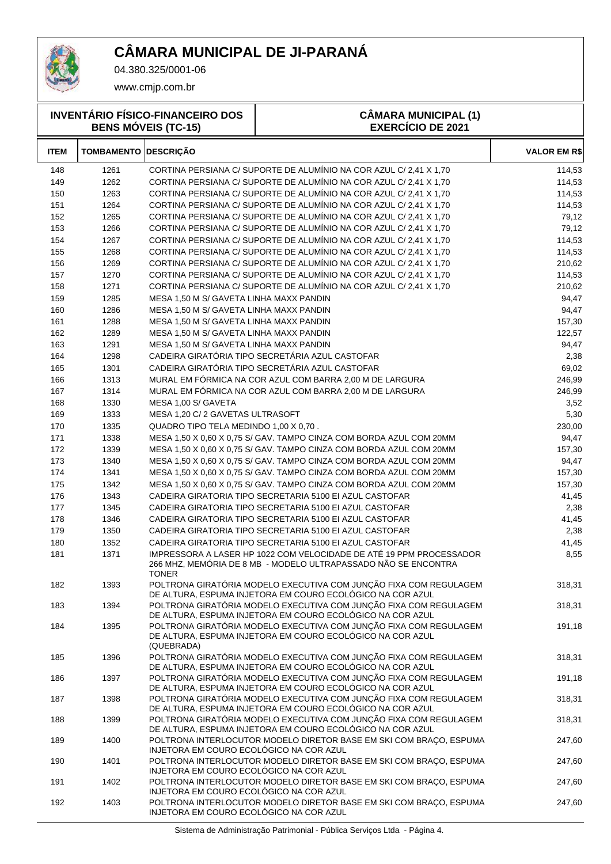

T

04.380.325/0001-06

www.cmjp.com.br

|             | <b>INVENTÁRIO FÍSICO-FINANCEIRO DOS</b><br><b>BENS MÓVEIS (TC-15)</b> |                                         | <b>CÂMARA MUNICIPAL (1)</b><br><b>EXERCÍCIO DE 2021</b>                                                                               |                     |  |
|-------------|-----------------------------------------------------------------------|-----------------------------------------|---------------------------------------------------------------------------------------------------------------------------------------|---------------------|--|
| <b>ITEM</b> | <b>TOMBAMENTO DESCRIÇÃO</b>                                           |                                         |                                                                                                                                       | <b>VALOR EM R\$</b> |  |
| 148         | 1261                                                                  |                                         | CORTINA PERSIANA C/ SUPORTE DE ALUMÍNIO NA COR AZUL C/ 2,41 X 1,70                                                                    | 114,53              |  |
| 149         | 1262                                                                  |                                         | CORTINA PERSIANA C/ SUPORTE DE ALUMÍNIO NA COR AZUL C/ 2,41 X 1,70                                                                    | 114,53              |  |
| 150         | 1263                                                                  |                                         | CORTINA PERSIANA C/ SUPORTE DE ALUMÍNIO NA COR AZUL C/ 2,41 X 1,70                                                                    | 114,53              |  |
| 151         | 1264                                                                  |                                         | CORTINA PERSIANA C/ SUPORTE DE ALUMÍNIO NA COR AZUL C/ 2,41 X 1,70                                                                    | 114,53              |  |
| 152         | 1265                                                                  |                                         | CORTINA PERSIANA C/ SUPORTE DE ALUMÍNIO NA COR AZUL C/ 2,41 X 1,70                                                                    | 79,12               |  |
| 153         | 1266                                                                  |                                         | CORTINA PERSIANA C/ SUPORTE DE ALUMÍNIO NA COR AZUL C/ 2,41 X 1,70                                                                    | 79,12               |  |
| 154         | 1267                                                                  |                                         | CORTINA PERSIANA C/ SUPORTE DE ALUMÍNIO NA COR AZUL C/ 2,41 X 1,70                                                                    | 114,53              |  |
| 155         | 1268                                                                  |                                         | CORTINA PERSIANA C/ SUPORTE DE ALUMÍNIO NA COR AZUL C/ 2,41 X 1,70                                                                    | 114,53              |  |
| 156         | 1269                                                                  |                                         | CORTINA PERSIANA C/ SUPORTE DE ALUMÍNIO NA COR AZUL C/ 2,41 X 1,70                                                                    | 210,62              |  |
| 157         | 1270                                                                  |                                         | CORTINA PERSIANA C/ SUPORTE DE ALUMÍNIO NA COR AZUL C/ 2,41 X 1,70                                                                    | 114,53              |  |
| 158         | 1271                                                                  |                                         | CORTINA PERSIANA C/ SUPORTE DE ALUMÍNIO NA COR AZUL C/ 2,41 X 1,70                                                                    | 210,62              |  |
| 159         | 1285                                                                  | MESA 1,50 M S/ GAVETA LINHA MAXX PANDIN |                                                                                                                                       | 94,47               |  |
| 160         | 1286                                                                  | MESA 1,50 M S/ GAVETA LINHA MAXX PANDIN |                                                                                                                                       | 94,47               |  |
| 161         | 1288                                                                  | MESA 1,50 M S/ GAVETA LINHA MAXX PANDIN |                                                                                                                                       | 157,30              |  |
| 162         | 1289                                                                  | MESA 1,50 M S/ GAVETA LINHA MAXX PANDIN |                                                                                                                                       | 122,57              |  |
| 163         | 1291                                                                  | MESA 1,50 M S/ GAVETA LINHA MAXX PANDIN |                                                                                                                                       | 94,47               |  |
| 164         | 1298                                                                  |                                         | CADEIRA GIRATÓRIA TIPO SECRETÁRIA AZUL CASTOFAR                                                                                       | 2,38                |  |
| 165         | 1301                                                                  |                                         | CADEIRA GIRATÓRIA TIPO SECRETÁRIA AZUL CASTOFAR                                                                                       | 69,02               |  |
| 166         | 1313                                                                  |                                         | MURAL EM FÓRMICA NA COR AZUL COM BARRA 2,00 M DE LARGURA                                                                              | 246,99              |  |
| 167         | 1314                                                                  |                                         | MURAL EM FÓRMICA NA COR AZUL COM BARRA 2,00 M DE LARGURA                                                                              | 246,99              |  |
| 168         | 1330                                                                  | MESA 1,00 S/ GAVETA                     |                                                                                                                                       | 3,52                |  |
| 169         | 1333                                                                  | MESA 1,20 C/ 2 GAVETAS ULTRASOFT        |                                                                                                                                       | 5,30                |  |
| 170         | 1335                                                                  | QUADRO TIPO TELA MEDINDO 1,00 X 0,70.   |                                                                                                                                       | 230,00              |  |
| 171         | 1338                                                                  |                                         | MESA 1,50 X 0,60 X 0,75 S/ GAV. TAMPO CINZA COM BORDA AZUL COM 20MM                                                                   | 94,47               |  |
| 172         | 1339                                                                  |                                         | MESA 1,50 X 0,60 X 0,75 S/ GAV. TAMPO CINZA COM BORDA AZUL COM 20MM                                                                   | 157,30              |  |
| 173         | 1340                                                                  |                                         | MESA 1,50 X 0,60 X 0,75 S/ GAV. TAMPO CINZA COM BORDA AZUL COM 20MM                                                                   | 94,47               |  |
| 174         | 1341                                                                  |                                         | MESA 1,50 X 0,60 X 0,75 S/ GAV. TAMPO CINZA COM BORDA AZUL COM 20MM                                                                   | 157,30              |  |
| 175         | 1342                                                                  |                                         | MESA 1,50 X 0,60 X 0,75 S/ GAV. TAMPO CINZA COM BORDA AZUL COM 20MM                                                                   | 157,30              |  |
| 176         | 1343                                                                  |                                         | CADEIRA GIRATORIA TIPO SECRETARIA 5100 EI AZUL CASTOFAR                                                                               | 41,45               |  |
| 177         | 1345                                                                  |                                         | CADEIRA GIRATORIA TIPO SECRETARIA 5100 EI AZUL CASTOFAR                                                                               | 2,38                |  |
| 178         | 1346                                                                  |                                         | CADEIRA GIRATORIA TIPO SECRETARIA 5100 EI AZUL CASTOFAR                                                                               | 41,45               |  |
| 179         | 1350                                                                  |                                         | CADEIRA GIRATORIA TIPO SECRETARIA 5100 EI AZUL CASTOFAR                                                                               | 2,38                |  |
| 180         | 1352                                                                  |                                         | CADEIRA GIRATORIA TIPO SECRETARIA 5100 EI AZUL CASTOFAR                                                                               | 41,45               |  |
| 181         | 1371                                                                  | <b>TONER</b>                            | IMPRESSORA A LASER HP 1022 COM VELOCIDADE DE ATÉ 19 PPM PROCESSADOR<br>266 MHZ, MEMÓRIA DE 8 MB - MODELO ULTRAPASSADO NÃO SE ENCONTRA | 8,55                |  |
| 182         | 1393                                                                  |                                         | POLTRONA GIRATÓRIA MODELO EXECUTIVA COM JUNÇÃO FIXA COM REGULAGEM<br>DE ALTURA, ESPUMA INJETORA EM COURO ECOLÓGICO NA COR AZUL        | 318,31              |  |
| 183         | 1394                                                                  |                                         | POLTRONA GIRATÓRIA MODELO EXECUTIVA COM JUNÇÃO FIXA COM REGULAGEM<br>DE ALTURA, ESPUMA INJETORA EM COURO ECOLÓGICO NA COR AZUL        | 318,31              |  |
| 184         | 1395                                                                  | (QUEBRADA)                              | POLTRONA GIRATÓRIA MODELO EXECUTIVA COM JUNCÃO FIXA COM REGULAGEM<br>DE ALTURA, ESPUMA INJETORA EM COURO ECOLÓGICO NA COR AZUL        | 191,18              |  |
| 185         | 1396                                                                  |                                         | POLTRONA GIRATÓRIA MODELO EXECUTIVA COM JUNÇÃO FIXA COM REGULAGEM<br>DE ALTURA, ESPUMA INJETORA EM COURO ECOLÓGICO NA COR AZUL        | 318,31              |  |
| 186         | 1397                                                                  |                                         | POLTRONA GIRATÓRIA MODELO EXECUTIVA COM JUNÇÃO FIXA COM REGULAGEM<br>DE ALTURA, ESPUMA INJETORA EM COURO ECOLÓGICO NA COR AZUL        | 191,18              |  |
| 187         | 1398                                                                  |                                         | POLTRONA GIRATÓRIA MODELO EXECUTIVA COM JUNÇÃO FIXA COM REGULAGEM<br>DE ALTURA, ESPUMA INJETORA EM COURO ECOLÓGICO NA COR AZUL        | 318,31              |  |
| 188         | 1399                                                                  |                                         | POLTRONA GIRATÓRIA MODELO EXECUTIVA COM JUNÇÃO FIXA COM REGULAGEM<br>DE ALTURA, ESPUMA INJETORA EM COURO ECOLÓGICO NA COR AZUL        | 318,31              |  |
| 189         | 1400                                                                  | INJETORA EM COURO ECOLÓGICO NA COR AZUL | POLTRONA INTERLOCUTOR MODELO DIRETOR BASE EM SKI COM BRAÇO, ESPUMA                                                                    | 247,60              |  |
| 190         | 1401                                                                  | INJETORA EM COURO ECOLÓGICO NA COR AZUL | POLTRONA INTERLOCUTOR MODELO DIRETOR BASE EM SKI COM BRAÇO, ESPUMA                                                                    | 247,60              |  |
| 191         | 1402                                                                  | INJETORA EM COURO ECOLÓGICO NA COR AZUL | POLTRONA INTERLOCUTOR MODELO DIRETOR BASE EM SKI COM BRAÇO, ESPUMA                                                                    | 247,60              |  |

INJETORA EM COURO ECOLÓGICO NA COR AZUL

1403 POLTRONA INTERLOCUTOR MODELO DIRETOR BASE EM SKI COM BRAÇO, ESPUMA 247,60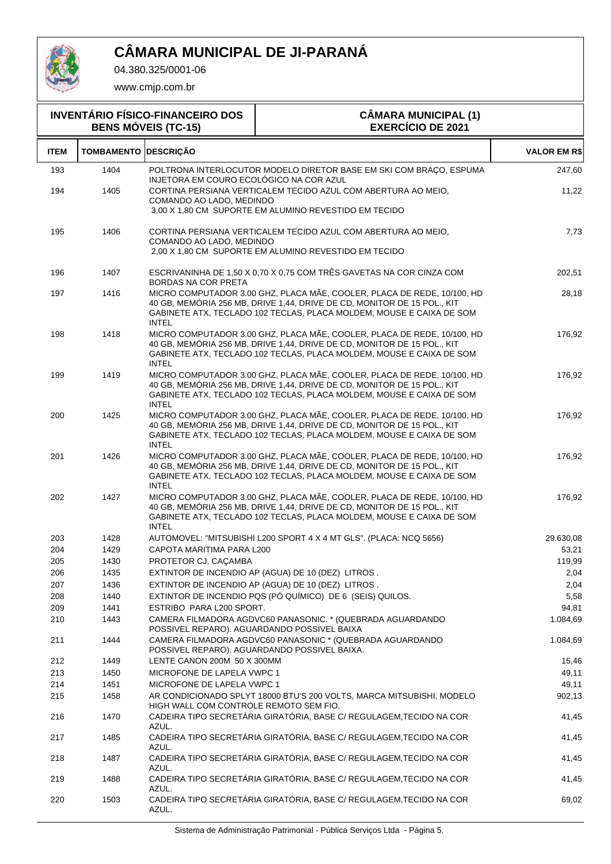

04.380.325/0001-06

| <b>INVENTÁRIO FÍSICO-FINANCEIRO DOS</b><br><b>BENS MÓVEIS (TC-15)</b> |                             |                                         | <b>CÂMARA MUNICIPAL (1)</b><br><b>EXERCÍCIO DE 2021</b>                                                                                                                                                                    |                     |
|-----------------------------------------------------------------------|-----------------------------|-----------------------------------------|----------------------------------------------------------------------------------------------------------------------------------------------------------------------------------------------------------------------------|---------------------|
| <b>ITEM</b>                                                           | <b>TOMBAMENTO DESCRIÇÃO</b> |                                         |                                                                                                                                                                                                                            | <b>VALOR EM R\$</b> |
| 193                                                                   | 1404                        | INJETORA EM COURO ECOLÓGICO NA COR AZUL | POLTRONA INTERLOCUTOR MODELO DIRETOR BASE EM SKI COM BRAÇO, ESPUMA                                                                                                                                                         | 247,60              |
| 194                                                                   | 1405                        | COMANDO AO LADO, MEDINDO                | CORTINA PERSIANA VERTICALEM TECIDO AZUL COM ABERTURA AO MEIO.<br>3,00 X 1,80 CM SUPORTE EM ALUMINO REVESTIDO EM TECIDO                                                                                                     | 11,22               |
| 195                                                                   | 1406                        | COMANDO AO LADO, MEDINDO                | CORTINA PERSIANA VERTICALEM TECIDO AZUL COM ABERTURA AO MEIO.<br>2,00 X 1,80 CM SUPORTE EM ALUMINO REVESTIDO EM TECIDO                                                                                                     | 7,73                |
| 196                                                                   | 1407                        | BORDAS NA COR PRETA                     | ESCRIVANINHA DE 1,50 X 0,70 X 0,75 COM TRÊS GAVETAS NA COR CINZA COM                                                                                                                                                       | 202,51              |
| 197                                                                   | 1416                        | <b>INTEL</b>                            | MICRO COMPUTADOR 3.00 GHZ, PLACA MÃE, COOLER, PLACA DE REDE, 10/100, HD<br>40 GB, MEMÓRIA 256 MB, DRIVE 1,44, DRIVE DE CD, MONITOR DE 15 POL., KIT<br>GABINETE ATX, TECLADO 102 TECLAS, PLACA MOLDEM, MOUSE E CAIXA DE SOM | 28,18               |
| 198                                                                   | 1418                        | <b>INTEL</b>                            | MICRO COMPUTADOR 3.00 GHZ, PLACA MÃE, COOLER, PLACA DE REDE, 10/100, HD<br>40 GB, MEMÓRIA 256 MB, DRIVE 1,44, DRIVE DE CD, MONITOR DE 15 POL., KIT<br>GABINETE ATX, TECLADO 102 TECLAS, PLACA MOLDEM, MOUSE E CAIXA DE SOM | 176,92              |
| 199                                                                   | 1419                        | <b>INTEL</b>                            | MICRO COMPUTADOR 3.00 GHZ, PLACA MÃE, COOLER, PLACA DE REDE, 10/100, HD<br>40 GB, MEMÓRIA 256 MB, DRIVE 1,44, DRIVE DE CD, MONITOR DE 15 POL., KIT<br>GABINETE ATX, TECLADO 102 TECLAS, PLACA MOLDEM, MOUSE E CAIXA DE SOM | 176,92              |
| 200                                                                   | 1425                        | <b>INTEL</b>                            | MICRO COMPUTADOR 3.00 GHZ, PLACA MÃE, COOLER, PLACA DE REDE, 10/100, HD<br>40 GB, MEMÓRIA 256 MB, DRIVE 1,44, DRIVE DE CD, MONITOR DE 15 POL., KIT<br>GABINETE ATX, TECLADO 102 TECLAS, PLACA MOLDEM, MOUSE E CAIXA DE SOM | 176,92              |
| 201                                                                   | 1426                        | <b>INTEL</b>                            | MICRO COMPUTADOR 3.00 GHZ, PLACA MÃE, COOLER, PLACA DE REDE, 10/100, HD<br>40 GB, MEMÓRIA 256 MB, DRIVE 1,44, DRIVE DE CD, MONITOR DE 15 POL., KIT<br>GABINETE ATX, TECLADO 102 TECLAS, PLACA MOLDEM, MOUSE E CAIXA DE SOM | 176,92              |
| 202                                                                   | 1427                        | <b>INTEL</b>                            | MICRO COMPUTADOR 3.00 GHZ, PLACA MÃE, COOLER, PLACA DE REDE, 10/100, HD<br>40 GB, MEMÓRIA 256 MB, DRIVE 1,44, DRIVE DE CD, MONITOR DE 15 POL., KIT<br>GABINETE ATX, TECLADO 102 TECLAS, PLACA MOLDEM, MOUSE E CAIXA DE SOM | 176,92              |
| 203                                                                   | 1428                        |                                         | AUTOMOVEL: "MITSUBISHI L200 SPORT 4 X 4 MT GLS". (PLACA: NCQ 5656)                                                                                                                                                         | 29.630,08           |
| 204                                                                   | 1429                        | CAPOTA MARITIMA PARA L200               |                                                                                                                                                                                                                            | 53,21               |
| 205                                                                   | 1430                        | PROTETOR CJ, CAÇAMBA                    |                                                                                                                                                                                                                            | 119,99              |
| 206                                                                   | 1435                        |                                         | EXTINTOR DE INCENDIO AP (AGUA) DE 10 (DEZ) LITROS.                                                                                                                                                                         | 2,04                |
| 207                                                                   | 1436                        |                                         | EXTINTOR DE INCENDIO AP (AGUA) DE 10 (DEZ) LITROS.                                                                                                                                                                         | 2,04                |
| 208                                                                   | 1440                        |                                         | EXTINTOR DE INCENDIO POS (PÓ QUÍMICO) DE 6 (SEIS) QUILOS.                                                                                                                                                                  | 5,58                |
| 209                                                                   | 1441                        | ESTRIBO PARA L200 SPORT.                |                                                                                                                                                                                                                            | 94,81               |
| 210                                                                   | 1443                        |                                         | CAMERA FILMADORA AGDVC60 PANASONIC. * (QUEBRADA AGUARDANDO<br>POSSIVEL REPARO). AGUARDANDO POSSIVEL BAIXA                                                                                                                  | 1.084,69            |
| 211                                                                   | 1444                        |                                         | CAMERA FILMADORA AGDVC60 PANASONIC * (QUEBRADA AGUARDANDO<br>POSSIVEL REPARO). AGUARDANDO POSSIVEL BAIXA.                                                                                                                  | 1.084,69            |
| 212                                                                   | 1449                        | LENTE CANON 200M 50 X 300MM             |                                                                                                                                                                                                                            | 15,46               |
| 213                                                                   | 1450                        | MICROFONE DE LAPELA VWPC 1              |                                                                                                                                                                                                                            | 49,11               |
| 214                                                                   | 1451                        | MICROFONE DE LAPELA VWPC 1              |                                                                                                                                                                                                                            | 49,11               |
| 215                                                                   | 1458                        | HIGH WALL COM CONTROLE REMOTO SEM FIO.  | AR CONDICIONADO SPLYT 18000 BTU'S 200 VOLTS, MARCA MITSUBISHI, MODELO                                                                                                                                                      | 902,13              |
| 216                                                                   | 1470                        | AZUL.                                   | CADEIRA TIPO SECRETÁRIA GIRATÓRIA, BASE C/ REGULAGEM, TECIDO NA COR                                                                                                                                                        | 41,45               |
| 217                                                                   | 1485                        | AZUL.                                   | CADEIRA TIPO SECRETÁRIA GIRATÓRIA, BASE C/ REGULAGEM, TECIDO NA COR                                                                                                                                                        | 41,45               |
| 218                                                                   | 1487                        | AZUL.                                   | CADEIRA TIPO SECRETÁRIA GIRATÓRIA, BASE C/ REGULAGEM, TECIDO NA COR                                                                                                                                                        | 41,45               |
| 219<br>220                                                            | 1488<br>1503                | AZUL.                                   | CADEIRA TIPO SECRETÁRIA GIRATÓRIA, BASE C/ REGULAGEM, TECIDO NA COR<br>CADEIRA TIPO SECRETÁRIA GIRATÓRIA, BASE C/ REGULAGEM, TECIDO NA COR                                                                                 | 41,45<br>69,02      |
|                                                                       |                             | AZUL.                                   |                                                                                                                                                                                                                            |                     |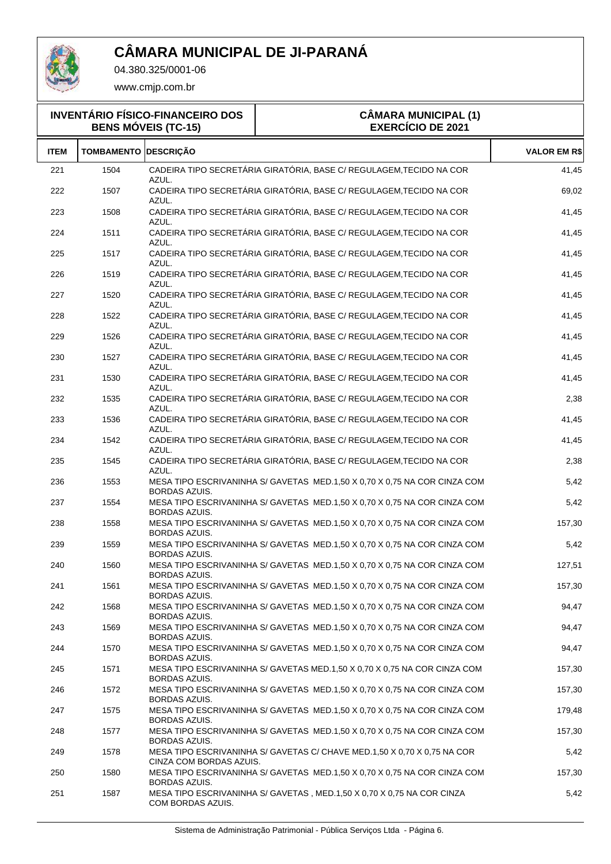

04.380.325/0001-06

| <b>INVENTÁRIO FÍSICO-FINANCEIRO DOS</b><br><b>BENS MÓVEIS (TC-15)</b> |                   |                         | <b>CÂMARA MUNICIPAL (1)</b><br><b>EXERCÍCIO DE 2021</b>                   |                     |  |
|-----------------------------------------------------------------------|-------------------|-------------------------|---------------------------------------------------------------------------|---------------------|--|
| <b>ITEM</b>                                                           | <b>TOMBAMENTO</b> | <b>DESCRIÇÃO</b>        |                                                                           | <b>VALOR EM R\$</b> |  |
| 221                                                                   | 1504              | AZUL.                   | CADEIRA TIPO SECRETÁRIA GIRATÓRIA, BASE C/ REGULAGEM, TECIDO NA COR       | 41,45               |  |
| 222                                                                   | 1507              | AZUL.                   | CADEIRA TIPO SECRETÁRIA GIRATÓRIA, BASE C/ REGULAGEM, TECIDO NA COR       | 69,02               |  |
| 223                                                                   | 1508              | AZUL.                   | CADEIRA TIPO SECRETÁRIA GIRATÓRIA, BASE C/ REGULAGEM, TECIDO NA COR       | 41,45               |  |
| 224                                                                   | 1511              | AZUL.                   | CADEIRA TIPO SECRETÁRIA GIRATÓRIA, BASE C/ REGULAGEM, TECIDO NA COR       | 41,45               |  |
| 225                                                                   | 1517              | AZUL.                   | CADEIRA TIPO SECRETÁRIA GIRATÓRIA, BASE C/ REGULAGEM, TECIDO NA COR       | 41,45               |  |
| 226                                                                   | 1519              | AZUL.                   | CADEIRA TIPO SECRETÁRIA GIRATÓRIA, BASE C/ REGULAGEM, TECIDO NA COR       | 41,45               |  |
| 227                                                                   | 1520              | AZUL.                   | CADEIRA TIPO SECRETÁRIA GIRATÓRIA, BASE C/ REGULAGEM, TECIDO NA COR       | 41,45               |  |
| 228                                                                   | 1522              | AZUL.                   | CADEIRA TIPO SECRETÁRIA GIRATÓRIA, BASE C/ REGULAGEM, TECIDO NA COR       | 41,45               |  |
| 229                                                                   | 1526              | AZUL.                   | CADEIRA TIPO SECRETÁRIA GIRATÓRIA, BASE C/ REGULAGEM, TECIDO NA COR       | 41,45               |  |
| 230                                                                   | 1527              | AZUL.                   | CADEIRA TIPO SECRETÁRIA GIRATÓRIA, BASE C/ REGULAGEM, TECIDO NA COR       | 41,45               |  |
| 231                                                                   | 1530              | AZUL.                   | CADEIRA TIPO SECRETÁRIA GIRATÓRIA, BASE C/ REGULAGEM, TECIDO NA COR       | 41,45               |  |
| 232                                                                   | 1535              | AZUL.                   | CADEIRA TIPO SECRETÁRIA GIRATÓRIA, BASE C/ REGULAGEM, TECIDO NA COR       | 2,38                |  |
| 233                                                                   | 1536              | AZUL.                   | CADEIRA TIPO SECRETÁRIA GIRATÓRIA, BASE C/ REGULAGEM, TECIDO NA COR       | 41,45               |  |
| 234                                                                   | 1542              | AZUL.                   | CADEIRA TIPO SECRETÁRIA GIRATÓRIA, BASE C/ REGULAGEM, TECIDO NA COR       | 41,45               |  |
| 235                                                                   | 1545              | AZUL.                   | CADEIRA TIPO SECRETÁRIA GIRATÓRIA, BASE C/ REGULAGEM, TECIDO NA COR       | 2,38                |  |
| 236                                                                   | 1553              | <b>BORDAS AZUIS.</b>    | MESA TIPO ESCRIVANINHA S/ GAVETAS MED.1,50 X 0,70 X 0,75 NA COR CINZA COM | 5,42                |  |
| 237                                                                   | 1554              | BORDAS AZUIS.           | MESA TIPO ESCRIVANINHA S/ GAVETAS MED.1,50 X 0,70 X 0,75 NA COR CINZA COM | 5,42                |  |
| 238                                                                   | 1558              | <b>BORDAS AZUIS.</b>    | MESA TIPO ESCRIVANINHA S/ GAVETAS MED.1,50 X 0,70 X 0,75 NA COR CINZA COM | 157,30              |  |
| 239                                                                   | 1559              | <b>BORDAS AZUIS.</b>    | MESA TIPO ESCRIVANINHA S/ GAVETAS MED.1,50 X 0,70 X 0,75 NA COR CINZA COM | 5,42                |  |
| 240                                                                   | 1560              | <b>BORDAS AZUIS.</b>    | MESA TIPO ESCRIVANINHA S/ GAVETAS MED.1,50 X 0,70 X 0,75 NA COR CINZA COM | 127,51              |  |
| 241                                                                   | 1561              | BORDAS AZUIS.           | MESA TIPO ESCRIVANINHA S/ GAVETAS MED.1,50 X 0,70 X 0,75 NA COR CINZA COM | 157,30              |  |
| 242                                                                   | 1568              | <b>BORDAS AZUIS.</b>    | MESA TIPO ESCRIVANINHA S/ GAVETAS MED.1,50 X 0,70 X 0,75 NA COR CINZA COM | 94,47               |  |
| 243                                                                   | 1569              | <b>BORDAS AZUIS.</b>    | MESA TIPO ESCRIVANINHA S/ GAVETAS MED.1,50 X 0,70 X 0,75 NA COR CINZA COM | 94,47               |  |
| 244                                                                   | 1570              | <b>BORDAS AZUIS.</b>    | MESA TIPO ESCRIVANINHA S/ GAVETAS MED.1,50 X 0,70 X 0,75 NA COR CINZA COM | 94,47               |  |
| 245                                                                   | 1571              | BORDAS AZUIS.           | MESA TIPO ESCRIVANINHA S/ GAVETAS MED.1,50 X 0,70 X 0,75 NA COR CINZA COM | 157,30              |  |
| 246                                                                   | 1572              | BORDAS AZUIS.           | MESA TIPO ESCRIVANINHA S/ GAVETAS MED.1,50 X 0,70 X 0,75 NA COR CINZA COM | 157,30              |  |
| 247                                                                   | 1575              | <b>BORDAS AZUIS.</b>    | MESA TIPO ESCRIVANINHA S/ GAVETAS MED.1,50 X 0,70 X 0,75 NA COR CINZA COM | 179,48              |  |
| 248                                                                   | 1577              | BORDAS AZUIS.           | MESA TIPO ESCRIVANINHA S/ GAVETAS MED.1,50 X 0,70 X 0,75 NA COR CINZA COM | 157,30              |  |
| 249                                                                   | 1578              | CINZA COM BORDAS AZUIS. | MESA TIPO ESCRIVANINHA S/ GAVETAS C/ CHAVE MED.1,50 X 0,70 X 0,75 NA COR  | 5,42                |  |
| 250                                                                   | 1580              | <b>BORDAS AZUIS.</b>    | MESA TIPO ESCRIVANINHA S/ GAVETAS MED.1,50 X 0,70 X 0,75 NA COR CINZA COM | 157,30              |  |
| 251                                                                   | 1587              | COM BORDAS AZUIS.       | MESA TIPO ESCRIVANINHA S/ GAVETAS, MED.1,50 X 0,70 X 0,75 NA COR CINZA    | 5,42                |  |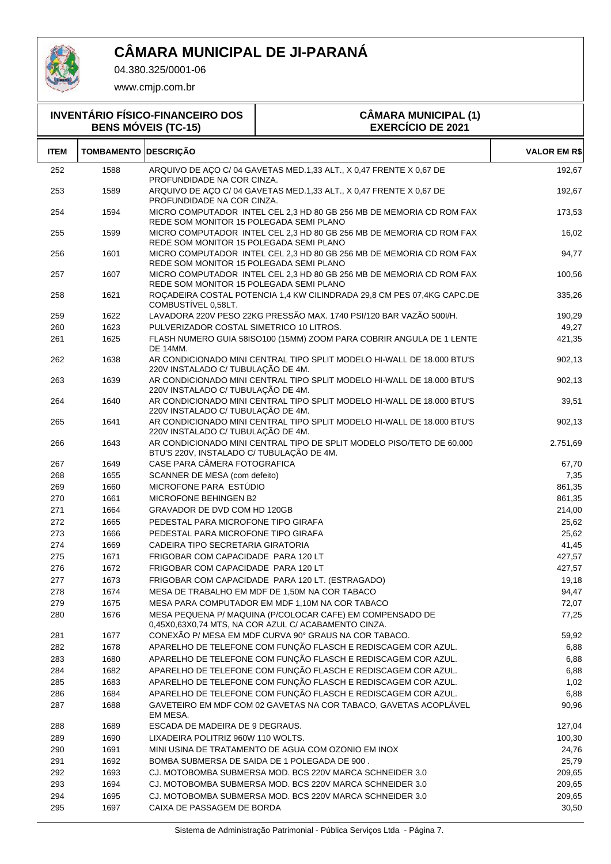

04.380.325/0001-06

| <b>INVENTÁRIO FÍSICO-FINANCEIRO DOS</b><br><b>BENS MÓVEIS (TC-15)</b> |                   |                                           | <b>CÂMARA MUNICIPAL (1)</b><br><b>EXERCÍCIO DE 2021</b>                                                                        |                     |
|-----------------------------------------------------------------------|-------------------|-------------------------------------------|--------------------------------------------------------------------------------------------------------------------------------|---------------------|
| <b>ITEM</b>                                                           | <b>TOMBAMENTO</b> | <b>DESCRIÇÃO</b>                          |                                                                                                                                | <b>VALOR EM R\$</b> |
| 252                                                                   | 1588              | PROFUNDIDADE NA COR CINZA.                | ARQUIVO DE AÇO C/ 04 GAVETAS MED.1,33 ALT., X 0,47 FRENTE X 0,67 DE                                                            | 192,67              |
| 253                                                                   | 1589              | PROFUNDIDADE NA COR CINZA.                | ARQUIVO DE AÇO C/ 04 GAVETAS MED.1,33 ALT., X 0,47 FRENTE X 0,67 DE                                                            | 192,67              |
| 254                                                                   | 1594              | REDE SOM MONITOR 15 POLEGADA SEMI PLANO   | MICRO COMPUTADOR INTEL CEL 2,3 HD 80 GB 256 MB DE MEMORIA CD ROM FAX                                                           | 173,53              |
| 255                                                                   | 1599              | REDE SOM MONITOR 15 POLEGADA SEMI PLANO   | MICRO COMPUTADOR INTEL CEL 2,3 HD 80 GB 256 MB DE MEMORIA CD ROM FAX                                                           | 16,02               |
| 256                                                                   | 1601              | REDE SOM MONITOR 15 POLEGADA SEMI PLANO   | MICRO COMPUTADOR INTEL CEL 2,3 HD 80 GB 256 MB DE MEMORIA CD ROM FAX                                                           | 94,77               |
| 257                                                                   | 1607              | REDE SOM MONITOR 15 POLEGADA SEMI PLANO   | MICRO COMPUTADOR INTEL CEL 2,3 HD 80 GB 256 MB DE MEMORIA CD ROM FAX                                                           | 100,56              |
| 258                                                                   | 1621              | COMBUSTIVEL 0,58LT.                       | ROÇADEIRA COSTAL POTENCIA 1,4 KW CILINDRADA 29,8 CM PES 07,4KG CAPC.DE                                                         | 335,26              |
| 259                                                                   | 1622              |                                           | LAVADORA 220V PESO 22KG PRESSÃO MAX. 1740 PSI/120 BAR VAZÃO 500I/H.                                                            | 190,29              |
| 260                                                                   | 1623              | PULVERIZADOR COSTAL SIMETRICO 10 LITROS.  |                                                                                                                                | 49,27               |
| 261                                                                   | 1625              | <b>DE 14MM.</b>                           | FLASH NUMERO GUIA 58ISO100 (15MM) ZOOM PARA COBRIR ANGULA DE 1 LENTE                                                           | 421,35              |
| 262                                                                   | 1638              | 220V INSTALADO C/ TUBULAÇÃO DE 4M.        | AR CONDICIONADO MINI CENTRAL TIPO SPLIT MODELO HI-WALL DE 18.000 BTU'S                                                         | 902,13              |
| 263                                                                   | 1639              | 220V INSTALADO C/ TUBULAÇÃO DE 4M.        | AR CONDICIONADO MINI CENTRAL TIPO SPLIT MODELO HI-WALL DE 18.000 BTU'S                                                         | 902,13              |
| 264                                                                   | 1640              | 220V INSTALADO C/ TUBULAÇÃO DE 4M.        | AR CONDICIONADO MINI CENTRAL TIPO SPLIT MODELO HI-WALL DE 18.000 BTU'S                                                         | 39,51               |
| 265                                                                   | 1641              | 220V INSTALADO C/ TUBULAÇÃO DE 4M.        | AR CONDICIONADO MINI CENTRAL TIPO SPLIT MODELO HI-WALL DE 18.000 BTU'S                                                         | 902,13              |
| 266                                                                   | 1643              | BTU'S 220V, INSTALADO C/ TUBULAÇÃO DE 4M. | AR CONDICIONADO MINI CENTRAL TIPO DE SPLIT MODELO PISO/TETO DE 60.000                                                          | 2.751,69            |
| 267                                                                   | 1649              | CASE PARA CÂMERA FOTOGRAFICA              |                                                                                                                                | 67,70               |
| 268                                                                   | 1655              | SCANNER DE MESA (com defeito)             |                                                                                                                                | 7,35                |
| 269                                                                   | 1660              | MICROFONE PARA ESTÚDIO                    |                                                                                                                                | 861,35              |
| 270                                                                   | 1661              | MICROFONE BEHINGEN B2                     |                                                                                                                                | 861,35              |
| 271                                                                   | 1664              | GRAVADOR DE DVD COM HD 120GB              |                                                                                                                                | 214,00              |
| 272                                                                   | 1665              | PEDESTAL PARA MICROFONE TIPO GIRAFA       |                                                                                                                                | 25,62               |
| 273                                                                   | 1666              | PEDESTAL PARA MICROFONE TIPO GIRAFA       |                                                                                                                                | 25,62               |
| 274                                                                   | 1669              | CADEIRA TIPO SECRETARIA GIRATORIA         |                                                                                                                                | 41,45               |
| 275                                                                   | 1671              | FRIGOBAR COM CAPACIDADE PARA 120 LT       |                                                                                                                                | 427,57              |
| 276                                                                   | 1672              | FRIGOBAR COM CAPACIDADE PARA 120 LT       |                                                                                                                                | 427,57              |
| 277                                                                   | 1673              |                                           | FRIGOBAR COM CAPACIDADE PARA 120 LT. (ESTRAGADO)                                                                               | 19,18               |
| 278                                                                   | 1674              |                                           | MESA DE TRABALHO EM MDF DE 1,50M NA COR TABACO                                                                                 | 94,47               |
| 279                                                                   | 1675              |                                           | MESA PARA COMPUTADOR EM MDF 1,10M NA COR TABACO                                                                                | 72,07               |
| 280                                                                   | 1676              |                                           | MESA PEQUENA P/ MAQUINA (P/COLOCAR CAFE) EM COMPENSADO DE<br>0,45X0,63X0,74 MTS, NA COR AZUL C/ ACABAMENTO CINZA.              | 77,25               |
| 281                                                                   | 1677              |                                           | CONEXÃO P/ MESA EM MDF CURVA 90° GRAUS NA COR TABACO.                                                                          | 59,92               |
| 282                                                                   | 1678              |                                           | APARELHO DE TELEFONE COM FUNÇÃO FLASCH E REDISCAGEM COR AZUL.                                                                  | 6,88                |
| 283                                                                   | 1680              |                                           | APARELHO DE TELEFONE COM FUNÇÃO FLASCH E REDISCAGEM COR AZUL.                                                                  | 6,88                |
| 284                                                                   | 1682              |                                           | APARELHO DE TELEFONE COM FUNÇÃO FLASCH E REDISCAGEM COR AZUL.                                                                  | 6,88                |
| 285                                                                   | 1683              |                                           | APARELHO DE TELEFONE COM FUNÇÃO FLASCH E REDISCAGEM COR AZUL.<br>APARELHO DE TELEFONE COM FUNÇÃO FLASCH E REDISCAGEM COR AZUL. | 1,02                |
| 286<br>287                                                            | 1684<br>1688      |                                           | GAVETEIRO EM MDF COM 02 GAVETAS NA COR TABACO, GAVETAS ACOPLÁVEL                                                               | 6,88                |
|                                                                       |                   | EM MESA.                                  |                                                                                                                                | 90,96               |
| 288                                                                   | 1689              | ESCADA DE MADEIRA DE 9 DEGRAUS.           |                                                                                                                                | 127,04              |
| 289<br>290                                                            | 1690<br>1691      | LIXADEIRA POLITRIZ 960W 110 WOLTS.        | MINI USINA DE TRATAMENTO DE AGUA COM OZONIO EM INOX                                                                            | 100,30<br>24,76     |
| 291                                                                   | 1692              |                                           | BOMBA SUBMERSA DE SAIDA DE 1 POLEGADA DE 900.                                                                                  | 25,79               |
| 292                                                                   | 1693              |                                           | CJ. MOTOBOMBA SUBMERSA MOD. BCS 220V MARCA SCHNEIDER 3.0                                                                       | 209,65              |
| 293                                                                   | 1694              |                                           | CJ. MOTOBOMBA SUBMERSA MOD. BCS 220V MARCA SCHNEIDER 3.0                                                                       | 209,65              |
| 294                                                                   | 1695              |                                           | CJ. MOTOBOMBA SUBMERSA MOD. BCS 220V MARCA SCHNEIDER 3.0                                                                       | 209,65              |
| 295                                                                   | 1697              | CAIXA DE PASSAGEM DE BORDA                |                                                                                                                                | 30,50               |
|                                                                       |                   |                                           |                                                                                                                                |                     |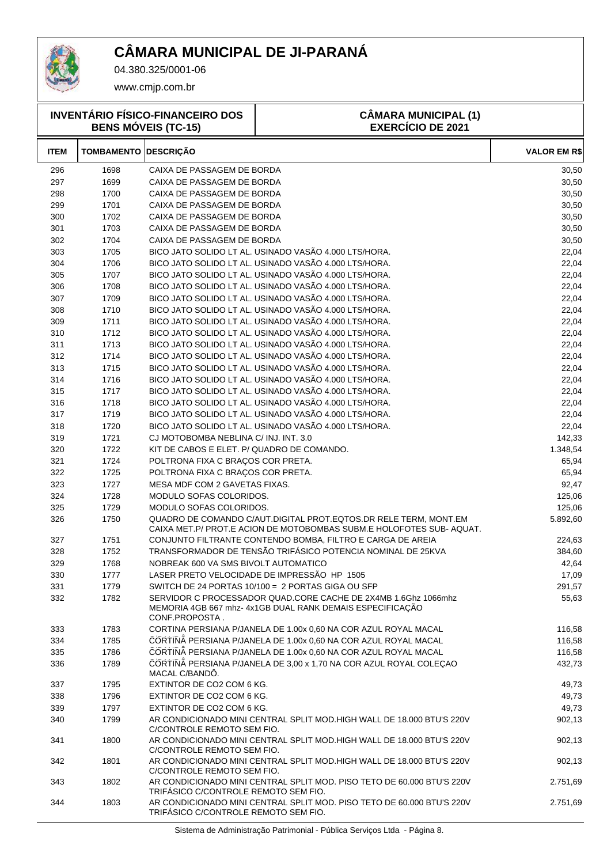

04.380.325/0001-06

www.cmjp.com.br

| <b>INVENTÁRIO FÍSICO-FINANCEIRO DOS</b><br><b>BENS MÓVEIS (TC-15)</b> |                             |                                            | <b>CÂMARA MUNICIPAL (1)</b><br><b>EXERCÍCIO DE 2021</b>                                                                                          |                      |
|-----------------------------------------------------------------------|-----------------------------|--------------------------------------------|--------------------------------------------------------------------------------------------------------------------------------------------------|----------------------|
| <b>ITEM</b>                                                           | <b>TOMBAMENTO DESCRIÇÃO</b> |                                            |                                                                                                                                                  | <b>VALOR EM R\$</b>  |
| 296                                                                   | 1698                        | CAIXA DE PASSAGEM DE BORDA                 |                                                                                                                                                  | 30,50                |
| 297                                                                   | 1699                        | CAIXA DE PASSAGEM DE BORDA                 |                                                                                                                                                  | 30,50                |
| 298                                                                   | 1700                        | CAIXA DE PASSAGEM DE BORDA                 |                                                                                                                                                  | 30,50                |
| 299                                                                   | 1701                        | CAIXA DE PASSAGEM DE BORDA                 |                                                                                                                                                  | 30,50                |
| 300                                                                   | 1702                        | CAIXA DE PASSAGEM DE BORDA                 |                                                                                                                                                  | 30,50                |
| 301                                                                   | 1703                        | CAIXA DE PASSAGEM DE BORDA                 |                                                                                                                                                  | 30,50                |
| 302                                                                   | 1704                        | CAIXA DE PASSAGEM DE BORDA                 |                                                                                                                                                  | 30,50                |
| 303                                                                   | 1705                        |                                            | BICO JATO SOLIDO LT AL. USINADO VASÃO 4.000 LTS/HORA.                                                                                            | 22,04                |
| 304                                                                   | 1706                        |                                            | BICO JATO SOLIDO LT AL. USINADO VASÃO 4.000 LTS/HORA.                                                                                            | 22,04                |
| 305                                                                   | 1707                        |                                            | BICO JATO SOLIDO LT AL. USINADO VASÃO 4.000 LTS/HORA.                                                                                            | 22,04                |
| 306                                                                   | 1708                        |                                            | BICO JATO SOLIDO LT AL. USINADO VASÃO 4.000 LTS/HORA.                                                                                            | 22,04                |
| 307                                                                   | 1709                        |                                            | BICO JATO SOLIDO LT AL. USINADO VASÃO 4.000 LTS/HORA.                                                                                            | 22,04                |
| 308                                                                   | 1710                        |                                            | BICO JATO SOLIDO LT AL. USINADO VASÃO 4.000 LTS/HORA.                                                                                            | 22,04                |
| 309                                                                   | 1711                        |                                            | BICO JATO SOLIDO LT AL. USINADO VASÃO 4.000 LTS/HORA.                                                                                            | 22,04                |
| 310                                                                   | 1712                        |                                            | BICO JATO SOLIDO LT AL. USINADO VASÃO 4.000 LTS/HORA.                                                                                            | 22,04                |
| 311                                                                   | 1713                        |                                            | BICO JATO SOLIDO LT AL. USINADO VASÃO 4.000 LTS/HORA.                                                                                            | 22,04                |
| 312                                                                   | 1714                        |                                            | BICO JATO SOLIDO LT AL. USINADO VASÃO 4.000 LTS/HORA.                                                                                            | 22,04                |
| 313                                                                   | 1715                        |                                            | BICO JATO SOLIDO LT AL. USINADO VASÃO 4.000 LTS/HORA.                                                                                            | 22,04                |
| 314                                                                   | 1716                        |                                            | BICO JATO SOLIDO LT AL. USINADO VASÃO 4.000 LTS/HORA.                                                                                            | 22,04                |
| 315                                                                   | 1717                        |                                            | BICO JATO SOLIDO LT AL. USINADO VASÃO 4.000 LTS/HORA.                                                                                            | 22,04                |
| 316                                                                   | 1718                        |                                            | BICO JATO SOLIDO LT AL. USINADO VASÃO 4.000 LTS/HORA.                                                                                            | 22,04                |
| 317                                                                   | 1719                        |                                            | BICO JATO SOLIDO LT AL. USINADO VASÃO 4.000 LTS/HORA.                                                                                            | 22,04                |
| 318                                                                   | 1720                        |                                            | BICO JATO SOLIDO LT AL. USINADO VASÃO 4.000 LTS/HORA.                                                                                            | 22,04                |
| 319                                                                   | 1721                        | CJ MOTOBOMBA NEBLINA C/ INJ. INT. 3.0      |                                                                                                                                                  | 142,33               |
| 320                                                                   | 1722                        | KIT DE CABOS E ELET. P/ QUADRO DE COMANDO. |                                                                                                                                                  | 1.348,54             |
| 321                                                                   | 1724                        | POLTRONA FIXA C BRAÇOS COR PRETA.          |                                                                                                                                                  | 65,94                |
| 322                                                                   | 1725                        | POLTRONA FIXA C BRAÇOS COR PRETA.          |                                                                                                                                                  | 65,94                |
| 323                                                                   | 1727                        | MESA MDF COM 2 GAVETAS FIXAS.              |                                                                                                                                                  | 92,47                |
| 324                                                                   | 1728                        | MODULO SOFAS COLORIDOS.                    |                                                                                                                                                  | 125,06               |
| 325                                                                   | 1729                        | MODULO SOFAS COLORIDOS.                    |                                                                                                                                                  | 125,06               |
| 326                                                                   | 1750                        |                                            | QUADRO DE COMANDO C/AUT.DIGITAL PROT.EQTOS.DR RELE TERM, MONT.EM<br>CAIXA MET.P/ PROT.E ACION DE MOTOBOMBAS SUBM.E HOLOFOTES SUB-AQUAT.          | 5.892,60             |
| 327                                                                   | 1751                        |                                            | CONJUNTO FILTRANTE CONTENDO BOMBA, FILTRO E CARGA DE AREIA                                                                                       | 224,63               |
| 328                                                                   | 1752                        |                                            | TRANSFORMADOR DE TENSÃO TRIFÁSICO POTENCIA NOMINAL DE 25KVA                                                                                      | 384,60               |
| 329                                                                   | 1768                        | NOBREAK 600 VA SMS BIVOLT AUTOMATICO       |                                                                                                                                                  | 42,64                |
| 330                                                                   | 1777                        |                                            | LASER PRETO VELOCIDADE DE IMPRESSÃO HP 1505                                                                                                      | 17,09                |
| 331                                                                   | 1779                        |                                            | SWITCH DE 24 PORTAS 10/100 = 2 PORTAS GIGA OU SFP                                                                                                | 291,57               |
| 332                                                                   | 1782                        | CONF.PROPOSTA.                             | SERVIDOR C PROCESSADOR QUAD.CORE CACHE DE 2X4MB 1.6Ghz 1066mhz<br>MEMORIA 4GB 667 mhz- 4x1GB DUAL RANK DEMAIS ESPECIFICAÇÃO                      | 55,63                |
| 333                                                                   | 1783                        |                                            | CORTINA PERSIANA P/JANELA DE 1.00x 0,60 NA COR AZUL ROYAL MACAL                                                                                  | 116,58               |
| 334                                                                   | 1785                        |                                            | CORTINA PERSIANA P/JANELA DE 1.00x 0,60 NA COR AZUL ROYAL MACAL                                                                                  | 116,58               |
| 335                                                                   | 1786                        |                                            | CORTINA PERSIANA P/JANELA DE 1.00x 0,60 NA COR AZUL ROYAL MACAL                                                                                  | 116,58               |
| 336                                                                   | 1789                        | MACAL C/BANDO.                             | CORTINA PERSIANA P/JANELA DE 3,00 x 1,70 NA COR AZUL ROYAL COLEÇAO                                                                               | 432,73               |
| 337                                                                   | 1795                        | EXTINTOR DE CO2 COM 6 KG.                  |                                                                                                                                                  | 49,73                |
| 338                                                                   | 1796                        | EXTINTOR DE CO2 COM 6 KG.                  |                                                                                                                                                  | 49,73                |
| 339                                                                   | 1797                        | EXTINTOR DE CO2 COM 6 KG.                  |                                                                                                                                                  | 49,73                |
| 340                                                                   | 1799                        | C/CONTROLE REMOTO SEM FIO.                 | AR CONDICIONADO MINI CENTRAL SPLIT MOD.HIGH WALL DE 18.000 BTU'S 220V                                                                            | 902,13               |
| 341                                                                   | 1800                        | C/CONTROLE REMOTO SEM FIO.                 | AR CONDICIONADO MINI CENTRAL SPLIT MOD.HIGH WALL DE 18.000 BTU'S 220V                                                                            | 902,13               |
| 342                                                                   | 1801                        | C/CONTROLE REMOTO SEM FIO.                 | AR CONDICIONADO MINI CENTRAL SPLIT MOD.HIGH WALL DE 18.000 BTU'S 220V                                                                            | 902,13               |
| 343<br>344                                                            | 1802<br>1803                | TRIFÁSICO C/CONTROLE REMOTO SEM FIO.       | AR CONDICIONADO MINI CENTRAL SPLIT MOD. PISO TETO DE 60.000 BTU'S 220V<br>AR CONDICIONADO MINI CENTRAL SPLIT MOD. PISO TETO DE 60.000 BTU'S 220V | 2.751,69<br>2.751,69 |
|                                                                       |                             | TRIFASICO C/CONTROLE REMOTO SEM FIO.       |                                                                                                                                                  |                      |

Sistema de Administração Patrimonial - Pública Serviços Ltda - Página 8.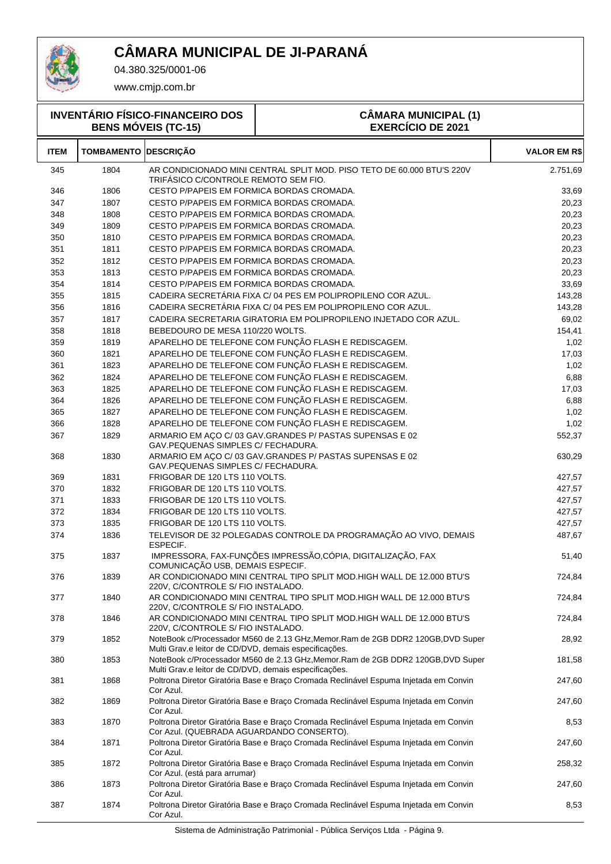

04.380.325/0001-06

| <b>INVENTÁRIO FÍSICO-FINANCEIRO DOS</b><br><b>BENS MÓVEIS (TC-15)</b> |                             |                                                       | <b>CÂMARA MUNICIPAL (1)</b><br><b>EXERCÍCIO DE 2021</b>                              |                     |
|-----------------------------------------------------------------------|-----------------------------|-------------------------------------------------------|--------------------------------------------------------------------------------------|---------------------|
| <b>ITEM</b>                                                           | <b>TOMBAMENTO DESCRIÇÃO</b> |                                                       |                                                                                      | <b>VALOR EM R\$</b> |
| 345                                                                   | 1804                        | TRIFÁSICO C/CONTROLE REMOTO SEM FIO.                  | AR CONDICIONADO MINI CENTRAL SPLIT MOD. PISO TETO DE 60.000 BTU'S 220V               | 2.751,69            |
| 346                                                                   | 1806                        | CESTO P/PAPEIS EM FORMICA BORDAS CROMADA.             |                                                                                      | 33,69               |
| 347                                                                   | 1807                        | CESTO P/PAPEIS EM FORMICA BORDAS CROMADA.             |                                                                                      | 20,23               |
| 348                                                                   | 1808                        | CESTO P/PAPEIS EM FORMICA BORDAS CROMADA.             |                                                                                      | 20,23               |
| 349                                                                   | 1809                        | CESTO P/PAPEIS EM FORMICA BORDAS CROMADA.             |                                                                                      | 20,23               |
| 350                                                                   | 1810                        | CESTO P/PAPEIS EM FORMICA BORDAS CROMADA.             |                                                                                      | 20,23               |
| 351                                                                   | 1811                        | CESTO P/PAPEIS EM FORMICA BORDAS CROMADA.             |                                                                                      | 20,23               |
| 352                                                                   | 1812                        | CESTO P/PAPEIS EM FORMICA BORDAS CROMADA.             |                                                                                      | 20,23               |
| 353                                                                   | 1813                        | CESTO P/PAPEIS EM FORMICA BORDAS CROMADA.             |                                                                                      | 20,23               |
| 354                                                                   | 1814                        | CESTO P/PAPEIS EM FORMICA BORDAS CROMADA.             |                                                                                      | 33,69               |
| 355                                                                   | 1815                        |                                                       | CADEIRA SECRETÁRIA FIXA C/ 04 PES EM POLIPROPILENO COR AZUL.                         | 143,28              |
| 356                                                                   | 1816                        |                                                       | CADEIRA SECRETÁRIA FIXA C/ 04 PES EM POLIPROPILENO COR AZUL.                         | 143,28              |
| 357                                                                   | 1817                        |                                                       | CADEIRA SECRETARIA GIRATORIA EM POLIPROPILENO INJETADO COR AZUL.                     | 69,02               |
| 358                                                                   | 1818                        | BEBEDOURO DE MESA 110/220 WOLTS.                      |                                                                                      | 154,41              |
| 359                                                                   | 1819                        |                                                       | APARELHO DE TELEFONE COM FUNÇÃO FLASH E REDISCAGEM.                                  | 1,02                |
| 360                                                                   | 1821                        |                                                       | APARELHO DE TELEFONE COM FUNÇÃO FLASH E REDISCAGEM.                                  | 17,03               |
| 361                                                                   | 1823                        |                                                       | APARELHO DE TELEFONE COM FUNÇÃO FLASH E REDISCAGEM.                                  | 1,02                |
| 362                                                                   | 1824                        |                                                       | APARELHO DE TELEFONE COM FUNÇÃO FLASH E REDISCAGEM.                                  | 6,88                |
| 363                                                                   | 1825                        |                                                       | APARELHO DE TELEFONE COM FUNÇÃO FLASH E REDISCAGEM.                                  | 17,03               |
| 364                                                                   | 1826                        |                                                       | APARELHO DE TELEFONE COM FUNÇÃO FLASH E REDISCAGEM.                                  | 6,88                |
| 365                                                                   | 1827                        |                                                       | APARELHO DE TELEFONE COM FUNÇÃO FLASH E REDISCAGEM.                                  | 1,02                |
| 366                                                                   | 1828                        |                                                       | APARELHO DE TELEFONE COM FUNÇÃO FLASH E REDISCAGEM.                                  | 1,02                |
| 367                                                                   | 1829                        | GAV.PEQUENAS SIMPLES C/ FECHADURA.                    | ARMARIO EM AÇO C/ 03 GAV.GRANDES P/ PASTAS SUPENSAS E 02                             | 552,37              |
| 368                                                                   | 1830                        | GAV.PEQUENAS SIMPLES C/ FECHADURA.                    | ARMARIO EM AÇO C/ 03 GAV.GRANDES P/ PASTAS SUPENSAS E 02                             | 630,29              |
| 369                                                                   | 1831                        | FRIGOBAR DE 120 LTS 110 VOLTS.                        |                                                                                      | 427,57              |
| 370                                                                   | 1832                        | FRIGOBAR DE 120 LTS 110 VOLTS.                        |                                                                                      | 427,57              |
| 371                                                                   | 1833                        | FRIGOBAR DE 120 LTS 110 VOLTS.                        |                                                                                      | 427,57              |
| 372                                                                   | 1834                        | FRIGOBAR DE 120 LTS 110 VOLTS.                        |                                                                                      | 427,57              |
| 373                                                                   | 1835                        | FRIGOBAR DE 120 LTS 110 VOLTS.                        |                                                                                      | 427,57              |
| 374                                                                   | 1836                        | ESPECIF.                                              | TELEVISOR DE 32 POLEGADAS CONTROLE DA PROGRAMAÇÃO AO VIVO, DEMAIS                    | 487,67              |
| 375                                                                   | 1837                        | COMUNICAÇÃO USB, DEMAIS ESPECIF.                      | IMPRESSORA, FAX-FUNÇÕES IMPRESSÃO, CÓPIA, DIGITALIZAÇÃO, FAX                         | 51,40               |
| 376                                                                   | 1839                        | 220V, C/CONTROLE S/ FIO INSTALADO.                    | AR CONDICIONADO MINI CENTRAL TIPO SPLIT MOD.HIGH WALL DE 12.000 BTU'S                | 724,84              |
| 377                                                                   | 1840                        | 220V, C/CONTROLE S/ FIO INSTALADO.                    | AR CONDICIONADO MINI CENTRAL TIPO SPLIT MOD.HIGH WALL DE 12.000 BTU'S                | 724,84              |
| 378                                                                   | 1846                        | 220V, C/CONTROLE S/ FIO INSTALADO.                    | AR CONDICIONADO MINI CENTRAL TIPO SPLIT MOD.HIGH WALL DE 12.000 BTU'S                | 724,84              |
| 379                                                                   | 1852                        | Multi Grav.e leitor de CD/DVD, demais especificações. | NoteBook c/Processador M560 de 2.13 GHz, Memor. Ram de 2GB DDR2 120GB, DVD Super     | 28,92               |
| 380                                                                   | 1853                        | Multi Grav.e leitor de CD/DVD, demais especificações. | NoteBook c/Processador M560 de 2.13 GHz, Memor. Ram de 2GB DDR2 120GB, DVD Super     | 181,58              |
| 381                                                                   | 1868                        | Cor Azul.                                             | Poltrona Diretor Giratória Base e Braço Cromada Reclinável Espuma Injetada em Convin | 247,60              |
| 382                                                                   | 1869                        | Cor Azul.                                             | Poltrona Diretor Giratória Base e Braço Cromada Reclinável Espuma Injetada em Convin | 247,60              |
| 383                                                                   | 1870                        | Cor Azul. (QUEBRADA AGUARDANDO CONSERTO).             | Poltrona Diretor Giratória Base e Braço Cromada Reclinável Espuma Injetada em Convin | 8,53                |
| 384                                                                   | 1871                        | Cor Azul.                                             | Poltrona Diretor Giratória Base e Braço Cromada Reclinável Espuma Injetada em Convin | 247,60              |
| 385                                                                   | 1872                        | Cor Azul. (está para arrumar)                         | Poltrona Diretor Giratória Base e Braço Cromada Reclinável Espuma Injetada em Convin | 258,32              |
| 386                                                                   | 1873                        | Cor Azul.                                             | Poltrona Diretor Giratória Base e Braço Cromada Reclinável Espuma Injetada em Convin | 247,60              |
| 387                                                                   | 1874                        | Cor Azul.                                             | Poltrona Diretor Giratória Base e Braço Cromada Reclinável Espuma Injetada em Convin | 8,53                |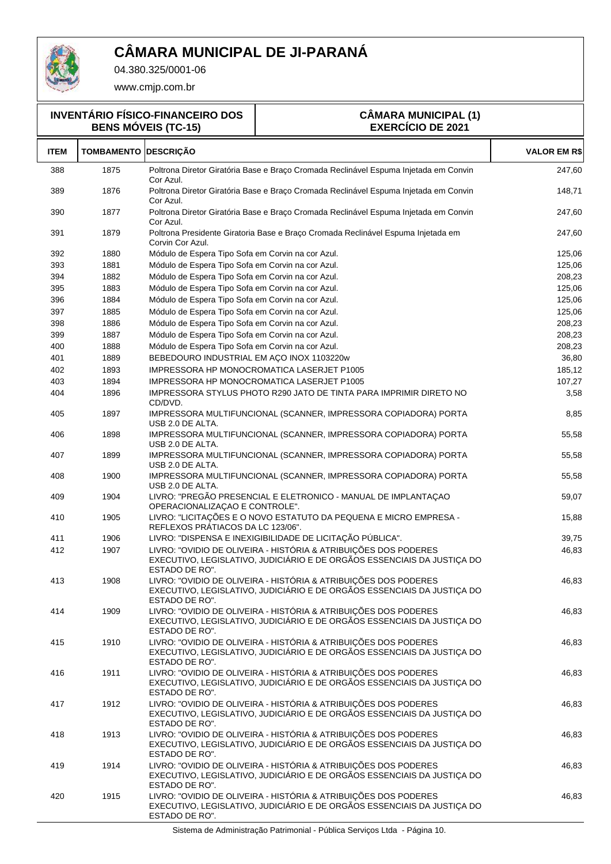

04.380.325/0001-06

www.cmjp.com.br

**INVENTÁRIO FÍSICO-FINANCEIRO DOS BENS MÓVEIS (TC-15)**

#### **CÂMARA MUNICIPAL (1) EXERCÍCIO DE 2021**

| <b>ITEM</b> | <b>TOMBAMENTO DESCRIÇÃO</b> |                                                                                                                                                              | <b>VALOR EM R\$</b> |
|-------------|-----------------------------|--------------------------------------------------------------------------------------------------------------------------------------------------------------|---------------------|
| 388         | 1875                        | Poltrona Diretor Giratória Base e Braço Cromada Reclinável Espuma Injetada em Convin<br>Cor Azul.                                                            | 247,60              |
| 389         | 1876                        | Poltrona Diretor Giratória Base e Braco Cromada Reclinável Espuma Injetada em Convin<br>Cor Azul.                                                            | 148,71              |
| 390         | 1877                        | Poltrona Diretor Giratória Base e Braço Cromada Reclinável Espuma Injetada em Convin<br>Cor Azul.                                                            | 247,60              |
| 391         | 1879                        | Poltrona Presidente Giratoria Base e Braço Cromada Reclinável Espuma Injetada em<br>Corvin Cor Azul.                                                         | 247,60              |
| 392         | 1880                        | Módulo de Espera Tipo Sofa em Corvin na cor Azul.                                                                                                            | 125,06              |
| 393         | 1881                        | Módulo de Espera Tipo Sofa em Corvin na cor Azul.                                                                                                            | 125,06              |
| 394         | 1882                        | Módulo de Espera Tipo Sofa em Corvin na cor Azul.                                                                                                            | 208,23              |
| 395         | 1883                        | Módulo de Espera Tipo Sofa em Corvin na cor Azul.                                                                                                            | 125,06              |
| 396         | 1884                        | Módulo de Espera Tipo Sofa em Corvin na cor Azul.                                                                                                            | 125,06              |
| 397         | 1885                        | Módulo de Espera Tipo Sofa em Corvin na cor Azul.                                                                                                            | 125,06              |
| 398         | 1886                        | Módulo de Espera Tipo Sofa em Corvin na cor Azul.                                                                                                            | 208,23              |
| 399         | 1887                        | Módulo de Espera Tipo Sofa em Corvin na cor Azul.                                                                                                            | 208,23              |
| 400         | 1888                        | Módulo de Espera Tipo Sofa em Corvin na cor Azul.                                                                                                            | 208,23              |
| 401         | 1889                        | BEBEDOURO INDUSTRIAL EM ACO INOX 1103220w                                                                                                                    | 36,80               |
| 402         | 1893                        | <b>IMPRESSORA HP MONOCROMATICA LASERJET P1005</b>                                                                                                            | 185,12              |
| 403         | 1894                        | IMPRESSORA HP MONOCROMATICA LASERJET P1005                                                                                                                   | 107,27              |
| 404         | 1896                        | IMPRESSORA STYLUS PHOTO R290 JATO DE TINTA PARA IMPRIMIR DIRETO NO<br>CD/DVD.                                                                                | 3,58                |
| 405         | 1897                        | IMPRESSORA MULTIFUNCIONAL (SCANNER, IMPRESSORA COPIADORA) PORTA<br>USB 2.0 DE ALTA.                                                                          | 8,85                |
| 406         | 1898                        | IMPRESSORA MULTIFUNCIONAL (SCANNER, IMPRESSORA COPIADORA) PORTA<br>USB 2.0 DE ALTA.                                                                          | 55,58               |
| 407         | 1899                        | IMPRESSORA MULTIFUNCIONAL (SCANNER, IMPRESSORA COPIADORA) PORTA<br>USB 2.0 DE ALTA.                                                                          | 55,58               |
| 408         | 1900                        | IMPRESSORA MULTIFUNCIONAL (SCANNER, IMPRESSORA COPIADORA) PORTA<br>USB 2.0 DE ALTA.                                                                          | 55,58               |
| 409         | 1904                        | LIVRO: "PREGÃO PRESENCIAL E ELETRONICO - MANUAL DE IMPLANTAÇÃO<br>OPERACIONALIZAÇÃO E CONTROLE".                                                             | 59,07               |
| 410         | 1905                        | LIVRO: "LICITAÇÕES E O NOVO ESTATUTO DA PEQUENA E MICRO EMPRESA -<br>REFLEXOS PRÁTIACOS DA LC 123/06".                                                       | 15,88               |
| 411         | 1906                        | LIVRO: "DISPENSA E INEXIGIBILIDADE DE LICITAÇÃO PÚBLICA".                                                                                                    | 39,75               |
| 412         | 1907                        | LIVRO: "OVIDIO DE OLIVEIRA - HISTÓRIA & ATRIBUIÇÕES DOS PODERES<br>EXECUTIVO, LEGISLATIVO, JUDICIÁRIO E DE ORGÃOS ESSENCIAIS DA JUSTIÇA DO<br>ESTADO DE RO". | 46,83               |
| 413         | 1908                        | LIVRO: "OVIDIO DE OLIVEIRA - HISTÓRIA & ATRIBUIÇÕES DOS PODERES<br>EXECUTIVO, LEGISLATIVO, JUDICIÁRIO E DE ORGÃOS ESSENCIAIS DA JUSTIÇA DO<br>ESTADO DE RO". | 46,83               |
| 414         | 1909                        | LIVRO: "OVIDIO DE OLIVEIRA - HISTÓRIA & ATRIBUIÇÕES DOS PODERES<br>EXECUTIVO, LEGISLATIVO, JUDICIÁRIO E DE ORGÃOS ESSENCIAIS DA JUSTIÇA DO<br>ESTADO DE RO". | 46,83               |
| 415         | 1910                        | LIVRO: "OVIDIO DE OLIVEIRA - HISTÓRIA & ATRIBUIÇÕES DOS PODERES<br>EXECUTIVO, LEGISLATIVO, JUDICIÁRIO E DE ORGÃOS ESSENCIAIS DA JUSTIÇA DO<br>ESTADO DE RO". | 46,83               |
| 416         | 1911                        | LIVRO: "OVIDIO DE OLIVEIRA - HISTÓRIA & ATRIBUIÇÕES DOS PODERES<br>EXECUTIVO, LEGISLATIVO, JUDICIÁRIO E DE ORGÃOS ESSENCIAIS DA JUSTIÇA DO<br>ESTADO DE RO". | 46,83               |
| 417         | 1912                        | LIVRO: "OVIDIO DE OLIVEIRA - HISTÓRIA & ATRIBUIÇÕES DOS PODERES<br>EXECUTIVO, LEGISLATIVO, JUDICIÁRIO E DE ORGÃOS ESSENCIAIS DA JUSTIÇA DO<br>ESTADO DE RO". | 46,83               |
| 418         | 1913                        | LIVRO: "OVIDIO DE OLIVEIRA - HISTÓRIA & ATRIBUIÇÕES DOS PODERES<br>EXECUTIVO, LEGISLATIVO, JUDICIÁRIO E DE ORGÃOS ESSENCIAIS DA JUSTIÇA DO<br>ESTADO DE RO". | 46,83               |
| 419         | 1914                        | LIVRO: "OVIDIO DE OLIVEIRA - HISTÓRIA & ATRIBUIÇÕES DOS PODERES<br>EXECUTIVO, LEGISLATIVO, JUDICIÁRIO E DE ORGÃOS ESSENCIAIS DA JUSTIÇA DO<br>ESTADO DE RO". | 46,83               |
| 420         | 1915                        | LIVRO: "OVIDIO DE OLIVEIRA - HISTÓRIA & ATRIBUIÇÕES DOS PODERES<br>EXECUTIVO, LEGISLATIVO, JUDICIÁRIO E DE ORGÃOS ESSENCIAIS DA JUSTIÇA DO<br>ESTADO DE RO". | 46,83               |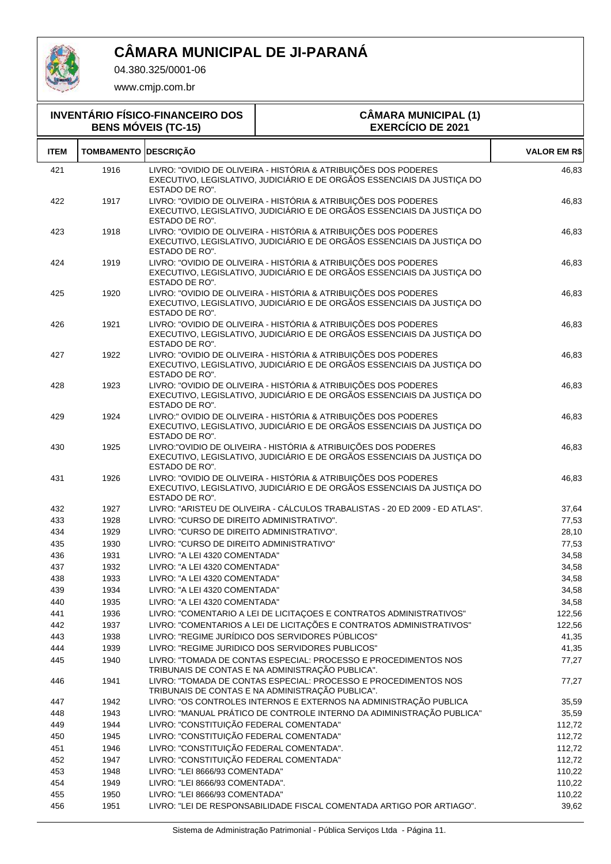

04.380.325/0001-06

| <b>INVENTÁRIO FÍSICO-FINANCEIRO DOS</b><br><b>BENS MÓVEIS (TC-15)</b> |                   |                                                                | <b>CÂMARA MUNICIPAL (1)</b><br><b>EXERCÍCIO DE 2021</b>                                                                                                                                  |                     |
|-----------------------------------------------------------------------|-------------------|----------------------------------------------------------------|------------------------------------------------------------------------------------------------------------------------------------------------------------------------------------------|---------------------|
| <b>ITEM</b>                                                           | <b>TOMBAMENTO</b> | <b>DESCRIÇÃO</b>                                               |                                                                                                                                                                                          | <b>VALOR EM R\$</b> |
| 421                                                                   | 1916              | ESTADO DE RO".                                                 | LIVRO: "OVIDIO DE OLIVEIRA - HISTÓRIA & ATRIBUIÇÕES DOS PODERES<br>EXECUTIVO, LEGISLATIVO, JUDICIÁRIO E DE ORGÃOS ESSENCIAIS DA JUSTIÇA DO                                               | 46,83               |
| 422                                                                   | 1917              | ESTADO DE RO".                                                 | LIVRO: "OVIDIO DE OLIVEIRA - HISTÓRIA & ATRIBUIÇÕES DOS PODERES<br>EXECUTIVO, LEGISLATIVO, JUDICIÁRIO E DE ORGÃOS ESSENCIAIS DA JUSTIÇA DO                                               | 46,83               |
| 423                                                                   | 1918              | ESTADO DE RO".                                                 | LIVRO: "OVIDIO DE OLIVEIRA - HISTÓRIA & ATRIBUIÇÕES DOS PODERES<br>EXECUTIVO, LEGISLATIVO, JUDICIÁRIO E DE ORGÃOS ESSENCIAIS DA JUSTIÇA DO                                               | 46,83               |
| 424                                                                   | 1919              | ESTADO DE RO".                                                 | LIVRO: "OVIDIO DE OLIVEIRA - HISTÓRIA & ATRIBUIÇÕES DOS PODERES<br>EXECUTIVO, LEGISLATIVO, JUDICIÁRIO E DE ORGÃOS ESSENCIAIS DA JUSTIÇA DO                                               | 46,83               |
| 425                                                                   | 1920              | ESTADO DE RO".                                                 | LIVRO: "OVIDIO DE OLIVEIRA - HISTÓRIA & ATRIBUIÇÕES DOS PODERES<br>EXECUTIVO, LEGISLATIVO, JUDICIÁRIO E DE ORGÃOS ESSENCIAIS DA JUSTIÇA DO                                               | 46,83               |
| 426                                                                   | 1921              | ESTADO DE RO".                                                 | LIVRO: "OVIDIO DE OLIVEIRA - HISTÓRIA & ATRIBUIÇÕES DOS PODERES<br>EXECUTIVO, LEGISLATIVO, JUDICIÁRIO E DE ORGÃOS ESSENCIAIS DA JUSTIÇA DO                                               | 46,83               |
| 427                                                                   | 1922              | ESTADO DE RO".                                                 | LIVRO: "OVIDIO DE OLIVEIRA - HISTÓRIA & ATRIBUIÇÕES DOS PODERES<br>EXECUTIVO, LEGISLATIVO, JUDICIÁRIO E DE ORGÃOS ESSENCIAIS DA JUSTIÇA DO                                               | 46,83               |
| 428                                                                   | 1923              | ESTADO DE RO".                                                 | LIVRO: "OVIDIO DE OLIVEIRA - HISTÓRIA & ATRIBUIÇÕES DOS PODERES<br>EXECUTIVO, LEGISLATIVO, JUDICIÁRIO E DE ORGÃOS ESSENCIAIS DA JUSTIÇA DO                                               | 46,83               |
| 429                                                                   | 1924              | ESTADO DE RO".                                                 | LIVRO:" OVIDIO DE OLIVEIRA - HISTÓRIA & ATRIBUIÇÕES DOS PODERES<br>EXECUTIVO, LEGISLATIVO, JUDICIÁRIO E DE ORGÃOS ESSENCIAIS DA JUSTIÇA DO                                               | 46,83               |
| 430                                                                   | 1925              | ESTADO DE RO".                                                 | LIVRO: "OVIDIO DE OLIVEIRA - HISTÓRIA & ATRIBUIÇÕES DOS PODERES<br>EXECUTIVO, LEGISLATIVO, JUDICIÁRIO E DE ORGÃOS ESSENCIAIS DA JUSTIÇA DO                                               | 46,83               |
| 431                                                                   | 1926              | ESTADO DE RO".                                                 | LIVRO: "OVIDIO DE OLIVEIRA - HISTÓRIA & ATRIBUIÇÕES DOS PODERES<br>EXECUTIVO, LEGISLATIVO, JUDICIÁRIO E DE ORGÃOS ESSENCIAIS DA JUSTIÇA DO                                               | 46,83               |
| 432                                                                   | 1927              |                                                                | LIVRO: "ARISTEU DE OLIVEIRA - CÁLCULOS TRABALISTAS - 20 ED 2009 - ED ATLAS".                                                                                                             | 37,64               |
| 433                                                                   | 1928              | LIVRO: "CURSO DE DIREITO ADMINISTRATIVO".                      |                                                                                                                                                                                          | 77,53               |
| 434                                                                   | 1929              | LIVRO: "CURSO DE DIREITO ADMINISTRATIVO".                      |                                                                                                                                                                                          | 28,10               |
| 435                                                                   | 1930              | LIVRO: "CURSO DE DIREITO ADMINISTRATIVO"                       |                                                                                                                                                                                          | 77,53               |
| 436                                                                   | 1931              | LIVRO: "A LEI 4320 COMENTADA"                                  |                                                                                                                                                                                          | 34,58               |
| 437                                                                   | 1932              | LIVRO: "A LEI 4320 COMENTADA"                                  |                                                                                                                                                                                          | 34,58               |
| 438<br>439                                                            | 1933<br>1934      | LIVRO: "A LEI 4320 COMENTADA"<br>LIVRO: "A LEI 4320 COMENTADA" |                                                                                                                                                                                          | 34,58               |
| 440                                                                   | 1935              | LIVRO: "A LEI 4320 COMENTADA"                                  |                                                                                                                                                                                          | 34,58<br>34,58      |
| 441                                                                   | 1936              |                                                                | LIVRO: "COMENTARIO A LEI DE LICITAÇOES E CONTRATOS ADMINISTRATIVOS"                                                                                                                      | 122,56              |
| 442                                                                   | 1937              |                                                                | LIVRO: "COMENTARIOS A LEI DE LICITAÇÕES E CONTRATOS ADMINISTRATIVOS"                                                                                                                     | 122,56              |
| 443                                                                   | 1938              |                                                                | LIVRO: "REGIME JURÍDICO DOS SERVIDORES PÚBLICOS"                                                                                                                                         | 41,35               |
| 444                                                                   | 1939              |                                                                | LIVRO: "REGIME JURIDICO DOS SERVIDORES PUBLICOS"                                                                                                                                         | 41,35               |
| 445                                                                   | 1940              |                                                                | LIVRO: "TOMADA DE CONTAS ESPECIAL: PROCESSO E PROCEDIMENTOS NOS<br>TRIBUNAIS DE CONTAS E NA ADMINISTRAÇÃO PUBLICA".                                                                      | 77,27               |
| 446<br>447                                                            | 1941<br>1942      |                                                                | LIVRO: "TOMADA DE CONTAS ESPECIAL: PROCESSO E PROCEDIMENTOS NOS<br>TRIBUNAIS DE CONTAS E NA ADMINISTRAÇÃO PUBLICA".<br>LIVRO: "OS CONTROLES INTERNOS E EXTERNOS NA ADMINISTRAÇÃO PUBLICA | 77,27<br>35,59      |
| 448                                                                   | 1943              |                                                                | LIVRO: "MANUAL PRÁTICO DE CONTROLE INTERNO DA ADIMINISTRAÇÃO PUBLICA"                                                                                                                    | 35,59               |
| 449                                                                   | 1944              | LIVRO: "CONSTITUIÇÃO FEDERAL COMENTADA"                        |                                                                                                                                                                                          | 112,72              |
| 450                                                                   | 1945              | LIVRO: "CONSTITUIÇÃO FEDERAL COMENTADA"                        |                                                                                                                                                                                          | 112,72              |
| 451                                                                   | 1946              | LIVRO: "CONSTITUIÇÃO FEDERAL COMENTADA".                       |                                                                                                                                                                                          | 112,72              |
| 452                                                                   | 1947              | LIVRO: "CONSTITUIÇÃO FEDERAL COMENTADA"                        |                                                                                                                                                                                          | 112,72              |
| 453                                                                   | 1948              | LIVRO: "LEI 8666/93 COMENTADA"                                 |                                                                                                                                                                                          | 110,22              |
| 454                                                                   | 1949              | LIVRO: "LEI 8666/93 COMENTADA".                                |                                                                                                                                                                                          | 110,22              |
| 455                                                                   | 1950              | LIVRO: "LEI 8666/93 COMENTADA"                                 |                                                                                                                                                                                          | 110,22              |
| 456                                                                   | 1951              |                                                                | LIVRO: "LEI DE RESPONSABILIDADE FISCAL COMENTADA ARTIGO POR ARTIAGO".                                                                                                                    | 39,62               |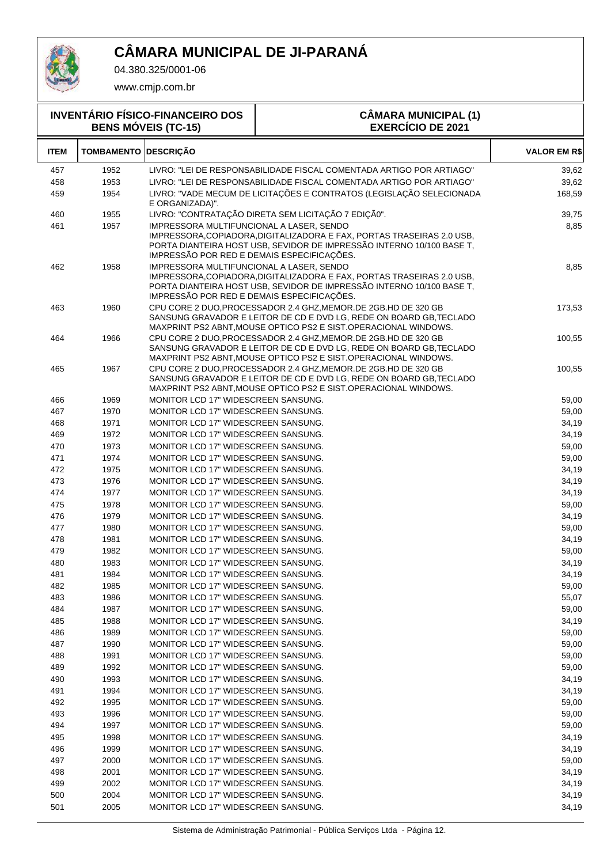

04.380.325/0001-06

| <b>INVENTÁRIO FÍSICO-FINANCEIRO DOS</b><br><b>BENS MÓVEIS (TC-15)</b> |                             |                                                                                        | <b>CÂMARA MUNICIPAL (1)</b><br><b>EXERCÍCIO DE 2021</b>                                                                                                                                                     |                     |
|-----------------------------------------------------------------------|-----------------------------|----------------------------------------------------------------------------------------|-------------------------------------------------------------------------------------------------------------------------------------------------------------------------------------------------------------|---------------------|
| <b>ITEM</b>                                                           | <b>TOMBAMENTO DESCRIÇÃO</b> |                                                                                        |                                                                                                                                                                                                             | <b>VALOR EM R\$</b> |
| 457                                                                   | 1952                        |                                                                                        | LIVRO: "LEI DE RESPONSABILIDADE FISCAL COMENTADA ARTIGO POR ARTIAGO"                                                                                                                                        | 39,62               |
| 458                                                                   | 1953                        |                                                                                        | LIVRO: "LEI DE RESPONSABILIDADE FISCAL COMENTADA ARTIGO POR ARTIAGO"                                                                                                                                        | 39,62               |
| 459                                                                   | 1954                        | E ORGANIZADA)".                                                                        | LIVRO: "VADE MECUM DE LICITAÇÕES E CONTRATOS (LEGISLAÇÃO SELECIONADA                                                                                                                                        | 168,59              |
| 460                                                                   | 1955                        |                                                                                        | LIVRO: "CONTRATAÇÃO DIRETA SEM LICITAÇÃO 7 EDIÇÃO".                                                                                                                                                         | 39,75               |
| 461                                                                   | 1957                        | IMPRESSORA MULTIFUNCIONAL A LASER, SENDO<br>IMPRESSÃO POR RED E DEMAIS ESPECIFICAÇÕES. | IMPRESSORA.COPIADORA.DIGITALIZADORA E FAX. PORTAS TRASEIRAS 2.0 USB.<br>PORTA DIANTEIRA HOST USB, SEVIDOR DE IMPRESSÃO INTERNO 10/100 BASE T,                                                               | 8,85                |
| 462                                                                   | 1958                        | IMPRESSORA MULTIFUNCIONAL A LASER, SENDO<br>IMPRESSÃO POR RED E DEMAIS ESPECIFICAÇÕES. | IMPRESSORA, COPIADORA, DIGITALIZADORA E FAX, PORTAS TRASEIRAS 2.0 USB,<br>PORTA DIANTEIRA HOST USB, SEVIDOR DE IMPRESSÃO INTERNO 10/100 BASE T,                                                             | 8,85                |
| 463                                                                   | 1960                        |                                                                                        | CPU CORE 2 DUO, PROCESSADOR 2.4 GHZ, MEMOR. DE 2GB. HD DE 320 GB<br>SANSUNG GRAVADOR E LEITOR DE CD E DVD LG, REDE ON BOARD GB, TECLADO<br>MAXPRINT PS2 ABNT, MOUSE OPTICO PS2 E SIST. OPERACIONAL WINDOWS. | 173,53              |
| 464                                                                   | 1966                        |                                                                                        | CPU CORE 2 DUO, PROCESSADOR 2.4 GHZ, MEMOR. DE 2GB. HD DE 320 GB<br>SANSUNG GRAVADOR E LEITOR DE CD E DVD LG, REDE ON BOARD GB, TECLADO<br>MAXPRINT PS2 ABNT, MOUSE OPTICO PS2 E SIST. OPERACIONAL WINDOWS. | 100,55              |
| 465                                                                   | 1967                        |                                                                                        | CPU CORE 2 DUO, PROCESSADOR 2.4 GHZ, MEMOR. DE 2GB. HD DE 320 GB<br>SANSUNG GRAVADOR E LEITOR DE CD E DVD LG, REDE ON BOARD GB, TECLADO<br>MAXPRINT PS2 ABNT, MOUSE OPTICO PS2 E SIST.OPERACIONAL WINDOWS.  | 100,55              |
| 466                                                                   | 1969                        | MONITOR LCD 17" WIDESCREEN SANSUNG.                                                    |                                                                                                                                                                                                             | 59,00               |
| 467                                                                   | 1970                        | <b>MONITOR LCD 17" WIDESCREEN SANSUNG.</b>                                             |                                                                                                                                                                                                             | 59,00               |
| 468                                                                   | 1971                        | MONITOR LCD 17" WIDESCREEN SANSUNG.                                                    |                                                                                                                                                                                                             | 34,19               |
| 469                                                                   | 1972                        | <b>MONITOR LCD 17" WIDESCREEN SANSUNG.</b>                                             |                                                                                                                                                                                                             | 34,19               |
| 470                                                                   | 1973                        | <b>MONITOR LCD 17" WIDESCREEN SANSUNG.</b>                                             |                                                                                                                                                                                                             | 59,00               |
| 471                                                                   | 1974                        | MONITOR LCD 17" WIDESCREEN SANSUNG.                                                    |                                                                                                                                                                                                             | 59,00               |
| 472                                                                   | 1975                        | MONITOR LCD 17" WIDESCREEN SANSUNG.                                                    |                                                                                                                                                                                                             | 34,19               |
| 473                                                                   | 1976                        | MONITOR LCD 17" WIDESCREEN SANSUNG.                                                    |                                                                                                                                                                                                             | 34,19               |
| 474                                                                   | 1977                        | <b>MONITOR LCD 17" WIDESCREEN SANSUNG.</b>                                             |                                                                                                                                                                                                             | 34,19               |
| 475                                                                   | 1978                        | MONITOR LCD 17" WIDESCREEN SANSUNG.                                                    |                                                                                                                                                                                                             | 59,00               |
| 476                                                                   | 1979                        | <b>MONITOR LCD 17" WIDESCREEN SANSUNG.</b>                                             |                                                                                                                                                                                                             | 34,19               |
| 477                                                                   | 1980                        | MONITOR LCD 17" WIDESCREEN SANSUNG.                                                    |                                                                                                                                                                                                             | 59,00               |
| 478                                                                   | 1981                        | MONITOR LCD 17" WIDESCREEN SANSUNG.                                                    |                                                                                                                                                                                                             | 34,19               |
| 479                                                                   | 1982                        | MONITOR LCD 17" WIDESCREEN SANSUNG.                                                    |                                                                                                                                                                                                             | 59,00               |
| 480                                                                   | 1983                        | MONITOR LCD 17" WIDESCREEN SANSUNG.                                                    |                                                                                                                                                                                                             | 34,19               |
| 481                                                                   | 1984                        | <b>MONITOR LCD 17" WIDESCREEN SANSUNG.</b>                                             |                                                                                                                                                                                                             | 34,19               |
| 482                                                                   | 1985                        | <b>MONITOR LCD 17" WIDESCREEN SANSUNG.</b>                                             |                                                                                                                                                                                                             | 59,00               |
| 483                                                                   | 1986                        | <b>MONITOR LCD 17" WIDESCREEN SANSUNG.</b>                                             |                                                                                                                                                                                                             | 55,07               |
| 484<br>485                                                            | 1987<br>1988                | MONITOR LCD 17" WIDESCREEN SANSUNG.<br><b>MONITOR LCD 17" WIDESCREEN SANSUNG.</b>      |                                                                                                                                                                                                             | 59,00               |
| 486                                                                   | 1989                        | <b>MONITOR LCD 17" WIDESCREEN SANSUNG.</b>                                             |                                                                                                                                                                                                             | 34,19<br>59,00      |
| 487                                                                   | 1990                        | <b>MONITOR LCD 17" WIDESCREEN SANSUNG.</b>                                             |                                                                                                                                                                                                             | 59,00               |
| 488                                                                   | 1991                        | <b>MONITOR LCD 17" WIDESCREEN SANSUNG.</b>                                             |                                                                                                                                                                                                             | 59,00               |
| 489                                                                   | 1992                        | MONITOR LCD 17" WIDESCREEN SANSUNG.                                                    |                                                                                                                                                                                                             | 59,00               |
| 490                                                                   | 1993                        | <b>MONITOR LCD 17" WIDESCREEN SANSUNG.</b>                                             |                                                                                                                                                                                                             | 34,19               |
| 491                                                                   | 1994                        | <b>MONITOR LCD 17" WIDESCREEN SANSUNG.</b>                                             |                                                                                                                                                                                                             | 34,19               |
| 492                                                                   | 1995                        | MONITOR LCD 17" WIDESCREEN SANSUNG.                                                    |                                                                                                                                                                                                             | 59,00               |
| 493                                                                   | 1996                        | MONITOR LCD 17" WIDESCREEN SANSUNG.                                                    |                                                                                                                                                                                                             | 59,00               |
| 494                                                                   | 1997                        | <b>MONITOR LCD 17" WIDESCREEN SANSUNG.</b>                                             |                                                                                                                                                                                                             | 59,00               |
| 495                                                                   | 1998                        | MONITOR LCD 17" WIDESCREEN SANSUNG.                                                    |                                                                                                                                                                                                             | 34,19               |
| 496                                                                   | 1999                        | MONITOR LCD 17" WIDESCREEN SANSUNG.                                                    |                                                                                                                                                                                                             | 34,19               |
| 497                                                                   | 2000                        | <b>MONITOR LCD 17" WIDESCREEN SANSUNG.</b>                                             |                                                                                                                                                                                                             | 59,00               |
| 498                                                                   | 2001                        | MONITOR LCD 17" WIDESCREEN SANSUNG.                                                    |                                                                                                                                                                                                             | 34,19               |
| 499                                                                   | 2002                        | <b>MONITOR LCD 17" WIDESCREEN SANSUNG.</b>                                             |                                                                                                                                                                                                             | 34,19               |
| 500                                                                   | 2004                        | <b>MONITOR LCD 17" WIDESCREEN SANSUNG.</b>                                             |                                                                                                                                                                                                             | 34,19               |
| 501                                                                   | 2005                        | MONITOR LCD 17" WIDESCREEN SANSUNG.                                                    |                                                                                                                                                                                                             | 34,19               |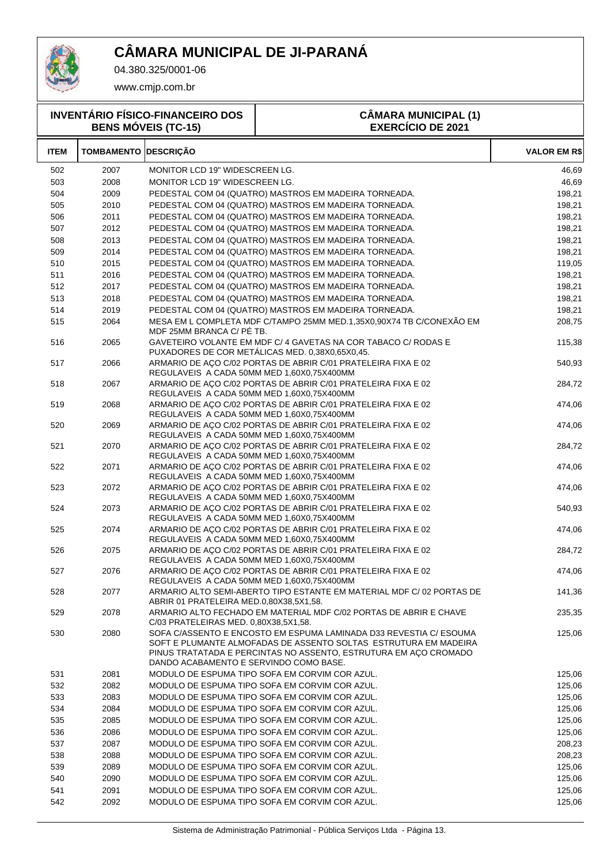

04.380.325/0001-06

| <b>INVENTÁRIO FÍSICO-FINANCEIRO DOS</b><br><b>BENS MÓVEIS (TC-15)</b> |                             |                                            | <b>CÂMARA MUNICIPAL (1)</b><br><b>EXERCÍCIO DE 2021</b>                                                                                                                                                    |                     |
|-----------------------------------------------------------------------|-----------------------------|--------------------------------------------|------------------------------------------------------------------------------------------------------------------------------------------------------------------------------------------------------------|---------------------|
| <b>ITEM</b>                                                           | <b>TOMBAMENTO DESCRIÇÃO</b> |                                            |                                                                                                                                                                                                            | <b>VALOR EM R\$</b> |
| 502                                                                   | 2007                        | MONITOR LCD 19" WIDESCREEN LG.             |                                                                                                                                                                                                            | 46,69               |
| 503                                                                   | 2008                        | MONITOR LCD 19" WIDESCREEN LG.             |                                                                                                                                                                                                            | 46,69               |
| 504                                                                   | 2009                        |                                            | PEDESTAL COM 04 (QUATRO) MASTROS EM MADEIRA TORNEADA.                                                                                                                                                      | 198,21              |
| 505                                                                   | 2010                        |                                            | PEDESTAL COM 04 (QUATRO) MASTROS EM MADEIRA TORNEADA.                                                                                                                                                      | 198,21              |
| 506                                                                   | 2011                        |                                            | PEDESTAL COM 04 (QUATRO) MASTROS EM MADEIRA TORNEADA.                                                                                                                                                      | 198,21              |
| 507                                                                   | 2012                        |                                            | PEDESTAL COM 04 (QUATRO) MASTROS EM MADEIRA TORNEADA.                                                                                                                                                      | 198,21              |
| 508                                                                   | 2013                        |                                            | PEDESTAL COM 04 (QUATRO) MASTROS EM MADEIRA TORNEADA.                                                                                                                                                      | 198,21              |
| 509                                                                   | 2014                        |                                            | PEDESTAL COM 04 (QUATRO) MASTROS EM MADEIRA TORNEADA.                                                                                                                                                      | 198,21              |
| 510                                                                   | 2015                        |                                            | PEDESTAL COM 04 (QUATRO) MASTROS EM MADEIRA TORNEADA.                                                                                                                                                      | 119,05              |
| 511                                                                   | 2016                        |                                            | PEDESTAL COM 04 (QUATRO) MASTROS EM MADEIRA TORNEADA.                                                                                                                                                      | 198,21              |
| 512                                                                   | 2017                        |                                            | PEDESTAL COM 04 (QUATRO) MASTROS EM MADEIRA TORNEADA.                                                                                                                                                      | 198,21              |
| 513                                                                   | 2018                        |                                            | PEDESTAL COM 04 (QUATRO) MASTROS EM MADEIRA TORNEADA.                                                                                                                                                      | 198,21              |
| 514                                                                   | 2019                        |                                            | PEDESTAL COM 04 (QUATRO) MASTROS EM MADEIRA TORNEADA.                                                                                                                                                      | 198,21              |
| 515                                                                   | 2064                        | MDF 25MM BRANCA C/ PÉ TB.                  | MESA EM L COMPLETA MDF C/TAMPO 25MM MED.1,35X0,90X74 TB C/CONEXÃO EM                                                                                                                                       | 208,75              |
| 516                                                                   | 2065                        |                                            | GAVETEIRO VOLANTE EM MDF C/ 4 GAVETAS NA COR TABACO C/ RODAS E<br>PUXADORES DE COR METALICAS MED. 0,38X0,65X0,45.                                                                                          | 115,38              |
| 517                                                                   | 2066                        | REGULAVEIS A CADA 50MM MED 1,60X0,75X400MM | ARMARIO DE AÇO C/02 PORTAS DE ABRIR C/01 PRATELEIRA FIXA E 02                                                                                                                                              | 540,93              |
| 518                                                                   | 2067                        | REGULAVEIS A CADA 50MM MED 1,60X0,75X400MM | ARMARIO DE AÇO C/02 PORTAS DE ABRIR C/01 PRATELEIRA FIXA E 02                                                                                                                                              | 284,72              |
| 519                                                                   | 2068                        | REGULAVEIS A CADA 50MM MED 1,60X0,75X400MM | ARMARIO DE ACO C/02 PORTAS DE ABRIR C/01 PRATELEIRA FIXA E 02                                                                                                                                              | 474,06              |
| 520                                                                   | 2069                        | REGULAVEIS A CADA 50MM MED 1,60X0,75X400MM | ARMARIO DE ACO C/02 PORTAS DE ABRIR C/01 PRATELEIRA FIXA E 02                                                                                                                                              | 474,06              |
| 521                                                                   | 2070                        | REGULAVEIS A CADA 50MM MED 1,60X0,75X400MM | ARMARIO DE AÇO C/02 PORTAS DE ABRIR C/01 PRATELEIRA FIXA E 02                                                                                                                                              | 284,72              |
| 522                                                                   | 2071                        | REGULAVEIS A CADA 50MM MED 1,60X0,75X400MM | ARMARIO DE ACO C/02 PORTAS DE ABRIR C/01 PRATELEIRA FIXA E 02                                                                                                                                              | 474,06              |
| 523                                                                   | 2072                        | REGULAVEIS A CADA 50MM MED 1,60X0,75X400MM | ARMARIO DE ACO C/02 PORTAS DE ABRIR C/01 PRATELEIRA FIXA E 02                                                                                                                                              | 474,06              |
| 524                                                                   | 2073                        | REGULAVEIS A CADA 50MM MED 1,60X0,75X400MM | ARMARIO DE AÇO C/02 PORTAS DE ABRIR C/01 PRATELEIRA FIXA E 02                                                                                                                                              | 540,93              |
| 525                                                                   | 2074                        | REGULAVEIS A CADA 50MM MED 1,60X0,75X400MM | ARMARIO DE AÇO C/02 PORTAS DE ABRIR C/01 PRATELEIRA FIXA E 02                                                                                                                                              | 474,06              |
| 526                                                                   | 2075                        | REGULAVEIS A CADA 50MM MED 1,60X0,75X400MM | ARMARIO DE AÇO C/02 PORTAS DE ABRIR C/01 PRATELEIRA FIXA E 02                                                                                                                                              | 284,72              |
| 527                                                                   | 2076                        |                                            | ARMARIO DE AÇO C/02 PORTAS DE ABRIR C/01 PRATELEIRA FIXA E 02                                                                                                                                              | 474,06              |
| 528                                                                   | 2077                        | REGULAVEIS A CADA 50MM MED 1,60X0,75X400MM | ARMARIO ALTO SEMI-ABERTO TIPO ESTANTE EM MATERIAL MDF C/ 02 PORTAS DE                                                                                                                                      | 141,36              |
| 529                                                                   | 2078                        | ABRIR 01 PRATELEIRA MED.0,80X38,5X1,58.    | ARMARIO ALTO FECHADO EM MATERIAL MDF C/02 PORTAS DE ABRIR E CHAVE                                                                                                                                          | 235,35              |
| 530                                                                   | 2080                        | C/03 PRATELEIRAS MED. 0,80X38,5X1,58.      | SOFA C/ASSENTO E ENCOSTO EM ESPUMA LAMINADA D33 REVESTIA C/ ESOUMA<br>SOFT E PLUMANTE ALMOFADAS DE ASSENTO SOLTAS ESTRUTURA EM MADEIRA<br>PINUS TRATATADA E PERCINTAS NO ASSENTO, ESTRUTURA EM AÇO CROMADO | 125,06              |
|                                                                       |                             | DANDO ACABAMENTO E SERVINDO COMO BASE.     |                                                                                                                                                                                                            |                     |
| 531                                                                   | 2081                        |                                            | MODULO DE ESPUMA TIPO SOFA EM CORVIM COR AZUL.                                                                                                                                                             | 125,06              |
| 532                                                                   | 2082                        |                                            | MODULO DE ESPUMA TIPO SOFA EM CORVIM COR AZUL.                                                                                                                                                             | 125,06              |
| 533                                                                   | 2083                        |                                            | MODULO DE ESPUMA TIPO SOFA EM CORVIM COR AZUL.                                                                                                                                                             | 125,06              |
| 534                                                                   | 2084                        |                                            | MODULO DE ESPUMA TIPO SOFA EM CORVIM COR AZUL.                                                                                                                                                             | 125,06              |
| 535                                                                   | 2085                        |                                            | MODULO DE ESPUMA TIPO SOFA EM CORVIM COR AZUL.                                                                                                                                                             | 125,06              |
| 536                                                                   | 2086                        |                                            | MODULO DE ESPUMA TIPO SOFA EM CORVIM COR AZUL.                                                                                                                                                             | 125,06              |
| 537                                                                   | 2087                        |                                            | MODULO DE ESPUMA TIPO SOFA EM CORVIM COR AZUL.                                                                                                                                                             | 208,23              |
| 538                                                                   | 2088                        |                                            | MODULO DE ESPUMA TIPO SOFA EM CORVIM COR AZUL.                                                                                                                                                             | 208,23              |
| 539                                                                   | 2089                        |                                            | MODULO DE ESPUMA TIPO SOFA EM CORVIM COR AZUL.                                                                                                                                                             | 125,06              |
| 540<br>541                                                            | 2090<br>2091                |                                            | MODULO DE ESPUMA TIPO SOFA EM CORVIM COR AZUL.<br>MODULO DE ESPUMA TIPO SOFA EM CORVIM COR AZUL.                                                                                                           | 125,06<br>125,06    |
| 542                                                                   | 2092                        |                                            | MODULO DE ESPUMA TIPO SOFA EM CORVIM COR AZUL.                                                                                                                                                             | 125,06              |
|                                                                       |                             |                                            |                                                                                                                                                                                                            |                     |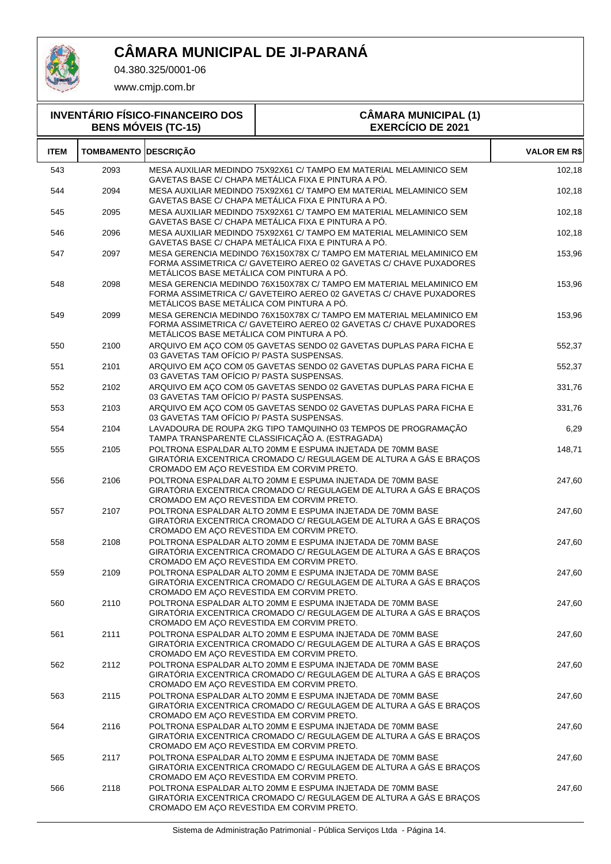

04.380.325/0001-06

| <b>INVENTÁRIO FÍSICO-FINANCEIRO DOS</b><br><b>BENS MÓVEIS (TC-15)</b> |                             |                                           | <b>CÂMARA MUNICIPAL (1)</b><br><b>EXERCÍCIO DE 2021</b>                                                                                   |                     |
|-----------------------------------------------------------------------|-----------------------------|-------------------------------------------|-------------------------------------------------------------------------------------------------------------------------------------------|---------------------|
| <b>ITEM</b>                                                           | <b>TOMBAMENTO DESCRIÇÃO</b> |                                           |                                                                                                                                           | <b>VALOR EM R\$</b> |
| 543                                                                   | 2093                        |                                           | MESA AUXILIAR MEDINDO 75X92X61 C/ TAMPO EM MATERIAL MELAMINICO SEM<br>GAVETAS BASE C/ CHAPA METÁLICA FIXA E PINTURA A PÓ.                 | 102,18              |
| 544                                                                   | 2094                        |                                           | MESA AUXILIAR MEDINDO 75X92X61 C/ TAMPO EM MATERIAL MELAMINICO SEM<br>GAVETAS BASE C/ CHAPA METÁLICA FIXA E PINTURA A PÓ.                 | 102,18              |
| 545                                                                   | 2095                        |                                           | MESA AUXILIAR MEDINDO 75X92X61 C/ TAMPO EM MATERIAL MELAMINICO SEM<br>GAVETAS BASE C/ CHAPA METÁLICA FIXA E PINTURA A PÓ.                 | 102,18              |
| 546                                                                   | 2096                        |                                           | MESA AUXILIAR MEDINDO 75X92X61 C/ TAMPO EM MATERIAL MELAMINICO SEM<br>GAVETAS BASE C/ CHAPA METÁLICA FIXA E PINTURA A PÓ.                 | 102,18              |
| 547                                                                   | 2097                        | METÁLICOS BASE METÁLICA COM PINTURA A PÓ. | MESA GERENCIA MEDINDO 76X150X78X C/ TAMPO EM MATERIAL MELAMINICO EM<br>FORMA ASSIMETRICA C/ GAVETEIRO AEREO 02 GAVETAS C/ CHAVE PUXADORES | 153,96              |
| 548                                                                   | 2098                        | METÁLICOS BASE METÁLICA COM PINTURA A PÓ. | MESA GERENCIA MEDINDO 76X150X78X C/ TAMPO EM MATERIAL MELAMINICO EM<br>FORMA ASSIMETRICA C/ GAVETEIRO AEREO 02 GAVETAS C/ CHAVE PUXADORES | 153,96              |
| 549                                                                   | 2099                        | METÁLICOS BASE METÁLICA COM PINTURA A PÓ. | MESA GERENCIA MEDINDO 76X150X78X C/ TAMPO EM MATERIAL MELAMINICO EM<br>FORMA ASSIMETRICA C/ GAVETEIRO AEREO 02 GAVETAS C/ CHAVE PUXADORES | 153,96              |
| 550                                                                   | 2100                        | 03 GAVETAS TAM OFÍCIO P/ PASTA SUSPENSAS. | ARQUIVO EM AÇO COM 05 GAVETAS SENDO 02 GAVETAS DUPLAS PARA FICHA E                                                                        | 552,37              |
| 551                                                                   | 2101                        | 03 GAVETAS TAM OFÍCIO P/ PASTA SUSPENSAS. | ARQUIVO EM ACO COM 05 GAVETAS SENDO 02 GAVETAS DUPLAS PARA FICHA E                                                                        | 552,37              |
| 552                                                                   | 2102                        | 03 GAVETAS TAM OFÍCIO P/ PASTA SUSPENSAS. | ARQUIVO EM AÇO COM 05 GAVETAS SENDO 02 GAVETAS DUPLAS PARA FICHA E                                                                        | 331,76              |
| 553                                                                   | 2103                        | 03 GAVETAS TAM OFÍCIO P/ PASTA SUSPENSAS. | ARQUIVO EM ACO COM 05 GAVETAS SENDO 02 GAVETAS DUPLAS PARA FICHA E                                                                        | 331,76              |
| 554                                                                   | 2104                        |                                           | LAVADOURA DE ROUPA 2KG TIPO TAMQUINHO 03 TEMPOS DE PROGRAMAÇÃO<br>TAMPA TRANSPARENTE CLASSIFICAÇÃO A. (ESTRAGADA)                         | 6,29                |
| 555                                                                   | 2105                        | CROMADO EM AÇO REVESTIDA EM CORVIM PRETO. | POLTRONA ESPALDAR ALTO 20MM E ESPUMA INJETADA DE 70MM BASE<br>GIRATÓRIA EXCENTRICA CROMADO C/ REGULAGEM DE ALTURA A GÁS E BRAÇOS          | 148,71              |
| 556                                                                   | 2106                        | CROMADO EM AÇO REVESTIDA EM CORVIM PRETO. | POLTRONA ESPALDAR ALTO 20MM E ESPUMA INJETADA DE 70MM BASE<br>GIRATÓRIA EXCENTRICA CROMADO C/ REGULAGEM DE ALTURA A GÁS E BRACOS          | 247,60              |
| 557                                                                   | 2107                        | CROMADO EM AÇO REVESTIDA EM CORVIM PRETO. | POLTRONA ESPALDAR ALTO 20MM E ESPUMA INJETADA DE 70MM BASE<br>GIRATÓRIA EXCENTRICA CROMADO C/ REGULAGEM DE ALTURA A GÁS E BRAÇOS          | 247.60              |
| 558                                                                   | 2108                        | CROMADO EM AÇO REVESTIDA EM CORVIM PRETO. | POLTRONA ESPALDAR ALTO 20MM E ESPUMA INJETADA DE 70MM BASE<br>GIRATÓRIA EXCENTRICA CROMADO C/ REGULAGEM DE ALTURA A GÁS E BRACOS          | 247,60              |
| 559                                                                   | 2109                        | CROMADO EM AÇO REVESTIDA EM CORVIM PRETO. | POLTRONA ESPALDAR ALTO 20MM E ESPUMA INJETADA DE 70MM BASE<br>GIRATÓRIA EXCENTRICA CROMADO C/ REGULAGEM DE ALTURA A GÁS E BRAÇOS          | 247,60              |
| 560                                                                   | 2110                        | CROMADO EM AÇO REVESTIDA EM CORVIM PRETO. | POLTRONA ESPALDAR ALTO 20MM E ESPUMA INJETADA DE 70MM BASE<br>GIRATÓRIA EXCENTRICA CROMADO C/ REGULAGEM DE ALTURA A GÁS E BRAÇOS          | 247,60              |
| 561                                                                   | 2111                        | CROMADO EM AÇO REVESTIDA EM CORVIM PRETO. | POLTRONA ESPALDAR ALTO 20MM E ESPUMA INJETADA DE 70MM BASE<br>GIRATÓRIA EXCENTRICA CROMADO C/ REGULAGEM DE ALTURA A GÁS E BRAÇOS          | 247,60              |
| 562                                                                   | 2112                        | CROMADO EM AÇO REVESTIDA EM CORVIM PRETO. | POLTRONA ESPALDAR ALTO 20MM E ESPUMA INJETADA DE 70MM BASE<br>GIRATÓRIA EXCENTRICA CROMADO C/ REGULAGEM DE ALTURA A GÁS E BRAÇOS          | 247,60              |
| 563                                                                   | 2115                        | CROMADO EM AÇO REVESTIDA EM CORVIM PRETO. | POLTRONA ESPALDAR ALTO 20MM E ESPUMA INJETADA DE 70MM BASE<br>GIRATÓRIA EXCENTRICA CROMADO C/ REGULAGEM DE ALTURA A GÁS E BRAÇOS          | 247,60              |
| 564                                                                   | 2116                        | CROMADO EM AÇO REVESTIDA EM CORVIM PRETO. | POLTRONA ESPALDAR ALTO 20MM E ESPUMA INJETADA DE 70MM BASE<br>GIRATÓRIA EXCENTRICA CROMADO C/ REGULAGEM DE ALTURA A GÁS E BRAÇOS          | 247,60              |
| 565                                                                   | 2117                        | CROMADO EM AÇO REVESTIDA EM CORVIM PRETO. | POLTRONA ESPALDAR ALTO 20MM E ESPUMA INJETADA DE 70MM BASE<br>GIRATÓRIA EXCENTRICA CROMADO C/ REGULAGEM DE ALTURA A GÁS E BRAÇOS          | 247,60              |
| 566                                                                   | 2118                        | CROMADO EM AÇO REVESTIDA EM CORVIM PRETO. | POLTRONA ESPALDAR ALTO 20MM E ESPUMA INJETADA DE 70MM BASE<br>GIRATÓRIA EXCENTRICA CROMADO C/ REGULAGEM DE ALTURA A GÁS E BRAÇOS          | 247,60              |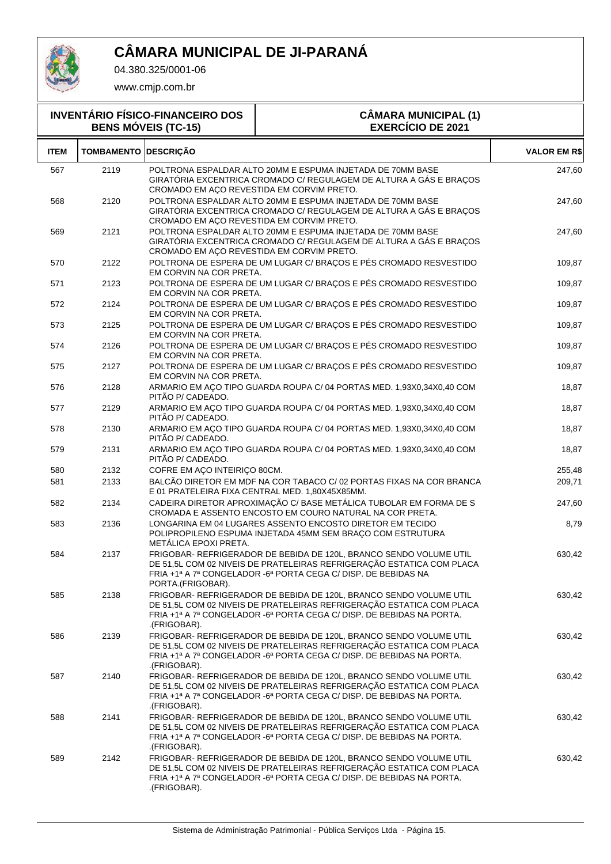

04.380.325/0001-06

| <b>INVENTÁRIO FÍSICO-FINANCEIRO DOS</b><br><b>BENS MÓVEIS (TC-15)</b> |                             |                                           | <b>CÂMARA MUNICIPAL (1)</b><br><b>EXERCÍCIO DE 2021</b>                                                                                                                                                              |                     |  |
|-----------------------------------------------------------------------|-----------------------------|-------------------------------------------|----------------------------------------------------------------------------------------------------------------------------------------------------------------------------------------------------------------------|---------------------|--|
| <b>ITEM</b>                                                           | <b>TOMBAMENTO DESCRIÇÃO</b> |                                           |                                                                                                                                                                                                                      | <b>VALOR EM R\$</b> |  |
| 567                                                                   | 2119                        | CROMADO EM AÇO REVESTIDA EM CORVIM PRETO. | POLTRONA ESPALDAR ALTO 20MM E ESPUMA INJETADA DE 70MM BASE<br>GIRATÓRIA EXCENTRICA CROMADO C/ REGULAGEM DE ALTURA A GÁS E BRAÇOS                                                                                     | 247,60              |  |
| 568                                                                   | 2120                        | CROMADO EM AÇO REVESTIDA EM CORVIM PRETO. | POLTRONA ESPALDAR ALTO 20MM E ESPUMA INJETADA DE 70MM BASE<br>GIRATÓRIA EXCENTRICA CROMADO C/ REGULAGEM DE ALTURA A GÁS E BRACOS                                                                                     | 247,60              |  |
| 569                                                                   | 2121                        | CROMADO EM AÇO REVESTIDA EM CORVIM PRETO. | POLTRONA ESPALDAR ALTO 20MM E ESPUMA INJETADA DE 70MM BASE<br>GIRATÓRIA EXCENTRICA CROMADO C/ REGULAGEM DE ALTURA A GÁS E BRAÇOS                                                                                     | 247,60              |  |
| 570                                                                   | 2122                        | EM CORVIN NA COR PRETA.                   | POLTRONA DE ESPERA DE UM LUGAR C/ BRAÇOS E PÉS CROMADO RESVESTIDO                                                                                                                                                    | 109,87              |  |
| 571                                                                   | 2123                        | EM CORVIN NA COR PRETA.                   | POLTRONA DE ESPERA DE UM LUGAR C/ BRAÇOS E PÉS CROMADO RESVESTIDO                                                                                                                                                    | 109,87              |  |
| 572                                                                   | 2124                        | EM CORVIN NA COR PRETA.                   | POLTRONA DE ESPERA DE UM LUGAR C/ BRAÇOS E PÉS CROMADO RESVESTIDO                                                                                                                                                    | 109,87              |  |
| 573                                                                   | 2125                        | EM CORVIN NA COR PRETA.                   | POLTRONA DE ESPERA DE UM LUGAR C/ BRAÇOS E PÉS CROMADO RESVESTIDO                                                                                                                                                    | 109,87              |  |
| 574                                                                   | 2126                        | EM CORVIN NA COR PRETA.                   | POLTRONA DE ESPERA DE UM LUGAR C/ BRAÇOS E PÉS CROMADO RESVESTIDO                                                                                                                                                    | 109,87              |  |
| 575                                                                   | 2127                        | EM CORVIN NA COR PRETA.                   | POLTRONA DE ESPERA DE UM LUGAR C/ BRAÇOS E PÉS CROMADO RESVESTIDO                                                                                                                                                    | 109,87              |  |
| 576                                                                   | 2128                        | PITÃO P/ CADEADO.                         | ARMARIO EM AÇO TIPO GUARDA ROUPA C/ 04 PORTAS MED. 1,93X0,34X0,40 COM                                                                                                                                                | 18,87               |  |
| 577                                                                   | 2129                        | PITÃO P/ CADEADO.                         | ARMARIO EM AÇO TIPO GUARDA ROUPA C/ 04 PORTAS MED. 1,93X0,34X0,40 COM                                                                                                                                                | 18,87               |  |
| 578                                                                   | 2130                        | PITÃO P/ CADEADO.                         | ARMARIO EM AÇO TIPO GUARDA ROUPA C/ 04 PORTAS MED. 1,93X0,34X0,40 COM                                                                                                                                                | 18,87               |  |
| 579                                                                   | 2131                        | PITÃO P/ CADEADO.                         | ARMARIO EM AÇO TIPO GUARDA ROUPA C/ 04 PORTAS MED. 1,93X0,34X0,40 COM                                                                                                                                                | 18,87               |  |
| 580                                                                   | 2132                        | COFRE EM AÇO INTEIRIÇO 80CM.              |                                                                                                                                                                                                                      | 255,48              |  |
| 581                                                                   | 2133                        |                                           | BALCÃO DIRETOR EM MDF NA COR TABACO C/ 02 PORTAS FIXAS NA COR BRANCA<br>E 01 PRATELEIRA FIXA CENTRAL MED. 1,80X45X85MM.                                                                                              | 209,71              |  |
| 582                                                                   | 2134                        |                                           | CADEIRA DIRETOR APROXIMAÇÃO C/ BASE METÁLICA TUBOLAR EM FORMA DE S<br>CROMADA E ASSENTO ENCOSTO EM COURO NATURAL NA COR PRETA.                                                                                       | 247,60              |  |
| 583                                                                   | 2136                        | METÁLICA EPOXI PRETA.                     | LONGARINA EM 04 LUGARES ASSENTO ENCOSTO DIRETOR EM TECIDO<br>POLIPROPILENO ESPUMA INJETADA 45MM SEM BRAÇO COM ESTRUTURA                                                                                              | 8,79                |  |
| 584                                                                   | 2137                        | PORTA.(FRIGOBAR).                         | FRIGOBAR- REFRIGERADOR DE BEBIDA DE 120L, BRANCO SENDO VOLUME UTIL<br>DE 51,5L COM 02 NIVEIS DE PRATELEIRAS REFRIGERAÇÃO ESTATICA COM PLACA<br>FRIA +1ª A 7ª CONGELADOR -6ª PORTA CEGA C/ DISP. DE BEBIDAS NA        | 630,42              |  |
| 585                                                                   | 2138                        | .(FRIGOBAR).                              | FRIGOBAR- REFRIGERADOR DE BEBIDA DE 120L, BRANCO SENDO VOLUME UTIL<br>DE 51,5L COM 02 NIVEIS DE PRATELEIRAS REFRIGERAÇÃO ESTATICA COM PLACA<br>FRIA +1ª A 7ª CONGELADOR -6ª PORTA CEGA C/ DISP. DE BEBIDAS NA PORTA. | 630,42              |  |
| 586                                                                   | 2139                        | .(FRIGOBAR).                              | FRIGOBAR- REFRIGERADOR DE BEBIDA DE 120L, BRANCO SENDO VOLUME UTIL<br>DE 51,5L COM 02 NIVEIS DE PRATELEIRAS REFRIGERAÇÃO ESTATICA COM PLACA<br>FRIA +1ª A 7ª CONGELADOR -6ª PORTA CEGA C/ DISP. DE BEBIDAS NA PORTA. | 630,42              |  |
| 587                                                                   | 2140                        | .(FRIGOBAR).                              | FRIGOBAR- REFRIGERADOR DE BEBIDA DE 120L, BRANCO SENDO VOLUME UTIL<br>DE 51,5L COM 02 NIVEIS DE PRATELEIRAS REFRIGERAÇÃO ESTATICA COM PLACA<br>FRIA +1ª A 7ª CONGELADOR -6ª PORTA CEGA C/ DISP. DE BEBIDAS NA PORTA. | 630,42              |  |
| 588                                                                   | 2141                        | .(FRIGOBAR).                              | FRIGOBAR- REFRIGERADOR DE BEBIDA DE 120L, BRANCO SENDO VOLUME UTIL<br>DE 51,5L COM 02 NIVEIS DE PRATELEIRAS REFRIGERAÇÃO ESTATICA COM PLACA<br>FRIA +1ª A 7ª CONGELADOR -6ª PORTA CEGA C/ DISP. DE BEBIDAS NA PORTA. | 630,42              |  |
| 589                                                                   | 2142                        | .(FRIGOBAR).                              | FRIGOBAR- REFRIGERADOR DE BEBIDA DE 120L, BRANCO SENDO VOLUME UTIL<br>DE 51,5L COM 02 NIVEIS DE PRATELEIRAS REFRIGERAÇÃO ESTATICA COM PLACA<br>FRIA +1ª A 7ª CONGELADOR -6ª PORTA CEGA C/ DISP. DE BEBIDAS NA PORTA. | 630,42              |  |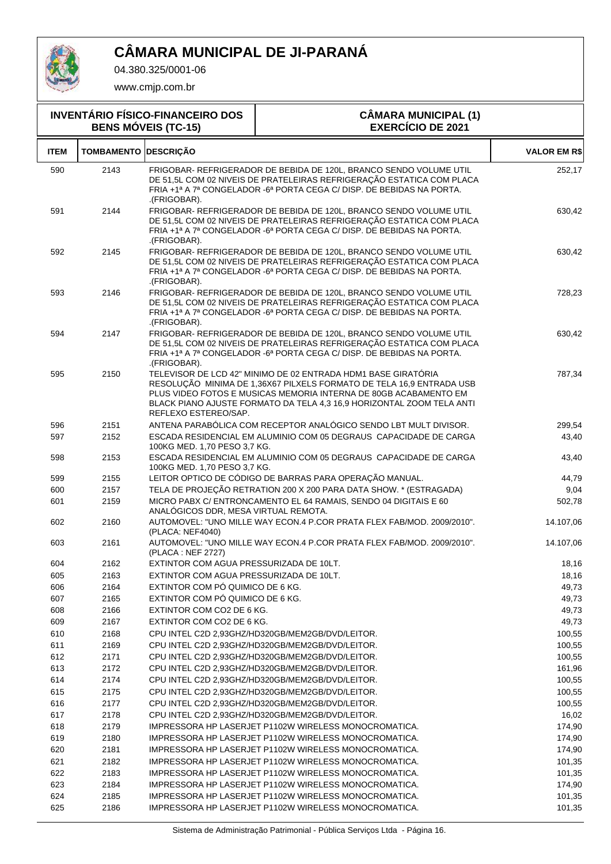

04.380.325/0001-06

| <b>INVENTÁRIO FÍSICO-FINANCEIRO DOS</b><br><b>BENS MÓVEIS (TC-15)</b> |                             |                                         | <b>CÂMARA MUNICIPAL (1)</b><br><b>EXERCÍCIO DE 2021</b>                                                                                                                                                                                                                            |                     |  |
|-----------------------------------------------------------------------|-----------------------------|-----------------------------------------|------------------------------------------------------------------------------------------------------------------------------------------------------------------------------------------------------------------------------------------------------------------------------------|---------------------|--|
| <b>ITEM</b>                                                           | <b>TOMBAMENTO DESCRIÇÃO</b> |                                         |                                                                                                                                                                                                                                                                                    | <b>VALOR EM R\$</b> |  |
| 590                                                                   | 2143                        | .(FRIGOBAR).                            | FRIGOBAR- REFRIGERADOR DE BEBIDA DE 120L. BRANCO SENDO VOLUME UTIL<br>DE 51,5L COM 02 NIVEIS DE PRATELEIRAS REFRIGERAÇÃO ESTATICA COM PLACA<br>FRIA +1ª A 7ª CONGELADOR -6ª PORTA CEGA C/ DISP. DE BEBIDAS NA PORTA.                                                               | 252,17              |  |
| 591                                                                   | 2144                        | .(FRIGOBAR).                            | FRIGOBAR- REFRIGERADOR DE BEBIDA DE 120L, BRANCO SENDO VOLUME UTIL<br>DE 51,5L COM 02 NIVEIS DE PRATELEIRAS REFRIGERAÇÃO ESTATICA COM PLACA<br>FRIA +1ª A 7ª CONGELADOR -6ª PORTA CEGA C/ DISP. DE BEBIDAS NA PORTA.                                                               | 630,42              |  |
| 592                                                                   | 2145                        | .(FRIGOBAR).                            | FRIGOBAR- REFRIGERADOR DE BEBIDA DE 120L, BRANCO SENDO VOLUME UTIL<br>DE 51,5L COM 02 NIVEIS DE PRATELEIRAS REFRIGERAÇÃO ESTATICA COM PLACA<br>FRIA +1ª A 7ª CONGELADOR -6ª PORTA CEGA C/ DISP. DE BEBIDAS NA PORTA.                                                               | 630,42              |  |
| 593                                                                   | 2146                        | .(FRIGOBAR).                            | FRIGOBAR- REFRIGERADOR DE BEBIDA DE 120L, BRANCO SENDO VOLUME UTIL<br>DE 51,5L COM 02 NIVEIS DE PRATELEIRAS REFRIGERAÇÃO ESTATICA COM PLACA<br>FRIA +1ª A 7ª CONGELADOR -6ª PORTA CEGA C/ DISP. DE BEBIDAS NA PORTA.                                                               | 728,23              |  |
| 594                                                                   | 2147                        | .(FRIGOBAR).                            | FRIGOBAR- REFRIGERADOR DE BEBIDA DE 120L, BRANCO SENDO VOLUME UTIL<br>DE 51,5L COM 02 NIVEIS DE PRATELEIRAS REFRIGERAÇÃO ESTATICA COM PLACA<br>FRIA +1ª A 7ª CONGELADOR -6ª PORTA CEGA C/ DISP. DE BEBIDAS NA PORTA.                                                               | 630,42              |  |
| 595                                                                   | 2150                        | REFLEXO ESTEREO/SAP.                    | TELEVISOR DE LCD 42" MINIMO DE 02 ENTRADA HDM1 BASE GIRATÓRIA<br>RESOLUÇÃO MINIMA DE 1,36X67 PILXELS FORMATO DE TELA 16,9 ENTRADA USB<br>PLUS VIDEO FOTOS E MUSICAS MEMORIA INTERNA DE 80GB ACABAMENTO EM<br>BLACK PIANO AJUSTE FORMATO DA TELA 4,3 16,9 HORIZONTAL ZOOM TELA ANTI | 787,34              |  |
| 596                                                                   | 2151                        |                                         | ANTENA PARABÓLICA COM RECEPTOR ANALÓGICO SENDO LBT MULT DIVISOR.                                                                                                                                                                                                                   | 299,54              |  |
| 597                                                                   | 2152                        | 100KG MED. 1,70 PESO 3,7 KG.            | ESCADA RESIDENCIAL EM ALUMINIO COM 05 DEGRAUS CAPACIDADE DE CARGA                                                                                                                                                                                                                  | 43,40               |  |
| 598                                                                   | 2153                        | 100KG MED. 1,70 PESO 3,7 KG.            | ESCADA RESIDENCIAL EM ALUMINIO COM 05 DEGRAUS CAPACIDADE DE CARGA                                                                                                                                                                                                                  | 43,40               |  |
| 599                                                                   | 2155                        |                                         | LEITOR OPTICO DE CÓDIGO DE BARRAS PARA OPERAÇÃO MANUAL.                                                                                                                                                                                                                            | 44,79               |  |
| 600                                                                   | 2157                        |                                         | TELA DE PROJEÇÃO RETRATION 200 X 200 PARA DATA SHOW. * (ESTRAGADA)                                                                                                                                                                                                                 | 9,04                |  |
| 601                                                                   | 2159                        | ANALÓGICOS DDR, MESA VIRTUAL REMOTA.    | MICRO PABX C/ ENTRONCAMENTO EL 64 RAMAIS, SENDO 04 DIGITAIS E 60                                                                                                                                                                                                                   | 502,78              |  |
| 602                                                                   | 2160                        | (PLACA: NEF4040)                        | AUTOMOVEL: "UNO MILLE WAY ECON.4 P.COR PRATA FLEX FAB/MOD. 2009/2010".                                                                                                                                                                                                             | 14.107,06           |  |
| 603                                                                   | 2161                        | (PLACA: NEF 2727)                       | AUTOMOVEL: "UNO MILLE WAY ECON.4 P.COR PRATA FLEX FAB/MOD. 2009/2010".                                                                                                                                                                                                             | 14.107,06           |  |
| 604                                                                   | 2162                        | EXTINTOR COM AGUA PRESSURIZADA DE 10LT. |                                                                                                                                                                                                                                                                                    | 18,16               |  |
| 605                                                                   | 2163                        | EXTINTOR COM AGUA PRESSURIZADA DE 10LT. |                                                                                                                                                                                                                                                                                    | 18,16               |  |
| 606                                                                   | 2164                        | EXTINTOR COM PÓ QUIMICO DE 6 KG.        |                                                                                                                                                                                                                                                                                    | 49,73               |  |
| 607                                                                   | 2165                        | EXTINTOR COM PÓ QUIMICO DE 6 KG.        |                                                                                                                                                                                                                                                                                    | 49,73               |  |
| 608                                                                   | 2166                        | EXTINTOR COM CO2 DE 6 KG.               |                                                                                                                                                                                                                                                                                    | 49,73               |  |
| 609                                                                   | 2167                        | EXTINTOR COM CO2 DE 6 KG.               |                                                                                                                                                                                                                                                                                    | 49,73               |  |
| 610                                                                   | 2168                        |                                         | CPU INTEL C2D 2.93GHZ/HD320GB/MEM2GB/DVD/LEITOR.                                                                                                                                                                                                                                   | 100,55              |  |
| 611                                                                   | 2169                        |                                         | CPU INTEL C2D 2,93GHZ/HD320GB/MEM2GB/DVD/LEITOR.                                                                                                                                                                                                                                   | 100,55              |  |
| 612                                                                   | 2171                        |                                         | CPU INTEL C2D 2,93GHZ/HD320GB/MEM2GB/DVD/LEITOR.                                                                                                                                                                                                                                   | 100,55              |  |
| 613                                                                   | 2172                        |                                         | CPU INTEL C2D 2,93GHZ/HD320GB/MEM2GB/DVD/LEITOR.                                                                                                                                                                                                                                   | 161,96              |  |
| 614                                                                   | 2174                        |                                         | CPU INTEL C2D 2,93GHZ/HD320GB/MEM2GB/DVD/LEITOR.<br>CPU INTEL C2D 2,93GHZ/HD320GB/MEM2GB/DVD/LEITOR.                                                                                                                                                                               | 100,55              |  |
| 615<br>616                                                            | 2175<br>2177                |                                         | CPU INTEL C2D 2,93GHZ/HD320GB/MEM2GB/DVD/LEITOR.                                                                                                                                                                                                                                   | 100,55<br>100,55    |  |
| 617                                                                   | 2178                        |                                         | CPU INTEL C2D 2,93GHZ/HD320GB/MEM2GB/DVD/LEITOR.                                                                                                                                                                                                                                   | 16,02               |  |
| 618                                                                   | 2179                        |                                         | IMPRESSORA HP LASERJET P1102W WIRELESS MONOCROMATICA.                                                                                                                                                                                                                              | 174,90              |  |
| 619                                                                   | 2180                        |                                         | IMPRESSORA HP LASERJET P1102W WIRELESS MONOCROMATICA.                                                                                                                                                                                                                              | 174,90              |  |
| 620                                                                   | 2181                        |                                         | IMPRESSORA HP LASERJET P1102W WIRELESS MONOCROMATICA.                                                                                                                                                                                                                              | 174,90              |  |
| 621                                                                   | 2182                        |                                         | IMPRESSORA HP LASERJET P1102W WIRELESS MONOCROMATICA.                                                                                                                                                                                                                              | 101,35              |  |
| 622                                                                   | 2183                        |                                         | IMPRESSORA HP LASERJET P1102W WIRELESS MONOCROMATICA.                                                                                                                                                                                                                              | 101,35              |  |
| 623                                                                   | 2184                        |                                         | IMPRESSORA HP LASERJET P1102W WIRELESS MONOCROMATICA.                                                                                                                                                                                                                              | 174,90              |  |
| 624                                                                   | 2185                        |                                         | IMPRESSORA HP LASERJET P1102W WIRELESS MONOCROMATICA.                                                                                                                                                                                                                              | 101,35              |  |
| 625                                                                   | 2186                        |                                         | IMPRESSORA HP LASERJET P1102W WIRELESS MONOCROMATICA.                                                                                                                                                                                                                              | 101,35              |  |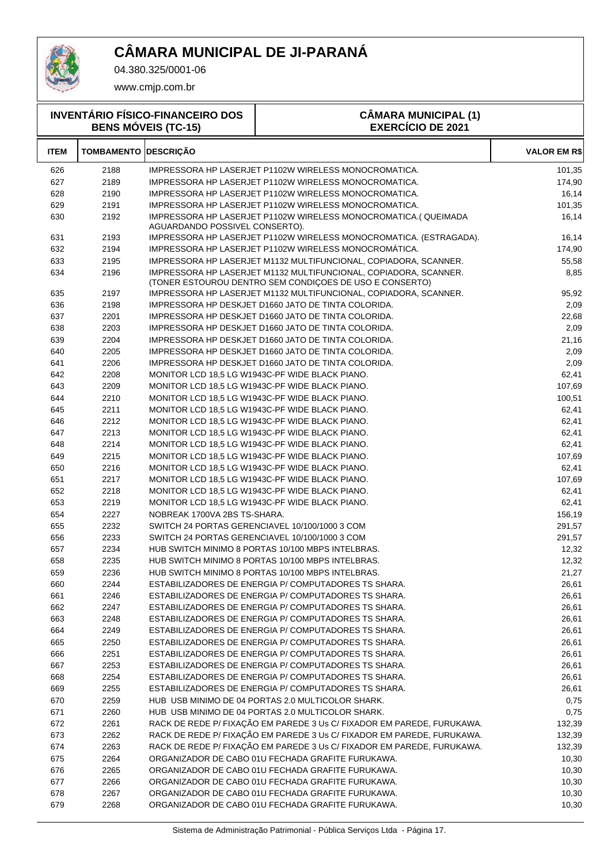

### **CÂMARA MUNICIPAL DE JI-PARANÁ**

04.380.325/0001-06

www.cmjp.com.br

| <b>INVENTÁRIO FÍSICO-FINANCEIRO DOS</b><br><b>BENS MÓVEIS (TC-15)</b> |                             |                                | <b>CÂMARA MUNICIPAL (1)</b><br><b>EXERCÍCIO DE 2021</b>                                                                     |                     |  |
|-----------------------------------------------------------------------|-----------------------------|--------------------------------|-----------------------------------------------------------------------------------------------------------------------------|---------------------|--|
| ITEM                                                                  | <b>TOMBAMENTO DESCRIÇÃO</b> |                                |                                                                                                                             | <b>VALOR EM R\$</b> |  |
| 626                                                                   | 2188                        |                                | IMPRESSORA HP LASERJET P1102W WIRELESS MONOCROMATICA.                                                                       | 101,35              |  |
| 627                                                                   | 2189                        |                                | <b>IMPRESSORA HP LASERJET P1102W WIRELESS MONOCROMATICA.</b>                                                                | 174,90              |  |
| 628                                                                   | 2190                        |                                | IMPRESSORA HP LASERJET P1102W WIRELESS MONOCROMATICA.                                                                       | 16,14               |  |
| 629                                                                   | 2191                        |                                | IMPRESSORA HP LASERJET P1102W WIRELESS MONOCROMATICA.                                                                       | 101,35              |  |
| 630                                                                   | 2192                        | AGUARDANDO POSSIVEL CONSERTO). | IMPRESSORA HP LASERJET P1102W WIRELESS MONOCROMATICA. (QUEIMADA                                                             | 16,14               |  |
| 631                                                                   | 2193                        |                                | IMPRESSORA HP LASERJET P1102W WIRELESS MONOCROMATICA. (ESTRAGADA).                                                          | 16,14               |  |
| 632                                                                   | 2194                        |                                | IMPRESSORA HP LASERJET P1102W WIRELESS MONOCROMÁTICA.                                                                       | 174,90              |  |
| 633                                                                   | 2195                        |                                | IMPRESSORA HP LASERJET M1132 MULTIFUNCIONAL, COPIADORA, SCANNER.                                                            | 55,58               |  |
| 634                                                                   | 2196                        |                                | IMPRESSORA HP LASERJET M1132 MULTIFUNCIONAL, COPIADORA, SCANNER.<br>(TONER ESTOUROU DENTRO SEM CONDIÇOES DE USO E CONSERTO) | 8,85                |  |
| 635                                                                   | 2197                        |                                | IMPRESSORA HP LASERJET M1132 MULTIFUNCIONAL, COPIADORA, SCANNER.                                                            | 95,92               |  |
| 636                                                                   | 2198                        |                                | IMPRESSORA HP DESKJET D1660 JATO DE TINTA COLORIDA.                                                                         | 2,09                |  |
| 637                                                                   | 2201                        |                                | IMPRESSORA HP DESKJET D1660 JATO DE TINTA COLORIDA.                                                                         | 22,68               |  |
| 638                                                                   | 2203                        |                                | IMPRESSORA HP DESKJET D1660 JATO DE TINTA COLORIDA.                                                                         | 2,09                |  |
| 639                                                                   | 2204                        |                                | IMPRESSORA HP DESKJET D1660 JATO DE TINTA COLORIDA.                                                                         | 21,16               |  |
| 640                                                                   | 2205                        |                                | IMPRESSORA HP DESKJET D1660 JATO DE TINTA COLORIDA.                                                                         | 2,09                |  |
| 641                                                                   | 2206                        |                                | IMPRESSORA HP DESKJET D1660 JATO DE TINTA COLORIDA.                                                                         | 2,09                |  |
| 642                                                                   | 2208                        |                                | MONITOR LCD 18,5 LG W1943C-PF WIDE BLACK PIANO.                                                                             | 62,41               |  |
| 643                                                                   | 2209                        |                                | MONITOR LCD 18,5 LG W1943C-PF WIDE BLACK PIANO.                                                                             | 107,69              |  |
| 644                                                                   | 2210                        |                                | MONITOR LCD 18,5 LG W1943C-PF WIDE BLACK PIANO.                                                                             | 100,51              |  |
| 645                                                                   | 2211                        |                                | MONITOR LCD 18.5 LG W1943C-PF WIDE BLACK PIANO.                                                                             | 62,41               |  |
| 646                                                                   | 2212                        |                                | MONITOR LCD 18,5 LG W1943C-PF WIDE BLACK PIANO.                                                                             | 62,41               |  |
| 647                                                                   | 2213                        |                                | MONITOR LCD 18,5 LG W1943C-PF WIDE BLACK PIANO.                                                                             | 62,41               |  |
| 648                                                                   | 2214                        |                                | MONITOR LCD 18,5 LG W1943C-PF WIDE BLACK PIANO.                                                                             | 62,41               |  |
| 649                                                                   | 2215                        |                                | MONITOR LCD 18,5 LG W1943C-PF WIDE BLACK PIANO.                                                                             | 107,69              |  |
| 650                                                                   | 2216                        |                                | MONITOR LCD 18,5 LG W1943C-PF WIDE BLACK PIANO.                                                                             | 62,41               |  |
| 651                                                                   | 2217                        |                                | MONITOR LCD 18,5 LG W1943C-PF WIDE BLACK PIANO.                                                                             | 107,69              |  |
| 652                                                                   | 2218                        |                                | MONITOR LCD 18,5 LG W1943C-PF WIDE BLACK PIANO.                                                                             | 62,41               |  |
| 653                                                                   | 2219                        |                                | MONITOR LCD 18,5 LG W1943C-PF WIDE BLACK PIANO.                                                                             | 62,41               |  |
| 654                                                                   | 2227                        | NOBREAK 1700VA 2BS TS-SHARA.   |                                                                                                                             | 156,19              |  |
| 655                                                                   | 2232                        |                                | SWITCH 24 PORTAS GERENCIAVEL 10/100/1000 3 COM                                                                              | 291,57              |  |
| 656                                                                   | 2233                        |                                | SWITCH 24 PORTAS GERENCIAVEL 10/100/1000 3 COM                                                                              | 291,57              |  |
| 657                                                                   | 2234                        |                                | HUB SWITCH MINIMO 8 PORTAS 10/100 MBPS INTELBRAS.                                                                           | 12,32               |  |
| 658                                                                   | 2235                        |                                | HUB SWITCH MINIMO 8 PORTAS 10/100 MBPS INTELBRAS.                                                                           | 12,32               |  |
| 659                                                                   | 2236                        |                                | HUB SWITCH MINIMO 8 PORTAS 10/100 MBPS INTELBRAS.                                                                           | 21,27               |  |
| 660                                                                   | 2244                        |                                | ESTABILIZADORES DE ENERGIA P/ COMPUTADORES TS SHARA.                                                                        | 26,61               |  |
| 661                                                                   | 2246                        |                                | ESTABILIZADORES DE ENERGIA P/ COMPUTADORES TS SHARA.                                                                        | 26,61               |  |
| 662                                                                   | 2247                        |                                | ESTABILIZADORES DE ENERGIA P/ COMPUTADORES TS SHARA.                                                                        | 26,61               |  |
| 663                                                                   | 2248                        |                                | ESTABILIZADORES DE ENERGIA P/ COMPUTADORES TS SHARA.                                                                        | 26,61               |  |
| 664                                                                   | 2249                        |                                | ESTABILIZADORES DE ENERGIA P/ COMPUTADORES TS SHARA.                                                                        | 26,61               |  |
| 665                                                                   | 2250                        |                                | ESTABILIZADORES DE ENERGIA P/ COMPUTADORES TS SHARA.                                                                        | 26,61               |  |
| 666                                                                   | 2251                        |                                | ESTABILIZADORES DE ENERGIA P/ COMPUTADORES TS SHARA.                                                                        | 26,61               |  |
| 667                                                                   | 2253                        |                                | ESTABILIZADORES DE ENERGIA P/ COMPUTADORES TS SHARA.                                                                        | 26,61               |  |
| 668                                                                   | 2254                        |                                | ESTABILIZADORES DE ENERGIA P/ COMPUTADORES TS SHARA.                                                                        | 26,61               |  |
| 669                                                                   | 2255                        |                                | ESTABILIZADORES DE ENERGIA P/ COMPUTADORES TS SHARA.                                                                        | 26,61               |  |
| 670                                                                   | 2259                        |                                | HUB USB MINIMO DE 04 PORTAS 2.0 MULTICOLOR SHARK.                                                                           | 0,75                |  |
| 671                                                                   | 2260                        |                                | HUB USB MINIMO DE 04 PORTAS 2.0 MULTICOLOR SHARK.                                                                           | 0,75                |  |
| 672                                                                   | 2261                        |                                | RACK DE REDE P/ FIXAÇÃO EM PAREDE 3 Us C/ FIXADOR EM PAREDE, FURUKAWA.                                                      | 132,39              |  |
| 673                                                                   | 2262                        |                                | RACK DE REDE P/ FIXAÇÃO EM PAREDE 3 Us C/ FIXADOR EM PAREDE, FURUKAWA.                                                      | 132,39              |  |
| 674                                                                   | 2263                        |                                | RACK DE REDE P/ FIXAÇÃO EM PAREDE 3 Us C/ FIXADOR EM PAREDE, FURUKAWA.                                                      | 132,39              |  |
| 675                                                                   | 2264                        |                                | ORGANIZADOR DE CABO 01U FECHADA GRAFITE FURUKAWA.                                                                           | 10,30               |  |
| 676                                                                   | 2265                        |                                | ORGANIZADOR DE CABO 01U FECHADA GRAFITE FURUKAWA.                                                                           | 10,30               |  |
| 677                                                                   | 2266                        |                                | ORGANIZADOR DE CABO 01U FECHADA GRAFITE FURUKAWA.                                                                           | 10,30               |  |
| 678                                                                   | 2267                        |                                | ORGANIZADOR DE CABO 01U FECHADA GRAFITE FURUKAWA.                                                                           | 10,30               |  |

679 2268 ORGANIZADOR DE CABO 01U FECHADA GRAFITE FURUKAWA.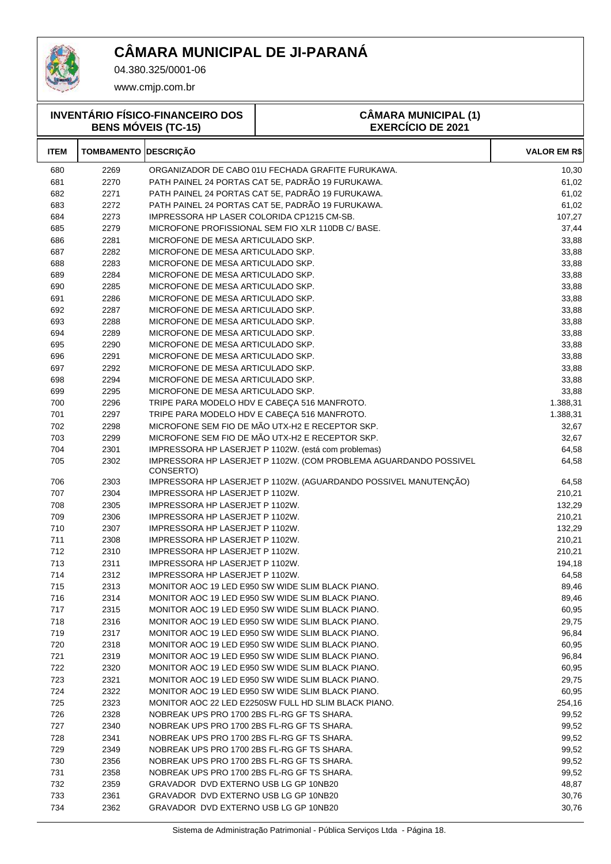

04.380.325/0001-06

| <b>INVENTÁRIO FÍSICO-FINANCEIRO DOS</b><br><b>BENS MÓVEIS (TC-15)</b> |                   |                                             | <b>CÂMARA MUNICIPAL (1)</b><br><b>EXERCÍCIO DE 2021</b>           |                     |
|-----------------------------------------------------------------------|-------------------|---------------------------------------------|-------------------------------------------------------------------|---------------------|
| <b>ITEM</b>                                                           | <b>TOMBAMENTO</b> | <b>DESCRIÇÃO</b>                            |                                                                   | <b>VALOR EM R\$</b> |
| 680                                                                   | 2269              |                                             | ORGANIZADOR DE CABO 01U FECHADA GRAFITE FURUKAWA.                 | 10,30               |
| 681                                                                   | 2270              |                                             | PATH PAINEL 24 PORTAS CAT 5E, PADRÃO 19 FURUKAWA.                 | 61,02               |
| 682                                                                   | 2271              |                                             | PATH PAINEL 24 PORTAS CAT 5E, PADRÃO 19 FURUKAWA.                 | 61,02               |
| 683                                                                   | 2272              |                                             | PATH PAINEL 24 PORTAS CAT 5E, PADRÃO 19 FURUKAWA.                 | 61,02               |
| 684                                                                   | 2273              | IMPRESSORA HP LASER COLORIDA CP1215 CM-SB.  |                                                                   | 107,27              |
| 685                                                                   | 2279              |                                             | MICROFONE PROFISSIONAL SEM FIO XLR 110DB C/ BASE.                 | 37,44               |
| 686                                                                   | 2281              | MICROFONE DE MESA ARTICULADO SKP.           |                                                                   | 33,88               |
| 687                                                                   | 2282              | MICROFONE DE MESA ARTICULADO SKP.           |                                                                   | 33,88               |
| 688                                                                   | 2283              | MICROFONE DE MESA ARTICULADO SKP.           |                                                                   | 33,88               |
| 689                                                                   | 2284              | MICROFONE DE MESA ARTICULADO SKP.           |                                                                   | 33,88               |
| 690                                                                   | 2285              | MICROFONE DE MESA ARTICULADO SKP.           |                                                                   | 33,88               |
| 691                                                                   | 2286              | MICROFONE DE MESA ARTICULADO SKP.           |                                                                   | 33,88               |
| 692                                                                   | 2287              | MICROFONE DE MESA ARTICULADO SKP.           |                                                                   | 33,88               |
| 693                                                                   | 2288              | MICROFONE DE MESA ARTICULADO SKP.           |                                                                   | 33,88               |
| 694                                                                   | 2289              | MICROFONE DE MESA ARTICULADO SKP.           |                                                                   | 33,88               |
| 695                                                                   | 2290              | MICROFONE DE MESA ARTICULADO SKP.           |                                                                   | 33,88               |
| 696                                                                   | 2291              | MICROFONE DE MESA ARTICULADO SKP.           |                                                                   | 33,88               |
| 697                                                                   | 2292              | MICROFONE DE MESA ARTICULADO SKP.           |                                                                   | 33,88               |
| 698                                                                   | 2294              | MICROFONE DE MESA ARTICULADO SKP.           |                                                                   | 33,88               |
| 699                                                                   | 2295              | MICROFONE DE MESA ARTICULADO SKP.           |                                                                   | 33,88               |
| 700                                                                   | 2296              |                                             | TRIPE PARA MODELO HDV E CABEÇA 516 MANFROTO.                      | 1.388,31            |
| 701                                                                   | 2297              |                                             | TRIPE PARA MODELO HDV E CABEÇA 516 MANFROTO.                      | 1.388,31            |
| 702                                                                   | 2298              |                                             | MICROFONE SEM FIO DE MÃO UTX-H2 E RECEPTOR SKP.                   | 32,67               |
| 703                                                                   | 2299              |                                             | MICROFONE SEM FIO DE MÃO UTX-H2 E RECEPTOR SKP.                   | 32,67               |
| 704                                                                   | 2301              |                                             | IMPRESSORA HP LASERJET P 1102W. (está com problemas)              | 64,58               |
| 705                                                                   | 2302              | CONSERTO)                                   | IMPRESSORA HP LASERJET P 1102W. (COM PROBLEMA AGUARDANDO POSSIVEL | 64,58               |
| 706                                                                   | 2303              |                                             | IMPRESSORA HP LASERJET P 1102W. (AGUARDANDO POSSIVEL MANUTENÇÃO)  | 64,58               |
| 707                                                                   | 2304              | IMPRESSORA HP LASERJET P 1102W.             |                                                                   | 210,21              |
| 708                                                                   | 2305              | IMPRESSORA HP LASERJET P 1102W.             |                                                                   | 132,29              |
| 709                                                                   | 2306              | IMPRESSORA HP LASERJET P 1102W.             |                                                                   | 210,21              |
| 710                                                                   | 2307              | IMPRESSORA HP LASERJET P 1102W.             |                                                                   | 132,29              |
| 711                                                                   | 2308              | IMPRESSORA HP LASERJET P 1102W.             |                                                                   | 210,21              |
| 712                                                                   | 2310              | IMPRESSORA HP LASERJET P 1102W.             |                                                                   | 210,21              |
| 713                                                                   | 2311              | IMPRESSORA HP LASERJET P 1102W.             |                                                                   | 194,18              |
| 714                                                                   | 2312              | IMPRESSORA HP LASERJET P 1102W.             |                                                                   | 64,58               |
| 715                                                                   | 2313              |                                             | MONITOR AOC 19 LED E950 SW WIDE SLIM BLACK PIANO.                 | 89,46               |
| 716                                                                   | 2314              |                                             | MONITOR AOC 19 LED E950 SW WIDE SLIM BLACK PIANO.                 | 89,46               |
| 717                                                                   | 2315              |                                             | MONITOR AOC 19 LED E950 SW WIDE SLIM BLACK PIANO.                 | 60,95               |
| 718                                                                   | 2316              |                                             | MONITOR AOC 19 LED E950 SW WIDE SLIM BLACK PIANO.                 | 29,75               |
| 719                                                                   | 2317              |                                             | MONITOR AOC 19 LED E950 SW WIDE SLIM BLACK PIANO.                 | 96,84               |
| 720                                                                   | 2318              |                                             | MONITOR AOC 19 LED E950 SW WIDE SLIM BLACK PIANO.                 | 60,95               |
| 721                                                                   | 2319              |                                             | MONITOR AOC 19 LED E950 SW WIDE SLIM BLACK PIANO.                 | 96,84               |
| 722                                                                   | 2320              |                                             | MONITOR AOC 19 LED E950 SW WIDE SLIM BLACK PIANO.                 | 60,95               |
| 723                                                                   | 2321              |                                             | MONITOR AOC 19 LED E950 SW WIDE SLIM BLACK PIANO.                 | 29,75               |
| 724                                                                   | 2322              |                                             | MONITOR AOC 19 LED E950 SW WIDE SLIM BLACK PIANO.                 | 60,95               |
| 725                                                                   | 2323              |                                             | MONITOR AOC 22 LED E2250SW FULL HD SLIM BLACK PIANO.              | 254,16              |
| 726                                                                   | 2328              | NOBREAK UPS PRO 1700 2BS FL-RG GF TS SHARA. |                                                                   | 99,52               |
| 727                                                                   | 2340              | NOBREAK UPS PRO 1700 2BS FL-RG GF TS SHARA. |                                                                   | 99,52               |
| 728                                                                   | 2341              | NOBREAK UPS PRO 1700 2BS FL-RG GF TS SHARA. |                                                                   | 99,52               |
| 729                                                                   | 2349              | NOBREAK UPS PRO 1700 2BS FL-RG GF TS SHARA. |                                                                   | 99,52               |
| 730                                                                   | 2356              | NOBREAK UPS PRO 1700 2BS FL-RG GF TS SHARA. |                                                                   | 99,52               |
| 731                                                                   | 2358              | NOBREAK UPS PRO 1700 2BS FL-RG GF TS SHARA. |                                                                   | 99,52               |
| 732                                                                   | 2359              | GRAVADOR DVD EXTERNO USB LG GP 10NB20       |                                                                   | 48,87               |
| 733                                                                   | 2361              | GRAVADOR DVD EXTERNO USB LG GP 10NB20       |                                                                   | 30,76               |
| 734                                                                   | 2362              | GRAVADOR DVD EXTERNO USB LG GP 10NB20       |                                                                   | 30,76               |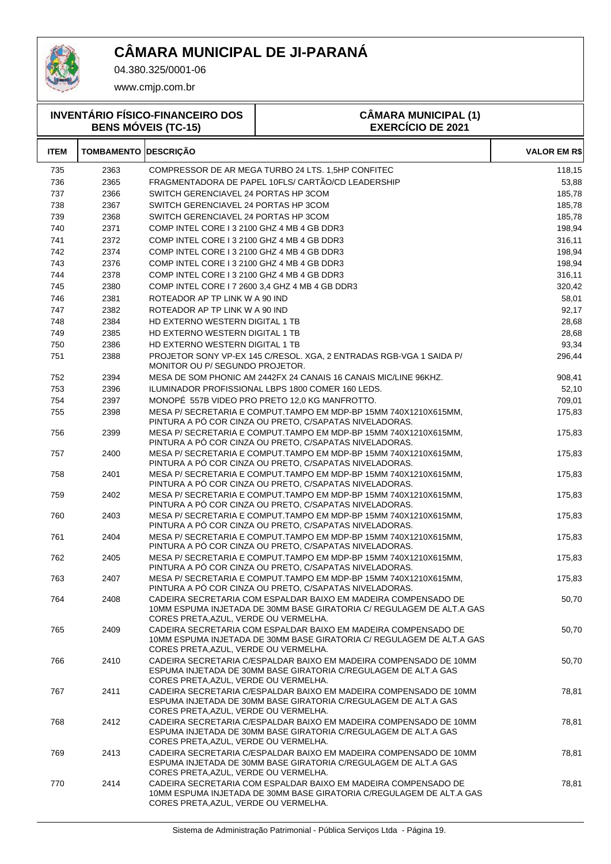

04.380.325/0001-06

| <b>INVENTÁRIO FÍSICO-FINANCEIRO DOS</b><br><b>BENS MÓVEIS (TC-15)</b> |                   |                                                | <b>CÂMARA MUNICIPAL (1)</b><br><b>EXERCÍCIO DE 2021</b>                                                                                 |                     |
|-----------------------------------------------------------------------|-------------------|------------------------------------------------|-----------------------------------------------------------------------------------------------------------------------------------------|---------------------|
| <b>ITEM</b>                                                           | <b>TOMBAMENTO</b> | <b>DESCRIÇÃO</b>                               |                                                                                                                                         | <b>VALOR EM R\$</b> |
| 735                                                                   | 2363              |                                                | COMPRESSOR DE AR MEGA TURBO 24 LTS. 1,5HP CONFITEC                                                                                      | 118,15              |
| 736                                                                   | 2365              |                                                | FRAGMENTADORA DE PAPEL 10FLS/ CARTÃO/CD LEADERSHIP                                                                                      | 53,88               |
| 737                                                                   | 2366              | SWITCH GERENCIAVEL 24 PORTAS HP 3COM           |                                                                                                                                         | 185,78              |
| 738                                                                   | 2367              | SWITCH GERENCIAVEL 24 PORTAS HP 3COM           |                                                                                                                                         | 185,78              |
| 739                                                                   | 2368              | SWITCH GERENCIAVEL 24 PORTAS HP 3COM           |                                                                                                                                         | 185,78              |
| 740                                                                   | 2371              | COMP INTEL CORE I 3 2100 GHZ 4 MB 4 GB DDR3    |                                                                                                                                         | 198,94              |
| 741                                                                   | 2372              | COMP INTEL CORE I 3 2100 GHZ 4 MB 4 GB DDR3    |                                                                                                                                         | 316,11              |
| 742                                                                   | 2374              | COMP INTEL CORE I 3 2100 GHZ 4 MB 4 GB DDR3    |                                                                                                                                         | 198,94              |
| 743                                                                   | 2376              | COMP INTEL CORE I 3 2100 GHZ 4 MB 4 GB DDR3    |                                                                                                                                         | 198,94              |
| 744                                                                   | 2378              | COMP INTEL CORE I 3 2100 GHZ 4 MB 4 GB DDR3    |                                                                                                                                         | 316,11              |
| 745                                                                   | 2380              | COMP INTEL CORE 17 2600 3.4 GHZ 4 MB 4 GB DDR3 |                                                                                                                                         | 320,42              |
| 746                                                                   | 2381              | ROTEADOR AP TP LINK W A 90 IND                 |                                                                                                                                         | 58,01               |
| 747                                                                   | 2382              | ROTEADOR AP TP LINK W A 90 IND                 |                                                                                                                                         | 92,17               |
| 748                                                                   | 2384              | HD EXTERNO WESTERN DIGITAL 1 TB                |                                                                                                                                         | 28,68               |
| 749                                                                   | 2385              | HD EXTERNO WESTERN DIGITAL 1 TB                |                                                                                                                                         | 28,68               |
| 750                                                                   | 2386              | HD EXTERNO WESTERN DIGITAL 1 TB                |                                                                                                                                         | 93,34               |
| 751                                                                   | 2388              | MONITOR OU P/ SEGUNDO PROJETOR.                | PROJETOR SONY VP-EX 145 C/RESOL. XGA, 2 ENTRADAS RGB-VGA 1 SAIDA P/                                                                     | 296,44              |
| 752                                                                   | 2394              |                                                | MESA DE SOM PHONIC AM 2442FX 24 CANAIS 16 CANAIS MIC/LINE 96KHZ.                                                                        | 908,41              |
| 753                                                                   | 2396              |                                                | ILUMINADOR PROFISSIONAL LBPS 1800 COMER 160 LEDS.                                                                                       | 52,10               |
| 754                                                                   | 2397              |                                                | MONOPÉ 557B VIDEO PRO PRETO 12,0 KG MANFROTTO.                                                                                          | 709,01              |
| 755                                                                   | 2398              |                                                | MESA P/ SECRETARIA E COMPUT.TAMPO EM MDP-BP 15MM 740X1210X615MM,<br>PINTURA A PO COR CINZA OU PRETO, C/SAPATAS NIVELADORAS.             | 175,83              |
| 756                                                                   | 2399              |                                                | MESA P/ SECRETARIA E COMPUT.TAMPO EM MDP-BP 15MM 740X1210X615MM,<br>PINTURA A PÓ COR CINZA OU PRETO, C/SAPATAS NIVELADORAS.             | 175,83              |
| 757                                                                   | 2400              |                                                | MESA P/ SECRETARIA E COMPUT.TAMPO EM MDP-BP 15MM 740X1210X615MM,<br>PINTURA A PO COR CINZA OU PRETO, C/SAPATAS NIVELADORAS.             | 175,83              |
| 758                                                                   | 2401              |                                                | MESA P/SECRETARIA E COMPUT.TAMPO EM MDP-BP 15MM 740X1210X615MM.<br>PINTURA A PÓ COR CINZA OU PRETO, C/SAPATAS NIVELADORAS.              | 175,83              |
| 759                                                                   | 2402              |                                                | MESA P/ SECRETARIA E COMPUT.TAMPO EM MDP-BP 15MM 740X1210X615MM,<br>PINTURA A PÓ COR CINZA OU PRETO, C/SAPATAS NIVELADORAS.             | 175,83              |
| 760                                                                   | 2403              |                                                | MESA P/ SECRETARIA E COMPUT.TAMPO EM MDP-BP 15MM 740X1210X615MM,<br>PINTURA A PÓ COR CINZA OU PRETO, C/SAPATAS NIVELADORAS.             | 175,83              |
| 761                                                                   | 2404              |                                                | MESA P/ SECRETARIA E COMPUT.TAMPO EM MDP-BP 15MM 740X1210X615MM.<br>PINTURA A PO COR CINZA OU PRETO, C/SAPATAS NIVELADORAS.             | 175,83              |
| 762                                                                   | 2405              |                                                | MESA P/ SECRETARIA E COMPUT.TAMPO EM MDP-BP 15MM 740X1210X615MM,<br>PINTURA A PO COR CINZA OU PRETO, C/SAPATAS NIVELADORAS.             | 175,83              |
| 763                                                                   | 2407              |                                                | MESA P/ SECRETARIA E COMPUT.TAMPO EM MDP-BP 15MM 740X1210X615MM,<br>PINTURA A PO COR CINZA OU PRETO, C/SAPATAS NIVELADORAS.             | 175,83              |
| 764                                                                   | 2408              | CORES PRETA, AZUL, VERDE OU VERMELHA.          | CADEIRA SECRETARIA COM ESPALDAR BAIXO EM MADEIRA COMPENSADO DE<br>10MM ESPUMA INJETADA DE 30MM BASE GIRATORIA C/ REGULAGEM DE ALT.A GAS | 50,70               |
| 765                                                                   | 2409              | CORES PRETA, AZUL, VERDE OU VERMELHA.          | CADEIRA SECRETARIA COM ESPALDAR BAIXO EM MADEIRA COMPENSADO DE<br>10MM ESPUMA INJETADA DE 30MM BASE GIRATORIA C/ REGULAGEM DE ALT.A GAS | 50,70               |
| 766                                                                   | 2410              | CORES PRETA, AZUL, VERDE OU VERMELHA.          | CADEIRA SECRETARIA C/ESPALDAR BAIXO EM MADEIRA COMPENSADO DE 10MM<br>ESPUMA INJETADA DE 30MM BASE GIRATORIA C/REGULAGEM DE ALT.A GAS    | 50,70               |
| 767                                                                   | 2411              | CORES PRETA, AZUL, VERDE OU VERMELHA.          | CADEIRA SECRETARIA C/ESPALDAR BAIXO EM MADEIRA COMPENSADO DE 10MM<br>ESPUMA INJETADA DE 30MM BASE GIRATORIA C/REGULAGEM DE ALT.A GAS    | 78,81               |
| 768                                                                   | 2412              | CORES PRETA, AZUL, VERDE OU VERMELHA.          | CADEIRA SECRETARIA C/ESPALDAR BAIXO EM MADEIRA COMPENSADO DE 10MM<br>ESPUMA INJETADA DE 30MM BASE GIRATORIA C/REGULAGEM DE ALT.A GAS    | 78,81               |
| 769                                                                   | 2413              | CORES PRETA, AZUL, VERDE OU VERMELHA.          | CADEIRA SECRETARIA C/ESPALDAR BAIXO EM MADEIRA COMPENSADO DE 10MM<br>ESPUMA INJETADA DE 30MM BASE GIRATORIA C/REGULAGEM DE ALT.A GAS    | 78,81               |
| 770                                                                   | 2414              | CORES PRETA, AZUL, VERDE OU VERMELHA.          | CADEIRA SECRETARIA COM ESPALDAR BAIXO EM MADEIRA COMPENSADO DE<br>10MM ESPUMA INJETADA DE 30MM BASE GIRATORIA C/REGULAGEM DE ALT.A GAS  | 78,81               |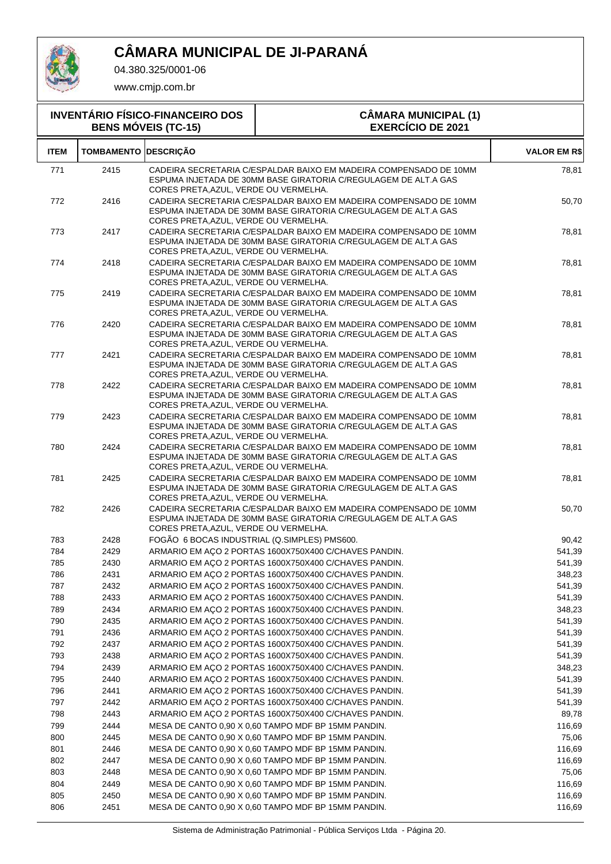

04.380.325/0001-06

| <b>INVENTÁRIO FÍSICO-FINANCEIRO DOS</b><br><b>BENS MÓVEIS (TC-15)</b> |                             |                                              | <b>CÂMARA MUNICIPAL (1)</b><br><b>EXERCÍCIO DE 2021</b>                                                                              |                     |  |
|-----------------------------------------------------------------------|-----------------------------|----------------------------------------------|--------------------------------------------------------------------------------------------------------------------------------------|---------------------|--|
| <b>ITEM</b>                                                           | <b>TOMBAMENTO DESCRIÇÃO</b> |                                              |                                                                                                                                      | <b>VALOR EM R\$</b> |  |
| 771                                                                   | 2415                        | CORES PRETA, AZUL, VERDE OU VERMELHA.        | CADEIRA SECRETARIA C/ESPALDAR BAIXO EM MADEIRA COMPENSADO DE 10MM<br>ESPUMA INJETADA DE 30MM BASE GIRATORIA C/REGULAGEM DE ALT.A GAS | 78,81               |  |
| 772                                                                   | 2416                        | CORES PRETA, AZUL, VERDE OU VERMELHA.        | CADEIRA SECRETARIA C/ESPALDAR BAIXO EM MADEIRA COMPENSADO DE 10MM<br>ESPUMA INJETADA DE 30MM BASE GIRATORIA C/REGULAGEM DE ALT.A GAS | 50,70               |  |
| 773                                                                   | 2417                        | CORES PRETA, AZUL, VERDE OU VERMELHA.        | CADEIRA SECRETARIA C/ESPALDAR BAIXO EM MADEIRA COMPENSADO DE 10MM<br>ESPUMA INJETADA DE 30MM BASE GIRATORIA C/REGULAGEM DE ALT.A GAS | 78,81               |  |
| 774                                                                   | 2418                        | CORES PRETA, AZUL, VERDE OU VERMELHA.        | CADEIRA SECRETARIA C/ESPALDAR BAIXO EM MADEIRA COMPENSADO DE 10MM<br>ESPUMA INJETADA DE 30MM BASE GIRATORIA C/REGULAGEM DE ALT.A GAS | 78,81               |  |
| 775                                                                   | 2419                        | CORES PRETA, AZUL, VERDE OU VERMELHA.        | CADEIRA SECRETARIA C/ESPALDAR BAIXO EM MADEIRA COMPENSADO DE 10MM<br>ESPUMA INJETADA DE 30MM BASE GIRATORIA C/REGULAGEM DE ALT.A GAS | 78,81               |  |
| 776                                                                   | 2420                        | CORES PRETA, AZUL, VERDE OU VERMELHA.        | CADEIRA SECRETARIA C/ESPALDAR BAIXO EM MADEIRA COMPENSADO DE 10MM<br>ESPUMA INJETADA DE 30MM BASE GIRATORIA C/REGULAGEM DE ALT.A GAS | 78,81               |  |
| 777                                                                   | 2421                        | CORES PRETA, AZUL, VERDE OU VERMELHA.        | CADEIRA SECRETARIA C/ESPALDAR BAIXO EM MADEIRA COMPENSADO DE 10MM<br>ESPUMA INJETADA DE 30MM BASE GIRATORIA C/REGULAGEM DE ALT.A GAS | 78,81               |  |
| 778                                                                   | 2422                        | CORES PRETA, AZUL, VERDE OU VERMELHA.        | CADEIRA SECRETARIA C/ESPALDAR BAIXO EM MADEIRA COMPENSADO DE 10MM<br>ESPUMA INJETADA DE 30MM BASE GIRATORIA C/REGULAGEM DE ALT.A GAS | 78,81               |  |
| 779                                                                   | 2423                        | CORES PRETA, AZUL, VERDE OU VERMELHA.        | CADEIRA SECRETARIA C/ESPALDAR BAIXO EM MADEIRA COMPENSADO DE 10MM<br>ESPUMA INJETADA DE 30MM BASE GIRATORIA C/REGULAGEM DE ALT.A GAS | 78,81               |  |
| 780                                                                   | 2424                        | CORES PRETA, AZUL, VERDE OU VERMELHA.        | CADEIRA SECRETARIA C/ESPALDAR BAIXO EM MADEIRA COMPENSADO DE 10MM<br>ESPUMA INJETADA DE 30MM BASE GIRATORIA C/REGULAGEM DE ALT.A GAS | 78,81               |  |
| 781                                                                   | 2425                        | CORES PRETA, AZUL, VERDE OU VERMELHA.        | CADEIRA SECRETARIA C/ESPALDAR BAIXO EM MADEIRA COMPENSADO DE 10MM<br>ESPUMA INJETADA DE 30MM BASE GIRATORIA C/REGULAGEM DE ALT.A GAS | 78,81               |  |
| 782                                                                   | 2426                        | CORES PRETA, AZUL, VERDE OU VERMELHA.        | CADEIRA SECRETARIA C/ESPALDAR BAIXO EM MADEIRA COMPENSADO DE 10MM<br>ESPUMA INJETADA DE 30MM BASE GIRATORIA C/REGULAGEM DE ALT.A GAS | 50,70               |  |
| 783                                                                   | 2428                        | FOGÃO 6 BOCAS INDUSTRIAL (Q.SIMPLES) PMS600. |                                                                                                                                      | 90,42               |  |
| 784                                                                   | 2429                        |                                              | ARMARIO EM AÇO 2 PORTAS 1600X750X400 C/CHAVES PANDIN.                                                                                | 541,39              |  |
| 785                                                                   | 2430                        |                                              | ARMARIO EM AÇO 2 PORTAS 1600X750X400 C/CHAVES PANDIN.                                                                                | 541,39              |  |
| 786                                                                   | 2431                        |                                              | ARMARIO EM AÇO 2 PORTAS 1600X750X400 C/CHAVES PANDIN.                                                                                | 348,23              |  |
| 787                                                                   | 2432                        |                                              | ARMARIO EM AÇO 2 PORTAS 1600X750X400 C/CHAVES PANDIN.                                                                                | 541,39              |  |
| 788                                                                   | 2433                        |                                              | ARMARIO EM ACO 2 PORTAS 1600X750X400 C/CHAVES PANDIN.                                                                                | 541,39              |  |
| 789                                                                   | 2434                        |                                              | ARMARIO EM ACO 2 PORTAS 1600X750X400 C/CHAVES PANDIN.                                                                                | 348,23              |  |
| 790                                                                   | 2435                        |                                              | ARMARIO EM AÇO 2 PORTAS 1600X750X400 C/CHAVES PANDIN.                                                                                | 541,39              |  |
| 791                                                                   | 2436                        |                                              | ARMARIO EM AÇO 2 PORTAS 1600X750X400 C/CHAVES PANDIN.                                                                                | 541,39              |  |
| 792                                                                   | 2437                        |                                              | ARMARIO EM AÇO 2 PORTAS 1600X750X400 C/CHAVES PANDIN.                                                                                | 541,39              |  |
| 793                                                                   | 2438                        |                                              | ARMARIO EM ACO 2 PORTAS 1600X750X400 C/CHAVES PANDIN.                                                                                | 541,39              |  |
| 794                                                                   | 2439                        |                                              | ARMARIO EM AÇO 2 PORTAS 1600X750X400 C/CHAVES PANDIN.                                                                                | 348,23              |  |
| 795                                                                   | 2440                        |                                              | ARMARIO EM AÇO 2 PORTAS 1600X750X400 C/CHAVES PANDIN.                                                                                | 541,39              |  |
| 796                                                                   | 2441                        |                                              | ARMARIO EM AÇO 2 PORTAS 1600X750X400 C/CHAVES PANDIN.                                                                                | 541,39              |  |
| 797                                                                   | 2442                        |                                              | ARMARIO EM AÇO 2 PORTAS 1600X750X400 C/CHAVES PANDIN.                                                                                | 541,39              |  |
| 798                                                                   | 2443                        |                                              | ARMARIO EM AÇO 2 PORTAS 1600X750X400 C/CHAVES PANDIN.                                                                                | 89,78               |  |
| 799                                                                   | 2444                        |                                              | MESA DE CANTO 0,90 X 0,60 TAMPO MDF BP 15MM PANDIN.                                                                                  | 116,69              |  |
| 800                                                                   | 2445                        |                                              | MESA DE CANTO 0,90 X 0,60 TAMPO MDF BP 15MM PANDIN.                                                                                  | 75,06               |  |
| 801                                                                   | 2446                        |                                              | MESA DE CANTO 0,90 X 0,60 TAMPO MDF BP 15MM PANDIN.                                                                                  | 116,69              |  |
| 802                                                                   | 2447                        |                                              | MESA DE CANTO 0,90 X 0,60 TAMPO MDF BP 15MM PANDIN.                                                                                  | 116,69              |  |
| 803                                                                   | 2448                        |                                              | MESA DE CANTO 0,90 X 0,60 TAMPO MDF BP 15MM PANDIN.                                                                                  | 75,06               |  |
| 804                                                                   | 2449                        |                                              | MESA DE CANTO 0,90 X 0,60 TAMPO MDF BP 15MM PANDIN.                                                                                  | 116,69              |  |
| 805                                                                   | 2450                        |                                              | MESA DE CANTO 0,90 X 0,60 TAMPO MDF BP 15MM PANDIN.                                                                                  | 116,69              |  |
| 806                                                                   | 2451                        |                                              | MESA DE CANTO 0,90 X 0,60 TAMPO MDF BP 15MM PANDIN.                                                                                  | 116,69              |  |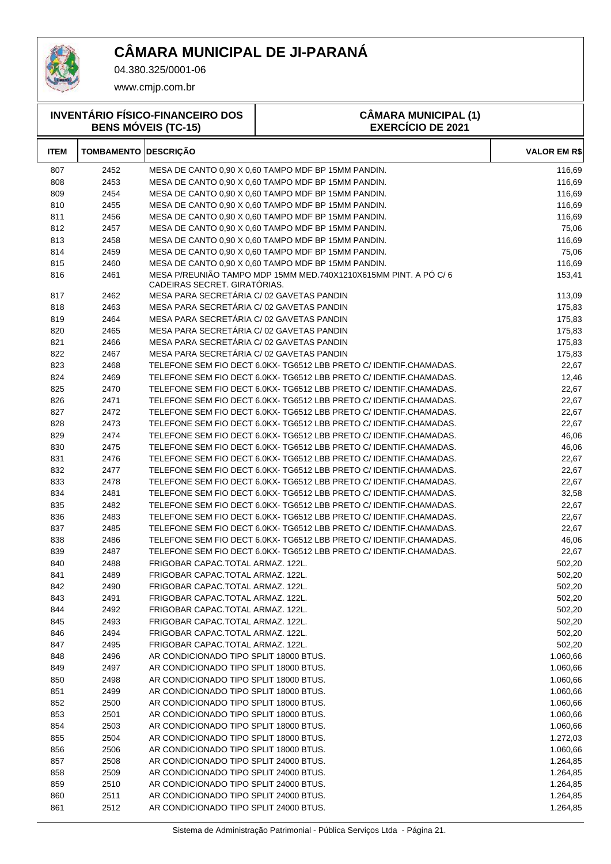

04.380.325/0001-06

| <b>INVENTÁRIO FÍSICO-FINANCEIRO DOS</b><br><b>BENS MÓVEIS (TC-15)</b> |                             |                                           | <b>CÂMARA MUNICIPAL (1)</b><br><b>EXERCÍCIO DE 2021</b>                                                                                |                     |
|-----------------------------------------------------------------------|-----------------------------|-------------------------------------------|----------------------------------------------------------------------------------------------------------------------------------------|---------------------|
| <b>ITEM</b>                                                           | <b>TOMBAMENTO DESCRIÇÃO</b> |                                           |                                                                                                                                        | <b>VALOR EM R\$</b> |
| 807                                                                   | 2452                        |                                           | MESA DE CANTO 0,90 X 0,60 TAMPO MDF BP 15MM PANDIN.                                                                                    | 116,69              |
| 808                                                                   | 2453                        |                                           | MESA DE CANTO 0,90 X 0,60 TAMPO MDF BP 15MM PANDIN.                                                                                    | 116,69              |
| 809                                                                   | 2454                        |                                           | MESA DE CANTO 0,90 X 0,60 TAMPO MDF BP 15MM PANDIN.                                                                                    | 116,69              |
| 810                                                                   | 2455                        |                                           | MESA DE CANTO 0.90 X 0.60 TAMPO MDF BP 15MM PANDIN.                                                                                    | 116,69              |
| 811                                                                   | 2456                        |                                           | MESA DE CANTO 0,90 X 0,60 TAMPO MDF BP 15MM PANDIN.                                                                                    | 116,69              |
| 812                                                                   | 2457                        |                                           | MESA DE CANTO 0,90 X 0,60 TAMPO MDF BP 15MM PANDIN.                                                                                    | 75,06               |
| 813                                                                   | 2458                        |                                           | MESA DE CANTO 0,90 X 0,60 TAMPO MDF BP 15MM PANDIN.                                                                                    | 116,69              |
| 814                                                                   | 2459                        |                                           | MESA DE CANTO 0,90 X 0,60 TAMPO MDF BP 15MM PANDIN.                                                                                    | 75,06               |
| 815                                                                   | 2460                        |                                           | MESA DE CANTO 0,90 X 0,60 TAMPO MDF BP 15MM PANDIN.                                                                                    | 116,69              |
| 816                                                                   | 2461                        | CADEIRAS SECRET. GIRATÓRIAS.              | MESA P/REUNIÃO TAMPO MDP 15MM MED.740X1210X615MM PINT. A PÓ C/6                                                                        | 153,41              |
| 817                                                                   | 2462                        | MESA PARA SECRETÁRIA C/02 GAVETAS PANDIN  |                                                                                                                                        | 113,09              |
| 818                                                                   | 2463                        | MESA PARA SECRETÁRIA C/ 02 GAVETAS PANDIN |                                                                                                                                        | 175,83              |
| 819                                                                   | 2464                        | MESA PARA SECRETÁRIA C/02 GAVETAS PANDIN  |                                                                                                                                        | 175,83              |
| 820                                                                   | 2465                        | MESA PARA SECRETÁRIA C/ 02 GAVETAS PANDIN |                                                                                                                                        | 175,83              |
| 821                                                                   | 2466                        | MESA PARA SECRETÁRIA C/ 02 GAVETAS PANDIN |                                                                                                                                        | 175,83              |
| 822                                                                   | 2467                        | MESA PARA SECRETÁRIA C/ 02 GAVETAS PANDIN |                                                                                                                                        | 175,83              |
| 823                                                                   | 2468                        |                                           | TELEFONE SEM FIO DECT 6.0KX-TG6512 LBB PRETO C/IDENTIF.CHAMADAS.                                                                       | 22,67               |
| 824                                                                   | 2469                        |                                           | TELEFONE SEM FIO DECT 6.0KX-TG6512 LBB PRETO C/IDENTIF.CHAMADAS.                                                                       | 12,46               |
| 825                                                                   | 2470                        |                                           | TELEFONE SEM FIO DECT 6.0KX-TG6512 LBB PRETO C/ IDENTIF.CHAMADAS.                                                                      | 22,67               |
| 826                                                                   | 2471                        |                                           | TELEFONE SEM FIO DECT 6.0KX- TG6512 LBB PRETO C/ IDENTIF.CHAMADAS.                                                                     | 22,67               |
| 827                                                                   | 2472                        |                                           | TELEFONE SEM FIO DECT 6.0KX- TG6512 LBB PRETO C/ IDENTIF.CHAMADAS.                                                                     | 22,67               |
| 828                                                                   | 2473                        |                                           | TELEFONE SEM FIO DECT 6.0KX-TG6512 LBB PRETO C/IDENTIF.CHAMADAS.                                                                       | 22,67               |
| 829                                                                   | 2474                        |                                           | TELEFONE SEM FIO DECT 6.0KX-TG6512 LBB PRETO C/IDENTIF.CHAMADAS.                                                                       | 46,06               |
| 830                                                                   | 2475                        |                                           | TELEFONE SEM FIO DECT 6.0KX-TG6512 LBB PRETO C/IDENTIF.CHAMADAS.                                                                       | 46,06               |
| 831                                                                   | 2476                        |                                           | TELEFONE SEM FIO DECT 6.0KX-TG6512 LBB PRETO C/IDENTIF.CHAMADAS.                                                                       | 22,67               |
| 832                                                                   | 2477                        |                                           | TELEFONE SEM FIO DECT 6.0KX-TG6512 LBB PRETO C/IDENTIF.CHAMADAS.                                                                       | 22,67               |
| 833                                                                   | 2478                        |                                           | TELEFONE SEM FIO DECT 6.0KX-TG6512 LBB PRETO C/IDENTIF.CHAMADAS.<br>TELEFONE SEM FIO DECT 6.0KX- TG6512 LBB PRETO C/ IDENTIF.CHAMADAS. | 22,67               |
| 834<br>835                                                            | 2481<br>2482                |                                           | TELEFONE SEM FIO DECT 6.0KX- TG6512 LBB PRETO C/ IDENTIF.CHAMADAS.                                                                     | 32,58<br>22,67      |
| 836                                                                   | 2483                        |                                           | TELEFONE SEM FIO DECT 6.0KX-TG6512 LBB PRETO C/IDENTIF.CHAMADAS.                                                                       | 22,67               |
| 837                                                                   | 2485                        |                                           | TELEFONE SEM FIO DECT 6.0KX-TG6512 LBB PRETO C/IDENTIF.CHAMADAS.                                                                       | 22,67               |
| 838                                                                   | 2486                        |                                           | TELEFONE SEM FIO DECT 6.0KX-TG6512 LBB PRETO C/IDENTIF.CHAMADAS.                                                                       | 46,06               |
| 839                                                                   | 2487                        |                                           | TELEFONE SEM FIO DECT 6.0KX- TG6512 LBB PRETO C/ IDENTIF.CHAMADAS.                                                                     | 22,67               |
| 840                                                                   | 2488                        | FRIGOBAR CAPAC.TOTAL ARMAZ. 122L.         |                                                                                                                                        | 502,20              |
| 841                                                                   | 2489                        | FRIGOBAR CAPAC.TOTAL ARMAZ. 122L.         |                                                                                                                                        | 502,20              |
| 842                                                                   | 2490                        | FRIGOBAR CAPAC.TOTAL ARMAZ. 122L.         |                                                                                                                                        | 502,20              |
| 843                                                                   | 2491                        | FRIGOBAR CAPAC.TOTAL ARMAZ. 122L.         |                                                                                                                                        | 502,20              |
| 844                                                                   | 2492                        | FRIGOBAR CAPAC.TOTAL ARMAZ. 122L.         |                                                                                                                                        | 502,20              |
| 845                                                                   | 2493                        | FRIGOBAR CAPAC.TOTAL ARMAZ. 122L.         |                                                                                                                                        | 502,20              |
| 846                                                                   | 2494                        | FRIGOBAR CAPAC.TOTAL ARMAZ. 122L.         |                                                                                                                                        | 502,20              |
| 847                                                                   | 2495                        | FRIGOBAR CAPAC.TOTAL ARMAZ. 122L.         |                                                                                                                                        | 502,20              |
| 848                                                                   | 2496                        | AR CONDICIONADO TIPO SPLIT 18000 BTUS.    |                                                                                                                                        | 1.060,66            |
| 849                                                                   | 2497                        | AR CONDICIONADO TIPO SPLIT 18000 BTUS.    |                                                                                                                                        | 1.060,66            |
| 850                                                                   | 2498                        | AR CONDICIONADO TIPO SPLIT 18000 BTUS.    |                                                                                                                                        | 1.060,66            |
| 851                                                                   | 2499                        | AR CONDICIONADO TIPO SPLIT 18000 BTUS.    |                                                                                                                                        | 1.060,66            |
| 852                                                                   | 2500                        | AR CONDICIONADO TIPO SPLIT 18000 BTUS.    |                                                                                                                                        | 1.060,66            |
| 853                                                                   | 2501                        | AR CONDICIONADO TIPO SPLIT 18000 BTUS.    |                                                                                                                                        | 1.060,66            |
| 854                                                                   | 2503                        | AR CONDICIONADO TIPO SPLIT 18000 BTUS.    |                                                                                                                                        | 1.060,66            |
| 855                                                                   | 2504                        | AR CONDICIONADO TIPO SPLIT 18000 BTUS.    |                                                                                                                                        | 1.272,03            |
| 856                                                                   | 2506                        | AR CONDICIONADO TIPO SPLIT 18000 BTUS.    |                                                                                                                                        | 1.060,66            |
| 857                                                                   | 2508                        | AR CONDICIONADO TIPO SPLIT 24000 BTUS.    |                                                                                                                                        | 1.264,85            |
| 858                                                                   | 2509                        | AR CONDICIONADO TIPO SPLIT 24000 BTUS.    |                                                                                                                                        | 1.264,85            |
| 859                                                                   | 2510                        | AR CONDICIONADO TIPO SPLIT 24000 BTUS.    |                                                                                                                                        | 1.264,85            |
| 860                                                                   | 2511                        | AR CONDICIONADO TIPO SPLIT 24000 BTUS.    |                                                                                                                                        | 1.264,85            |
| 861                                                                   | 2512                        | AR CONDICIONADO TIPO SPLIT 24000 BTUS.    |                                                                                                                                        | 1.264,85            |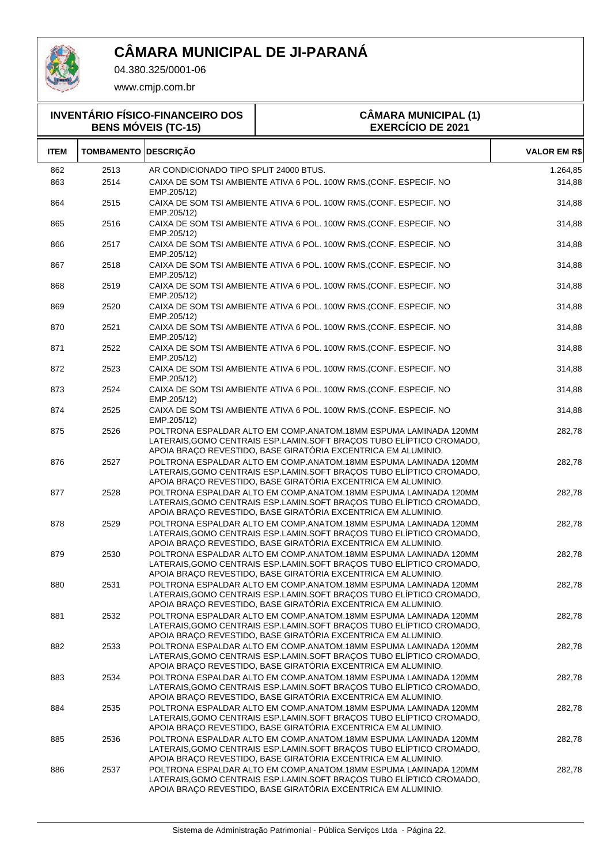

04.380.325/0001-06

| <b>INVENTÁRIO FÍSICO-FINANCEIRO DOS</b><br><b>BENS MÓVEIS (TC-15)</b> |                             |                                                       | <b>CÂMARA MUNICIPAL (1)</b><br><b>EXERCÍCIO DE 2021</b>                                                                                                                                                    |                     |
|-----------------------------------------------------------------------|-----------------------------|-------------------------------------------------------|------------------------------------------------------------------------------------------------------------------------------------------------------------------------------------------------------------|---------------------|
| <b>ITEM</b>                                                           | <b>TOMBAMENTO DESCRIÇÃO</b> |                                                       |                                                                                                                                                                                                            | <b>VALOR EM R\$</b> |
| 862<br>863                                                            | 2513<br>2514                | AR CONDICIONADO TIPO SPLIT 24000 BTUS.<br>EMP.205/12) | CAIXA DE SOM TSI AMBIENTE ATIVA 6 POL. 100W RMS.(CONF. ESPECIF. NO                                                                                                                                         | 1.264,85<br>314,88  |
| 864                                                                   | 2515                        | EMP.205/12)                                           | CAIXA DE SOM TSI AMBIENTE ATIVA 6 POL. 100W RMS.(CONF. ESPECIF. NO                                                                                                                                         | 314,88              |
| 865                                                                   | 2516                        | EMP.205/12)                                           | CAIXA DE SOM TSI AMBIENTE ATIVA 6 POL. 100W RMS.(CONF. ESPECIF. NO                                                                                                                                         | 314,88              |
| 866                                                                   | 2517                        | EMP.205/12)                                           | CAIXA DE SOM TSI AMBIENTE ATIVA 6 POL. 100W RMS.(CONF. ESPECIF. NO                                                                                                                                         | 314,88              |
| 867                                                                   | 2518                        | EMP.205/12)                                           | CAIXA DE SOM TSI AMBIENTE ATIVA 6 POL. 100W RMS.(CONF. ESPECIF. NO                                                                                                                                         | 314,88              |
| 868                                                                   | 2519                        | EMP.205/12)                                           | CAIXA DE SOM TSI AMBIENTE ATIVA 6 POL. 100W RMS.(CONF. ESPECIF. NO                                                                                                                                         | 314,88              |
| 869                                                                   | 2520                        | EMP.205/12)                                           | CAIXA DE SOM TSI AMBIENTE ATIVA 6 POL. 100W RMS.(CONF. ESPECIF. NO                                                                                                                                         | 314,88              |
| 870                                                                   | 2521                        | EMP.205/12)                                           | CAIXA DE SOM TSI AMBIENTE ATIVA 6 POL. 100W RMS.(CONF. ESPECIF. NO                                                                                                                                         | 314,88              |
| 871                                                                   | 2522                        | EMP.205/12)                                           | CAIXA DE SOM TSI AMBIENTE ATIVA 6 POL. 100W RMS.(CONF. ESPECIF. NO                                                                                                                                         | 314,88              |
| 872                                                                   | 2523                        | EMP.205/12)                                           | CAIXA DE SOM TSI AMBIENTE ATIVA 6 POL. 100W RMS.(CONF. ESPECIF. NO                                                                                                                                         | 314,88              |
| 873                                                                   | 2524                        | EMP.205/12)                                           | CAIXA DE SOM TSI AMBIENTE ATIVA 6 POL. 100W RMS.(CONF. ESPECIF. NO                                                                                                                                         | 314,88              |
| 874                                                                   | 2525                        | EMP.205/12)                                           | CAIXA DE SOM TSI AMBIENTE ATIVA 6 POL. 100W RMS.(CONF. ESPECIF. NO                                                                                                                                         | 314,88              |
| 875                                                                   | 2526                        |                                                       | POLTRONA ESPALDAR ALTO EM COMP.ANATOM.18MM ESPUMA LAMINADA 120MM<br>LATERAIS, GOMO CENTRAIS ESP.LAMIN. SOFT BRAÇOS TUBO ELÍPTICO CROMADO,<br>APOIA BRAÇO REVESTIDO, BASE GIRATÓRIA EXCENTRICA EM ALUMINIO. | 282,78              |
| 876                                                                   | 2527                        |                                                       | POLTRONA ESPALDAR ALTO EM COMP.ANATOM.18MM ESPUMA LAMINADA 120MM<br>LATERAIS, GOMO CENTRAIS ESP.LAMIN. SOFT BRAÇOS TUBO ELÍPTICO CROMADO,<br>APOIA BRAÇO REVESTIDO, BASE GIRATÓRIA EXCENTRICA EM ALUMINIO. | 282,78              |
| 877                                                                   | 2528                        |                                                       | POLTRONA ESPALDAR ALTO EM COMP.ANATOM.18MM ESPUMA LAMINADA 120MM<br>LATERAIS, GOMO CENTRAIS ESP.LAMIN. SOFT BRAÇOS TUBO ELÍPTICO CROMADO,<br>APOIA BRAÇO REVESTIDO, BASE GIRATÓRIA EXCENTRICA EM ALUMINIO. | 282,78              |
| 878                                                                   | 2529                        |                                                       | POLTRONA ESPALDAR ALTO EM COMP.ANATOM.18MM ESPUMA LAMINADA 120MM<br>LATERAIS, GOMO CENTRAIS ESP.LAMIN. SOFT BRAÇOS TUBO ELÍPTICO CROMADO,<br>APOIA BRAÇO REVESTIDO, BASE GIRATÓRIA EXCENTRICA EM ALUMINIO. | 282.78              |
| 879                                                                   | 2530                        |                                                       | POLTRONA ESPALDAR ALTO EM COMP.ANATOM.18MM ESPUMA LAMINADA 120MM<br>LATERAIS, GOMO CENTRAIS ESP.LAMIN. SOFT BRAÇOS TUBO ELÍPTICO CROMADO,<br>APOIA BRAÇO REVESTIDO, BASE GIRATÓRIA EXCENTRICA EM ALUMINIO. | 282.78              |
| 880                                                                   | 2531                        |                                                       | POLTRONA ESPALDAR ALTO EM COMP.ANATOM.18MM ESPUMA LAMINADA 120MM<br>LATERAIS, GOMO CENTRAIS ESP.LAMIN. SOFT BRAÇOS TUBO ELÍPTICO CROMADO,<br>APOIA BRAÇO REVESTIDO, BASE GIRATÓRIA EXCENTRICA EM ALUMINIO. | 282,78              |
| 881                                                                   | 2532                        |                                                       | POLTRONA ESPALDAR ALTO EM COMP.ANATOM.18MM ESPUMA LAMINADA 120MM<br>LATERAIS, GOMO CENTRAIS ESP.LAMIN. SOFT BRAÇOS TUBO ELÍPTICO CROMADO,<br>APOIA BRAÇO REVESTIDO, BASE GIRATÓRIA EXCENTRICA EM ALUMINIO. | 282,78              |
| 882                                                                   | 2533                        |                                                       | POLTRONA ESPALDAR ALTO EM COMP.ANATOM.18MM ESPUMA LAMINADA 120MM<br>LATERAIS, GOMO CENTRAIS ESP.LAMIN. SOFT BRAÇOS TUBO ELÍPTICO CROMADO,<br>APOIA BRAÇO REVESTIDO, BASE GIRATÓRIA EXCENTRICA EM ALUMINIO. | 282,78              |
| 883                                                                   | 2534                        |                                                       | POLTRONA ESPALDAR ALTO EM COMP.ANATOM.18MM ESPUMA LAMINADA 120MM<br>LATERAIS, GOMO CENTRAIS ESP.LAMIN. SOFT BRAÇOS TUBO ELÍPTICO CROMADO,<br>APOIA BRAÇO REVESTIDO, BASE GIRATÓRIA EXCENTRICA EM ALUMINIO. | 282,78              |
| 884                                                                   | 2535                        |                                                       | POLTRONA ESPALDAR ALTO EM COMP.ANATOM.18MM ESPUMA LAMINADA 120MM<br>LATERAIS, GOMO CENTRAIS ESP.LAMIN. SOFT BRAÇOS TUBO ELÍPTICO CROMADO,<br>APOIA BRAÇO REVESTIDO, BASE GIRATÓRIA EXCENTRICA EM ALUMINIO. | 282,78              |
| 885                                                                   | 2536                        |                                                       | POLTRONA ESPALDAR ALTO EM COMP.ANATOM.18MM ESPUMA LAMINADA 120MM<br>LATERAIS, GOMO CENTRAIS ESP.LAMIN. SOFT BRAÇOS TUBO ELÍPTICO CROMADO,<br>APOIA BRAÇO REVESTIDO, BASE GIRATÓRIA EXCENTRICA EM ALUMINIO. | 282,78              |
| 886                                                                   | 2537                        |                                                       | POLTRONA ESPALDAR ALTO EM COMP.ANATOM.18MM ESPUMA LAMINADA 120MM<br>LATERAIS, GOMO CENTRAIS ESP.LAMIN. SOFT BRAÇOS TUBO ELÍPTICO CROMADO,<br>APOIA BRAÇO REVESTIDO, BASE GIRATÓRIA EXCENTRICA EM ALUMINIO. | 282,78              |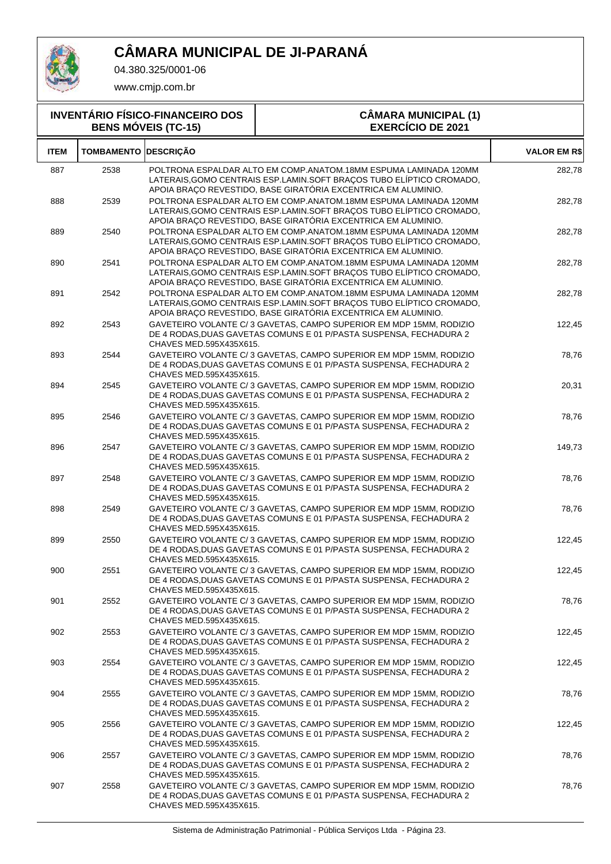

04.380.325/0001-06

| <b>INVENTÁRIO FÍSICO-FINANCEIRO DOS</b><br><b>BENS MÓVEIS (TC-15)</b> |                   |                         | <b>CÂMARA MUNICIPAL (1)</b><br><b>EXERCÍCIO DE 2021</b>                                                                                                                                                    |                     |
|-----------------------------------------------------------------------|-------------------|-------------------------|------------------------------------------------------------------------------------------------------------------------------------------------------------------------------------------------------------|---------------------|
| <b>ITEM</b>                                                           | <b>TOMBAMENTO</b> | <b>DESCRIÇÃO</b>        |                                                                                                                                                                                                            | <b>VALOR EM R\$</b> |
| 887                                                                   | 2538              |                         | POLTRONA ESPALDAR ALTO EM COMP.ANATOM.18MM ESPUMA LAMINADA 120MM<br>LATERAIS, GOMO CENTRAIS ESP.LAMIN. SOFT BRAÇOS TUBO ELÍPTICO CROMADO,<br>APOIA BRAÇO REVESTIDO, BASE GIRATÓRIA EXCENTRICA EM ALUMINIO. | 282,78              |
| 888                                                                   | 2539              |                         | POLTRONA ESPALDAR ALTO EM COMP.ANATOM.18MM ESPUMA LAMINADA 120MM<br>LATERAIS, GOMO CENTRAIS ESP.LAMIN. SOFT BRAÇOS TUBO ELÍPTICO CROMADO,<br>APOIA BRAÇO REVESTIDO, BASE GIRATÓRIA EXCENTRICA EM ALUMINIO. | 282,78              |
| 889                                                                   | 2540              |                         | POLTRONA ESPALDAR ALTO EM COMP.ANATOM.18MM ESPUMA LAMINADA 120MM<br>LATERAIS, GOMO CENTRAIS ESP.LAMIN. SOFT BRAÇOS TUBO ELÍPTICO CROMADO,<br>APOIA BRAÇO REVESTIDO, BASE GIRATÓRIA EXCENTRICA EM ALUMINIO. | 282,78              |
| 890                                                                   | 2541              |                         | POLTRONA ESPALDAR ALTO EM COMP.ANATOM.18MM ESPUMA LAMINADA 120MM<br>LATERAIS, GOMO CENTRAIS ESP.LAMIN. SOFT BRAÇOS TUBO ELÍPTICO CROMADO,<br>APOIA BRAÇO REVESTIDO, BASE GIRATÓRIA EXCENTRICA EM ALUMINIO. | 282,78              |
| 891                                                                   | 2542              |                         | POLTRONA ESPALDAR ALTO EM COMP.ANATOM.18MM ESPUMA LAMINADA 120MM<br>LATERAIS, GOMO CENTRAIS ESP.LAMIN. SOFT BRAÇOS TUBO ELÍPTICO CROMADO,<br>APOIA BRAÇO REVESTIDO, BASE GIRATÓRIA EXCENTRICA EM ALUMINIO. | 282,78              |
| 892                                                                   | 2543              | CHAVES MED.595X435X615. | GAVETEIRO VOLANTE C/3 GAVETAS, CAMPO SUPERIOR EM MDP 15MM, RODIZIO<br>DE 4 RODAS, DUAS GAVETAS COMUNS E 01 P/PASTA SUSPENSA, FECHADURA 2                                                                   | 122.45              |
| 893                                                                   | 2544              | CHAVES MED.595X435X615. | GAVETEIRO VOLANTE C/3 GAVETAS, CAMPO SUPERIOR EM MDP 15MM, RODIZIO<br>DE 4 RODAS, DUAS GAVETAS COMUNS E 01 P/PASTA SUSPENSA, FECHADURA 2                                                                   | 78,76               |
| 894                                                                   | 2545              | CHAVES MED.595X435X615. | GAVETEIRO VOLANTE C/3 GAVETAS, CAMPO SUPERIOR EM MDP 15MM, RODIZIO<br>DE 4 RODAS, DUAS GAVETAS COMUNS E 01 P/PASTA SUSPENSA, FECHADURA 2                                                                   | 20,31               |
| 895                                                                   | 2546              | CHAVES MED.595X435X615. | GAVETEIRO VOLANTE C/3 GAVETAS, CAMPO SUPERIOR EM MDP 15MM, RODIZIO<br>DE 4 RODAS, DUAS GAVETAS COMUNS E 01 P/PASTA SUSPENSA, FECHADURA 2                                                                   | 78,76               |
| 896                                                                   | 2547              | CHAVES MED.595X435X615. | GAVETEIRO VOLANTE C/3 GAVETAS, CAMPO SUPERIOR EM MDP 15MM, RODIZIO<br>DE 4 RODAS, DUAS GAVETAS COMUNS E 01 P/PASTA SUSPENSA, FECHADURA 2                                                                   | 149,73              |
| 897                                                                   | 2548              | CHAVES MED.595X435X615. | GAVETEIRO VOLANTE C/3 GAVETAS, CAMPO SUPERIOR EM MDP 15MM, RODIZIO<br>DE 4 RODAS, DUAS GAVETAS COMUNS E 01 P/PASTA SUSPENSA, FECHADURA 2                                                                   | 78,76               |
| 898                                                                   | 2549              | CHAVES MED.595X435X615. | GAVETEIRO VOLANTE C/3 GAVETAS, CAMPO SUPERIOR EM MDP 15MM, RODIZIO<br>DE 4 RODAS, DUAS GAVETAS COMUNS E 01 P/PASTA SUSPENSA, FECHADURA 2                                                                   | 78,76               |
| 899                                                                   | 2550              | CHAVES MED.595X435X615. | GAVETEIRO VOLANTE C/3 GAVETAS, CAMPO SUPERIOR EM MDP 15MM, RODIZIO<br>DE 4 RODAS, DUAS GAVETAS COMUNS E 01 P/PASTA SUSPENSA, FECHADURA 2                                                                   | 122,45              |
| 900                                                                   | 2551              | CHAVES MED.595X435X615. | GAVETEIRO VOLANTE C/3 GAVETAS, CAMPO SUPERIOR EM MDP 15MM, RODIZIO<br>DE 4 RODAS, DUAS GAVETAS COMUNS E 01 P/PASTA SUSPENSA, FECHADURA 2                                                                   | 122,45              |
| 901                                                                   | 2552              | CHAVES MED.595X435X615. | GAVETEIRO VOLANTE C/3 GAVETAS, CAMPO SUPERIOR EM MDP 15MM, RODIZIO<br>DE 4 RODAS, DUAS GAVETAS COMUNS E 01 P/PASTA SUSPENSA, FECHADURA 2                                                                   | 78,76               |
| 902                                                                   | 2553              | CHAVES MED.595X435X615. | GAVETEIRO VOLANTE C/3 GAVETAS, CAMPO SUPERIOR EM MDP 15MM, RODIZIO<br>DE 4 RODAS, DUAS GAVETAS COMUNS E 01 P/PASTA SUSPENSA, FECHADURA 2                                                                   | 122,45              |
| 903                                                                   | 2554              | CHAVES MED.595X435X615. | GAVETEIRO VOLANTE C/3 GAVETAS, CAMPO SUPERIOR EM MDP 15MM, RODIZIO<br>DE 4 RODAS, DUAS GAVETAS COMUNS E 01 P/PASTA SUSPENSA, FECHADURA 2                                                                   | 122,45              |
| 904                                                                   | 2555              | CHAVES MED.595X435X615. | GAVETEIRO VOLANTE C/3 GAVETAS, CAMPO SUPERIOR EM MDP 15MM, RODIZIO<br>DE 4 RODAS, DUAS GAVETAS COMUNS E 01 P/PASTA SUSPENSA, FECHADURA 2                                                                   | 78,76               |
| 905                                                                   | 2556              | CHAVES MED.595X435X615. | GAVETEIRO VOLANTE C/3 GAVETAS, CAMPO SUPERIOR EM MDP 15MM, RODIZIO<br>DE 4 RODAS, DUAS GAVETAS COMUNS E 01 P/PASTA SUSPENSA, FECHADURA 2                                                                   | 122,45              |
| 906                                                                   | 2557              | CHAVES MED.595X435X615. | GAVETEIRO VOLANTE C/3 GAVETAS, CAMPO SUPERIOR EM MDP 15MM, RODIZIO<br>DE 4 RODAS, DUAS GAVETAS COMUNS E 01 P/PASTA SUSPENSA, FECHADURA 2                                                                   | 78,76               |
| 907                                                                   | 2558              | CHAVES MED.595X435X615. | GAVETEIRO VOLANTE C/3 GAVETAS, CAMPO SUPERIOR EM MDP 15MM, RODIZIO<br>DE 4 RODAS, DUAS GAVETAS COMUNS E 01 P/PASTA SUSPENSA, FECHADURA 2                                                                   | 78,76               |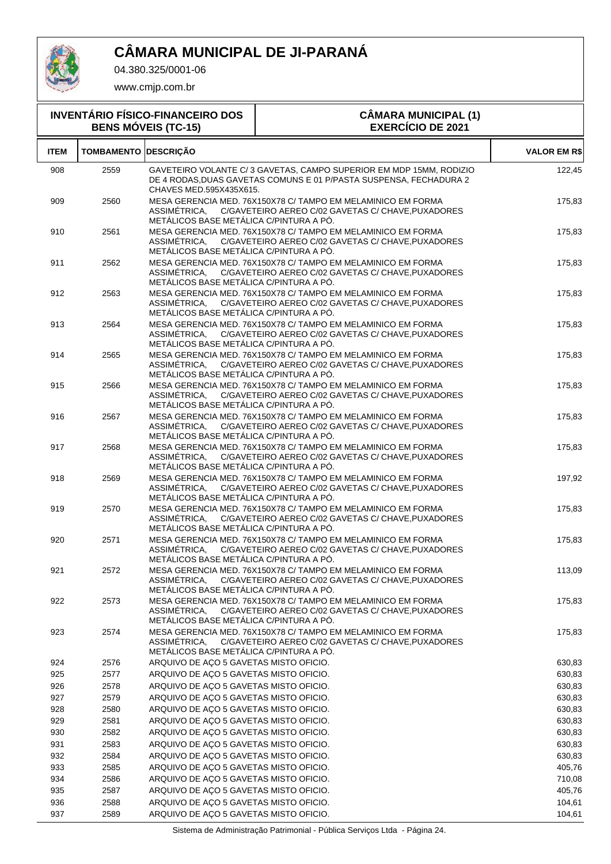

04.380.325/0001-06

www.cmjp.com.br

| <b>INVENTÁRIO FÍSICO-FINANCEIRO DOS</b><br><b>BENS MÓVEIS (TC-15)</b> |                             |                                                         | <b>CÂMARA MUNICIPAL (1)</b><br><b>EXERCÍCIO DE 2021</b>                                                                                 |                     |
|-----------------------------------------------------------------------|-----------------------------|---------------------------------------------------------|-----------------------------------------------------------------------------------------------------------------------------------------|---------------------|
| <b>ITEM</b>                                                           | <b>TOMBAMENTO DESCRIÇÃO</b> |                                                         |                                                                                                                                         | <b>VALOR EM R\$</b> |
| 908                                                                   | 2559                        | CHAVES MED.595X435X615.                                 | GAVETEIRO VOLANTE C/3 GAVETAS, CAMPO SUPERIOR EM MDP 15MM, RODIZIO<br>DE 4 RODAS DUAS GAVETAS COMUNS E 01 P/PASTA SUSPENSA. FECHADURA 2 | 122,45              |
| 909                                                                   | 2560                        | METÁLICOS BASE METÁLICA C/PINTURA A PÓ.                 | MESA GERENCIA MED. 76X150X78 C/ TAMPO EM MELAMINICO EM FORMA<br>ASSIMÉTRICA, C/GAVETEIRO AEREO C/02 GAVETAS C/ CHAVE, PUXADORES         | 175,83              |
| 910                                                                   | 2561                        | ASSIMETRICA.<br>METÁLICOS BASE METÁLICA C/PINTURA A PÓ. | MESA GERENCIA MED. 76X150X78 C/ TAMPO EM MELAMINICO EM FORMA<br>C/GAVETEIRO AEREO C/02 GAVETAS C/ CHAVE, PUXADORES                      | 175,83              |
| 911                                                                   | 2562                        | ASSIMETRICA,<br>METÁLICOS BASE METÁLICA C/PINTURA A PÓ. | MESA GERENCIA MED. 76X150X78 C/ TAMPO EM MELAMINICO EM FORMA<br>C/GAVETEIRO AEREO C/02 GAVETAS C/ CHAVE, PUXADORES                      | 175,83              |
| 912                                                                   | 2563                        | ASSIMETRICA.<br>METÁLICOS BASE METÁLICA C/PINTURA A PÓ. | MESA GERENCIA MED. 76X150X78 C/ TAMPO EM MELAMINICO EM FORMA<br>C/GAVETEIRO AEREO C/02 GAVETAS C/ CHAVE, PUXADORES                      | 175,83              |
| 913                                                                   | 2564                        | ASSIMETRICA,<br>METÁLICOS BASE METÁLICA C/PINTURA A PÓ. | MESA GERENCIA MED. 76X150X78 C/ TAMPO EM MELAMINICO EM FORMA<br>C/GAVETEIRO AEREO C/02 GAVETAS C/ CHAVE, PUXADORES                      | 175,83              |
| 914                                                                   | 2565                        | ASSIMÉTRICA.<br>METÁLICOS BASE METÁLICA C/PINTURA A PÓ. | MESA GERENCIA MED. 76X150X78 C/ TAMPO EM MELAMINICO EM FORMA<br>C/GAVETEIRO AEREO C/02 GAVETAS C/ CHAVE, PUXADORES                      | 175,83              |
| 915                                                                   | 2566                        | ASSIMETRICA,<br>METÁLICOS BASE METÁLICA C/PINTURA A PÓ. | MESA GERENCIA MED. 76X150X78 C/ TAMPO EM MELAMINICO EM FORMA<br>C/GAVETEIRO AEREO C/02 GAVETAS C/ CHAVE, PUXADORES                      | 175,83              |
| 916                                                                   | 2567                        | ASSIMETRICA.<br>METÁLICOS BASE METÁLICA C/PINTURA A PÓ. | MESA GERENCIA MED. 76X150X78 C/ TAMPO EM MELAMINICO EM FORMA<br>C/GAVETEIRO AEREO C/02 GAVETAS C/ CHAVE, PUXADORES                      | 175,83              |
| 917                                                                   | 2568                        | ASSIMETRICA,<br>METÁLICOS BASE METÁLICA C/PINTURA A PÓ. | MESA GERENCIA MED. 76X150X78 C/ TAMPO EM MELAMINICO EM FORMA<br>C/GAVETEIRO AEREO C/02 GAVETAS C/ CHAVE, PUXADORES                      | 175,83              |
| 918                                                                   | 2569                        | ASSIMETRICA,<br>METÁLICOS BASE METÁLICA C/PINTURA A PÓ. | MESA GERENCIA MED. 76X150X78 C/ TAMPO EM MELAMINICO EM FORMA<br>C/GAVETEIRO AEREO C/02 GAVETAS C/ CHAVE, PUXADORES                      | 197,92              |
| 919                                                                   | 2570                        | ASSIMETRICA,<br>METÁLICOS BASE METÁLICA C/PINTURA A PÓ. | MESA GERENCIA MED. 76X150X78 C/ TAMPO EM MELAMINICO EM FORMA<br>C/GAVETEIRO AEREO C/02 GAVETAS C/ CHAVE, PUXADORES                      | 175,83              |
| 920                                                                   | 2571                        | ASSIMETRICA,<br>METÁLICOS BASE METÁLICA C/PINTURA A PÓ. | MESA GERENCIA MED. 76X150X78 C/ TAMPO EM MELAMINICO EM FORMA<br>C/GAVETEIRO AEREO C/02 GAVETAS C/ CHAVE, PUXADORES                      | 175,83              |
| 921                                                                   | 2572                        | ASSIMETRICA,<br>METÁLICOS BASE METÁLICA C/PINTURA A PÓ. | MESA GERENCIA MED. 76X150X78 C/ TAMPO EM MELAMINICO EM FORMA<br>C/GAVETEIRO AEREO C/02 GAVETAS C/ CHAVE, PUXADORES                      | 113,09              |
| 922                                                                   | 2573                        | ASSIMETRICA,<br>METÁLICOS BASE METÁLICA C/PINTURA A PÓ. | MESA GERENCIA MED. 76X150X78 C/ TAMPO EM MELAMINICO EM FORMA<br>C/GAVETEIRO AEREO C/02 GAVETAS C/ CHAVE, PUXADORES                      | 175,83              |
| 923                                                                   | 2574                        | ASSIMETRICA.<br>METÁLICOS BASE METÁLICA C/PINTURA A PÓ. | MESA GERENCIA MED. 76X150X78 C/ TAMPO EM MELAMINICO EM FORMA<br>C/GAVETEIRO AEREO C/02 GAVETAS C/ CHAVE, PUXADORES                      | 175,83              |
| 924                                                                   | 2576                        | ARQUIVO DE AÇO 5 GAVETAS MISTO OFICIO.                  |                                                                                                                                         | 630,83              |
| 925                                                                   | 2577                        | ARQUIVO DE AÇO 5 GAVETAS MISTO OFICIO.                  |                                                                                                                                         | 630,83              |
| 926                                                                   | 2578                        | ARQUIVO DE AÇO 5 GAVETAS MISTO OFICIO.                  |                                                                                                                                         | 630,83              |
| 927                                                                   | 2579                        | ARQUIVO DE AÇO 5 GAVETAS MISTO OFICIO.                  |                                                                                                                                         | 630,83              |
| 928                                                                   | 2580                        | ARQUIVO DE AÇO 5 GAVETAS MISTO OFICIO.                  |                                                                                                                                         | 630,83              |
| 929                                                                   | 2581                        | ARQUIVO DE AÇO 5 GAVETAS MISTO OFICIO.                  |                                                                                                                                         | 630,83              |
| 930                                                                   | 2582                        | ARQUIVO DE AÇO 5 GAVETAS MISTO OFICIO.                  |                                                                                                                                         | 630,83              |
| 931                                                                   | 2583                        | ARQUIVO DE AÇO 5 GAVETAS MISTO OFICIO.                  |                                                                                                                                         | 630,83              |
| 932                                                                   | 2584                        | ARQUIVO DE AÇO 5 GAVETAS MISTO OFICIO.                  |                                                                                                                                         | 630,83              |
| 933                                                                   | 2585                        | ARQUIVO DE AÇO 5 GAVETAS MISTO OFICIO.                  |                                                                                                                                         | 405,76              |
| 934                                                                   | 2586                        | ARQUIVO DE AÇO 5 GAVETAS MISTO OFICIO.                  |                                                                                                                                         | 710,08              |
| 935                                                                   | 2587                        | ARQUIVO DE AÇO 5 GAVETAS MISTO OFICIO.                  |                                                                                                                                         | 405,76              |
| 936                                                                   | 2588                        | ARQUIVO DE AÇO 5 GAVETAS MISTO OFICIO.                  |                                                                                                                                         | 104,61              |
| 937                                                                   | 2589                        | ARQUIVO DE AÇO 5 GAVETAS MISTO OFICIO.                  |                                                                                                                                         | 104,61              |

Sistema de Administração Patrimonial - Pública Serviços Ltda - Página 24.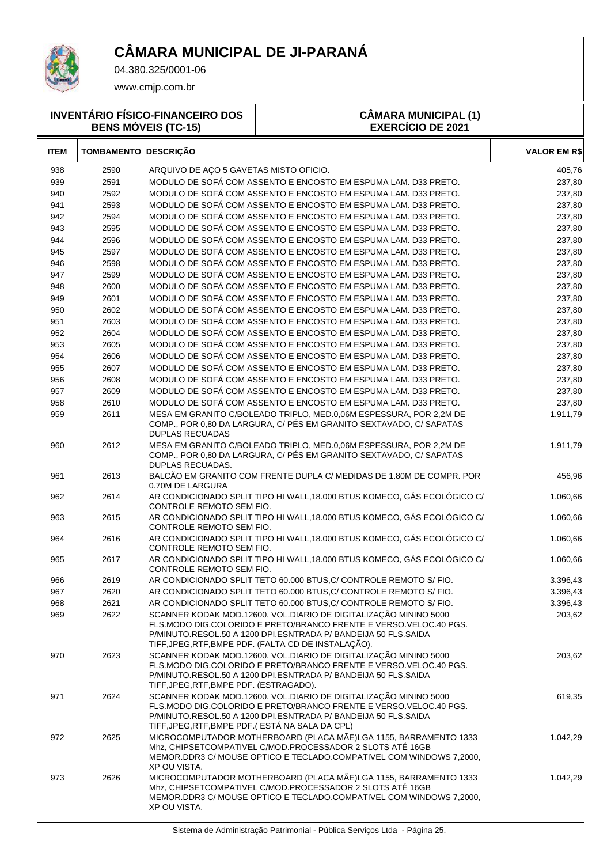

04.380.325/0001-06

|             |                             | <b>INVENTÁRIO FÍSICO-FINANCEIRO DOS</b><br><b>BENS MÓVEIS (TC-15)</b> | <b>CÂMARA MUNICIPAL (1)</b><br><b>EXERCÍCIO DE 2021</b>                                                                                                                                                                                                         |                     |
|-------------|-----------------------------|-----------------------------------------------------------------------|-----------------------------------------------------------------------------------------------------------------------------------------------------------------------------------------------------------------------------------------------------------------|---------------------|
| <b>ITEM</b> | <b>TOMBAMENTO DESCRIÇÃO</b> |                                                                       |                                                                                                                                                                                                                                                                 | <b>VALOR EM R\$</b> |
| 938         | 2590                        | ARQUIVO DE AÇO 5 GAVETAS MISTO OFICIO.                                |                                                                                                                                                                                                                                                                 | 405,76              |
| 939         | 2591                        |                                                                       | MODULO DE SOFÁ COM ASSENTO E ENCOSTO EM ESPUMA LAM. D33 PRETO.                                                                                                                                                                                                  | 237,80              |
| 940         | 2592                        |                                                                       | MODULO DE SOFÁ COM ASSENTO E ENCOSTO EM ESPUMA LAM. D33 PRETO.                                                                                                                                                                                                  | 237,80              |
| 941         | 2593                        |                                                                       | MODULO DE SOFÁ COM ASSENTO E ENCOSTO EM ESPUMA LAM. D33 PRETO.                                                                                                                                                                                                  | 237,80              |
| 942         | 2594                        |                                                                       | MODULO DE SOFÁ COM ASSENTO E ENCOSTO EM ESPUMA LAM. D33 PRETO.                                                                                                                                                                                                  | 237,80              |
| 943         | 2595                        |                                                                       | MODULO DE SOFÁ COM ASSENTO E ENCOSTO EM ESPUMA LAM. D33 PRETO.                                                                                                                                                                                                  | 237,80              |
| 944         | 2596                        |                                                                       | MODULO DE SOFÁ COM ASSENTO E ENCOSTO EM ESPUMA LAM. D33 PRETO.                                                                                                                                                                                                  | 237,80              |
| 945         | 2597                        |                                                                       | MODULO DE SOFÁ COM ASSENTO E ENCOSTO EM ESPUMA LAM. D33 PRETO.                                                                                                                                                                                                  | 237,80              |
| 946         | 2598                        |                                                                       | MODULO DE SOFÁ COM ASSENTO E ENCOSTO EM ESPUMA LAM. D33 PRETO.                                                                                                                                                                                                  | 237,80              |
| 947         | 2599                        |                                                                       | MODULO DE SOFÁ COM ASSENTO E ENCOSTO EM ESPUMA LAM. D33 PRETO.                                                                                                                                                                                                  | 237,80              |
| 948         | 2600                        |                                                                       | MODULO DE SOFÁ COM ASSENTO E ENCOSTO EM ESPUMA LAM. D33 PRETO.                                                                                                                                                                                                  | 237,80              |
| 949         | 2601                        |                                                                       | MODULO DE SOFÁ COM ASSENTO E ENCOSTO EM ESPUMA LAM. D33 PRETO.                                                                                                                                                                                                  | 237,80              |
| 950         | 2602                        |                                                                       | MODULO DE SOFÁ COM ASSENTO E ENCOSTO EM ESPUMA LAM. D33 PRETO.                                                                                                                                                                                                  | 237,80              |
| 951         | 2603                        |                                                                       | MODULO DE SOFÁ COM ASSENTO E ENCOSTO EM ESPUMA LAM. D33 PRETO.                                                                                                                                                                                                  | 237,80              |
| 952         | 2604                        |                                                                       | MODULO DE SOFÁ COM ASSENTO E ENCOSTO EM ESPUMA LAM. D33 PRETO.                                                                                                                                                                                                  | 237,80              |
| 953         | 2605                        |                                                                       | MODULO DE SOFÁ COM ASSENTO E ENCOSTO EM ESPUMA LAM. D33 PRETO.                                                                                                                                                                                                  | 237,80              |
| 954         | 2606                        |                                                                       | MODULO DE SOFÁ COM ASSENTO E ENCOSTO EM ESPUMA LAM. D33 PRETO.                                                                                                                                                                                                  | 237,80              |
| 955         | 2607                        |                                                                       | MODULO DE SOFÁ COM ASSENTO E ENCOSTO EM ESPUMA LAM. D33 PRETO.                                                                                                                                                                                                  | 237,80              |
| 956         | 2608                        |                                                                       | MODULO DE SOFÁ COM ASSENTO E ENCOSTO EM ESPUMA LAM. D33 PRETO.                                                                                                                                                                                                  | 237,80              |
| 957         | 2609                        |                                                                       | MODULO DE SOFÁ COM ASSENTO E ENCOSTO EM ESPUMA LAM. D33 PRETO.                                                                                                                                                                                                  | 237,80              |
| 958         | 2610                        |                                                                       | MODULO DE SOFÁ COM ASSENTO E ENCOSTO EM ESPUMA LAM. D33 PRETO.                                                                                                                                                                                                  | 237,80              |
| 959         | 2611                        | <b>DUPLAS RECUADAS</b>                                                | MESA EM GRANITO C/BOLEADO TRIPLO, MED.0,06M ESPESSURA, POR 2,2M DE<br>COMP., POR 0,80 DA LARGURA, C/ PÉS EM GRANITO SEXTAVADO, C/ SAPATAS                                                                                                                       | 1.911,79            |
| 960         | 2612                        | DUPLAS RECUADAS.                                                      | MESA EM GRANITO C/BOLEADO TRIPLO, MED.0,06M ESPESSURA, POR 2,2M DE<br>COMP., POR 0,80 DA LARGURA, C/ PÉS EM GRANITO SEXTAVADO, C/ SAPATAS                                                                                                                       | 1.911,79            |
| 961         | 2613                        | 0.70M DE LARGURA                                                      | BALCÃO EM GRANITO COM FRENTE DUPLA C/ MEDIDAS DE 1.80M DE COMPR. POR                                                                                                                                                                                            | 456,96              |
| 962         | 2614                        | CONTROLE REMOTO SEM FIO.                                              | AR CONDICIONADO SPLIT TIPO HI WALL, 18.000 BTUS KOMECO, GÁS ECOLÓGICO C/                                                                                                                                                                                        | 1.060,66            |
| 963         | 2615                        | CONTROLE REMOTO SEM FIO.                                              | AR CONDICIONADO SPLIT TIPO HI WALL, 18.000 BTUS KOMECO, GÁS ECOLÓGICO C/                                                                                                                                                                                        | 1.060,66            |
| 964         | 2616                        | CONTROLE REMOTO SEM FIO.                                              | AR CONDICIONADO SPLIT TIPO HI WALL, 18.000 BTUS KOMECO, GÁS ECOLÓGICO C/                                                                                                                                                                                        | 1.060,66            |
| 965         | 2617                        | CONTROLE REMOTO SEM FIO.                                              | AR CONDICIONADO SPLIT TIPO HI WALL, 18.000 BTUS KOMECO, GÁS ECOLÓGICO C/                                                                                                                                                                                        | 1.060,66            |
| 966         | 2619                        |                                                                       | AR CONDICIONADO SPLIT TETO 60.000 BTUS, C/ CONTROLE REMOTO S/ FIO.                                                                                                                                                                                              | 3.396,43            |
| 967         | 2620                        |                                                                       | AR CONDICIONADO SPLIT TETO 60.000 BTUS, C/ CONTROLE REMOTO S/ FIO.                                                                                                                                                                                              | 3.396,43            |
| 968         | 2621                        |                                                                       | AR CONDICIONADO SPLIT TETO 60.000 BTUS, C/ CONTROLE REMOTO S/ FIO.                                                                                                                                                                                              | 3.396,43            |
| 969         | 2622                        |                                                                       | SCANNER KODAK MOD.12600. VOL.DIARIO DE DIGITALIZAÇÃO MININO 5000<br>FLS.MODO DIG.COLORIDO E PRETO/BRANCO FRENTE E VERSO.VELOC.40 PGS.<br>P/MINUTO.RESOL.50 A 1200 DPI.ESNTRADA P/ BANDEIJA 50 FLS.SAIDA<br>TIFF, JPEG, RTF, BMPE PDF. (FALTA CD DE INSTALAÇÃO). | 203,62              |
| 970         | 2623                        | TIFF, JPEG, RTF, BMPE PDF. (ESTRAGADO).                               | SCANNER KODAK MOD.12600. VOL.DIARIO DE DIGITALIZAÇÃO MININO 5000<br>FLS.MODO DIG.COLORIDO E PRETO/BRANCO FRENTE E VERSO.VELOC.40 PGS.<br>P/MINUTO.RESOL.50 A 1200 DPI.ESNTRADA P/ BANDEIJA 50 FLS.SAIDA                                                         | 203,62              |
| 971         | 2624                        |                                                                       | SCANNER KODAK MOD.12600. VOL.DIARIO DE DIGITALIZAÇÃO MININO 5000<br>FLS.MODO DIG.COLORIDO E PRETO/BRANCO FRENTE E VERSO.VELOC.40 PGS.<br>P/MINUTO.RESOL.50 A 1200 DPI.ESNTRADA P/ BANDEIJA 50 FLS.SAIDA                                                         | 619,35              |
| 972         | 2625                        | TIFF, JPEG, RTF, BMPE PDF. (ESTA NA SALA DA CPL)<br>XP OU VISTA.      | MICROCOMPUTADOR MOTHERBOARD (PLACA MÃE)LGA 1155, BARRAMENTO 1333<br>Mhz, CHIPSETCOMPATIVEL C/MOD.PROCESSADOR 2 SLOTS ATÉ 16GB<br>MEMOR.DDR3 C/ MOUSE OPTICO E TECLADO.COMPATIVEL COM WINDOWS 7,2000,                                                            | 1.042,29            |
| 973         | 2626                        | XP OU VISTA.                                                          | MICROCOMPUTADOR MOTHERBOARD (PLACA MÃE)LGA 1155, BARRAMENTO 1333<br>Mhz, CHIPSETCOMPATIVEL C/MOD.PROCESSADOR 2 SLOTS ATÉ 16GB<br>MEMOR.DDR3 C/ MOUSE OPTICO E TECLADO.COMPATIVEL COM WINDOWS 7,2000,                                                            | 1.042,29            |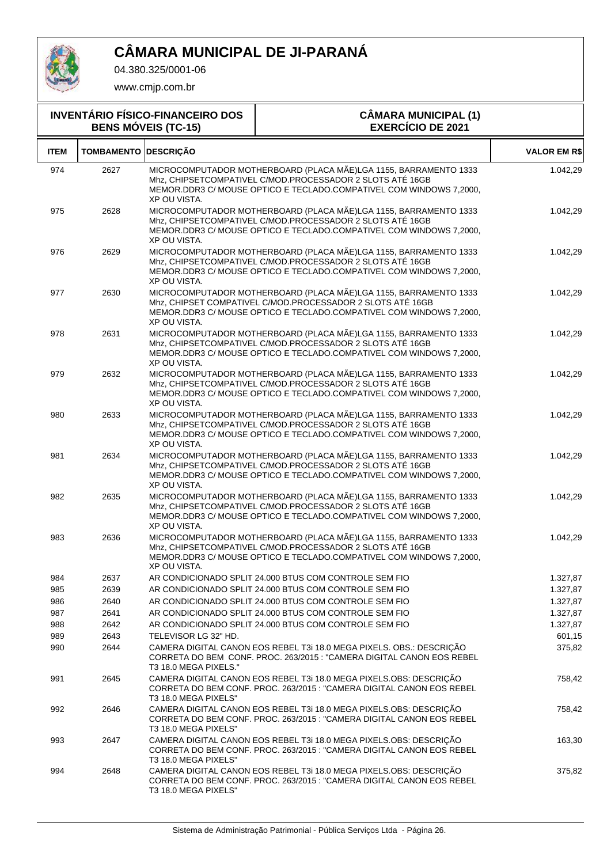

04.380.325/0001-06

| <b>INVENTÁRIO FÍSICO-FINANCEIRO DOS</b><br><b>BENS MÓVEIS (TC-15)</b> |                   |                       | <b>CÂMARA MUNICIPAL (1)</b><br><b>EXERCÍCIO DE 2021</b>                                                                                                                                               |                     |
|-----------------------------------------------------------------------|-------------------|-----------------------|-------------------------------------------------------------------------------------------------------------------------------------------------------------------------------------------------------|---------------------|
| <b>ITEM</b>                                                           | <b>TOMBAMENTO</b> | <b>DESCRIÇÃO</b>      |                                                                                                                                                                                                       | <b>VALOR EM R\$</b> |
| 974                                                                   | 2627              | XP OU VISTA.          | MICROCOMPUTADOR MOTHERBOARD (PLACA MÃE)LGA 1155, BARRAMENTO 1333<br>Mhz, CHIPSETCOMPATIVEL C/MOD.PROCESSADOR 2 SLOTS ATÉ 16GB<br>MEMOR.DDR3 C/ MOUSE OPTICO E TECLADO.COMPATIVEL COM WINDOWS 7,2000,  | 1.042,29            |
| 975                                                                   | 2628              | XP OU VISTA.          | MICROCOMPUTADOR MOTHERBOARD (PLACA MÃE)LGA 1155, BARRAMENTO 1333<br>Mhz, CHIPSETCOMPATIVEL C/MOD.PROCESSADOR 2 SLOTS ATÉ 16GB<br>MEMOR.DDR3 C/ MOUSE OPTICO E TECLADO.COMPATIVEL COM WINDOWS 7,2000,  | 1.042,29            |
| 976                                                                   | 2629              | XP OU VISTA.          | MICROCOMPUTADOR MOTHERBOARD (PLACA MÃE)LGA 1155, BARRAMENTO 1333<br>Mhz, CHIPSETCOMPATIVEL C/MOD.PROCESSADOR 2 SLOTS ATÉ 16GB<br>MEMOR.DDR3 C/ MOUSE OPTICO E TECLADO.COMPATIVEL COM WINDOWS 7,2000,  | 1.042,29            |
| 977                                                                   | 2630              | XP OU VISTA.          | MICROCOMPUTADOR MOTHERBOARD (PLACA MÃE)LGA 1155, BARRAMENTO 1333<br>Mhz, CHIPSET COMPATIVEL C/MOD.PROCESSADOR 2 SLOTS ATÉ 16GB<br>MEMOR.DDR3 C/ MOUSE OPTICO E TECLADO.COMPATIVEL COM WINDOWS 7,2000, | 1.042,29            |
| 978                                                                   | 2631              | XP OU VISTA.          | MICROCOMPUTADOR MOTHERBOARD (PLACA MÃE)LGA 1155, BARRAMENTO 1333<br>Mhz, CHIPSETCOMPATIVEL C/MOD.PROCESSADOR 2 SLOTS ATÉ 16GB<br>MEMOR.DDR3 C/ MOUSE OPTICO E TECLADO.COMPATIVEL COM WINDOWS 7,2000,  | 1.042,29            |
| 979                                                                   | 2632              | XP OU VISTA.          | MICROCOMPUTADOR MOTHERBOARD (PLACA MÃE)LGA 1155, BARRAMENTO 1333<br>Mhz, CHIPSETCOMPATIVEL C/MOD.PROCESSADOR 2 SLOTS ATÉ 16GB<br>MEMOR.DDR3 C/ MOUSE OPTICO E TECLADO.COMPATIVEL COM WINDOWS 7,2000,  | 1.042,29            |
| 980                                                                   | 2633              | XP OU VISTA.          | MICROCOMPUTADOR MOTHERBOARD (PLACA MÃE)LGA 1155, BARRAMENTO 1333<br>Mhz, CHIPSETCOMPATIVEL C/MOD.PROCESSADOR 2 SLOTS ATÉ 16GB<br>MEMOR.DDR3 C/ MOUSE OPTICO E TECLADO.COMPATIVEL COM WINDOWS 7,2000,  | 1.042,29            |
| 981                                                                   | 2634              | XP OU VISTA.          | MICROCOMPUTADOR MOTHERBOARD (PLACA MÃE)LGA 1155, BARRAMENTO 1333<br>Mhz, CHIPSETCOMPATIVEL C/MOD.PROCESSADOR 2 SLOTS ATÉ 16GB<br>MEMOR.DDR3 C/ MOUSE OPTICO E TECLADO.COMPATIVEL COM WINDOWS 7,2000,  | 1.042,29            |
| 982                                                                   | 2635              | XP OU VISTA.          | MICROCOMPUTADOR MOTHERBOARD (PLACA MÃE)LGA 1155, BARRAMENTO 1333<br>Mhz, CHIPSETCOMPATIVEL C/MOD.PROCESSADOR 2 SLOTS ATÉ 16GB<br>MEMOR.DDR3 C/ MOUSE OPTICO E TECLADO.COMPATIVEL COM WINDOWS 7,2000,  | 1.042,29            |
| 983                                                                   | 2636              | XP OU VISTA.          | MICROCOMPUTADOR MOTHERBOARD (PLACA MÃE)LGA 1155, BARRAMENTO 1333<br>Mhz, CHIPSETCOMPATIVEL C/MOD.PROCESSADOR 2 SLOTS ATÉ 16GB<br>MEMOR.DDR3 C/ MOUSE OPTICO E TECLADO.COMPATIVEL COM WINDOWS 7,2000,  | 1.042,29            |
| 984                                                                   | 2637              |                       | AR CONDICIONADO SPLIT 24.000 BTUS COM CONTROLE SEM FIO                                                                                                                                                | 1.327,87            |
| 985                                                                   | 2639              |                       | AR CONDICIONADO SPLIT 24.000 BTUS COM CONTROLE SEM FIO                                                                                                                                                | 1.327,87            |
| 986                                                                   | 2640              |                       | AR CONDICIONADO SPLIT 24.000 BTUS COM CONTROLE SEM FIO                                                                                                                                                | 1.327,87            |
| 987                                                                   | 2641              |                       | AR CONDICIONADO SPLIT 24.000 BTUS COM CONTROLE SEM FIO                                                                                                                                                | 1.327,87            |
| 988                                                                   | 2642              |                       | AR CONDICIONADO SPLIT 24.000 BTUS COM CONTROLE SEM FIO                                                                                                                                                | 1.327,87            |
| 989                                                                   | 2643              | TELEVISOR LG 32" HD.  |                                                                                                                                                                                                       | 601,15              |
| 990                                                                   | 2644              | T3 18.0 MEGA PIXELS." | CAMERA DIGITAL CANON EOS REBEL T3i 18.0 MEGA PIXELS. OBS.: DESCRIÇÃO<br>CORRETA DO BEM CONF. PROC. 263/2015 : "CAMERA DIGITAL CANON EOS REBEL                                                         | 375,82              |
| 991                                                                   | 2645              | T3 18.0 MEGA PIXELS"  | CAMERA DIGITAL CANON EOS REBEL T3i 18.0 MEGA PIXELS.OBS: DESCRIÇÃO<br>CORRETA DO BEM CONF. PROC. 263/2015 : "CAMERA DIGITAL CANON EOS REBEL                                                           | 758,42              |
| 992                                                                   | 2646              | T3 18.0 MEGA PIXELS"  | CAMERA DIGITAL CANON EOS REBEL T3i 18.0 MEGA PIXELS.OBS: DESCRIÇÃO<br>CORRETA DO BEM CONF. PROC. 263/2015 : "CAMERA DIGITAL CANON EOS REBEL                                                           | 758,42              |
| 993                                                                   | 2647              | T3 18.0 MEGA PIXELS"  | CAMERA DIGITAL CANON EOS REBEL T3i 18.0 MEGA PIXELS.OBS: DESCRIÇÃO<br>CORRETA DO BEM CONF. PROC. 263/2015 : "CAMERA DIGITAL CANON EOS REBEL                                                           | 163,30              |
| 994                                                                   | 2648              | T3 18.0 MEGA PIXELS"  | CAMERA DIGITAL CANON EOS REBEL T3i 18.0 MEGA PIXELS.OBS: DESCRIÇÃO<br>CORRETA DO BEM CONF. PROC. 263/2015 : "CAMERA DIGITAL CANON EOS REBEL                                                           | 375,82              |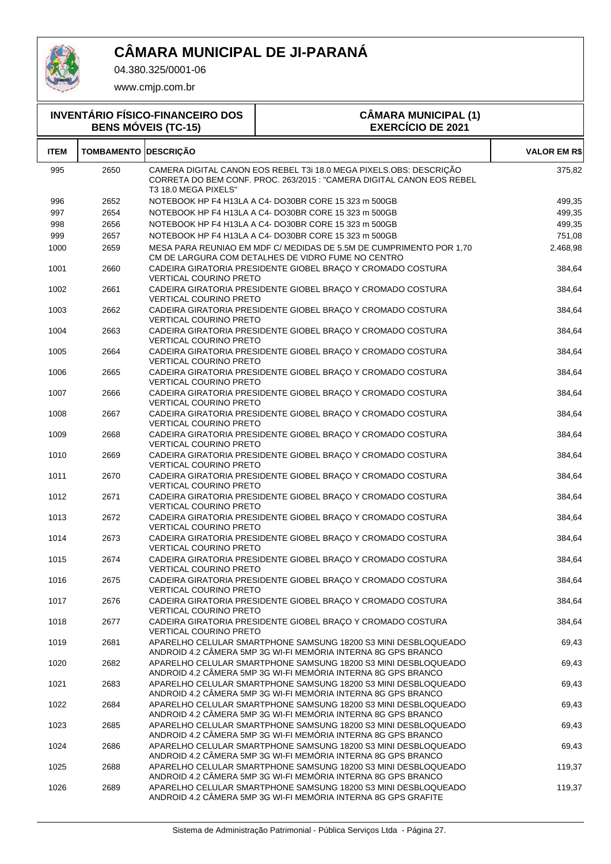

04.380.325/0001-06

|             |                             | <b>INVENTÁRIO FÍSICO-FINANCEIRO DOS</b><br><b>BENS MÓVEIS (TC-15)</b> | <b>CÂMARA MUNICIPAL (1)</b><br><b>EXERCÍCIO DE 2021</b>                                                                                     |                     |
|-------------|-----------------------------|-----------------------------------------------------------------------|---------------------------------------------------------------------------------------------------------------------------------------------|---------------------|
| <b>ITEM</b> | <b>TOMBAMENTO DESCRIÇÃO</b> |                                                                       |                                                                                                                                             | <b>VALOR EM R\$</b> |
| 995         | 2650                        | T3 18.0 MEGA PIXELS"                                                  | CAMERA DIGITAL CANON EOS REBEL T3i 18.0 MEGA PIXELS.OBS: DESCRICÃO<br>CORRETA DO BEM CONF. PROC. 263/2015 : "CAMERA DIGITAL CANON EOS REBEL | 375,82              |
| 996         | 2652                        |                                                                       | NOTEBOOK HP F4 H13LA A C4- DO30BR CORE 15 323 m 500GB                                                                                       | 499,35              |
| 997         | 2654                        |                                                                       | NOTEBOOK HP F4 H13LA A C4- DO30BR CORE 15 323 m 500GB                                                                                       | 499,35              |
| 998         | 2656                        |                                                                       | NOTEBOOK HP F4 H13LA A C4- DO30BR CORE 15 323 m 500GB                                                                                       | 499,35              |
| 999         | 2657                        |                                                                       | NOTEBOOK HP F4 H13LA A C4-DO30BR CORE 15 323 m 500GB                                                                                        | 751,08              |
| 1000        | 2659                        |                                                                       | MESA PARA REUNIAO EM MDF C/ MEDIDAS DE 5.5M DE CUMPRIMENTO POR 1.70<br>CM DE LARGURA COM DETALHES DE VIDRO FUME NO CENTRO                   | 2.468,98            |
| 1001        | 2660                        | <b>VERTICAL COURINO PRETO</b>                                         | CADEIRA GIRATORIA PRESIDENTE GIOBEL BRAÇO Y CROMADO COSTURA                                                                                 | 384,64              |
| 1002        | 2661                        | <b>VERTICAL COURINO PRETO</b>                                         | CADEIRA GIRATORIA PRESIDENTE GIOBEL BRAÇO Y CROMADO COSTURA                                                                                 | 384,64              |
| 1003        | 2662                        | <b>VERTICAL COURINO PRETO</b>                                         | CADEIRA GIRATORIA PRESIDENTE GIOBEL BRAÇO Y CROMADO COSTURA                                                                                 | 384,64              |
| 1004        | 2663                        |                                                                       | CADEIRA GIRATORIA PRESIDENTE GIOBEL BRACO Y CROMADO COSTURA                                                                                 | 384,64              |

|      |      | VERTICAL COURINO PRETO                                                                                                                                   |        |
|------|------|----------------------------------------------------------------------------------------------------------------------------------------------------------|--------|
| 1004 | 2663 | CADEIRA GIRATORIA PRESIDENTE GIOBEL BRAÇO Y CROMADO COSTURA<br><b>VERTICAL COURINO PRETO</b>                                                             | 384,64 |
| 1005 | 2664 | CADEIRA GIRATORIA PRESIDENTE GIOBEL BRAÇO Y CROMADO COSTURA<br><b>VERTICAL COURINO PRETO</b>                                                             | 384,64 |
| 1006 | 2665 | CADEIRA GIRATORIA PRESIDENTE GIOBEL BRAÇO Y CROMADO COSTURA<br><b>VERTICAL COURINO PRETO</b>                                                             | 384,64 |
| 1007 | 2666 | CADEIRA GIRATORIA PRESIDENTE GIOBEL BRACO Y CROMADO COSTURA<br><b>VERTICAL COURINO PRETO</b>                                                             | 384,64 |
| 1008 | 2667 | CADEIRA GIRATORIA PRESIDENTE GIOBEL BRAÇO Y CROMADO COSTURA<br><b>VERTICAL COURINO PRETO</b>                                                             | 384,64 |
| 1009 | 2668 | CADEIRA GIRATORIA PRESIDENTE GIOBEL BRAÇO Y CROMADO COSTURA<br><b>VERTICAL COURINO PRETO</b>                                                             | 384,64 |
| 1010 | 2669 | CADEIRA GIRATORIA PRESIDENTE GIOBEL BRAÇO Y CROMADO COSTURA<br><b>VERTICAL COURINO PRETO</b>                                                             | 384,64 |
| 1011 | 2670 | CADEIRA GIRATORIA PRESIDENTE GIOBEL BRAÇO Y CROMADO COSTURA<br><b>VERTICAL COURINO PRETO</b>                                                             | 384,64 |
| 1012 | 2671 | CADEIRA GIRATORIA PRESIDENTE GIOBEL BRAÇO Y CROMADO COSTURA<br><b>VERTICAL COURINO PRETO</b>                                                             | 384,64 |
| 1013 | 2672 | CADEIRA GIRATORIA PRESIDENTE GIOBEL BRAÇO Y CROMADO COSTURA<br><b>VERTICAL COURINO PRETO</b>                                                             | 384,64 |
| 1014 | 2673 | CADEIRA GIRATORIA PRESIDENTE GIOBEL BRAÇO Y CROMADO COSTURA<br><b>VERTICAL COURINO PRETO</b>                                                             | 384,64 |
| 1015 | 2674 | CADEIRA GIRATORIA PRESIDENTE GIOBEL BRAÇO Y CROMADO COSTURA<br><b>VERTICAL COURINO PRETO</b>                                                             | 384,64 |
| 1016 | 2675 | CADEIRA GIRATORIA PRESIDENTE GIOBEL BRAÇO Y CROMADO COSTURA<br><b>VERTICAL COURINO PRETO</b>                                                             | 384,64 |
| 1017 | 2676 | CADEIRA GIRATORIA PRESIDENTE GIOBEL BRAÇO Y CROMADO COSTURA<br>VERTICAL COURINO PRETO                                                                    | 384,64 |
| 1018 | 2677 | CADEIRA GIRATORIA PRESIDENTE GIOBEL BRAÇO Y CROMADO COSTURA<br><b>VERTICAL COURINO PRETO</b>                                                             | 384,64 |
| 1019 | 2681 | APARELHO CELULAR SMARTPHONE SAMSUNG 18200 S3 MINI DESBLOQUEADO<br>ANDROID 4.2 CÂMERA 5MP 3G WI-FI MEMÓRIA INTERNA 8G GPS BRANCO                          | 69,43  |
| 1020 | 2682 | APARELHO CELULAR SMARTPHONE SAMSUNG 18200 S3 MINI DESBLOQUEADO<br>ANDROID 4.2 CÂMERA 5MP 3G WI-FI MEMÓRIA INTERNA 8G GPS BRANCO                          | 69,43  |
| 1021 | 2683 | APARELHO CELULAR SMARTPHONE SAMSUNG 18200 S3 MINI DESBLOQUEADO<br>ANDROID 4.2 CÂMERA 5MP 3G WI-FI MEMÓRIA INTERNA 8G GPS BRANCO                          | 69,43  |
| 1022 | 2684 | APARELHO CELULAR SMARTPHONE SAMSUNG 18200 S3 MINI DESBLOQUEADO<br>ANDROID 4.2 CÂMERA 5MP 3G WI-FI MEMÓRIA INTERNA 8G GPS BRANCO                          | 69,43  |
| 1023 | 2685 | APARELHO CELULAR SMARTPHONE SAMSUNG 18200 S3 MINI DESBLOQUEADO<br>$\lambda$ UDDOID 4.0.0 $\hat{\lambda}$ MEDA EMD 00.1MLEI MEMÓDIA INTERNA 00.0D0.DDAMOC | 69,43  |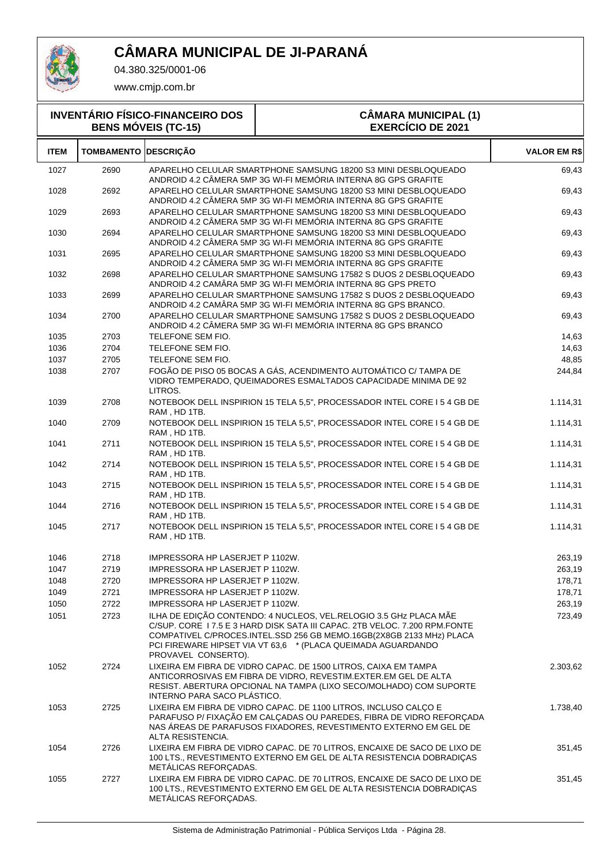

04.380.325/0001-06

| <b>INVENTÁRIO FÍSICO-FINANCEIRO DOS</b><br><b>BENS MÓVEIS (TC-15)</b> |                             |                                                    | <b>CÂMARA MUNICIPAL (1)</b><br><b>EXERCÍCIO DE 2021</b>                                                                                                                                                                                                                                |                     |
|-----------------------------------------------------------------------|-----------------------------|----------------------------------------------------|----------------------------------------------------------------------------------------------------------------------------------------------------------------------------------------------------------------------------------------------------------------------------------------|---------------------|
| <b>ITEM</b>                                                           | <b>TOMBAMENTO DESCRIÇÃO</b> |                                                    |                                                                                                                                                                                                                                                                                        | <b>VALOR EM R\$</b> |
| 1027                                                                  | 2690                        |                                                    | APARELHO CELULAR SMARTPHONE SAMSUNG 18200 S3 MINI DESBLOQUEADO<br>ANDROID 4.2 CÂMERA 5MP 3G WI-FI MEMÓRIA INTERNA 8G GPS GRAFITE                                                                                                                                                       | 69,43               |
| 1028                                                                  | 2692                        |                                                    | APARELHO CELULAR SMARTPHONE SAMSUNG 18200 S3 MINI DESBLOQUEADO<br>ANDROID 4.2 CÂMERA 5MP 3G WI-FI MEMÓRIA INTERNA 8G GPS GRAFITE                                                                                                                                                       | 69,43               |
| 1029                                                                  | 2693                        |                                                    | APARELHO CELULAR SMARTPHONE SAMSUNG 18200 S3 MINI DESBLOQUEADO<br>ANDROID 4.2 CÂMERA 5MP 3G WI-FI MEMÓRIA INTERNA 8G GPS GRAFITE                                                                                                                                                       | 69,43               |
| 1030                                                                  | 2694                        |                                                    | APARELHO CELULAR SMARTPHONE SAMSUNG 18200 S3 MINI DESBLOQUEADO<br>ANDROID 4.2 CÂMERA 5MP 3G WI-FI MEMÓRIA INTERNA 8G GPS GRAFITE                                                                                                                                                       | 69,43               |
| 1031                                                                  | 2695                        |                                                    | APARELHO CELULAR SMARTPHONE SAMSUNG 18200 S3 MINI DESBLOQUEADO<br>ANDROID 4.2 CÂMERA 5MP 3G WI-FI MEMÓRIA INTERNA 8G GPS GRAFITE                                                                                                                                                       | 69,43               |
| 1032                                                                  | 2698                        |                                                    | APARELHO CELULAR SMARTPHONE SAMSUNG 17582 S DUOS 2 DESBLOQUEADO<br>ANDROID 4.2 CAMÂRA 5MP 3G WI-FI MEMÓRIA INTERNA 8G GPS PRETO                                                                                                                                                        | 69,43               |
| 1033                                                                  | 2699                        |                                                    | APARELHO CELULAR SMARTPHONE SAMSUNG 17582 S DUOS 2 DESBLOQUEADO<br>ANDROID 4.2 CAMÂRA 5MP 3G WI-FI MEMÓRIA INTERNA 8G GPS BRANCO.                                                                                                                                                      | 69,43               |
| 1034                                                                  | 2700                        |                                                    | APARELHO CELULAR SMARTPHONE SAMSUNG 17582 S DUOS 2 DESBLOQUEADO<br>ANDROID 4.2 CÂMERA 5MP 3G WI-FI MEMÓRIA INTERNA 8G GPS BRANCO                                                                                                                                                       | 69,43               |
| 1035                                                                  | 2703                        | TELEFONE SEM FIO.                                  |                                                                                                                                                                                                                                                                                        | 14,63               |
| 1036                                                                  | 2704                        | TELEFONE SEM FIO.                                  |                                                                                                                                                                                                                                                                                        | 14,63               |
| 1037                                                                  | 2705                        | TELEFONE SEM FIO.                                  |                                                                                                                                                                                                                                                                                        | 48,85               |
| 1038                                                                  | 2707                        | LITROS.                                            | FOGÃO DE PISO 05 BOCAS A GÁS, ACENDIMENTO AUTOMÁTICO C/ TAMPA DE<br>VIDRO TEMPERADO, QUEIMADORES ESMALTADOS CAPACIDADE MINIMA DE 92                                                                                                                                                    | 244,84              |
| 1039                                                                  | 2708                        | RAM, HD 1TB.                                       | NOTEBOOK DELL INSPIRION 15 TELA 5,5", PROCESSADOR INTEL CORE I 5 4 GB DE                                                                                                                                                                                                               | 1.114,31            |
| 1040                                                                  | 2709                        | RAM, HD 1TB.                                       | NOTEBOOK DELL INSPIRION 15 TELA 5,5", PROCESSADOR INTEL CORE I 5 4 GB DE                                                                                                                                                                                                               | 1.114,31            |
| 1041                                                                  | 2711                        | RAM, HD 1TB.                                       | NOTEBOOK DELL INSPIRION 15 TELA 5,5", PROCESSADOR INTEL CORE I 5 4 GB DE                                                                                                                                                                                                               | 1.114,31            |
| 1042                                                                  | 2714                        | RAM, HD 1TB.                                       | NOTEBOOK DELL INSPIRION 15 TELA 5,5", PROCESSADOR INTEL CORE I 5 4 GB DE                                                                                                                                                                                                               | 1.114,31            |
| 1043                                                                  | 2715                        | RAM, HD 1TB.                                       | NOTEBOOK DELL INSPIRION 15 TELA 5,5", PROCESSADOR INTEL CORE I 5 4 GB DE                                                                                                                                                                                                               | 1.114,31            |
| 1044                                                                  | 2716                        | RAM, HD 1TB.                                       | NOTEBOOK DELL INSPIRION 15 TELA 5,5", PROCESSADOR INTEL CORE I 5 4 GB DE                                                                                                                                                                                                               | 1.114,31            |
| 1045                                                                  | 2717                        | RAM, HD 1TB.                                       | NOTEBOOK DELL INSPIRION 15 TELA 5,5", PROCESSADOR INTEL CORE I 5 4 GB DE                                                                                                                                                                                                               | 1.114,31            |
| 1046                                                                  | 2718                        | IMPRESSORA HP LASERJET P 1102W.                    |                                                                                                                                                                                                                                                                                        | 263,19              |
| 1047                                                                  | 2719                        | IMPRESSORA HP LASERJET P 1102W.                    |                                                                                                                                                                                                                                                                                        | 263,19              |
| 1048                                                                  | 2720                        | IMPRESSORA HP LASERJET P 1102W.                    |                                                                                                                                                                                                                                                                                        | 178,71              |
| 1049                                                                  | 2721                        | IMPRESSORA HP LASERJET P 1102W.                    |                                                                                                                                                                                                                                                                                        | 178,71              |
| 1050                                                                  | 2722                        | IMPRESSORA HP LASERJET P 1102W.                    |                                                                                                                                                                                                                                                                                        | 263,19              |
| 1051                                                                  | 2723                        |                                                    | ILHA DE EDIÇÃO CONTENDO: 4 NUCLEOS, VEL.RELOGIO 3.5 GHZ PLACA MÃE<br>C/SUP. CORE 17.5 E 3 HARD DISK SATA III CAPAC. 2TB VELOC. 7.200 RPM.FONTE<br>COMPATIVEL C/PROCES.INTEL.SSD 256 GB MEMO.16GB(2X8GB 2133 MHz) PLACA<br>PCI FIREWARE HIPSET VIA VT 63,6 * (PLACA QUEIMADA AGUARDANDO | 723,49              |
| 1052                                                                  | 2724                        | PROVAVEL CONSERTO).<br>INTERNO PARA SACO PLÁSTICO. | LIXEIRA EM FIBRA DE VIDRO CAPAC. DE 1500 LITROS, CAIXA EM TAMPA<br>ANTICORROSIVAS EM FIBRA DE VIDRO, REVESTIM.EXTER.EM GEL DE ALTA<br>RESIST. ABERTURA OPCIONAL NA TAMPA (LIXO SECO/MOLHADO) COM SUPORTE                                                                               | 2.303,62            |
| 1053                                                                  | 2725                        | ALTA RESISTENCIA.                                  | LIXEIRA EM FIBRA DE VIDRO CAPAC. DE 1100 LITROS, INCLUSO CALÇO E<br>PARAFUSO P/ FIXAÇÃO EM CALÇADAS OU PAREDES, FIBRA DE VIDRO REFORÇADA<br>NAS ÁREAS DE PARAFUSOS FIXADORES, REVESTIMENTO EXTERNO EM GEL DE                                                                           | 1.738,40            |
| 1054                                                                  | 2726                        | METÁLICAS REFORÇADAS.                              | LIXEIRA EM FIBRA DE VIDRO CAPAC. DE 70 LITROS, ENCAIXE DE SACO DE LIXO DE<br>100 LTS., REVESTIMENTO EXTERNO EM GEL DE ALTA RESISTENCIA DOBRADIÇAS                                                                                                                                      | 351,45              |
| 1055                                                                  | 2727                        | METALICAS REFORÇADAS.                              | LIXEIRA EM FIBRA DE VIDRO CAPAC. DE 70 LITROS, ENCAIXE DE SACO DE LIXO DE<br>100 LTS., REVESTIMENTO EXTERNO EM GEL DE ALTA RESISTENCIA DOBRADIÇAS                                                                                                                                      | 351,45              |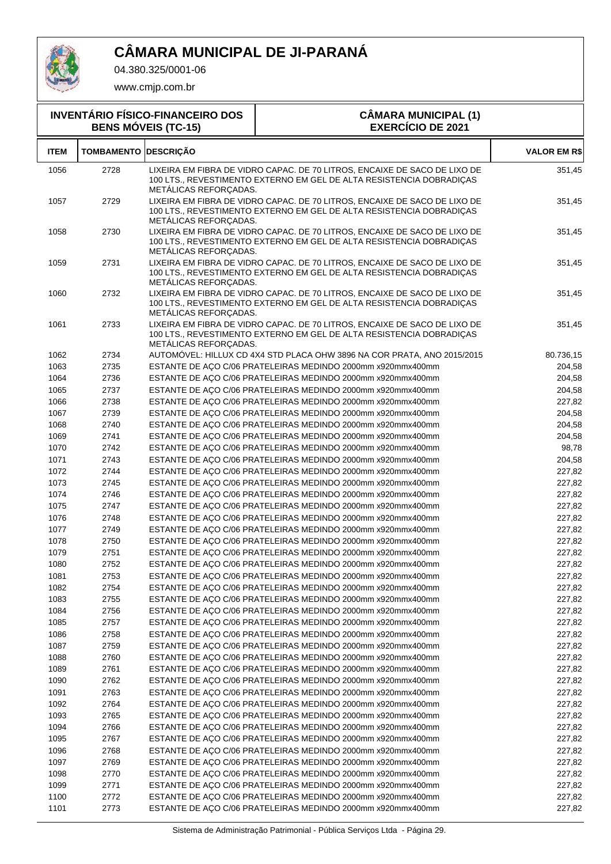

04.380.325/0001-06

|              | <b>INVENTÁRIO FÍSICO-FINANCEIRO DOS</b><br><b>CÂMARA MUNICIPAL (1)</b><br><b>EXERCÍCIO DE 2021</b><br><b>BENS MÓVEIS (TC-15)</b> |                       |                                                                                                                                                   |                     |
|--------------|----------------------------------------------------------------------------------------------------------------------------------|-----------------------|---------------------------------------------------------------------------------------------------------------------------------------------------|---------------------|
| <b>ITEM</b>  | <b>TOMBAMENTO</b>                                                                                                                | <b>DESCRICÃO</b>      |                                                                                                                                                   | <b>VALOR EM R\$</b> |
| 1056         | 2728                                                                                                                             | METALICAS REFORÇADAS. | LIXEIRA EM FIBRA DE VIDRO CAPAC. DE 70 LITROS, ENCAIXE DE SACO DE LIXO DE<br>100 LTS., REVESTIMENTO EXTERNO EM GEL DE ALTA RESISTENCIA DOBRADIÇAS | 351,45              |
| 1057         | 2729                                                                                                                             | METALICAS REFORÇADAS. | LIXEIRA EM FIBRA DE VIDRO CAPAC. DE 70 LITROS, ENCAIXE DE SACO DE LIXO DE<br>100 LTS., REVESTIMENTO EXTERNO EM GEL DE ALTA RESISTENCIA DOBRADIÇAS | 351,45              |
| 1058         | 2730                                                                                                                             | METALICAS REFORÇADAS. | LIXEIRA EM FIBRA DE VIDRO CAPAC. DE 70 LITROS, ENCAIXE DE SACO DE LIXO DE<br>100 LTS., REVESTIMENTO EXTERNO EM GEL DE ALTA RESISTENCIA DOBRADIÇAS | 351,45              |
| 1059         | 2731                                                                                                                             | METALICAS REFORÇADAS. | LIXEIRA EM FIBRA DE VIDRO CAPAC. DE 70 LITROS, ENCAIXE DE SACO DE LIXO DE<br>100 LTS., REVESTIMENTO EXTERNO EM GEL DE ALTA RESISTENCIA DOBRADIÇAS | 351,45              |
| 1060         | 2732                                                                                                                             | METALICAS REFORÇADAS. | LIXEIRA EM FIBRA DE VIDRO CAPAC. DE 70 LITROS, ENCAIXE DE SACO DE LIXO DE<br>100 LTS., REVESTIMENTO EXTERNO EM GEL DE ALTA RESISTENCIA DOBRADIÇAS | 351,45              |
| 1061         | 2733                                                                                                                             | METALICAS REFORÇADAS. | LIXEIRA EM FIBRA DE VIDRO CAPAC. DE 70 LITROS, ENCAIXE DE SACO DE LIXO DE<br>100 LTS., REVESTIMENTO EXTERNO EM GEL DE ALTA RESISTENCIA DOBRADIÇAS | 351,45              |
| 1062         | 2734                                                                                                                             |                       | AUTOMÓVEL: HILLUX CD 4X4 STD PLACA OHW 3896 NA COR PRATA, ANO 2015/2015                                                                           | 80.736,15           |
| 1063         | 2735                                                                                                                             |                       | ESTANTE DE AÇO C/06 PRATELEIRAS MEDINDO 2000mm x920mmx400mm                                                                                       | 204,58              |
| 1064         | 2736                                                                                                                             |                       | ESTANTE DE AÇO C/06 PRATELEIRAS MEDINDO 2000mm x920mmx400mm                                                                                       | 204,58              |
| 1065         | 2737                                                                                                                             |                       | ESTANTE DE AÇO C/06 PRATELEIRAS MEDINDO 2000mm x920mmx400mm                                                                                       | 204,58              |
| 1066         | 2738                                                                                                                             |                       | ESTANTE DE AÇO C/06 PRATELEIRAS MEDINDO 2000mm x920mmx400mm                                                                                       | 227,82              |
| 1067         | 2739                                                                                                                             |                       | ESTANTE DE AÇO C/06 PRATELEIRAS MEDINDO 2000mm x920mmx400mm                                                                                       | 204,58              |
| 1068         | 2740                                                                                                                             |                       | ESTANTE DE AÇO C/06 PRATELEIRAS MEDINDO 2000mm x920mmx400mm                                                                                       | 204,58              |
| 1069         | 2741                                                                                                                             |                       | ESTANTE DE AÇO C/06 PRATELEIRAS MEDINDO 2000mm x920mmx400mm                                                                                       | 204,58              |
| 1070         | 2742                                                                                                                             |                       | ESTANTE DE AÇO C/06 PRATELEIRAS MEDINDO 2000mm x920mmx400mm                                                                                       | 98,78               |
| 1071         | 2743                                                                                                                             |                       | ESTANTE DE AÇO C/06 PRATELEIRAS MEDINDO 2000mm x920mmx400mm                                                                                       | 204,58              |
| 1072         | 2744                                                                                                                             |                       | ESTANTE DE AÇO C/06 PRATELEIRAS MEDINDO 2000mm x920mmx400mm                                                                                       | 227,82              |
| 1073         | 2745                                                                                                                             |                       | ESTANTE DE AÇO C/06 PRATELEIRAS MEDINDO 2000mm x920mmx400mm                                                                                       | 227,82              |
| 1074         | 2746                                                                                                                             |                       | ESTANTE DE AÇO C/06 PRATELEIRAS MEDINDO 2000mm x920mmx400mm                                                                                       | 227,82              |
| 1075         | 2747                                                                                                                             |                       | ESTANTE DE AÇO C/06 PRATELEIRAS MEDINDO 2000mm x920mmx400mm                                                                                       | 227,82              |
| 1076         | 2748                                                                                                                             |                       | ESTANTE DE AÇO C/06 PRATELEIRAS MEDINDO 2000mm x920mmx400mm                                                                                       | 227,82              |
| 1077         | 2749                                                                                                                             |                       | ESTANTE DE AÇO C/06 PRATELEIRAS MEDINDO 2000mm x920mmx400mm                                                                                       | 227,82              |
| 1078         | 2750                                                                                                                             |                       | ESTANTE DE AÇO C/06 PRATELEIRAS MEDINDO 2000mm x920mmx400mm                                                                                       | 227,82              |
| 1079         | 2751                                                                                                                             |                       | ESTANTE DE AÇO C/06 PRATELEIRAS MEDINDO 2000mm x920mmx400mm                                                                                       | 227,82              |
| 1080         | 2752                                                                                                                             |                       | ESTANTE DE AÇO C/06 PRATELEIRAS MEDINDO 2000mm x920mmx400mm                                                                                       | 227,82              |
| 1081         | 2753                                                                                                                             |                       | ESTANTE DE AÇO C/06 PRATELEIRAS MEDINDO 2000mm x920mmx400mm                                                                                       | 227,82              |
| 1082         | 2754                                                                                                                             |                       | ESTANTE DE AÇO C/06 PRATELEIRAS MEDINDO 2000mm x920mmx400mm                                                                                       | 227,82              |
| 1083         | 2755                                                                                                                             |                       | ESTANTE DE AÇO C/06 PRATELEIRAS MEDINDO 2000mm x920mmx400mm                                                                                       | 227,82              |
| 1084         | 2756                                                                                                                             |                       | ESTANTE DE AÇO C/06 PRATELEIRAS MEDINDO 2000mm x920mmx400mm                                                                                       | 227,82              |
| 1085<br>1086 | 2757<br>2758                                                                                                                     |                       | ESTANTE DE AÇO C/06 PRATELEIRAS MEDINDO 2000mm x920mmx400mm                                                                                       | 227,82<br>227,82    |
| 1087         | 2759                                                                                                                             |                       | ESTANTE DE AÇO C/06 PRATELEIRAS MEDINDO 2000mm x920mmx400mm<br>ESTANTE DE AÇO C/06 PRATELEIRAS MEDINDO 2000mm x920mmx400mm                        | 227,82              |
| 1088         | 2760                                                                                                                             |                       | ESTANTE DE ACO C/06 PRATELEIRAS MEDINDO 2000mm x920mmx400mm                                                                                       | 227,82              |
| 1089         | 2761                                                                                                                             |                       | ESTANTE DE AÇO C/06 PRATELEIRAS MEDINDO 2000mm x920mmx400mm                                                                                       | 227,82              |
| 1090         | 2762                                                                                                                             |                       | ESTANTE DE AÇO C/06 PRATELEIRAS MEDINDO 2000mm x920mmx400mm                                                                                       | 227,82              |
| 1091         | 2763                                                                                                                             |                       | ESTANTE DE AÇO C/06 PRATELEIRAS MEDINDO 2000mm x920mmx400mm                                                                                       | 227,82              |
| 1092         | 2764                                                                                                                             |                       | ESTANTE DE AÇO C/06 PRATELEIRAS MEDINDO 2000mm x920mmx400mm                                                                                       | 227,82              |
| 1093         | 2765                                                                                                                             |                       | ESTANTE DE AÇO C/06 PRATELEIRAS MEDINDO 2000mm x920mmx400mm                                                                                       | 227,82              |
| 1094         | 2766                                                                                                                             |                       | ESTANTE DE AÇO C/06 PRATELEIRAS MEDINDO 2000mm x920mmx400mm                                                                                       | 227,82              |
| 1095         | 2767                                                                                                                             |                       | ESTANTE DE AÇO C/06 PRATELEIRAS MEDINDO 2000mm x920mmx400mm                                                                                       | 227,82              |
| 1096         | 2768                                                                                                                             |                       | ESTANTE DE AÇO C/06 PRATELEIRAS MEDINDO 2000mm x920mmx400mm                                                                                       | 227,82              |
| 1097         | 2769                                                                                                                             |                       | ESTANTE DE AÇO C/06 PRATELEIRAS MEDINDO 2000mm x920mmx400mm                                                                                       | 227,82              |
| 1098         | 2770                                                                                                                             |                       | ESTANTE DE AÇO C/06 PRATELEIRAS MEDINDO 2000mm x920mmx400mm                                                                                       | 227,82              |
| 1099         | 2771                                                                                                                             |                       | ESTANTE DE AÇO C/06 PRATELEIRAS MEDINDO 2000mm x920mmx400mm                                                                                       | 227,82              |
| 1100         | 2772                                                                                                                             |                       | ESTANTE DE AÇO C/06 PRATELEIRAS MEDINDO 2000mm x920mmx400mm                                                                                       | 227,82              |
| 1101         | 2773                                                                                                                             |                       | ESTANTE DE AÇO C/06 PRATELEIRAS MEDINDO 2000mm x920mmx400mm                                                                                       | 227,82              |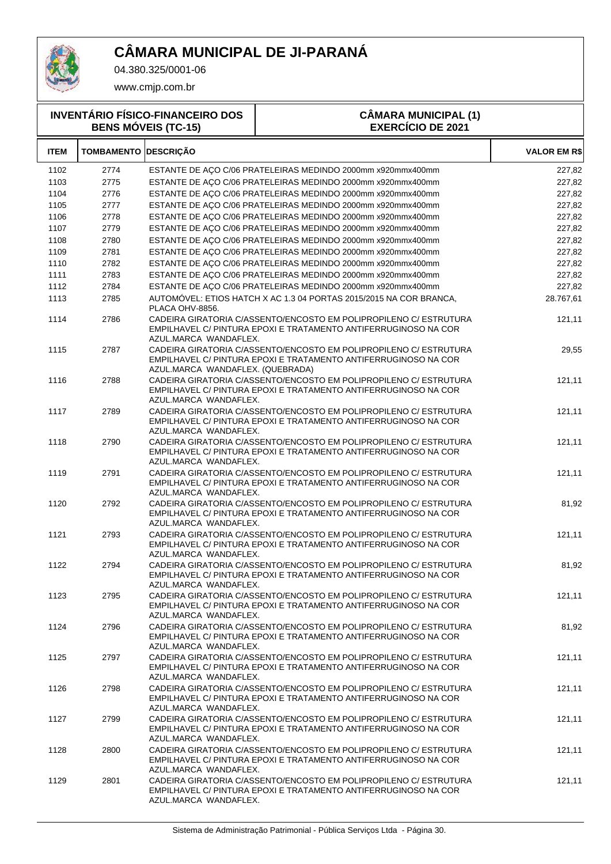

04.380.325/0001-06

www.cmjp.com.br

#### **INVENTÁRIO FÍSICO-FINANCEIRO DOS BENS MÓVEIS (TC-15) CÂMARA MUNICIPAL (1) EXERCÍCIO DE 2021 ITEM TOMBAMENTO DESCRIÇÃO VALOR EM R\$** 1102 2774 ESTANTE DE AÇO C/06 PRATELEIRAS MEDINDO 2000mm x920mmx400mm 227,82 1103 2775 ESTANTE DE AÇO C/06 PRATELEIRAS MEDINDO 2000mm x920mmx400mm 227,82 1104 2776 ESTANTE DE AÇO C/06 PRATELEIRAS MEDINDO 2000mm x920mmx400mm 227,82 1105 2777 ESTANTE DE AÇO C/06 PRATELEIRAS MEDINDO 2000mm x920mmx400mm 227,82 1106 2778 ESTANTE DE AÇO C/06 PRATELEIRAS MEDINDO 2000mm x920mmx400mm 227,82 1107 2779 ESTANTE DE AÇO C/06 PRATELEIRAS MEDINDO 2000mm x920mmx400mm 227,82 1108 2780 ESTANTE DE AÇO C/06 PRATELEIRAS MEDINDO 2000mm x920mmx400mm 227,82 1109 2781 ESTANTE DE AÇO C/06 PRATELEIRAS MEDINDO 2000mm x920mmx400mm 227,82 1110 2782 ESTANTE DE AÇO C/06 PRATELEIRAS MEDINDO 2000mm x920mmx400mm 227,82 1111 2783 ESTANTE DE AÇO C/06 PRATELEIRAS MEDINDO 2000mm x920mmx400mm 227,82 1112 2784 ESTANTE DE AÇO C/06 PRATELEIRAS MEDINDO 2000mm x920mmx400mm 227,82 2785 AUTOMÓVEL: ETIOS HATCH X AC 1.3 04 PORTAS 2015/2015 NA COR BRANCA, 1113 28.767,61 PLACA OHV-8856. 2786 CADEIRA GIRATORIA C/ASSENTO/ENCOSTO EM POLIPROPILENO C/ ESTRUTURA 1114 121,11 EMPILHAVEL C/ PINTURA EPOXI E TRATAMENTO ANTIFERRUGINOSO NA COR AZUL.MARCA WANDAFLEX. 2787 CADEIRA GIRATORIA C/ASSENTO/ENCOSTO EM POLIPROPILENO C/ ESTRUTURA 1115 29,55 EMPILHAVEL C/ PINTURA EPOXI E TRATAMENTO ANTIFERRUGINOSO NA COR AZUL.MARCA WANDAFLEX. (QUEBRADA) 2788 CADEIRA GIRATORIA C/ASSENTO/ENCOSTO EM POLIPROPILENO C/ ESTRUTURA 1116 121,11 EMPILHAVEL C/ PINTURA EPOXI E TRATAMENTO ANTIFERRUGINOSO NA COR AZUL.MARCA WANDAFLEX. 2789 CADEIRA GIRATORIA C/ASSENTO/ENCOSTO EM POLIPROPILENO C/ ESTRUTURA 1117 121,11 EMPILHAVEL C/ PINTURA EPOXI E TRATAMENTO ANTIFERRUGINOSO NA COR AZUL.MARCA WANDAFLEX. 2790 CADEIRA GIRATORIA C/ASSENTO/ENCOSTO EM POLIPROPILENO C/ ESTRUTURA 1118 121,11 EMPILHAVEL C/ PINTURA EPOXI E TRATAMENTO ANTIFERRUGINOSO NA COR AZUL.MARCA WANDAFLEX. 2791 CADEIRA GIRATORIA C/ASSENTO/ENCOSTO EM POLIPROPILENO C/ ESTRUTURA 1119 121,11 EMPILHAVEL C/ PINTURA EPOXI E TRATAMENTO ANTIFERRUGINOSO NA COR AZUL.MARCA WANDAFLEX. 2792 CADEIRA GIRATORIA C/ASSENTO/ENCOSTO EM POLIPROPILENO C/ ESTRUTURA 1120 81,92 EMPILHAVEL C/ PINTURA EPOXI E TRATAMENTO ANTIFERRUGINOSO NA COR AZUL.MARCA WANDAFLEX. 2793 CADEIRA GIRATORIA C/ASSENTO/ENCOSTO EM POLIPROPILENO C/ ESTRUTURA 1121 121,11 EMPILHAVEL C/ PINTURA EPOXI E TRATAMENTO ANTIFERRUGINOSO NA COR AZUL.MARCA WANDAFLEX. 2794 CADEIRA GIRATORIA C/ASSENTO/ENCOSTO EM POLIPROPILENO C/ ESTRUTURA 1122 81,92 EMPILHAVEL C/ PINTURA EPOXI E TRATAMENTO ANTIFERRUGINOSO NA COR AZUL.MARCA WANDAFLEX. 2795 CADEIRA GIRATORIA C/ASSENTO/ENCOSTO EM POLIPROPILENO C/ ESTRUTURA 1123 121,11 EMPILHAVEL C/ PINTURA EPOXI E TRATAMENTO ANTIFERRUGINOSO NA COR AZUL.MARCA WANDAFLEX. 2796 CADEIRA GIRATORIA C/ASSENTO/ENCOSTO EM POLIPROPILENO C/ ESTRUTURA 1124 81,92 EMPILHAVEL C/ PINTURA EPOXI E TRATAMENTO ANTIFERRUGINOSO NA COR AZUL.MARCA WANDAFLEX. 2797 CADEIRA GIRATORIA C/ASSENTO/ENCOSTO EM POLIPROPILENO C/ ESTRUTURA 1125 121,11 EMPILHAVEL C/ PINTURA EPOXI E TRATAMENTO ANTIFERRUGINOSO NA COR AZUL.MARCA WANDAFLEX. 2798 CADEIRA GIRATORIA C/ASSENTO/ENCOSTO EM POLIPROPILENO C/ ESTRUTURA 1126 121,11 EMPILHAVEL C/ PINTURA EPOXI E TRATAMENTO ANTIFERRUGINOSO NA COR AZUL.MARCA WANDAFLEX. 2799 CADEIRA GIRATORIA C/ASSENTO/ENCOSTO EM POLIPROPILENO C/ ESTRUTURA 1127 121,11 EMPILHAVEL C/ PINTURA EPOXI E TRATAMENTO ANTIFERRUGINOSO NA COR AZUL.MARCA WANDAFLEX. 2800 CADEIRA GIRATORIA C/ASSENTO/ENCOSTO EM POLIPROPILENO C/ ESTRUTURA 1128 121,11 EMPILHAVEL C/ PINTURA EPOXI E TRATAMENTO ANTIFERRUGINOSO NA COR AZUL.MARCA WANDAFLEX. 2801 CADEIRA GIRATORIA C/ASSENTO/ENCOSTO EM POLIPROPILENO C/ ESTRUTURA 1129 121,11 EMPILHAVEL C/ PINTURA EPOXI E TRATAMENTO ANTIFERRUGINOSO NA COR

AZUL.MARCA WANDAFLEX.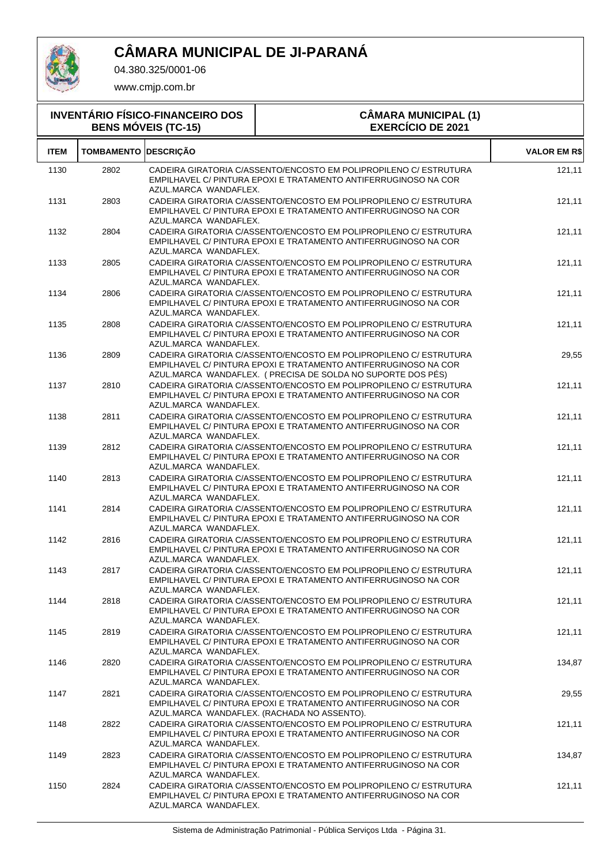

04.380.325/0001-06

| <b>INVENTÁRIO FÍSICO-FINANCEIRO DOS</b><br><b>BENS MÓVEIS (TC-15)</b> |                             |                       | <b>CÂMARA MUNICIPAL (1)</b><br><b>EXERCÍCIO DE 2021</b>                                                                                                                                             |                     |
|-----------------------------------------------------------------------|-----------------------------|-----------------------|-----------------------------------------------------------------------------------------------------------------------------------------------------------------------------------------------------|---------------------|
| <b>ITEM</b>                                                           | <b>TOMBAMENTO DESCRIÇÃO</b> |                       |                                                                                                                                                                                                     | <b>VALOR EM R\$</b> |
| 1130                                                                  | 2802                        | AZUL.MARCA WANDAFLEX. | CADEIRA GIRATORIA C/ASSENTO/ENCOSTO EM POLIPROPILENO C/ ESTRUTURA<br>EMPILHAVEL C/ PINTURA EPOXI E TRATAMENTO ANTIFERRUGINOSO NA COR                                                                | 121,11              |
| 1131                                                                  | 2803                        | AZUL.MARCA WANDAFLEX. | CADEIRA GIRATORIA C/ASSENTO/ENCOSTO EM POLIPROPILENO C/ ESTRUTURA<br>EMPILHAVEL C/ PINTURA EPOXI E TRATAMENTO ANTIFERRUGINOSO NA COR                                                                | 121,11              |
| 1132                                                                  | 2804                        | AZUL.MARCA WANDAFLEX. | CADEIRA GIRATORIA C/ASSENTO/ENCOSTO EM POLIPROPILENO C/ ESTRUTURA<br>EMPILHAVEL C/ PINTURA EPOXI E TRATAMENTO ANTIFERRUGINOSO NA COR                                                                | 121,11              |
| 1133                                                                  | 2805                        | AZUL.MARCA WANDAFLEX. | CADEIRA GIRATORIA C/ASSENTO/ENCOSTO EM POLIPROPILENO C/ ESTRUTURA<br>EMPILHAVEL C/ PINTURA EPOXI E TRATAMENTO ANTIFERRUGINOSO NA COR                                                                | 121,11              |
| 1134                                                                  | 2806                        | AZUL.MARCA WANDAFLEX. | CADEIRA GIRATORIA C/ASSENTO/ENCOSTO EM POLIPROPILENO C/ ESTRUTURA<br>EMPILHAVEL C/ PINTURA EPOXI E TRATAMENTO ANTIFERRUGINOSO NA COR                                                                | 121,11              |
| 1135                                                                  | 2808                        | AZUL.MARCA WANDAFLEX. | CADEIRA GIRATORIA C/ASSENTO/ENCOSTO EM POLIPROPILENO C/ ESTRUTURA<br>EMPILHAVEL C/ PINTURA EPOXI E TRATAMENTO ANTIFERRUGINOSO NA COR                                                                | 121,11              |
| 1136                                                                  | 2809                        |                       | CADEIRA GIRATORIA C/ASSENTO/ENCOSTO EM POLIPROPILENO C/ ESTRUTURA<br>EMPILHAVEL C/ PINTURA EPOXI E TRATAMENTO ANTIFERRUGINOSO NA COR<br>AZUL.MARCA WANDAFLEX. (PRECISA DE SOLDA NO SUPORTE DOS PÉS) | 29,55               |
| 1137                                                                  | 2810                        | AZUL.MARCA WANDAFLEX. | CADEIRA GIRATORIA C/ASSENTO/ENCOSTO EM POLIPROPILENO C/ ESTRUTURA<br>EMPILHAVEL C/ PINTURA EPOXI E TRATAMENTO ANTIFERRUGINOSO NA COR                                                                | 121,11              |
| 1138                                                                  | 2811                        | AZUL.MARCA WANDAFLEX. | CADEIRA GIRATORIA C/ASSENTO/ENCOSTO EM POLIPROPILENO C/ ESTRUTURA<br>EMPILHAVEL C/ PINTURA EPOXI E TRATAMENTO ANTIFERRUGINOSO NA COR                                                                | 121,11              |
| 1139                                                                  | 2812                        | AZUL.MARCA WANDAFLEX. | CADEIRA GIRATORIA C/ASSENTO/ENCOSTO EM POLIPROPILENO C/ ESTRUTURA<br>EMPILHAVEL C/ PINTURA EPOXI E TRATAMENTO ANTIFERRUGINOSO NA COR                                                                | 121,11              |
| 1140                                                                  | 2813                        | AZUL.MARCA WANDAFLEX. | CADEIRA GIRATORIA C/ASSENTO/ENCOSTO EM POLIPROPILENO C/ ESTRUTURA<br>EMPILHAVEL C/ PINTURA EPOXI E TRATAMENTO ANTIFERRUGINOSO NA COR                                                                | 121,11              |
| 1141                                                                  | 2814                        | AZUL.MARCA WANDAFLEX. | CADEIRA GIRATORIA C/ASSENTO/ENCOSTO EM POLIPROPILENO C/ ESTRUTURA<br>EMPILHAVEL C/ PINTURA EPOXI E TRATAMENTO ANTIFERRUGINOSO NA COR                                                                | 121,11              |
| 1142                                                                  | 2816                        | AZUL.MARCA WANDAFLEX. | CADEIRA GIRATORIA C/ASSENTO/ENCOSTO EM POLIPROPILENO C/ ESTRUTURA<br>EMPILHAVEL C/ PINTURA EPOXI E TRATAMENTO ANTIFERRUGINOSO NA COR                                                                | 121,11              |
| 1143                                                                  | 2817                        | AZUL.MARCA WANDAFLEX. | CADEIRA GIRATORIA C/ASSENTO/ENCOSTO EM POLIPROPILENO C/ ESTRUTURA<br>EMPILHAVEL C/ PINTURA EPOXI E TRATAMENTO ANTIFERRUGINOSO NA COR                                                                | 121,11              |
| 1144                                                                  | 2818                        | AZUL.MARCA WANDAFLEX. | CADEIRA GIRATORIA C/ASSENTO/ENCOSTO EM POLIPROPILENO C/ ESTRUTURA<br>EMPILHAVEL C/ PINTURA EPOXI E TRATAMENTO ANTIFERRUGINOSO NA COR                                                                | 121,11              |
| 1145                                                                  | 2819                        | AZUL.MARCA WANDAFLEX. | CADEIRA GIRATORIA C/ASSENTO/ENCOSTO EM POLIPROPILENO C/ ESTRUTURA<br>EMPILHAVEL C/ PINTURA EPOXI E TRATAMENTO ANTIFERRUGINOSO NA COR                                                                | 121,11              |
| 1146                                                                  | 2820                        | AZUL.MARCA WANDAFLEX. | CADEIRA GIRATORIA C/ASSENTO/ENCOSTO EM POLIPROPILENO C/ ESTRUTURA<br>EMPILHAVEL C/ PINTURA EPOXI E TRATAMENTO ANTIFERRUGINOSO NA COR                                                                | 134,87              |
| 1147                                                                  | 2821                        |                       | CADEIRA GIRATORIA C/ASSENTO/ENCOSTO EM POLIPROPILENO C/ ESTRUTURA<br>EMPILHAVEL C/ PINTURA EPOXI E TRATAMENTO ANTIFERRUGINOSO NA COR<br>AZUL.MARCA WANDAFLEX. (RACHADA NO ASSENTO).                 | 29,55               |
| 1148                                                                  | 2822                        | AZUL.MARCA WANDAFLEX. | CADEIRA GIRATORIA C/ASSENTO/ENCOSTO EM POLIPROPILENO C/ ESTRUTURA<br>EMPILHAVEL C/ PINTURA EPOXI E TRATAMENTO ANTIFERRUGINOSO NA COR                                                                | 121,11              |
| 1149                                                                  | 2823                        | AZUL.MARCA WANDAFLEX. | CADEIRA GIRATORIA C/ASSENTO/ENCOSTO EM POLIPROPILENO C/ ESTRUTURA<br>EMPILHAVEL C/ PINTURA EPOXI E TRATAMENTO ANTIFERRUGINOSO NA COR                                                                | 134,87              |
| 1150                                                                  | 2824                        | AZUL.MARCA WANDAFLEX. | CADEIRA GIRATORIA C/ASSENTO/ENCOSTO EM POLIPROPILENO C/ ESTRUTURA<br>EMPILHAVEL C/ PINTURA EPOXI E TRATAMENTO ANTIFERRUGINOSO NA COR                                                                | 121,11              |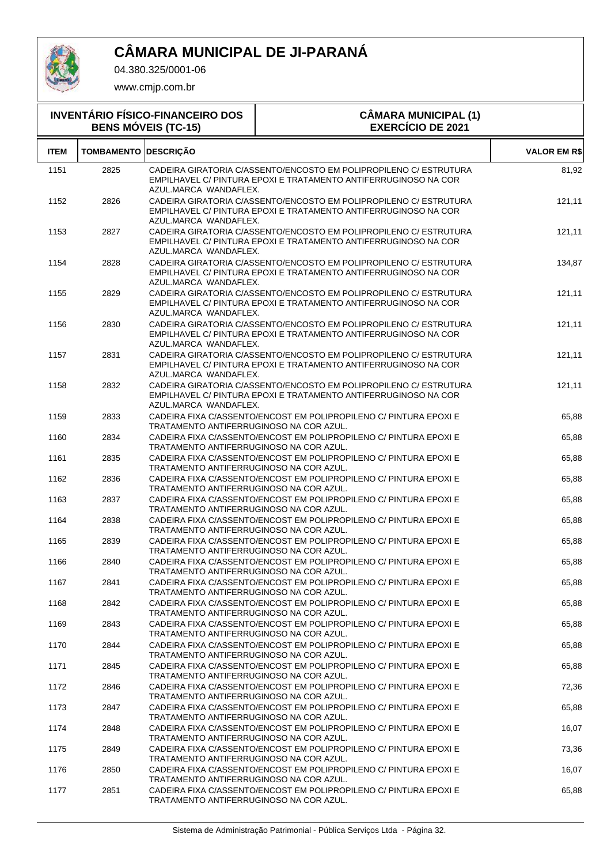

T

04.380.325/0001-06

|             |                             | <b>INVENTÁRIO FÍSICO-FINANCEIRO DOS</b><br><b>BENS MÓVEIS (TC-15)</b> | <b>CÂMARA MUNICIPAL (1)</b><br><b>EXERCÍCIO DE 2021</b>                                                                              |                     |
|-------------|-----------------------------|-----------------------------------------------------------------------|--------------------------------------------------------------------------------------------------------------------------------------|---------------------|
| <b>ITEM</b> | <b>TOMBAMENTO DESCRIÇÃO</b> |                                                                       |                                                                                                                                      | <b>VALOR EM R\$</b> |
| 1151        | 2825                        | AZUL.MARCA WANDAFLEX.                                                 | CADEIRA GIRATORIA C/ASSENTO/ENCOSTO EM POLIPROPILENO C/ ESTRUTURA<br>EMPILHAVEL C/ PINTURA EPOXI E TRATAMENTO ANTIFERRUGINOSO NA COR | 81,92               |
| 1152        | 2826                        | AZUL.MARCA WANDAFLEX.                                                 | CADEIRA GIRATORIA C/ASSENTO/ENCOSTO EM POLIPROPILENO C/ ESTRUTURA<br>EMPILHAVEL C/ PINTURA EPOXI E TRATAMENTO ANTIFERRUGINOSO NA COR | 121,11              |
| 1153        | 2827                        | AZUL.MARCA WANDAFLEX.                                                 | CADEIRA GIRATORIA C/ASSENTO/ENCOSTO EM POLIPROPILENO C/ ESTRUTURA<br>EMPILHAVEL C/ PINTURA EPOXI E TRATAMENTO ANTIFERRUGINOSO NA COR | 121,11              |
| 1154        | 2828                        | AZUL.MARCA WANDAFLEX.                                                 | CADEIRA GIRATORIA C/ASSENTO/ENCOSTO EM POLIPROPILENO C/ ESTRUTURA<br>EMPILHAVEL C/ PINTURA EPOXI E TRATAMENTO ANTIFERRUGINOSO NA COR | 134,87              |
| 1155        | 2829                        | AZUL.MARCA WANDAFLEX.                                                 | CADEIRA GIRATORIA C/ASSENTO/ENCOSTO EM POLIPROPILENO C/ ESTRUTURA<br>EMPILHAVEL C/ PINTURA EPOXI E TRATAMENTO ANTIFERRUGINOSO NA COR | 121,11              |
| 1156        | 2830                        | AZUL.MARCA WANDAFLEX.                                                 | CADEIRA GIRATORIA C/ASSENTO/ENCOSTO EM POLIPROPILENO C/ ESTRUTURA<br>EMPILHAVEL C/ PINTURA EPOXI E TRATAMENTO ANTIFERRUGINOSO NA COR | 121,11              |
| 1157        | 2831                        | AZUL.MARCA WANDAFLEX.                                                 | CADEIRA GIRATORIA C/ASSENTO/ENCOSTO EM POLIPROPILENO C/ ESTRUTURA<br>EMPILHAVEL C/ PINTURA EPOXI E TRATAMENTO ANTIFERRUGINOSO NA COR | 121,11              |
| 1158        | 2832                        | AZUL.MARCA WANDAFLEX.                                                 | CADEIRA GIRATORIA C/ASSENTO/ENCOSTO EM POLIPROPILENO C/ ESTRUTURA<br>EMPILHAVEL C/ PINTURA EPOXI E TRATAMENTO ANTIFERRUGINOSO NA COR | 121,11              |
| 1159        | 2833                        | TRATAMENTO ANTIFERRUGINOSO NA COR AZUL.                               | CADEIRA FIXA C/ASSENTO/ENCOST EM POLIPROPILENO C/ PINTURA EPOXI E                                                                    | 65,88               |
| 1160        | 2834                        | TRATAMENTO ANTIFERRUGINOSO NA COR AZUL.                               | CADEIRA FIXA C/ASSENTO/ENCOST EM POLIPROPILENO C/ PINTURA EPOXI E                                                                    | 65,88               |
| 1161        | 2835                        | TRATAMENTO ANTIFERRUGINOSO NA COR AZUL.                               | CADEIRA FIXA C/ASSENTO/ENCOST EM POLIPROPILENO C/ PINTURA EPOXI E                                                                    | 65,88               |
| 1162        | 2836                        | TRATAMENTO ANTIFERRUGINOSO NA COR AZUL.                               | CADEIRA FIXA C/ASSENTO/ENCOST EM POLIPROPILENO C/ PINTURA EPOXI E                                                                    | 65,88               |
| 1163        | 2837                        | TRATAMENTO ANTIFERRUGINOSO NA COR AZUL.                               | CADEIRA FIXA C/ASSENTO/ENCOST EM POLIPROPILENO C/ PINTURA EPOXI E                                                                    | 65,88               |
| 1164        | 2838                        | TRATAMENTO ANTIFERRUGINOSO NA COR AZUL.                               | CADEIRA FIXA C/ASSENTO/ENCOST EM POLIPROPILENO C/ PINTURA EPOXI E                                                                    | 65,88               |
| 1165        | 2839                        | TRATAMENTO ANTIFERRUGINOSO NA COR AZUL.                               | CADEIRA FIXA C/ASSENTO/ENCOST EM POLIPROPILENO C/ PINTURA EPOXI E                                                                    | 65,88               |
| 1166        | 2840                        | TRATAMENTO ANTIFERRUGINOSO NA COR AZUL.                               | CADEIRA FIXA C/ASSENTO/ENCOST EM POLIPROPILENO C/ PINTURA EPOXI E                                                                    | 65,88               |
| 1167        | 2841                        | TRATAMENTO ANTIFERRUGINOSO NA COR AZUL.                               | CADEIRA FIXA C/ASSENTO/ENCOST EM POLIPROPILENO C/ PINTURA EPOXI E                                                                    | 65,88               |
| 1168        | 2842                        | TRATAMENTO ANTIFERRUGINOSO NA COR AZUL.                               | CADEIRA FIXA C/ASSENTO/ENCOST EM POLIPROPILENO C/ PINTURA EPOXI E                                                                    | 65,88               |
| 1169        | 2843                        | TRATAMENTO ANTIFERRUGINOSO NA COR AZUL.                               | CADEIRA FIXA C/ASSENTO/ENCOST EM POLIPROPILENO C/ PINTURA EPOXI E                                                                    | 65,88               |
| 1170        | 2844                        | TRATAMENTO ANTIFERRUGINOSO NA COR AZUL.                               | CADEIRA FIXA C/ASSENTO/ENCOST EM POLIPROPILENO C/ PINTURA EPOXI E                                                                    | 65,88               |
| 1171        | 2845                        | TRATAMENTO ANTIFERRUGINOSO NA COR AZUL.                               | CADEIRA FIXA C/ASSENTO/ENCOST EM POLIPROPILENO C/ PINTURA EPOXI E                                                                    | 65,88               |
| 1172        | 2846                        | TRATAMENTO ANTIFERRUGINOSO NA COR AZUL.                               | CADEIRA FIXA C/ASSENTO/ENCOST EM POLIPROPILENO C/ PINTURA EPOXI E                                                                    | 72,36               |
| 1173        | 2847                        | TRATAMENTO ANTIFERRUGINOSO NA COR AZUL.                               | CADEIRA FIXA C/ASSENTO/ENCOST EM POLIPROPILENO C/ PINTURA EPOXI E                                                                    | 65,88               |
| 1174        | 2848                        | TRATAMENTO ANTIFERRUGINOSO NA COR AZUL.                               | CADEIRA FIXA C/ASSENTO/ENCOST EM POLIPROPILENO C/ PINTURA EPOXI E                                                                    | 16,07               |
| 1175        | 2849                        | TRATAMENTO ANTIFERRUGINOSO NA COR AZUL.                               | CADEIRA FIXA C/ASSENTO/ENCOST EM POLIPROPILENO C/ PINTURA EPOXI E                                                                    | 73,36               |
| 1176        | 2850                        | TRATAMENTO ANTIFERRUGINOSO NA COR AZUL.                               | CADEIRA FIXA C/ASSENTO/ENCOST EM POLIPROPILENO C/ PINTURA EPOXI E                                                                    | 16,07               |
| 1177        | 2851                        | TRATAMENTO ANTIFERRUGINOSO NA COR AZUL.                               | CADEIRA FIXA C/ASSENTO/ENCOST EM POLIPROPILENO C/ PINTURA EPOXI E                                                                    | 65,88               |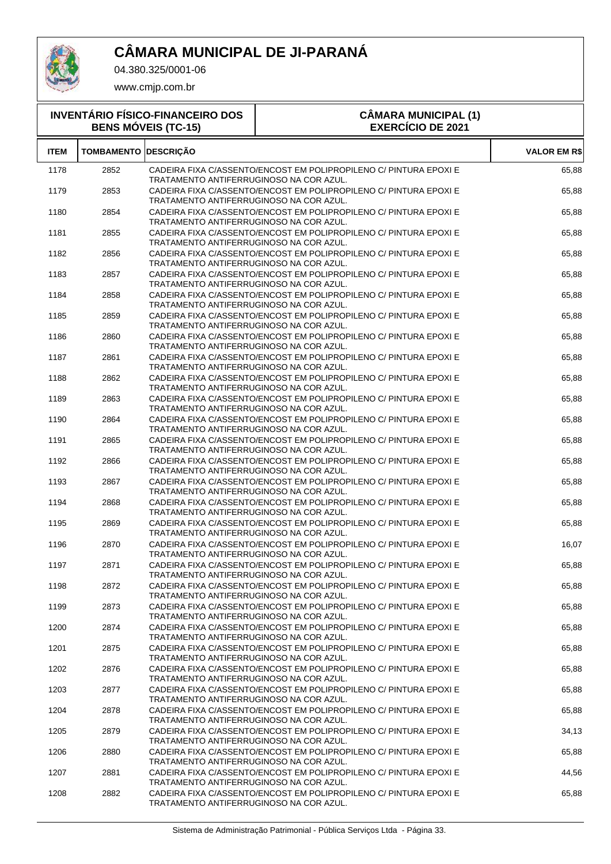

T

04.380.325/0001-06

| <b>INVENTÁRIO FÍSICO-FINANCEIRO DOS</b><br><b>BENS MÓVEIS (TC-15)</b> |                   |                                         | <b>CÂMARA MUNICIPAL (1)</b><br><b>EXERCÍCIO DE 2021</b>           |                     |  |
|-----------------------------------------------------------------------|-------------------|-----------------------------------------|-------------------------------------------------------------------|---------------------|--|
| <b>ITEM</b>                                                           | <b>TOMBAMENTO</b> | <b>DESCRICÃO</b>                        |                                                                   | <b>VALOR EM R\$</b> |  |
| 1178                                                                  | 2852              | TRATAMENTO ANTIFERRUGINOSO NA COR AZUL. | CADEIRA FIXA C/ASSENTO/ENCOST EM POLIPROPILENO C/ PINTURA EPOXI E | 65,88               |  |
| 1179                                                                  | 2853              | TRATAMENTO ANTIFERRUGINOSO NA COR AZUL. | CADEIRA FIXA C/ASSENTO/ENCOST EM POLIPROPILENO C/ PINTURA EPOXI E | 65,88               |  |
| 1180                                                                  | 2854              | TRATAMENTO ANTIFERRUGINOSO NA COR AZUL. | CADEIRA FIXA C/ASSENTO/ENCOST EM POLIPROPILENO C/ PINTURA EPOXI E | 65,88               |  |
| 1181                                                                  | 2855              | TRATAMENTO ANTIFERRUGINOSO NA COR AZUL. | CADEIRA FIXA C/ASSENTO/ENCOST EM POLIPROPILENO C/ PINTURA EPOXI E | 65,88               |  |
| 1182                                                                  | 2856              | TRATAMENTO ANTIFERRUGINOSO NA COR AZUL. | CADEIRA FIXA C/ASSENTO/ENCOST EM POLIPROPILENO C/ PINTURA EPOXI E | 65,88               |  |
| 1183                                                                  | 2857              | TRATAMENTO ANTIFERRUGINOSO NA COR AZUL. | CADEIRA FIXA C/ASSENTO/ENCOST EM POLIPROPILENO C/ PINTURA EPOXI E | 65,88               |  |
| 1184                                                                  | 2858              | TRATAMENTO ANTIFERRUGINOSO NA COR AZUL. | CADEIRA FIXA C/ASSENTO/ENCOST EM POLIPROPILENO C/ PINTURA EPOXI E | 65,88               |  |
| 1185                                                                  | 2859              | TRATAMENTO ANTIFERRUGINOSO NA COR AZUL. | CADEIRA FIXA C/ASSENTO/ENCOST EM POLIPROPILENO C/ PINTURA EPOXI E | 65,88               |  |
| 1186                                                                  | 2860              | TRATAMENTO ANTIFERRUGINOSO NA COR AZUL. | CADEIRA FIXA C/ASSENTO/ENCOST EM POLIPROPILENO C/ PINTURA EPOXI E | 65,88               |  |
| 1187                                                                  | 2861              | TRATAMENTO ANTIFERRUGINOSO NA COR AZUL. | CADEIRA FIXA C/ASSENTO/ENCOST EM POLIPROPILENO C/ PINTURA EPOXI E | 65,88               |  |
| 1188                                                                  | 2862              | TRATAMENTO ANTIFERRUGINOSO NA COR AZUL. | CADEIRA FIXA C/ASSENTO/ENCOST EM POLIPROPILENO C/ PINTURA EPOXI E | 65,88               |  |
| 1189                                                                  | 2863              | TRATAMENTO ANTIFERRUGINOSO NA COR AZUL. | CADEIRA FIXA C/ASSENTO/ENCOST EM POLIPROPILENO C/ PINTURA EPOXI E | 65,88               |  |
| 1190                                                                  | 2864              | TRATAMENTO ANTIFERRUGINOSO NA COR AZUL. | CADEIRA FIXA C/ASSENTO/ENCOST EM POLIPROPILENO C/ PINTURA EPOXI E | 65,88               |  |
| 1191                                                                  | 2865              | TRATAMENTO ANTIFERRUGINOSO NA COR AZUL. | CADEIRA FIXA C/ASSENTO/ENCOST EM POLIPROPILENO C/ PINTURA EPOXI E | 65,88               |  |
| 1192                                                                  | 2866              | TRATAMENTO ANTIFERRUGINOSO NA COR AZUL. | CADEIRA FIXA C/ASSENTO/ENCOST EM POLIPROPILENO C/ PINTURA EPOXI E | 65,88               |  |
| 1193                                                                  | 2867              | TRATAMENTO ANTIFERRUGINOSO NA COR AZUL. | CADEIRA FIXA C/ASSENTO/ENCOST EM POLIPROPILENO C/ PINTURA EPOXI E | 65,88               |  |
| 1194                                                                  | 2868              | TRATAMENTO ANTIFERRUGINOSO NA COR AZUL. | CADEIRA FIXA C/ASSENTO/ENCOST EM POLIPROPILENO C/ PINTURA EPOXI E | 65,88               |  |
| 1195                                                                  | 2869              | TRATAMENTO ANTIFERRUGINOSO NA COR AZUL. | CADEIRA FIXA C/ASSENTO/ENCOST EM POLIPROPILENO C/ PINTURA EPOXI E | 65,88               |  |
| 1196                                                                  | 2870              | TRATAMENTO ANTIFERRUGINOSO NA COR AZUL. | CADEIRA FIXA C/ASSENTO/ENCOST EM POLIPROPILENO C/ PINTURA EPOXI E | 16,07               |  |
| 1197                                                                  | 2871              | TRATAMENTO ANTIFERRUGINOSO NA COR AZUL. | CADEIRA FIXA C/ASSENTO/ENCOST EM POLIPROPILENO C/ PINTURA EPOXI E | 65,88               |  |
| 1198                                                                  | 2872              | TRATAMENTO ANTIFERRUGINOSO NA COR AZUL. | CADEIRA FIXA C/ASSENTO/ENCOST EM POLIPROPILENO C/ PINTURA EPOXI E | 65,88               |  |
| 1199                                                                  | 2873              | TRATAMENTO ANTIFERRUGINOSO NA COR AZUL. | CADEIRA FIXA C/ASSENTO/ENCOST EM POLIPROPILENO C/ PINTURA EPOXI E | 65,88               |  |
| 1200                                                                  | 2874              | TRATAMENTO ANTIFERRUGINOSO NA COR AZUL. | CADEIRA FIXA C/ASSENTO/ENCOST EM POLIPROPILENO C/ PINTURA EPOXI E | 65,88               |  |
| 1201                                                                  | 2875              | TRATAMENTO ANTIFERRUGINOSO NA COR AZUL. | CADEIRA FIXA C/ASSENTO/ENCOST EM POLIPROPILENO C/ PINTURA EPOXI E | 65,88               |  |
| 1202                                                                  | 2876              | TRATAMENTO ANTIFERRUGINOSO NA COR AZUL. | CADEIRA FIXA C/ASSENTO/ENCOST EM POLIPROPILENO C/ PINTURA EPOXI E | 65,88               |  |
| 1203                                                                  | 2877              | TRATAMENTO ANTIFERRUGINOSO NA COR AZUL. | CADEIRA FIXA C/ASSENTO/ENCOST EM POLIPROPILENO C/ PINTURA EPOXI E | 65,88               |  |
| 1204                                                                  | 2878              | TRATAMENTO ANTIFERRUGINOSO NA COR AZUL. | CADEIRA FIXA C/ASSENTO/ENCOST EM POLIPROPILENO C/ PINTURA EPOXI E | 65,88               |  |
| 1205                                                                  | 2879              | TRATAMENTO ANTIFERRUGINOSO NA COR AZUL. | CADEIRA FIXA C/ASSENTO/ENCOST EM POLIPROPILENO C/ PINTURA EPOXI E | 34,13               |  |
| 1206                                                                  | 2880              | TRATAMENTO ANTIFERRUGINOSO NA COR AZUL. | CADEIRA FIXA C/ASSENTO/ENCOST EM POLIPROPILENO C/ PINTURA EPOXI E | 65,88               |  |
| 1207                                                                  | 2881              | TRATAMENTO ANTIFERRUGINOSO NA COR AZUL. | CADEIRA FIXA C/ASSENTO/ENCOST EM POLIPROPILENO C/ PINTURA EPOXI E | 44,56               |  |
| 1208                                                                  | 2882              | TRATAMENTO ANTIFERRUGINOSO NA COR AZUL. | CADEIRA FIXA C/ASSENTO/ENCOST EM POLIPROPILENO C/ PINTURA EPOXI E | 65,88               |  |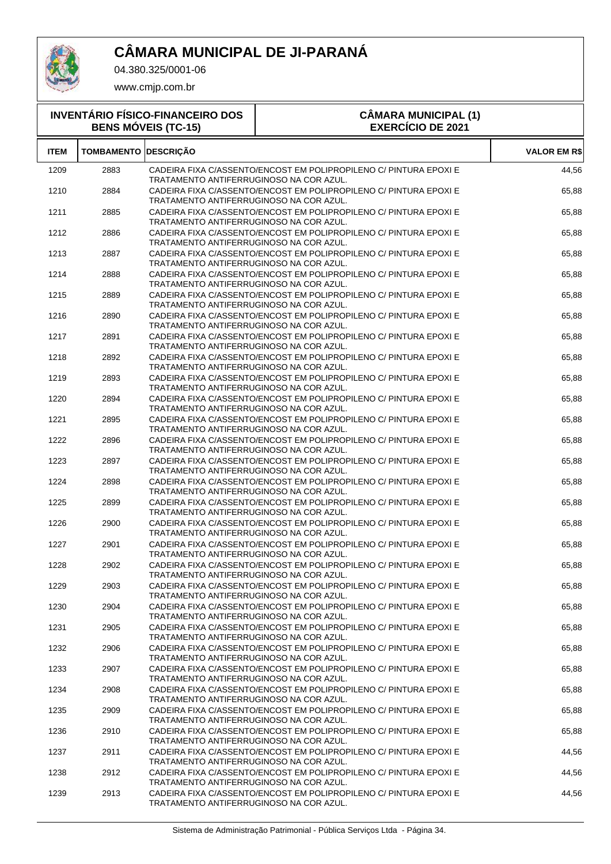

T

04.380.325/0001-06

| <b>INVENTÁRIO FÍSICO-FINANCEIRO DOS</b><br><b>BENS MÓVEIS (TC-15)</b> |                             |                                         | <b>CÂMARA MUNICIPAL (1)</b><br><b>EXERCÍCIO DE 2021</b>           |                     |  |
|-----------------------------------------------------------------------|-----------------------------|-----------------------------------------|-------------------------------------------------------------------|---------------------|--|
| <b>ITEM</b>                                                           | <b>TOMBAMENTO DESCRIÇÃO</b> |                                         |                                                                   | <b>VALOR EM R\$</b> |  |
| 1209                                                                  | 2883                        | TRATAMENTO ANTIFERRUGINOSO NA COR AZUL. | CADEIRA FIXA C/ASSENTO/ENCOST EM POLIPROPILENO C/ PINTURA EPOXI E | 44,56               |  |
| 1210                                                                  | 2884                        | TRATAMENTO ANTIFERRUGINOSO NA COR AZUL. | CADEIRA FIXA C/ASSENTO/ENCOST EM POLIPROPILENO C/ PINTURA EPOXI E | 65,88               |  |
| 1211                                                                  | 2885                        | TRATAMENTO ANTIFERRUGINOSO NA COR AZUL. | CADEIRA FIXA C/ASSENTO/ENCOST EM POLIPROPILENO C/ PINTURA EPOXI E | 65,88               |  |
| 1212                                                                  | 2886                        | TRATAMENTO ANTIFERRUGINOSO NA COR AZUL. | CADEIRA FIXA C/ASSENTO/ENCOST EM POLIPROPILENO C/ PINTURA EPOXI E | 65,88               |  |
| 1213                                                                  | 2887                        | TRATAMENTO ANTIFERRUGINOSO NA COR AZUL. | CADEIRA FIXA C/ASSENTO/ENCOST EM POLIPROPILENO C/ PINTURA EPOXI E | 65,88               |  |
| 1214                                                                  | 2888                        | TRATAMENTO ANTIFERRUGINOSO NA COR AZUL. | CADEIRA FIXA C/ASSENTO/ENCOST EM POLIPROPILENO C/ PINTURA EPOXI E | 65,88               |  |
| 1215                                                                  | 2889                        | TRATAMENTO ANTIFERRUGINOSO NA COR AZUL. | CADEIRA FIXA C/ASSENTO/ENCOST EM POLIPROPILENO C/ PINTURA EPOXI E | 65,88               |  |
| 1216                                                                  | 2890                        | TRATAMENTO ANTIFERRUGINOSO NA COR AZUL. | CADEIRA FIXA C/ASSENTO/ENCOST EM POLIPROPILENO C/ PINTURA EPOXI E | 65,88               |  |
| 1217                                                                  | 2891                        | TRATAMENTO ANTIFERRUGINOSO NA COR AZUL. | CADEIRA FIXA C/ASSENTO/ENCOST EM POLIPROPILENO C/ PINTURA EPOXI E | 65,88               |  |
| 1218                                                                  | 2892                        | TRATAMENTO ANTIFERRUGINOSO NA COR AZUL. | CADEIRA FIXA C/ASSENTO/ENCOST EM POLIPROPILENO C/ PINTURA EPOXI E | 65,88               |  |
| 1219                                                                  | 2893                        | TRATAMENTO ANTIFERRUGINOSO NA COR AZUL. | CADEIRA FIXA C/ASSENTO/ENCOST EM POLIPROPILENO C/ PINTURA EPOXI E | 65,88               |  |
| 1220                                                                  | 2894                        | TRATAMENTO ANTIFERRUGINOSO NA COR AZUL. | CADEIRA FIXA C/ASSENTO/ENCOST EM POLIPROPILENO C/ PINTURA EPOXI E | 65,88               |  |
| 1221                                                                  | 2895                        | TRATAMENTO ANTIFERRUGINOSO NA COR AZUL. | CADEIRA FIXA C/ASSENTO/ENCOST EM POLIPROPILENO C/ PINTURA EPOXI E | 65,88               |  |
| 1222                                                                  | 2896                        | TRATAMENTO ANTIFERRUGINOSO NA COR AZUL. | CADEIRA FIXA C/ASSENTO/ENCOST EM POLIPROPILENO C/ PINTURA EPOXI E | 65,88               |  |
| 1223                                                                  | 2897                        | TRATAMENTO ANTIFERRUGINOSO NA COR AZUL. | CADEIRA FIXA C/ASSENTO/ENCOST EM POLIPROPILENO C/ PINTURA EPOXI E | 65,88               |  |
| 1224                                                                  | 2898                        | TRATAMENTO ANTIFERRUGINOSO NA COR AZUL. | CADEIRA FIXA C/ASSENTO/ENCOST EM POLIPROPILENO C/ PINTURA EPOXI E | 65,88               |  |
| 1225                                                                  | 2899                        | TRATAMENTO ANTIFERRUGINOSO NA COR AZUL. | CADEIRA FIXA C/ASSENTO/ENCOST EM POLIPROPILENO C/ PINTURA EPOXI E | 65,88               |  |
| 1226                                                                  | 2900                        | TRATAMENTO ANTIFERRUGINOSO NA COR AZUL. | CADEIRA FIXA C/ASSENTO/ENCOST EM POLIPROPILENO C/ PINTURA EPOXI E | 65,88               |  |
| 1227                                                                  | 2901                        | TRATAMENTO ANTIFERRUGINOSO NA COR AZUL. | CADEIRA FIXA C/ASSENTO/ENCOST EM POLIPROPILENO C/ PINTURA EPOXI E | 65,88               |  |
| 1228                                                                  | 2902                        | TRATAMENTO ANTIFERRUGINOSO NA COR AZUL. | CADEIRA FIXA C/ASSENTO/ENCOST EM POLIPROPILENO C/ PINTURA EPOXI E | 65,88               |  |
| 1229                                                                  | 2903                        | TRATAMENTO ANTIFERRUGINOSO NA COR AZUL. | CADEIRA FIXA C/ASSENTO/ENCOST EM POLIPROPILENO C/ PINTURA EPOXI E | 65,88               |  |
| 1230                                                                  | 2904                        | TRATAMENTO ANTIFERRUGINOSO NA COR AZUL. | CADEIRA FIXA C/ASSENTO/ENCOST EM POLIPROPILENO C/ PINTURA EPOXI E | 65,88               |  |
| 1231                                                                  | 2905                        | TRATAMENTO ANTIFERRUGINOSO NA COR AZUL. | CADEIRA FIXA C/ASSENTO/ENCOST EM POLIPROPILENO C/ PINTURA EPOXI E | 65,88               |  |
| 1232                                                                  | 2906                        | TRATAMENTO ANTIFERRUGINOSO NA COR AZUL. | CADEIRA FIXA C/ASSENTO/ENCOST EM POLIPROPILENO C/ PINTURA EPOXI E | 65,88               |  |
| 1233                                                                  | 2907                        | TRATAMENTO ANTIFERRUGINOSO NA COR AZUL. | CADEIRA FIXA C/ASSENTO/ENCOST EM POLIPROPILENO C/ PINTURA EPOXI E | 65,88               |  |
| 1234                                                                  | 2908                        | TRATAMENTO ANTIFERRUGINOSO NA COR AZUL. | CADEIRA FIXA C/ASSENTO/ENCOST EM POLIPROPILENO C/ PINTURA EPOXI E | 65,88               |  |
| 1235                                                                  | 2909                        | TRATAMENTO ANTIFERRUGINOSO NA COR AZUL. | CADEIRA FIXA C/ASSENTO/ENCOST EM POLIPROPILENO C/ PINTURA EPOXI E | 65,88               |  |
| 1236                                                                  | 2910                        | TRATAMENTO ANTIFERRUGINOSO NA COR AZUL. | CADEIRA FIXA C/ASSENTO/ENCOST EM POLIPROPILENO C/ PINTURA EPOXI E | 65,88               |  |
| 1237                                                                  | 2911                        | TRATAMENTO ANTIFERRUGINOSO NA COR AZUL. | CADEIRA FIXA C/ASSENTO/ENCOST EM POLIPROPILENO C/ PINTURA EPOXI E | 44,56               |  |
| 1238                                                                  | 2912                        | TRATAMENTO ANTIFERRUGINOSO NA COR AZUL. | CADEIRA FIXA C/ASSENTO/ENCOST EM POLIPROPILENO C/ PINTURA EPOXI E | 44,56               |  |
| 1239                                                                  | 2913                        | TRATAMENTO ANTIFERRUGINOSO NA COR AZUL. | CADEIRA FIXA C/ASSENTO/ENCOST EM POLIPROPILENO C/ PINTURA EPOXI E | 44,56               |  |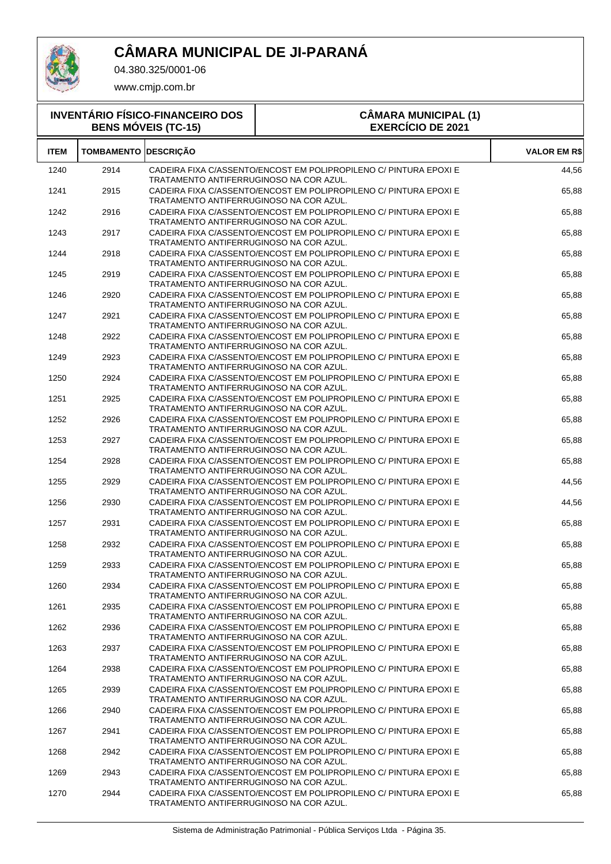

04.380.325/0001-06

| <b>INVENTÁRIO FÍSICO-FINANCEIRO DOS</b><br><b>BENS MÓVEIS (TC-15)</b> |                             |                                         | <b>CÂMARA MUNICIPAL (1)</b><br><b>EXERCÍCIO DE 2021</b>           |                     |
|-----------------------------------------------------------------------|-----------------------------|-----------------------------------------|-------------------------------------------------------------------|---------------------|
| <b>ITEM</b>                                                           | <b>TOMBAMENTO DESCRIÇÃO</b> |                                         |                                                                   | <b>VALOR EM R\$</b> |
| 1240                                                                  | 2914                        | TRATAMENTO ANTIFERRUGINOSO NA COR AZUL. | CADEIRA FIXA C/ASSENTO/ENCOST EM POLIPROPILENO C/ PINTURA EPOXI E | 44,56               |
| 1241                                                                  | 2915                        | TRATAMENTO ANTIFERRUGINOSO NA COR AZUL. | CADEIRA FIXA C/ASSENTO/ENCOST EM POLIPROPILENO C/ PINTURA EPOXI E | 65,88               |
| 1242                                                                  | 2916                        | TRATAMENTO ANTIFERRUGINOSO NA COR AZUL. | CADEIRA FIXA C/ASSENTO/ENCOST EM POLIPROPILENO C/ PINTURA EPOXI E | 65,88               |
| 1243                                                                  | 2917                        | TRATAMENTO ANTIFERRUGINOSO NA COR AZUL. | CADEIRA FIXA C/ASSENTO/ENCOST EM POLIPROPILENO C/ PINTURA EPOXI E | 65,88               |
| 1244                                                                  | 2918                        | TRATAMENTO ANTIFERRUGINOSO NA COR AZUL. | CADEIRA FIXA C/ASSENTO/ENCOST EM POLIPROPILENO C/ PINTURA EPOXI E | 65,88               |
| 1245                                                                  | 2919                        | TRATAMENTO ANTIFERRUGINOSO NA COR AZUL. | CADEIRA FIXA C/ASSENTO/ENCOST EM POLIPROPILENO C/ PINTURA EPOXI E | 65,88               |
| 1246                                                                  | 2920                        | TRATAMENTO ANTIFERRUGINOSO NA COR AZUL. | CADEIRA FIXA C/ASSENTO/ENCOST EM POLIPROPILENO C/ PINTURA EPOXI E | 65,88               |
| 1247                                                                  | 2921                        | TRATAMENTO ANTIFERRUGINOSO NA COR AZUL. | CADEIRA FIXA C/ASSENTO/ENCOST EM POLIPROPILENO C/ PINTURA EPOXI E | 65,88               |
| 1248                                                                  | 2922                        | TRATAMENTO ANTIFERRUGINOSO NA COR AZUL. | CADEIRA FIXA C/ASSENTO/ENCOST EM POLIPROPILENO C/ PINTURA EPOXI E | 65,88               |
| 1249                                                                  | 2923                        | TRATAMENTO ANTIFERRUGINOSO NA COR AZUL. | CADEIRA FIXA C/ASSENTO/ENCOST EM POLIPROPILENO C/ PINTURA EPOXI E | 65,88               |
| 1250                                                                  | 2924                        | TRATAMENTO ANTIFERRUGINOSO NA COR AZUL. | CADEIRA FIXA C/ASSENTO/ENCOST EM POLIPROPILENO C/ PINTURA EPOXI E | 65,88               |
| 1251                                                                  | 2925                        | TRATAMENTO ANTIFERRUGINOSO NA COR AZUL. | CADEIRA FIXA C/ASSENTO/ENCOST EM POLIPROPILENO C/ PINTURA EPOXI E | 65,88               |
| 1252                                                                  | 2926                        | TRATAMENTO ANTIFERRUGINOSO NA COR AZUL. | CADEIRA FIXA C/ASSENTO/ENCOST EM POLIPROPILENO C/ PINTURA EPOXI E | 65,88               |
| 1253                                                                  | 2927                        | TRATAMENTO ANTIFERRUGINOSO NA COR AZUL. | CADEIRA FIXA C/ASSENTO/ENCOST EM POLIPROPILENO C/ PINTURA EPOXI E | 65,88               |
| 1254                                                                  | 2928                        | TRATAMENTO ANTIFERRUGINOSO NA COR AZUL. | CADEIRA FIXA C/ASSENTO/ENCOST EM POLIPROPILENO C/ PINTURA EPOXI E | 65,88               |
| 1255                                                                  | 2929                        | TRATAMENTO ANTIFERRUGINOSO NA COR AZUL. | CADEIRA FIXA C/ASSENTO/ENCOST EM POLIPROPILENO C/ PINTURA EPOXI E | 44,56               |
| 1256                                                                  | 2930                        | TRATAMENTO ANTIFERRUGINOSO NA COR AZUL. | CADEIRA FIXA C/ASSENTO/ENCOST EM POLIPROPILENO C/ PINTURA EPOXI E | 44,56               |
| 1257                                                                  | 2931                        | TRATAMENTO ANTIFERRUGINOSO NA COR AZUL. | CADEIRA FIXA C/ASSENTO/ENCOST EM POLIPROPILENO C/ PINTURA EPOXI E | 65,88               |
| 1258                                                                  | 2932                        | TRATAMENTO ANTIFERRUGINOSO NA COR AZUL. | CADEIRA FIXA C/ASSENTO/ENCOST EM POLIPROPILENO C/ PINTURA EPOXI E | 65.88               |
| 1259                                                                  | 2933                        | TRATAMENTO ANTIFERRUGINOSO NA COR AZUL. | CADEIRA FIXA C/ASSENTO/ENCOST EM POLIPROPILENO C/ PINTURA EPOXI E | 65,88               |
| 1260                                                                  | 2934                        | TRATAMENTO ANTIFERRUGINOSO NA COR AZUL. | CADEIRA FIXA C/ASSENTO/ENCOST EM POLIPROPILENO C/ PINTURA EPOXI E | 65,88               |
| 1261                                                                  | 2935                        | TRATAMENTO ANTIFERRUGINOSO NA COR AZUL. | CADEIRA FIXA C/ASSENTO/ENCOST EM POLIPROPILENO C/ PINTURA EPOXI E | 65,88               |
| 1262                                                                  | 2936                        | TRATAMENTO ANTIFERRUGINOSO NA COR AZUL. | CADEIRA FIXA C/ASSENTO/ENCOST EM POLIPROPILENO C/ PINTURA EPOXI E | 65,88               |
| 1263                                                                  | 2937                        | TRATAMENTO ANTIFERRUGINOSO NA COR AZUL. | CADEIRA FIXA C/ASSENTO/ENCOST EM POLIPROPILENO C/ PINTURA EPOXI E | 65,88               |
| 1264                                                                  | 2938                        | TRATAMENTO ANTIFERRUGINOSO NA COR AZUL. | CADEIRA FIXA C/ASSENTO/ENCOST EM POLIPROPILENO C/ PINTURA EPOXI E | 65,88               |
| 1265                                                                  | 2939                        | TRATAMENTO ANTIFERRUGINOSO NA COR AZUL. | CADEIRA FIXA C/ASSENTO/ENCOST EM POLIPROPILENO C/ PINTURA EPOXI E | 65,88               |
| 1266                                                                  | 2940                        | TRATAMENTO ANTIFERRUGINOSO NA COR AZUL. | CADEIRA FIXA C/ASSENTO/ENCOST EM POLIPROPILENO C/ PINTURA EPOXI E | 65,88               |
| 1267                                                                  | 2941                        | TRATAMENTO ANTIFERRUGINOSO NA COR AZUL. | CADEIRA FIXA C/ASSENTO/ENCOST EM POLIPROPILENO C/ PINTURA EPOXI E | 65,88               |
| 1268                                                                  | 2942                        | TRATAMENTO ANTIFERRUGINOSO NA COR AZUL. | CADEIRA FIXA C/ASSENTO/ENCOST EM POLIPROPILENO C/ PINTURA EPOXI E | 65,88               |
| 1269                                                                  | 2943                        | TRATAMENTO ANTIFERRUGINOSO NA COR AZUL. | CADEIRA FIXA C/ASSENTO/ENCOST EM POLIPROPILENO C/ PINTURA EPOXI E | 65,88               |
| 1270                                                                  | 2944                        | TRATAMENTO ANTIFERRUGINOSO NA COR AZUL. | CADEIRA FIXA C/ASSENTO/ENCOST EM POLIPROPILENO C/ PINTURA EPOXI E | 65,88               |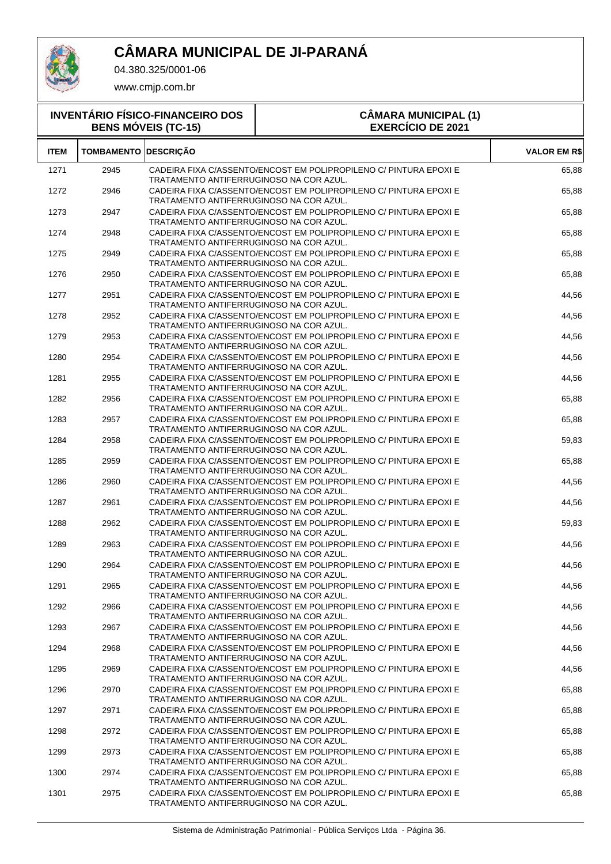

T

04.380.325/0001-06

| <b>INVENTÁRIO FÍSICO-FINANCEIRO DOS</b><br><b>BENS MÓVEIS (TC-15)</b> |                   |                                         | <b>CÂMARA MUNICIPAL (1)</b><br><b>EXERCÍCIO DE 2021</b>           |                     |  |
|-----------------------------------------------------------------------|-------------------|-----------------------------------------|-------------------------------------------------------------------|---------------------|--|
| <b>ITEM</b>                                                           | <b>TOMBAMENTO</b> | <b>DESCRICÃO</b>                        |                                                                   | <b>VALOR EM R\$</b> |  |
| 1271                                                                  | 2945              | TRATAMENTO ANTIFERRUGINOSO NA COR AZUL. | CADEIRA FIXA C/ASSENTO/ENCOST EM POLIPROPILENO C/ PINTURA EPOXI E | 65,88               |  |
| 1272                                                                  | 2946              | TRATAMENTO ANTIFERRUGINOSO NA COR AZUL. | CADEIRA FIXA C/ASSENTO/ENCOST EM POLIPROPILENO C/ PINTURA EPOXI E | 65,88               |  |
| 1273                                                                  | 2947              | TRATAMENTO ANTIFERRUGINOSO NA COR AZUL. | CADEIRA FIXA C/ASSENTO/ENCOST EM POLIPROPILENO C/ PINTURA EPOXI E | 65,88               |  |
| 1274                                                                  | 2948              | TRATAMENTO ANTIFERRUGINOSO NA COR AZUL. | CADEIRA FIXA C/ASSENTO/ENCOST EM POLIPROPILENO C/ PINTURA EPOXI E | 65,88               |  |
| 1275                                                                  | 2949              | TRATAMENTO ANTIFERRUGINOSO NA COR AZUL. | CADEIRA FIXA C/ASSENTO/ENCOST EM POLIPROPILENO C/ PINTURA EPOXI E | 65,88               |  |
| 1276                                                                  | 2950              | TRATAMENTO ANTIFERRUGINOSO NA COR AZUL. | CADEIRA FIXA C/ASSENTO/ENCOST EM POLIPROPILENO C/ PINTURA EPOXI E | 65,88               |  |
| 1277                                                                  | 2951              | TRATAMENTO ANTIFERRUGINOSO NA COR AZUL. | CADEIRA FIXA C/ASSENTO/ENCOST EM POLIPROPILENO C/ PINTURA EPOXI E | 44,56               |  |
| 1278                                                                  | 2952              | TRATAMENTO ANTIFERRUGINOSO NA COR AZUL. | CADEIRA FIXA C/ASSENTO/ENCOST EM POLIPROPILENO C/ PINTURA EPOXI E | 44,56               |  |
| 1279                                                                  | 2953              | TRATAMENTO ANTIFERRUGINOSO NA COR AZUL. | CADEIRA FIXA C/ASSENTO/ENCOST EM POLIPROPILENO C/ PINTURA EPOXI E | 44,56               |  |
| 1280                                                                  | 2954              | TRATAMENTO ANTIFERRUGINOSO NA COR AZUL. | CADEIRA FIXA C/ASSENTO/ENCOST EM POLIPROPILENO C/ PINTURA EPOXI E | 44,56               |  |
| 1281                                                                  | 2955              | TRATAMENTO ANTIFERRUGINOSO NA COR AZUL. | CADEIRA FIXA C/ASSENTO/ENCOST EM POLIPROPILENO C/ PINTURA EPOXI E | 44,56               |  |
| 1282                                                                  | 2956              | TRATAMENTO ANTIFERRUGINOSO NA COR AZUL. | CADEIRA FIXA C/ASSENTO/ENCOST EM POLIPROPILENO C/ PINTURA EPOXI E | 65,88               |  |
| 1283                                                                  | 2957              | TRATAMENTO ANTIFERRUGINOSO NA COR AZUL. | CADEIRA FIXA C/ASSENTO/ENCOST EM POLIPROPILENO C/ PINTURA EPOXI E | 65,88               |  |
| 1284                                                                  | 2958              | TRATAMENTO ANTIFERRUGINOSO NA COR AZUL. | CADEIRA FIXA C/ASSENTO/ENCOST EM POLIPROPILENO C/ PINTURA EPOXI E | 59,83               |  |
| 1285                                                                  | 2959              | TRATAMENTO ANTIFERRUGINOSO NA COR AZUL. | CADEIRA FIXA C/ASSENTO/ENCOST EM POLIPROPILENO C/ PINTURA EPOXI E | 65,88               |  |
| 1286                                                                  | 2960              | TRATAMENTO ANTIFERRUGINOSO NA COR AZUL. | CADEIRA FIXA C/ASSENTO/ENCOST EM POLIPROPILENO C/ PINTURA EPOXI E | 44,56               |  |
| 1287                                                                  | 2961              | TRATAMENTO ANTIFERRUGINOSO NA COR AZUL. | CADEIRA FIXA C/ASSENTO/ENCOST EM POLIPROPILENO C/ PINTURA EPOXI E | 44,56               |  |
| 1288                                                                  | 2962              | TRATAMENTO ANTIFERRUGINOSO NA COR AZUL. | CADEIRA FIXA C/ASSENTO/ENCOST EM POLIPROPILENO C/ PINTURA EPOXI E | 59,83               |  |
| 1289                                                                  | 2963              | TRATAMENTO ANTIFERRUGINOSO NA COR AZUL. | CADEIRA FIXA C/ASSENTO/ENCOST EM POLIPROPILENO C/ PINTURA EPOXI E | 44,56               |  |
| 1290                                                                  | 2964              | TRATAMENTO ANTIFERRUGINOSO NA COR AZUL. | CADEIRA FIXA C/ASSENTO/ENCOST EM POLIPROPILENO C/ PINTURA EPOXI E | 44,56               |  |
| 1291                                                                  | 2965              | TRATAMENTO ANTIFERRUGINOSO NA COR AZUL. | CADEIRA FIXA C/ASSENTO/ENCOST EM POLIPROPILENO C/ PINTURA EPOXI E | 44,56               |  |
| 1292                                                                  | 2966              | TRATAMENTO ANTIFERRUGINOSO NA COR AZUL. | CADEIRA FIXA C/ASSENTO/ENCOST EM POLIPROPILENO C/ PINTURA EPOXI E | 44,56               |  |
| 1293                                                                  | 2967              | TRATAMENTO ANTIFERRUGINOSO NA COR AZUL. | CADEIRA FIXA C/ASSENTO/ENCOST EM POLIPROPILENO C/ PINTURA EPOXI E | 44,56               |  |
| 1294                                                                  | 2968              | TRATAMENTO ANTIFERRUGINOSO NA COR AZUL. | CADEIRA FIXA C/ASSENTO/ENCOST EM POLIPROPILENO C/ PINTURA EPOXI E | 44,56               |  |
| 1295                                                                  | 2969              | TRATAMENTO ANTIFERRUGINOSO NA COR AZUL. | CADEIRA FIXA C/ASSENTO/ENCOST EM POLIPROPILENO C/ PINTURA EPOXI E | 44,56               |  |
| 1296                                                                  | 2970              | TRATAMENTO ANTIFERRUGINOSO NA COR AZUL. | CADEIRA FIXA C/ASSENTO/ENCOST EM POLIPROPILENO C/ PINTURA EPOXI E | 65,88               |  |
| 1297                                                                  | 2971              | TRATAMENTO ANTIFERRUGINOSO NA COR AZUL. | CADEIRA FIXA C/ASSENTO/ENCOST EM POLIPROPILENO C/ PINTURA EPOXI E | 65,88               |  |
| 1298                                                                  | 2972              | TRATAMENTO ANTIFERRUGINOSO NA COR AZUL. | CADEIRA FIXA C/ASSENTO/ENCOST EM POLIPROPILENO C/ PINTURA EPOXI E | 65,88               |  |
| 1299                                                                  | 2973              | TRATAMENTO ANTIFERRUGINOSO NA COR AZUL. | CADEIRA FIXA C/ASSENTO/ENCOST EM POLIPROPILENO C/ PINTURA EPOXI E | 65,88               |  |
| 1300                                                                  | 2974              | TRATAMENTO ANTIFERRUGINOSO NA COR AZUL. | CADEIRA FIXA C/ASSENTO/ENCOST EM POLIPROPILENO C/ PINTURA EPOXI E | 65,88               |  |
| 1301                                                                  | 2975              | TRATAMENTO ANTIFERRUGINOSO NA COR AZUL. | CADEIRA FIXA C/ASSENTO/ENCOST EM POLIPROPILENO C/ PINTURA EPOXI E | 65,88               |  |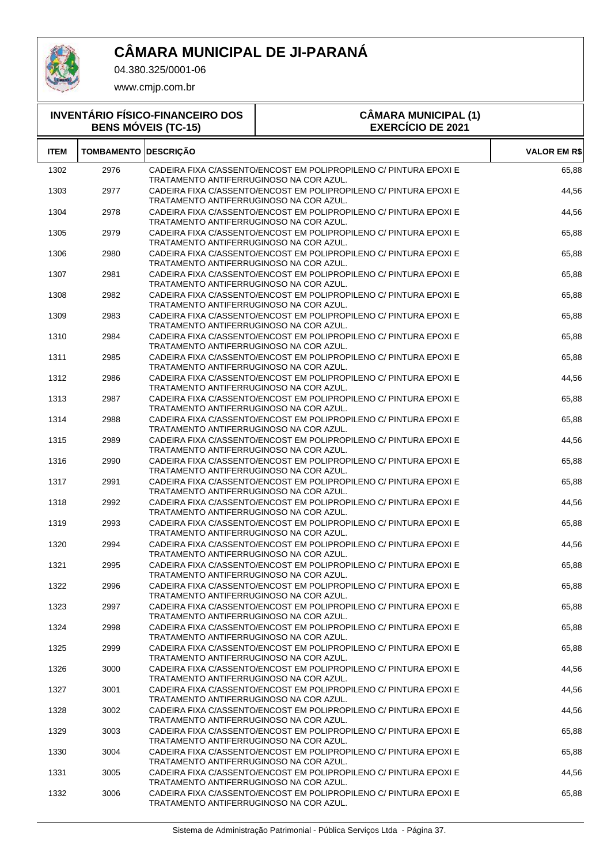

04.380.325/0001-06

| <b>INVENTÁRIO FÍSICO-FINANCEIRO DOS</b><br><b>BENS MÓVEIS (TC-15)</b> |                   |                                         | <b>CÂMARA MUNICIPAL (1)</b><br><b>EXERCÍCIO DE 2021</b>           |                     |
|-----------------------------------------------------------------------|-------------------|-----------------------------------------|-------------------------------------------------------------------|---------------------|
| <b>ITEM</b>                                                           | <b>TOMBAMENTO</b> | <b>DESCRICÃO</b>                        |                                                                   | <b>VALOR EM R\$</b> |
| 1302                                                                  | 2976              | TRATAMENTO ANTIFERRUGINOSO NA COR AZUL. | CADEIRA FIXA C/ASSENTO/ENCOST EM POLIPROPILENO C/ PINTURA EPOXI E | 65,88               |
| 1303                                                                  | 2977              | TRATAMENTO ANTIFERRUGINOSO NA COR AZUL. | CADEIRA FIXA C/ASSENTO/ENCOST EM POLIPROPILENO C/ PINTURA EPOXI E | 44,56               |
| 1304                                                                  | 2978              | TRATAMENTO ANTIFERRUGINOSO NA COR AZUL. | CADEIRA FIXA C/ASSENTO/ENCOST EM POLIPROPILENO C/ PINTURA EPOXI E | 44,56               |
| 1305                                                                  | 2979              | TRATAMENTO ANTIFERRUGINOSO NA COR AZUL. | CADEIRA FIXA C/ASSENTO/ENCOST EM POLIPROPILENO C/ PINTURA EPOXI E | 65,88               |
| 1306                                                                  | 2980              | TRATAMENTO ANTIFERRUGINOSO NA COR AZUL. | CADEIRA FIXA C/ASSENTO/ENCOST EM POLIPROPILENO C/ PINTURA EPOXI E | 65,88               |
| 1307                                                                  | 2981              | TRATAMENTO ANTIFERRUGINOSO NA COR AZUL. | CADEIRA FIXA C/ASSENTO/ENCOST EM POLIPROPILENO C/ PINTURA EPOXI E | 65,88               |
| 1308                                                                  | 2982              | TRATAMENTO ANTIFERRUGINOSO NA COR AZUL. | CADEIRA FIXA C/ASSENTO/ENCOST EM POLIPROPILENO C/ PINTURA EPOXI E | 65,88               |
| 1309                                                                  | 2983              | TRATAMENTO ANTIFERRUGINOSO NA COR AZUL. | CADEIRA FIXA C/ASSENTO/ENCOST EM POLIPROPILENO C/ PINTURA EPOXI E | 65,88               |
| 1310                                                                  | 2984              | TRATAMENTO ANTIFERRUGINOSO NA COR AZUL. | CADEIRA FIXA C/ASSENTO/ENCOST EM POLIPROPILENO C/ PINTURA EPOXI E | 65,88               |
| 1311                                                                  | 2985              | TRATAMENTO ANTIFERRUGINOSO NA COR AZUL. | CADEIRA FIXA C/ASSENTO/ENCOST EM POLIPROPILENO C/ PINTURA EPOXI E | 65,88               |
| 1312                                                                  | 2986              | TRATAMENTO ANTIFERRUGINOSO NA COR AZUL. | CADEIRA FIXA C/ASSENTO/ENCOST EM POLIPROPILENO C/ PINTURA EPOXI E | 44,56               |
| 1313                                                                  | 2987              | TRATAMENTO ANTIFERRUGINOSO NA COR AZUL. | CADEIRA FIXA C/ASSENTO/ENCOST EM POLIPROPILENO C/ PINTURA EPOXI E | 65,88               |
| 1314                                                                  | 2988              | TRATAMENTO ANTIFERRUGINOSO NA COR AZUL. | CADEIRA FIXA C/ASSENTO/ENCOST EM POLIPROPILENO C/ PINTURA EPOXI E | 65,88               |
| 1315                                                                  | 2989              | TRATAMENTO ANTIFERRUGINOSO NA COR AZUL. | CADEIRA FIXA C/ASSENTO/ENCOST EM POLIPROPILENO C/ PINTURA EPOXI E | 44,56               |
| 1316                                                                  | 2990              | TRATAMENTO ANTIFERRUGINOSO NA COR AZUL. | CADEIRA FIXA C/ASSENTO/ENCOST EM POLIPROPILENO C/ PINTURA EPOXI E | 65,88               |
| 1317                                                                  | 2991              | TRATAMENTO ANTIFERRUGINOSO NA COR AZUL. | CADEIRA FIXA C/ASSENTO/ENCOST EM POLIPROPILENO C/ PINTURA EPOXI E | 65,88               |
| 1318                                                                  | 2992              | TRATAMENTO ANTIFERRUGINOSO NA COR AZUL. | CADEIRA FIXA C/ASSENTO/ENCOST EM POLIPROPILENO C/ PINTURA EPOXI E | 44,56               |
| 1319                                                                  | 2993              | TRATAMENTO ANTIFERRUGINOSO NA COR AZUL. | CADEIRA FIXA C/ASSENTO/ENCOST EM POLIPROPILENO C/ PINTURA EPOXI E | 65,88               |
| 1320                                                                  | 2994              | TRATAMENTO ANTIFERRUGINOSO NA COR AZUL. | CADEIRA FIXA C/ASSENTO/ENCOST EM POLIPROPILENO C/ PINTURA EPOXI E | 44,56               |
| 1321                                                                  | 2995              | TRATAMENTO ANTIFERRUGINOSO NA COR AZUL. | CADEIRA FIXA C/ASSENTO/ENCOST EM POLIPROPILENO C/ PINTURA EPOXI E | 65,88               |
| 1322                                                                  | 2996              | TRATAMENTO ANTIFERRUGINOSO NA COR AZUL. | CADEIRA FIXA C/ASSENTO/ENCOST EM POLIPROPILENO C/ PINTURA EPOXI E | 65,88               |
| 1323                                                                  | 2997              | TRATAMENTO ANTIFERRUGINOSO NA COR AZUL. | CADEIRA FIXA C/ASSENTO/ENCOST EM POLIPROPILENO C/ PINTURA EPOXI E | 65,88               |
| 1324                                                                  | 2998              | TRATAMENTO ANTIFERRUGINOSO NA COR AZUL. | CADEIRA FIXA C/ASSENTO/ENCOST EM POLIPROPILENO C/ PINTURA EPOXI E | 65,88               |
| 1325                                                                  | 2999              | TRATAMENTO ANTIFERRUGINOSO NA COR AZUL. | CADEIRA FIXA C/ASSENTO/ENCOST EM POLIPROPILENO C/ PINTURA EPOXI E | 65,88               |
| 1326                                                                  | 3000              | TRATAMENTO ANTIFERRUGINOSO NA COR AZUL. | CADEIRA FIXA C/ASSENTO/ENCOST EM POLIPROPILENO C/ PINTURA EPOXI E | 44,56               |
| 1327                                                                  | 3001              | TRATAMENTO ANTIFERRUGINOSO NA COR AZUL. | CADEIRA FIXA C/ASSENTO/ENCOST EM POLIPROPILENO C/ PINTURA EPOXI E | 44,56               |
| 1328                                                                  | 3002              | TRATAMENTO ANTIFERRUGINOSO NA COR AZUL. | CADEIRA FIXA C/ASSENTO/ENCOST EM POLIPROPILENO C/ PINTURA EPOXI E | 44,56               |
| 1329                                                                  | 3003              | TRATAMENTO ANTIFERRUGINOSO NA COR AZUL. | CADEIRA FIXA C/ASSENTO/ENCOST EM POLIPROPILENO C/ PINTURA EPOXI E | 65,88               |
| 1330                                                                  | 3004              | TRATAMENTO ANTIFERRUGINOSO NA COR AZUL. | CADEIRA FIXA C/ASSENTO/ENCOST EM POLIPROPILENO C/ PINTURA EPOXI E | 65,88               |
| 1331                                                                  | 3005              | TRATAMENTO ANTIFERRUGINOSO NA COR AZUL. | CADEIRA FIXA C/ASSENTO/ENCOST EM POLIPROPILENO C/ PINTURA EPOXI E | 44,56               |
| 1332                                                                  | 3006              | TRATAMENTO ANTIFERRUGINOSO NA COR AZUL. | CADEIRA FIXA C/ASSENTO/ENCOST EM POLIPROPILENO C/ PINTURA EPOXI E | 65,88               |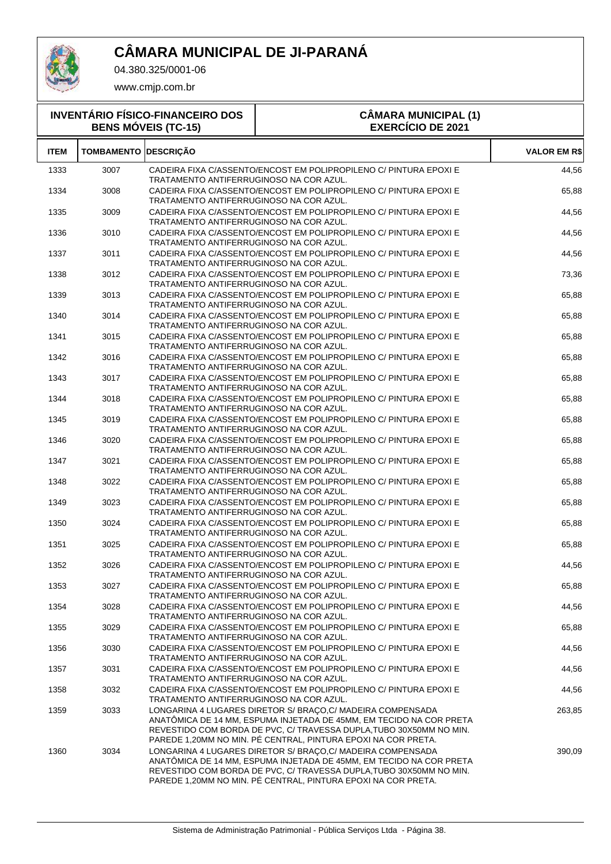

04.380.325/0001-06

| <b>INVENTÁRIO FÍSICO-FINANCEIRO DOS</b><br><b>BENS MÓVEIS (TC-15)</b> |                   |                                         | <b>CÂMARA MUNICIPAL (1)</b><br><b>EXERCÍCIO DE 2021</b>                                                                                                                                                                                                                    |                     |
|-----------------------------------------------------------------------|-------------------|-----------------------------------------|----------------------------------------------------------------------------------------------------------------------------------------------------------------------------------------------------------------------------------------------------------------------------|---------------------|
| <b>ITEM</b>                                                           | <b>TOMBAMENTO</b> | <b>DESCRICÃO</b>                        |                                                                                                                                                                                                                                                                            | <b>VALOR EM R\$</b> |
| 1333                                                                  | 3007              | TRATAMENTO ANTIFERRUGINOSO NA COR AZUL. | CADEIRA FIXA C/ASSENTO/ENCOST EM POLIPROPILENO C/ PINTURA EPOXI E                                                                                                                                                                                                          | 44,56               |
| 1334                                                                  | 3008              | TRATAMENTO ANTIFERRUGINOSO NA COR AZUL. | CADEIRA FIXA C/ASSENTO/ENCOST EM POLIPROPILENO C/ PINTURA EPOXI E                                                                                                                                                                                                          | 65,88               |
| 1335                                                                  | 3009              | TRATAMENTO ANTIFERRUGINOSO NA COR AZUL. | CADEIRA FIXA C/ASSENTO/ENCOST EM POLIPROPILENO C/ PINTURA EPOXI E                                                                                                                                                                                                          | 44,56               |
| 1336                                                                  | 3010              | TRATAMENTO ANTIFERRUGINOSO NA COR AZUL. | CADEIRA FIXA C/ASSENTO/ENCOST EM POLIPROPILENO C/ PINTURA EPOXI E                                                                                                                                                                                                          | 44,56               |
| 1337                                                                  | 3011              | TRATAMENTO ANTIFERRUGINOSO NA COR AZUL. | CADEIRA FIXA C/ASSENTO/ENCOST EM POLIPROPILENO C/ PINTURA EPOXI E                                                                                                                                                                                                          | 44,56               |
| 1338                                                                  | 3012              | TRATAMENTO ANTIFERRUGINOSO NA COR AZUL. | CADEIRA FIXA C/ASSENTO/ENCOST EM POLIPROPILENO C/ PINTURA EPOXI E                                                                                                                                                                                                          | 73,36               |
| 1339                                                                  | 3013              | TRATAMENTO ANTIFERRUGINOSO NA COR AZUL. | CADEIRA FIXA C/ASSENTO/ENCOST EM POLIPROPILENO C/ PINTURA EPOXI E                                                                                                                                                                                                          | 65,88               |
| 1340                                                                  | 3014              | TRATAMENTO ANTIFERRUGINOSO NA COR AZUL. | CADEIRA FIXA C/ASSENTO/ENCOST EM POLIPROPILENO C/ PINTURA EPOXI E                                                                                                                                                                                                          | 65,88               |
| 1341                                                                  | 3015              | TRATAMENTO ANTIFERRUGINOSO NA COR AZUL. | CADEIRA FIXA C/ASSENTO/ENCOST EM POLIPROPILENO C/ PINTURA EPOXI E                                                                                                                                                                                                          | 65,88               |
| 1342                                                                  | 3016              | TRATAMENTO ANTIFERRUGINOSO NA COR AZUL. | CADEIRA FIXA C/ASSENTO/ENCOST EM POLIPROPILENO C/ PINTURA EPOXI E                                                                                                                                                                                                          | 65,88               |
| 1343                                                                  | 3017              | TRATAMENTO ANTIFERRUGINOSO NA COR AZUL. | CADEIRA FIXA C/ASSENTO/ENCOST EM POLIPROPILENO C/ PINTURA EPOXI E                                                                                                                                                                                                          | 65,88               |
| 1344                                                                  | 3018              | TRATAMENTO ANTIFERRUGINOSO NA COR AZUL. | CADEIRA FIXA C/ASSENTO/ENCOST EM POLIPROPILENO C/ PINTURA EPOXI E                                                                                                                                                                                                          | 65,88               |
| 1345                                                                  | 3019              | TRATAMENTO ANTIFERRUGINOSO NA COR AZUL. | CADEIRA FIXA C/ASSENTO/ENCOST EM POLIPROPILENO C/ PINTURA EPOXI E                                                                                                                                                                                                          | 65,88               |
| 1346                                                                  | 3020              | TRATAMENTO ANTIFERRUGINOSO NA COR AZUL. | CADEIRA FIXA C/ASSENTO/ENCOST EM POLIPROPILENO C/ PINTURA EPOXI E                                                                                                                                                                                                          | 65,88               |
| 1347                                                                  | 3021              | TRATAMENTO ANTIFERRUGINOSO NA COR AZUL. | CADEIRA FIXA C/ASSENTO/ENCOST EM POLIPROPILENO C/ PINTURA EPOXI E                                                                                                                                                                                                          | 65,88               |
| 1348                                                                  | 3022              | TRATAMENTO ANTIFERRUGINOSO NA COR AZUL. | CADEIRA FIXA C/ASSENTO/ENCOST EM POLIPROPILENO C/ PINTURA EPOXI E                                                                                                                                                                                                          | 65,88               |
| 1349                                                                  | 3023              | TRATAMENTO ANTIFERRUGINOSO NA COR AZUL. | CADEIRA FIXA C/ASSENTO/ENCOST EM POLIPROPILENO C/ PINTURA EPOXI E                                                                                                                                                                                                          | 65,88               |
| 1350                                                                  | 3024              | TRATAMENTO ANTIFERRUGINOSO NA COR AZUL. | CADEIRA FIXA C/ASSENTO/ENCOST EM POLIPROPILENO C/ PINTURA EPOXI E                                                                                                                                                                                                          | 65,88               |
| 1351                                                                  | 3025              | TRATAMENTO ANTIFERRUGINOSO NA COR AZUL. | CADEIRA FIXA C/ASSENTO/ENCOST EM POLIPROPILENO C/ PINTURA EPOXI E                                                                                                                                                                                                          | 65,88               |
| 1352                                                                  | 3026              | TRATAMENTO ANTIFERRUGINOSO NA COR AZUL. | CADEIRA FIXA C/ASSENTO/ENCOST EM POLIPROPILENO C/ PINTURA EPOXI E                                                                                                                                                                                                          | 44,56               |
| 1353                                                                  | 3027              | TRATAMENTO ANTIFERRUGINOSO NA COR AZUL. | CADEIRA FIXA C/ASSENTO/ENCOST EM POLIPROPILENO C/ PINTURA EPOXI E                                                                                                                                                                                                          | 65,88               |
| 1354                                                                  | 3028              | TRATAMENTO ANTIFERRUGINOSO NA COR AZUL. | CADEIRA FIXA C/ASSENTO/ENCOST EM POLIPROPILENO C/ PINTURA EPOXI E                                                                                                                                                                                                          | 44,56               |
| 1355                                                                  | 3029              | TRATAMENTO ANTIFERRUGINOSO NA COR AZUL. | CADEIRA FIXA C/ASSENTO/ENCOST EM POLIPROPILENO C/ PINTURA EPOXI E                                                                                                                                                                                                          | 65,88               |
| 1356                                                                  | 3030              | TRATAMENTO ANTIFERRUGINOSO NA COR AZUL. | CADEIRA FIXA C/ASSENTO/ENCOST EM POLIPROPILENO C/ PINTURA EPOXI E                                                                                                                                                                                                          | 44,56               |
| 1357                                                                  | 3031              | TRATAMENTO ANTIFERRUGINOSO NA COR AZUL. | CADEIRA FIXA C/ASSENTO/ENCOST EM POLIPROPILENO C/ PINTURA EPOXI E                                                                                                                                                                                                          | 44,56               |
| 1358                                                                  | 3032              | TRATAMENTO ANTIFERRUGINOSO NA COR AZUL. | CADEIRA FIXA C/ASSENTO/ENCOST EM POLIPROPILENO C/ PINTURA EPOXI E                                                                                                                                                                                                          | 44,56               |
| 1359                                                                  | 3033              |                                         | LONGARINA 4 LUGARES DIRETOR S/ BRAÇO, C/ MADEIRA COMPENSADA<br>ANATÔMICA DE 14 MM, ESPUMA INJETADA DE 45MM, EM TECIDO NA COR PRETA<br>REVESTIDO COM BORDA DE PVC, C/ TRAVESSA DUPLA, TUBO 30X50MM NO MIN.<br>PAREDE 1,20MM NO MIN. PÉ CENTRAL, PINTURA EPOXI NA COR PRETA. | 263,85              |
| 1360                                                                  | 3034              |                                         | LONGARINA 4 LUGARES DIRETOR S/ BRAÇO, C/ MADEIRA COMPENSADA<br>ANATÔMICA DE 14 MM, ESPUMA INJETADA DE 45MM, EM TECIDO NA COR PRETA<br>REVESTIDO COM BORDA DE PVC, C/ TRAVESSA DUPLA, TUBO 30X50MM NO MIN.<br>PAREDE 1,20MM NO MIN. PÉ CENTRAL, PINTURA EPOXI NA COR PRETA. | 390,09              |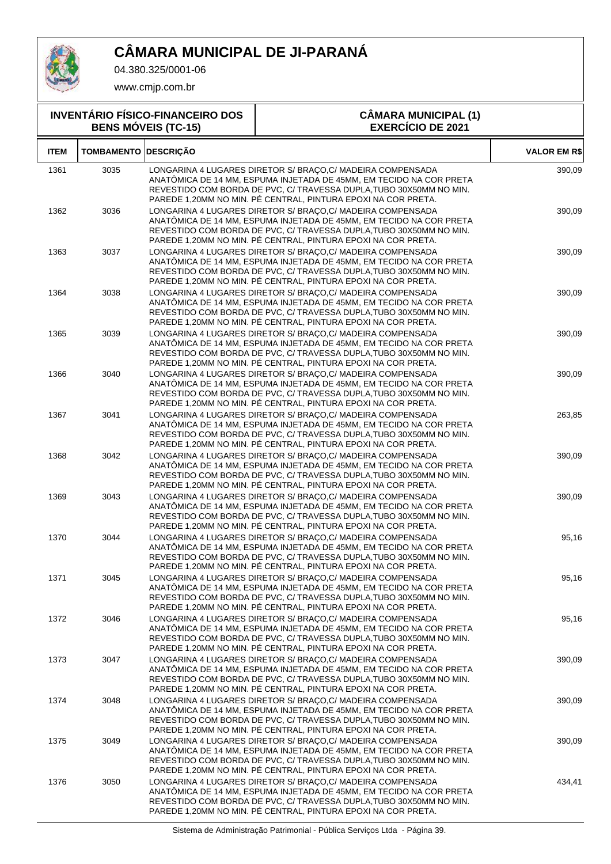

04.380.325/0001-06

www.cmjp.com.br

**INVENTÁRIO FÍSICO-FINANCEIRO DOS**

#### **BENS MÓVEIS (TC-15) CÂMARA MUNICIPAL (1) EXERCÍCIO DE 2021 ITEM TOMBAMENTO DESCRIÇÃO VALOR EM R\$** 3035 LONGARINA 4 LUGARES DIRETOR S/ BRAÇO,C/ MADEIRA COMPENSADA 1361 390,09 ANATÔMICA DE 14 MM, ESPUMA INJETADA DE 45MM, EM TECIDO NA COR PRETA REVESTIDO COM BORDA DE PVC, C/ TRAVESSA DUPLA,TUBO 30X50MM NO MIN. PAREDE 1,20MM NO MIN. PÉ CENTRAL, PINTURA EPOXI NA COR PRETA. 3036 LONGARINA 4 LUGARES DIRETOR S/ BRAÇO,C/ MADEIRA COMPENSADA 1362 390,09 ANATÔMICA DE 14 MM, ESPUMA INJETADA DE 45MM, EM TECIDO NA COR PRETA REVESTIDO COM BORDA DE PVC, C/ TRAVESSA DUPLA,TUBO 30X50MM NO MIN. PAREDE 1,20MM NO MIN. PÉ CENTRAL, PINTURA EPOXI NA COR PRETA. 3037 LONGARINA 4 LUGARES DIRETOR S/ BRAÇO,C/ MADEIRA COMPENSADA 1363 390,09 ANATÔMICA DE 14 MM, ESPUMA INJETADA DE 45MM, EM TECIDO NA COR PRETA REVESTIDO COM BORDA DE PVC, C/ TRAVESSA DUPLA,TUBO 30X50MM NO MIN. PAREDE 1,20MM NO MIN. PÉ CENTRAL, PINTURA EPOXI NA COR PRETA. 3038 LONGARINA 4 LUGARES DIRETOR S/ BRAÇO,C/ MADEIRA COMPENSADA 1364 390,09 ANATÔMICA DE 14 MM, ESPUMA INJETADA DE 45MM, EM TECIDO NA COR PRETA REVESTIDO COM BORDA DE PVC, C/ TRAVESSA DUPLA,TUBO 30X50MM NO MIN. PAREDE 1,20MM NO MIN. PÉ CENTRAL, PINTURA EPOXI NA COR PRETA. 3039 LONGARINA 4 LUGARES DIRETOR S/ BRAÇO,C/ MADEIRA COMPENSADA 1365 390,09 ANATÔMICA DE 14 MM, ESPUMA INJETADA DE 45MM, EM TECIDO NA COR PRETA REVESTIDO COM BORDA DE PVC, C/ TRAVESSA DUPLA,TUBO 30X50MM NO MIN. PAREDE 1,20MM NO MIN. PÉ CENTRAL, PINTURA EPOXI NA COR PRETA. 3040 LONGARINA 4 LUGARES DIRETOR S/ BRAÇO,C/ MADEIRA COMPENSADA 1366 390,09 ANATÔMICA DE 14 MM, ESPUMA INJETADA DE 45MM, EM TECIDO NA COR PRETA REVESTIDO COM BORDA DE PVC, C/ TRAVESSA DUPLA,TUBO 30X50MM NO MIN. PAREDE 1,20MM NO MIN. PÉ CENTRAL, PINTURA EPOXI NA COR PRETA. 3041 LONGARINA 4 LUGARES DIRETOR S/ BRAÇO,C/ MADEIRA COMPENSADA 1367 263,85 ANATÔMICA DE 14 MM, ESPUMA INJETADA DE 45MM, EM TECIDO NA COR PRETA REVESTIDO COM BORDA DE PVC, C/ TRAVESSA DUPLA,TUBO 30X50MM NO MIN. PAREDE 1,20MM NO MIN. PÉ CENTRAL, PINTURA EPOXI NA COR PRETA. 3042 LONGARINA 4 LUGARES DIRETOR S/ BRAÇO,C/ MADEIRA COMPENSADA 1368 390,09 ANATÔMICA DE 14 MM, ESPUMA INJETADA DE 45MM, EM TECIDO NA COR PRETA REVESTIDO COM BORDA DE PVC, C/ TRAVESSA DUPLA,TUBO 30X50MM NO MIN. PAREDE 1,20MM NO MIN. PÉ CENTRAL, PINTURA EPOXI NA COR PRETA. 3043 LONGARINA 4 LUGARES DIRETOR S/ BRAÇO,C/ MADEIRA COMPENSADA 1369 390,09 ANATÔMICA DE 14 MM, ESPUMA INJETADA DE 45MM, EM TECIDO NA COR PRETA REVESTIDO COM BORDA DE PVC, C/ TRAVESSA DUPLA,TUBO 30X50MM NO MIN. PAREDE 1,20MM NO MIN. PÉ CENTRAL, PINTURA EPOXI NA COR PRETA. 3044 LONGARINA 4 LUGARES DIRETOR S/ BRAÇO,C/ MADEIRA COMPENSADA 1370 95,16 ANATÔMICA DE 14 MM, ESPUMA INJETADA DE 45MM, EM TECIDO NA COR PRETA REVESTIDO COM BORDA DE PVC, C/ TRAVESSA DUPLA,TUBO 30X50MM NO MIN. PAREDE 1,20MM NO MIN. PÉ CENTRAL, PINTURA EPOXI NA COR PRETA. 3045 LONGARINA 4 LUGARES DIRETOR S/ BRAÇO,C/ MADEIRA COMPENSADA 1371 95,16 ANATÔMICA DE 14 MM, ESPUMA INJETADA DE 45MM, EM TECIDO NA COR PRETA REVESTIDO COM BORDA DE PVC, C/ TRAVESSA DUPLA,TUBO 30X50MM NO MIN. PAREDE 1,20MM NO MIN. PÉ CENTRAL, PINTURA EPOXI NA COR PRETA. 3046 LONGARINA 4 LUGARES DIRETOR S/ BRAÇO,C/ MADEIRA COMPENSADA 1372 95,16 ANATÔMICA DE 14 MM, ESPUMA INJETADA DE 45MM, EM TECIDO NA COR PRETA REVESTIDO COM BORDA DE PVC, C/ TRAVESSA DUPLA,TUBO 30X50MM NO MIN. PAREDE 1,20MM NO MIN. PÉ CENTRAL, PINTURA EPOXI NA COR PRETA. 3047 LONGARINA 4 LUGARES DIRETOR S/ BRAÇO,C/ MADEIRA COMPENSADA 1373 390,09 ANATÔMICA DE 14 MM, ESPUMA INJETADA DE 45MM, EM TECIDO NA COR PRETA REVESTIDO COM BORDA DE PVC, C/ TRAVESSA DUPLA,TUBO 30X50MM NO MIN. PAREDE 1,20MM NO MIN. PÉ CENTRAL, PINTURA EPOXI NA COR PRETA. 3048 LONGARINA 4 LUGARES DIRETOR S/ BRAÇO,C/ MADEIRA COMPENSADA 1374 390,09 ANATÔMICA DE 14 MM, ESPUMA INJETADA DE 45MM, EM TECIDO NA COR PRETA REVESTIDO COM BORDA DE PVC, C/ TRAVESSA DUPLA,TUBO 30X50MM NO MIN. PAREDE 1,20MM NO MIN. PÉ CENTRAL, PINTURA EPOXI NA COR PRETA. 3049 LONGARINA 4 LUGARES DIRETOR S/ BRAÇO,C/ MADEIRA COMPENSADA 1375 390,09 ANATÔMICA DE 14 MM, ESPUMA INJETADA DE 45MM, EM TECIDO NA COR PRETA REVESTIDO COM BORDA DE PVC, C/ TRAVESSA DUPLA,TUBO 30X50MM NO MIN. PAREDE 1,20MM NO MIN. PÉ CENTRAL, PINTURA EPOXI NA COR PRETA. 3050 LONGARINA 4 LUGARES DIRETOR S/ BRAÇO,C/ MADEIRA COMPENSADA 1376 434,41 ANATÔMICA DE 14 MM, ESPUMA INJETADA DE 45MM, EM TECIDO NA COR PRETA

REVESTIDO COM BORDA DE PVC, C/ TRAVESSA DUPLA,TUBO 30X50MM NO MIN. PAREDE 1,20MM NO MIN. PÉ CENTRAL, PINTURA EPOXI NA COR PRETA.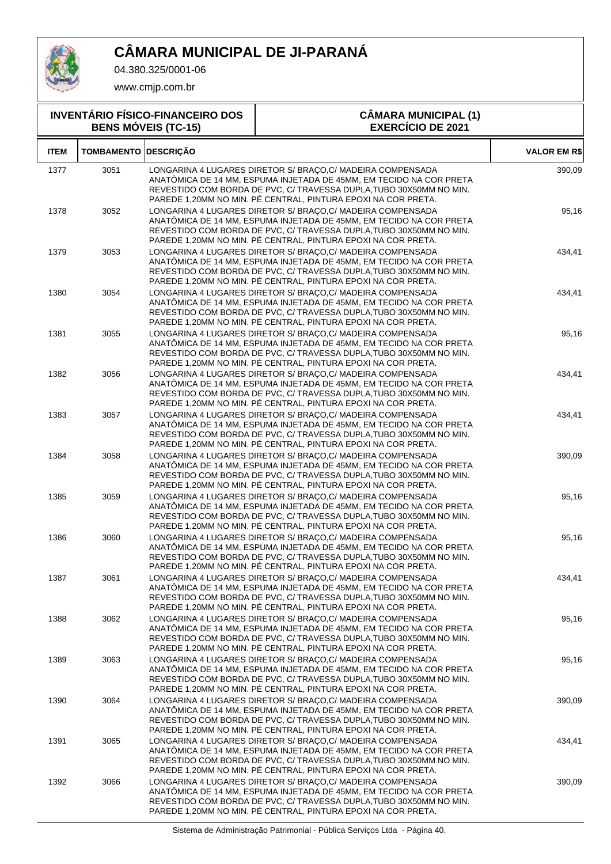

04.380.325/0001-06

www.cmjp.com.br

#### **INVENTÁRIO FÍSICO-FINANCEIRO DOS BENS MÓVEIS (TC-15) CÂMARA MUNICIPAL (1) EXERCÍCIO DE 2021 ITEM TOMBAMENTO DESCRIÇÃO VALOR EM R\$** 3051 LONGARINA 4 LUGARES DIRETOR S/ BRAÇO,C/ MADEIRA COMPENSADA 1377 390,09 ANATÔMICA DE 14 MM, ESPUMA INJETADA DE 45MM, EM TECIDO NA COR PRETA REVESTIDO COM BORDA DE PVC, C/ TRAVESSA DUPLA,TUBO 30X50MM NO MIN. PAREDE 1,20MM NO MIN. PÉ CENTRAL, PINTURA EPOXI NA COR PRETA. 3052 LONGARINA 4 LUGARES DIRETOR S/ BRAÇO,C/ MADEIRA COMPENSADA 1378 95,16 ANATÔMICA DE 14 MM, ESPUMA INJETADA DE 45MM, EM TECIDO NA COR PRETA REVESTIDO COM BORDA DE PVC, C/ TRAVESSA DUPLA,TUBO 30X50MM NO MIN. PAREDE 1,20MM NO MIN. PÉ CENTRAL, PINTURA EPOXI NA COR PRETA. 3053 LONGARINA 4 LUGARES DIRETOR S/ BRAÇO,C/ MADEIRA COMPENSADA 1379 434,41 ANATÔMICA DE 14 MM, ESPUMA INJETADA DE 45MM, EM TECIDO NA COR PRETA REVESTIDO COM BORDA DE PVC, C/ TRAVESSA DUPLA,TUBO 30X50MM NO MIN. PAREDE 1,20MM NO MIN. PÉ CENTRAL, PINTURA EPOXI NA COR PRETA. 3054 LONGARINA 4 LUGARES DIRETOR S/ BRAÇO,C/ MADEIRA COMPENSADA 1380 434,41 ANATÔMICA DE 14 MM, ESPUMA INJETADA DE 45MM, EM TECIDO NA COR PRETA REVESTIDO COM BORDA DE PVC, C/ TRAVESSA DUPLA,TUBO 30X50MM NO MIN. PAREDE 1,20MM NO MIN. PÉ CENTRAL, PINTURA EPOXI NA COR PRETA. 3055 LONGARINA 4 LUGARES DIRETOR S/ BRAÇO,C/ MADEIRA COMPENSADA 1381 95,16 ANATÔMICA DE 14 MM, ESPUMA INJETADA DE 45MM, EM TECIDO NA COR PRETA REVESTIDO COM BORDA DE PVC, C/ TRAVESSA DUPLA,TUBO 30X50MM NO MIN. PAREDE 1,20MM NO MIN. PÉ CENTRAL, PINTURA EPOXI NA COR PRETA. 3056 LONGARINA 4 LUGARES DIRETOR S/ BRAÇO,C/ MADEIRA COMPENSADA 1382 434,41 ANATÔMICA DE 14 MM, ESPUMA INJETADA DE 45MM, EM TECIDO NA COR PRETA REVESTIDO COM BORDA DE PVC, C/ TRAVESSA DUPLA,TUBO 30X50MM NO MIN. PAREDE 1,20MM NO MIN. PÉ CENTRAL, PINTURA EPOXI NA COR PRETA. 1383 3057 LONGARINA 4 LUGARES DIRETOR S/ BRAÇO,C/ MADEIRA COMPENSADA 434,41 ANATÔMICA DE 14 MM, ESPUMA INJETADA DE 45MM, EM TECIDO NA COR PRETA REVESTIDO COM BORDA DE PVC, C/ TRAVESSA DUPLA,TUBO 30X50MM NO MIN. PAREDE 1,20MM NO MIN. PÉ CENTRAL, PINTURA EPOXI NA COR PRETA. 3058 LONGARINA 4 LUGARES DIRETOR S/ BRAÇO,C/ MADEIRA COMPENSADA 1384 390,09 ANATÔMICA DE 14 MM, ESPUMA INJETADA DE 45MM, EM TECIDO NA COR PRETA REVESTIDO COM BORDA DE PVC, C/ TRAVESSA DUPLA,TUBO 30X50MM NO MIN. PAREDE 1,20MM NO MIN. PÉ CENTRAL, PINTURA EPOXI NA COR PRETA. 3059 LONGARINA 4 LUGARES DIRETOR S/ BRAÇO,C/ MADEIRA COMPENSADA 1385 95,16 ANATÔMICA DE 14 MM, ESPUMA INJETADA DE 45MM, EM TECIDO NA COR PRETA REVESTIDO COM BORDA DE PVC, C/ TRAVESSA DUPLA,TUBO 30X50MM NO MIN. PAREDE 1,20MM NO MIN. PÉ CENTRAL, PINTURA EPOXI NA COR PRETA. 3060 LONGARINA 4 LUGARES DIRETOR S/ BRAÇO,C/ MADEIRA COMPENSADA 1386 95,16 ANATÔMICA DE 14 MM, ESPUMA INJETADA DE 45MM, EM TECIDO NA COR PRETA REVESTIDO COM BORDA DE PVC, C/ TRAVESSA DUPLA,TUBO 30X50MM NO MIN. PAREDE 1,20MM NO MIN. PÉ CENTRAL, PINTURA EPOXI NA COR PRETA. 3061 LONGARINA 4 LUGARES DIRETOR S/ BRAÇO,C/ MADEIRA COMPENSADA 1387 434,41 ANATÔMICA DE 14 MM, ESPUMA INJETADA DE 45MM, EM TECIDO NA COR PRETA REVESTIDO COM BORDA DE PVC, C/ TRAVESSA DUPLA,TUBO 30X50MM NO MIN. PAREDE 1,20MM NO MIN. PÉ CENTRAL, PINTURA EPOXI NA COR PRETA. 3062 LONGARINA 4 LUGARES DIRETOR S/ BRAÇO,C/ MADEIRA COMPENSADA 1388 95,16 ANATÔMICA DE 14 MM, ESPUMA INJETADA DE 45MM, EM TECIDO NA COR PRETA REVESTIDO COM BORDA DE PVC, C/ TRAVESSA DUPLA,TUBO 30X50MM NO MIN. PAREDE 1,20MM NO MIN. PÉ CENTRAL, PINTURA EPOXI NA COR PRETA. 3063 LONGARINA 4 LUGARES DIRETOR S/ BRAÇO,C/ MADEIRA COMPENSADA 1389 95,16 ANATÔMICA DE 14 MM, ESPUMA INJETADA DE 45MM, EM TECIDO NA COR PRETA REVESTIDO COM BORDA DE PVC, C/ TRAVESSA DUPLA,TUBO 30X50MM NO MIN. PAREDE 1,20MM NO MIN. PÉ CENTRAL, PINTURA EPOXI NA COR PRETA. 3064 LONGARINA 4 LUGARES DIRETOR S/ BRAÇO,C/ MADEIRA COMPENSADA 1390 390,09 ANATÔMICA DE 14 MM, ESPUMA INJETADA DE 45MM, EM TECIDO NA COR PRETA REVESTIDO COM BORDA DE PVC, C/ TRAVESSA DUPLA,TUBO 30X50MM NO MIN. PAREDE 1,20MM NO MIN. PÉ CENTRAL, PINTURA EPOXI NA COR PRETA. 3065 LONGARINA 4 LUGARES DIRETOR S/ BRAÇO,C/ MADEIRA COMPENSADA 1391 434,41 ANATÔMICA DE 14 MM, ESPUMA INJETADA DE 45MM, EM TECIDO NA COR PRETA REVESTIDO COM BORDA DE PVC, C/ TRAVESSA DUPLA,TUBO 30X50MM NO MIN. PAREDE 1,20MM NO MIN. PÉ CENTRAL, PINTURA EPOXI NA COR PRETA. 3066 LONGARINA 4 LUGARES DIRETOR S/ BRAÇO,C/ MADEIRA COMPENSADA 1392 390,09 ANATÔMICA DE 14 MM, ESPUMA INJETADA DE 45MM, EM TECIDO NA COR PRETA REVESTIDO COM BORDA DE PVC, C/ TRAVESSA DUPLA,TUBO 30X50MM NO MIN.

PAREDE 1,20MM NO MIN. PÉ CENTRAL, PINTURA EPOXI NA COR PRETA.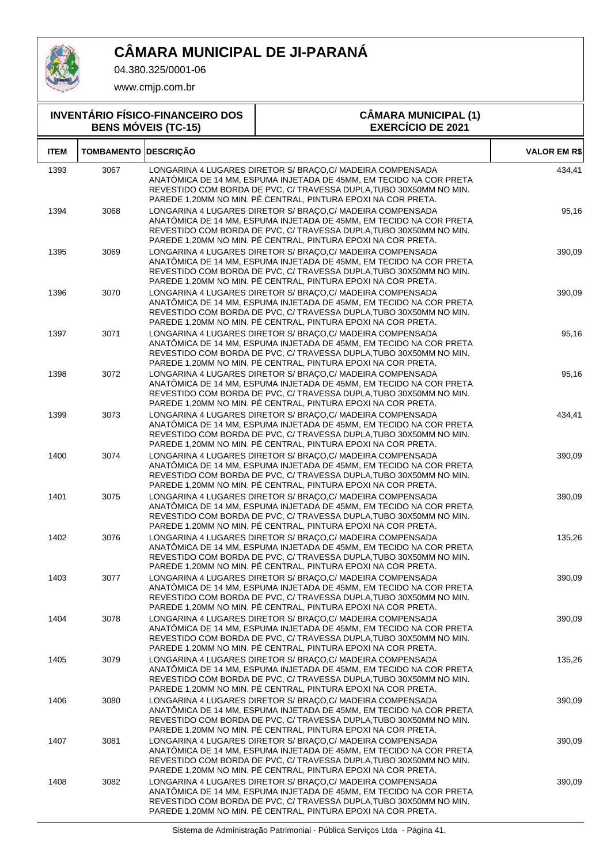

04.380.325/0001-06

www.cmjp.com.br

#### **INVENTÁRIO FÍSICO-FINANCEIRO DOS BENS MÓVEIS (TC-15) CÂMARA MUNICIPAL (1) EXERCÍCIO DE 2021 ITEM TOMBAMENTO DESCRIÇÃO VALOR EM R\$** 3067 LONGARINA 4 LUGARES DIRETOR S/ BRAÇO,C/ MADEIRA COMPENSADA 1393 434,41 ANATÔMICA DE 14 MM, ESPUMA INJETADA DE 45MM, EM TECIDO NA COR PRETA REVESTIDO COM BORDA DE PVC, C/ TRAVESSA DUPLA,TUBO 30X50MM NO MIN. PAREDE 1,20MM NO MIN. PÉ CENTRAL, PINTURA EPOXI NA COR PRETA. 3068 LONGARINA 4 LUGARES DIRETOR S/ BRAÇO,C/ MADEIRA COMPENSADA 1394 95,16 ANATÔMICA DE 14 MM, ESPUMA INJETADA DE 45MM, EM TECIDO NA COR PRETA REVESTIDO COM BORDA DE PVC, C/ TRAVESSA DUPLA,TUBO 30X50MM NO MIN. PAREDE 1,20MM NO MIN. PÉ CENTRAL, PINTURA EPOXI NA COR PRETA. 3069 LONGARINA 4 LUGARES DIRETOR S/ BRAÇO,C/ MADEIRA COMPENSADA 1395 390,09 ANATÔMICA DE 14 MM, ESPUMA INJETADA DE 45MM, EM TECIDO NA COR PRETA REVESTIDO COM BORDA DE PVC, C/ TRAVESSA DUPLA,TUBO 30X50MM NO MIN. PAREDE 1,20MM NO MIN. PÉ CENTRAL, PINTURA EPOXI NA COR PRETA. 3070 LONGARINA 4 LUGARES DIRETOR S/ BRAÇO,C/ MADEIRA COMPENSADA 1396 390,09 ANATÔMICA DE 14 MM, ESPUMA INJETADA DE 45MM, EM TECIDO NA COR PRETA REVESTIDO COM BORDA DE PVC, C/ TRAVESSA DUPLA,TUBO 30X50MM NO MIN. PAREDE 1,20MM NO MIN. PÉ CENTRAL, PINTURA EPOXI NA COR PRETA. 3071 LONGARINA 4 LUGARES DIRETOR S/ BRAÇO,C/ MADEIRA COMPENSADA 1397 95,16 ANATÔMICA DE 14 MM, ESPUMA INJETADA DE 45MM, EM TECIDO NA COR PRETA REVESTIDO COM BORDA DE PVC, C/ TRAVESSA DUPLA,TUBO 30X50MM NO MIN. PAREDE 1,20MM NO MIN. PÉ CENTRAL, PINTURA EPOXI NA COR PRETA. 3072 LONGARINA 4 LUGARES DIRETOR S/ BRAÇO,C/ MADEIRA COMPENSADA 1398 95,16 ANATÔMICA DE 14 MM, ESPUMA INJETADA DE 45MM, EM TECIDO NA COR PRETA REVESTIDO COM BORDA DE PVC, C/ TRAVESSA DUPLA,TUBO 30X50MM NO MIN. PAREDE 1,20MM NO MIN. PÉ CENTRAL, PINTURA EPOXI NA COR PRETA. 3073 LONGARINA 4 LUGARES DIRETOR S/ BRAÇO,C/ MADEIRA COMPENSADA 1399 434,41 ANATÔMICA DE 14 MM, ESPUMA INJETADA DE 45MM, EM TECIDO NA COR PRETA REVESTIDO COM BORDA DE PVC, C/ TRAVESSA DUPLA,TUBO 30X50MM NO MIN. PAREDE 1,20MM NO MIN. PÉ CENTRAL, PINTURA EPOXI NA COR PRETA. 3074 LONGARINA 4 LUGARES DIRETOR S/ BRAÇO,C/ MADEIRA COMPENSADA 1400 390,09 ANATÔMICA DE 14 MM, ESPUMA INJETADA DE 45MM, EM TECIDO NA COR PRETA REVESTIDO COM BORDA DE PVC, C/ TRAVESSA DUPLA,TUBO 30X50MM NO MIN. PAREDE 1,20MM NO MIN. PÉ CENTRAL, PINTURA EPOXI NA COR PRETA. 3075 LONGARINA 4 LUGARES DIRETOR S/ BRAÇO,C/ MADEIRA COMPENSADA 1401 390,09 ANATÔMICA DE 14 MM, ESPUMA INJETADA DE 45MM, EM TECIDO NA COR PRETA REVESTIDO COM BORDA DE PVC, C/ TRAVESSA DUPLA,TUBO 30X50MM NO MIN. PAREDE 1,20MM NO MIN. PÉ CENTRAL, PINTURA EPOXI NA COR PRETA. 3076 LONGARINA 4 LUGARES DIRETOR S/ BRAÇO,C/ MADEIRA COMPENSADA 1402 135,26 ANATÔMICA DE 14 MM, ESPUMA INJETADA DE 45MM, EM TECIDO NA COR PRETA REVESTIDO COM BORDA DE PVC, C/ TRAVESSA DUPLA,TUBO 30X50MM NO MIN. PAREDE 1,20MM NO MIN. PÉ CENTRAL, PINTURA EPOXI NA COR PRETA. 3077 LONGARINA 4 LUGARES DIRETOR S/ BRAÇO,C/ MADEIRA COMPENSADA 1403 390,09 ANATÔMICA DE 14 MM, ESPUMA INJETADA DE 45MM, EM TECIDO NA COR PRETA REVESTIDO COM BORDA DE PVC, C/ TRAVESSA DUPLA,TUBO 30X50MM NO MIN. PAREDE 1,20MM NO MIN. PÉ CENTRAL, PINTURA EPOXI NA COR PRETA. 3078 LONGARINA 4 LUGARES DIRETOR S/ BRAÇO,C/ MADEIRA COMPENSADA 1404 390,09 ANATÔMICA DE 14 MM, ESPUMA INJETADA DE 45MM, EM TECIDO NA COR PRETA REVESTIDO COM BORDA DE PVC, C/ TRAVESSA DUPLA,TUBO 30X50MM NO MIN. PAREDE 1,20MM NO MIN. PÉ CENTRAL, PINTURA EPOXI NA COR PRETA. 3079 LONGARINA 4 LUGARES DIRETOR S/ BRAÇO,C/ MADEIRA COMPENSADA 1405 135,26 ANATÔMICA DE 14 MM, ESPUMA INJETADA DE 45MM, EM TECIDO NA COR PRETA REVESTIDO COM BORDA DE PVC, C/ TRAVESSA DUPLA,TUBO 30X50MM NO MIN. PAREDE 1,20MM NO MIN. PÉ CENTRAL, PINTURA EPOXI NA COR PRETA. 3080 LONGARINA 4 LUGARES DIRETOR S/ BRAÇO,C/ MADEIRA COMPENSADA 1406 390,09 ANATÔMICA DE 14 MM, ESPUMA INJETADA DE 45MM, EM TECIDO NA COR PRETA REVESTIDO COM BORDA DE PVC, C/ TRAVESSA DUPLA,TUBO 30X50MM NO MIN. PAREDE 1,20MM NO MIN. PÉ CENTRAL, PINTURA EPOXI NA COR PRETA. 3081 LONGARINA 4 LUGARES DIRETOR S/ BRAÇO,C/ MADEIRA COMPENSADA 1407 390,09 ANATÔMICA DE 14 MM, ESPUMA INJETADA DE 45MM, EM TECIDO NA COR PRETA REVESTIDO COM BORDA DE PVC, C/ TRAVESSA DUPLA,TUBO 30X50MM NO MIN. PAREDE 1,20MM NO MIN. PÉ CENTRAL, PINTURA EPOXI NA COR PRETA. 3082 LONGARINA 4 LUGARES DIRETOR S/ BRAÇO,C/ MADEIRA COMPENSADA 1408 390,09 ANATÔMICA DE 14 MM, ESPUMA INJETADA DE 45MM, EM TECIDO NA COR PRETA

Sistema de Administração Patrimonial - Pública Serviços Ltda - Página 41.

REVESTIDO COM BORDA DE PVC, C/ TRAVESSA DUPLA,TUBO 30X50MM NO MIN. PAREDE 1,20MM NO MIN. PÉ CENTRAL, PINTURA EPOXI NA COR PRETA.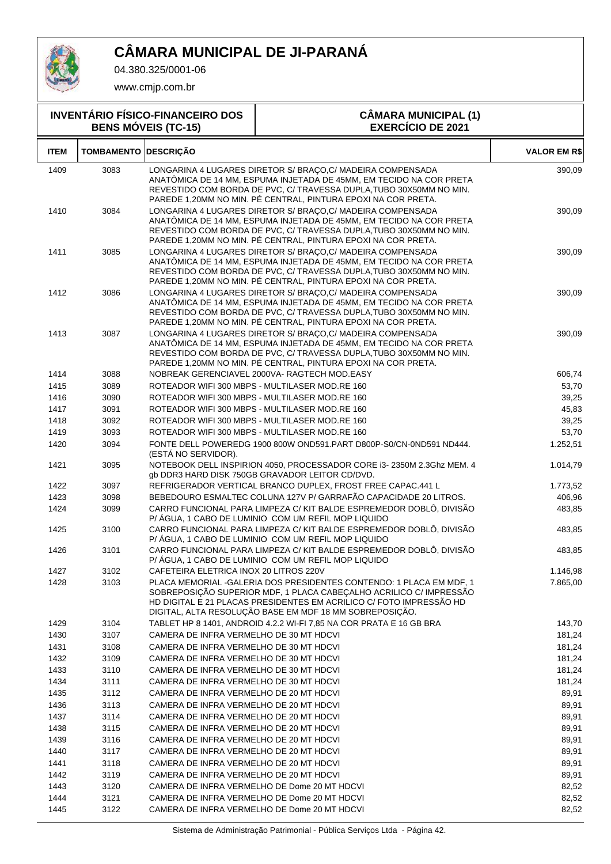

04.380.325/0001-06

www.cmjp.com.br

#### **INVENTÁRIO FÍSICO-FINANCEIRO DOS BENS MÓVEIS (TC-15) CÂMARA MUNICIPAL (1) EXERCÍCIO DE 2021 ITEM TOMBAMENTO DESCRIÇÃO VALOR EM R\$** 3083 LONGARINA 4 LUGARES DIRETOR S/ BRAÇO,C/ MADEIRA COMPENSADA 1409 390,09 ANATÔMICA DE 14 MM, ESPUMA INJETADA DE 45MM, EM TECIDO NA COR PRETA REVESTIDO COM BORDA DE PVC, C/ TRAVESSA DUPLA,TUBO 30X50MM NO MIN. PAREDE 1,20MM NO MIN. PÉ CENTRAL, PINTURA EPOXI NA COR PRETA. 3084 LONGARINA 4 LUGARES DIRETOR S/ BRAÇO,C/ MADEIRA COMPENSADA 1410 390,09 ANATÔMICA DE 14 MM, ESPUMA INJETADA DE 45MM, EM TECIDO NA COR PRETA REVESTIDO COM BORDA DE PVC, C/ TRAVESSA DUPLA,TUBO 30X50MM NO MIN. PAREDE 1,20MM NO MIN. PÉ CENTRAL, PINTURA EPOXI NA COR PRETA. 3085 LONGARINA 4 LUGARES DIRETOR S/ BRAÇO,C/ MADEIRA COMPENSADA 1411 390,09 ANATÔMICA DE 14 MM, ESPUMA INJETADA DE 45MM, EM TECIDO NA COR PRETA REVESTIDO COM BORDA DE PVC, C/ TRAVESSA DUPLA,TUBO 30X50MM NO MIN. PAREDE 1,20MM NO MIN. PÉ CENTRAL, PINTURA EPOXI NA COR PRETA. 3086 LONGARINA 4 LUGARES DIRETOR S/ BRAÇO,C/ MADEIRA COMPENSADA 1412 390,09 ANATÔMICA DE 14 MM, ESPUMA INJETADA DE 45MM, EM TECIDO NA COR PRETA REVESTIDO COM BORDA DE PVC, C/ TRAVESSA DUPLA,TUBO 30X50MM NO MIN. PAREDE 1,20MM NO MIN. PÉ CENTRAL, PINTURA EPOXI NA COR PRETA. 3087 LONGARINA 4 LUGARES DIRETOR S/ BRAÇO,C/ MADEIRA COMPENSADA 1413 390,09 ANATÔMICA DE 14 MM, ESPUMA INJETADA DE 45MM, EM TECIDO NA COR PRETA REVESTIDO COM BORDA DE PVC, C/ TRAVESSA DUPLA,TUBO 30X50MM NO MIN. PAREDE 1,20MM NO MIN. PÉ CENTRAL, PINTURA EPOXI NA COR PRETA. 1414 3088 NOBREAK GERENCIAVEL 2000VA- RAGTECH MOD.EASY 606,74 1415 3089 ROTEADOR WIFI 300 MBPS - MULTILASER MOD.RE 160 53,70 1416 3090 ROTEADOR WIFI 300 MBPS - MULTILASER MOD.RE 160 39,25 1417 3091 ROTEADOR WIFI 300 MBPS - MULTILASER MOD.RE 160 45,83 1418 3092 ROTEADOR WIFI 300 MBPS - MULTILASER MOD.RE 160 39,25 1419 3093 ROTEADOR WIFI 300 MBPS - MULTILASER MOD.RE 160 53,70 3094 FONTE DELL POWEREDG 1900 800W OND591.PART D800P-S0/CN-0ND591 ND444. 1420 1.252,51 (ESTÁ NO SERVIDOR). 3095 NOTEBOOK DELL INSPIRION 4050, PROCESSADOR CORE i3- 2350M 2.3Ghz MEM. 4 1421 1.014,79 gb DDR3 HARD DISK 750GB GRAVADOR LEITOR CD/DVD. 1422 3097 REFRIGERADOR VERTICAL BRANCO DUPLEX, FROST FREE CAPAC.441 L 1.773,52 1423 3098 BEBEDOURO ESMALTEC COLUNA 127V P/ GARRAFÃO CAPACIDADE 20 LITROS. 406,96 1424 3099 CARRO FUNCIONAL PARA LIMPEZA C/ KIT BALDE ESPREMEDOR DOBLO, DIVISAO 483,85 P/ ÁGUA, 1 CABO DE LUMINIO COM UM REFIL MOP LIQUIDO 1425 3100 CARRO FUNCIONAL PARA LIMPEZA C/ KIT BALDE ESPREMEDOR DOBLO, DIVISAO 483,85 P/ ÁGUA, 1 CABO DE LUMINIO COM UM REFIL MOP LIQUIDO 1426 3101 CARRO FUNCIONAL PARA LIMPEZA C/ KIT BALDE ESPREMEDOR DOBLO, DIVISAO 483,85 P/ ÁGUA, 1 CABO DE LUMINIO COM UM REFIL MOP LIQUIDO 1427 3102 CAFETEIRA ELETRICA INOX 20 LITROS 220V 31.146,98 1428 3103 PLACA MEMORIAL -GALERIA DOS PRESIDENTES CONTENDO: 1 PLACA EM MDF, 1 7.865,00 SOBREPOSIÇÃO SUPERIOR MDF, 1 PLACA CABEÇALHO ACRILICO C/ IMPRESSÃO HD DIGITAL E 21 PLACAS PRESIDENTES EM ACRILICO C/ FOTO IMPRESSÃO HD DIGITAL, ALTA RESOLUÇÃO BASE EM MDF 18 MM SOBREPOSIÇÃO. 1429 3104 TABLET HP 8 1401, ANDROID 4.2.2 WI-FI 7,85 NA COR PRATA E 16 GB BRA 143,70 1430 3107 CAMERA DE INFRA VERMELHO DE 30 MT HDCVI 181, 24 AMBIN 181,24 1431 3108 CAMERA DE INFRA VERMELHO DE 30 MT HDCVI 181, 24 AMBINO 181,24 1432 3109 CAMERA DE INFRA VERMELHO DE 30 MT HDCVI 181, 24 AN 181,24 1433 3110 CAMERA DE INFRA VERMELHO DE 30 MT HDCVI 181, 24 AMBIN 181,24 1434 3111 CAMERA DE INFRA VERMELHO DE 30 MT HDCVI 181, 24 161, 24 181, 24 181, 24 1435 3112 CAMERA DE INFRA VERMELHO DE 20 MT HDCVI 89,91 1436 3113 CAMERA DE INFRA VERMELHO DE 20 MT HDCVI 89,91 1437 3114 CAMERA DE INFRA VERMELHO DE 20 MT HDCVI 89,91 1438 3115 CAMERA DE INFRA VERMELHO DE 20 MT HDCVI 89,91 1439 3116 CAMERA DE INFRA VERMELHO DE 20 MT HDCVI 89,91 1440 3117 CAMERA DE INFRA VERMELHO DE 20 MT HDCVI 89,91 1441 3118 CAMERA DE INFRA VERMELHO DE 20 MT HDCVI 89,91 1442 3119 CAMERA DE INFRA VERMELHO DE 20 MT HDCVI 89,91 1443 3120 CAMERA DE INFRA VERMELHO DE Dome 20 MT HDCVI 82,52 1444 3121 CAMERA DE INFRA VERMELHO DE Dome 20 MT HDCVI 82,52

1445 3122 CAMERA DE INFRA VERMELHO DE Dome 20 MT HDCVI 82,52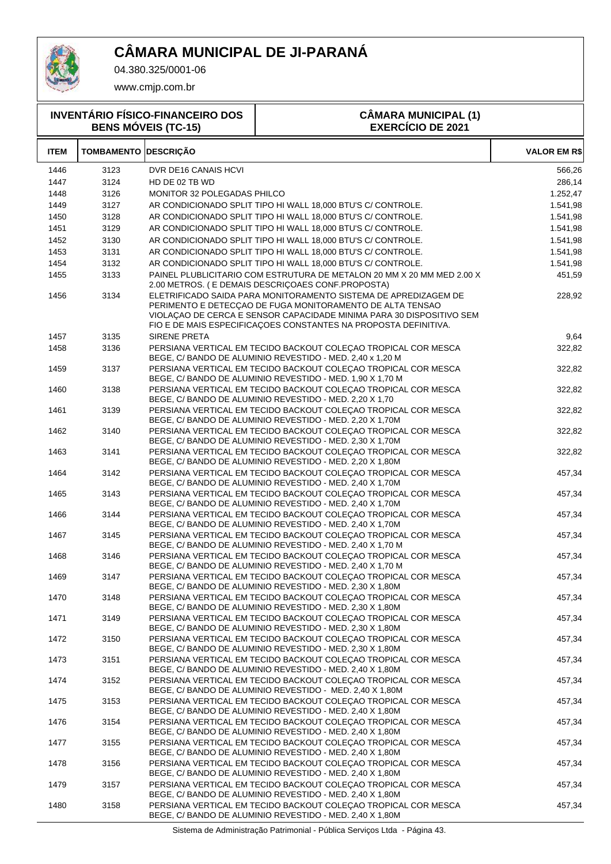

04.380.325/0001-06

www.cmjp.com.br

| <b>INVENTÁRIO FÍSICO-FINANCEIRO DOS</b><br><b>BENS MÓVEIS (TC-15)</b> |                             |                             | <b>CÂMARA MUNICIPAL (1)</b><br><b>EXERCÍCIO DE 2021</b>                                                                                                                                                                                                                 |                     |
|-----------------------------------------------------------------------|-----------------------------|-----------------------------|-------------------------------------------------------------------------------------------------------------------------------------------------------------------------------------------------------------------------------------------------------------------------|---------------------|
| <b>ITEM</b>                                                           | <b>TOMBAMENTO DESCRIÇÃO</b> |                             |                                                                                                                                                                                                                                                                         | <b>VALOR EM R\$</b> |
| 1446                                                                  | 3123                        | DVR DE16 CANAIS HCVI        |                                                                                                                                                                                                                                                                         | 566,26              |
| 1447                                                                  | 3124                        | HD DE 02 TB WD              |                                                                                                                                                                                                                                                                         | 286,14              |
| 1448                                                                  | 3126                        | MONITOR 32 POLEGADAS PHILCO |                                                                                                                                                                                                                                                                         | 1.252,47            |
| 1449                                                                  | 3127                        |                             | AR CONDICIONADO SPLIT TIPO HI WALL 18,000 BTU'S C/ CONTROLE.                                                                                                                                                                                                            | 1.541,98            |
| 1450                                                                  | 3128                        |                             | AR CONDICIONADO SPLIT TIPO HI WALL 18.000 BTU'S C/ CONTROLE.                                                                                                                                                                                                            | 1.541,98            |
| 1451                                                                  | 3129                        |                             | AR CONDICIONADO SPLIT TIPO HI WALL 18,000 BTU'S C/ CONTROLE.                                                                                                                                                                                                            | 1.541,98            |
| 1452                                                                  | 3130                        |                             | AR CONDICIONADO SPLIT TIPO HI WALL 18,000 BTU'S C/ CONTROLE.                                                                                                                                                                                                            | 1.541,98            |
| 1453                                                                  | 3131                        |                             | AR CONDICIONADO SPLIT TIPO HI WALL 18,000 BTU'S C/ CONTROLE.                                                                                                                                                                                                            | 1.541,98            |
| 1454                                                                  | 3132                        |                             | AR CONDICIONADO SPLIT TIPO HI WALL 18,000 BTU'S C/ CONTROLE.                                                                                                                                                                                                            | 1.541,98            |
| 1455                                                                  | 3133                        |                             | PAINEL PLUBLICITARIO COM ESTRUTURA DE METALON 20 MM X 20 MM MED 2.00 X<br>2.00 METROS. (E DEMAIS DESCRIÇOAES CONF.PROPOSTA)                                                                                                                                             | 451,59              |
| 1456                                                                  | 3134                        |                             | ELETRIFICADO SAIDA PARA MONITORAMENTO SISTEMA DE APREDIZAGEM DE<br>PERIMENTO E DETECÇÃO DE FUGA MONITORAMENTO DE ALTA TENSÃO<br>VIOLAÇÃO DE CERCA E SENSOR CAPACIDADE MINIMA PARA 30 DISPOSITIVO SEM<br>FIO E DE MAIS ESPECIFICAÇOES CONSTANTES NA PROPOSTA DEFINITIVA. | 228,92              |
| 1457                                                                  | 3135                        | <b>SIRENE PRETA</b>         |                                                                                                                                                                                                                                                                         | 9,64                |
| 1458                                                                  | 3136                        |                             | PERSIANA VERTICAL EM TECIDO BACKOUT COLEÇAO TROPICAL COR MESCA<br>BEGE, C/BANDO DE ALUMINIO REVESTIDO - MED. 2,40 x 1,20 M                                                                                                                                              | 322,82              |
| 1459                                                                  | 3137                        |                             | PERSIANA VERTICAL EM TECIDO BACKOUT COLECAO TROPICAL COR MESCA<br>BEGE, C/ BANDO DE ALUMINIO REVESTIDO - MED. 1,90 X 1,70 M                                                                                                                                             | 322,82              |
| 1460                                                                  | 3138                        |                             | PERSIANA VERTICAL EM TECIDO BACKOUT COLEÇAO TROPICAL COR MESCA<br>BEGE, C/ BANDO DE ALUMINIO REVESTIDO - MED. 2,20 X 1,70                                                                                                                                               | 322,82              |
| 1461                                                                  | 3139                        |                             | PERSIANA VERTICAL EM TECIDO BACKOUT COLECAO TROPICAL COR MESCA<br>BEGE, C/ BANDO DE ALUMINIO REVESTIDO - MED. 2,20 X 1,70M                                                                                                                                              | 322,82              |
| 1462                                                                  | 3140                        |                             | PERSIANA VERTICAL EM TECIDO BACKOUT COLECAO TROPICAL COR MESCA<br>BEGE, C/ BANDO DE ALUMINIO REVESTIDO - MED. 2,30 X 1,70M                                                                                                                                              | 322,82              |
| 1463                                                                  | 3141                        |                             | PERSIANA VERTICAL EM TECIDO BACKOUT COLECAO TROPICAL COR MESCA<br>BEGE, C/ BANDO DE ALUMINIO REVESTIDO - MED. 2,20 X 1,80M                                                                                                                                              | 322,82              |
| 1464                                                                  | 3142                        |                             | PERSIANA VERTICAL EM TECIDO BACKOUT COLECAO TROPICAL COR MESCA<br>BEGE, C/ BANDO DE ALUMINIO REVESTIDO - MED. 2,40 X 1,70M                                                                                                                                              | 457,34              |
| 1465                                                                  | 3143                        |                             | PERSIANA VERTICAL EM TECIDO BACKOUT COLECAO TROPICAL COR MESCA<br>BEGE, C/ BANDO DE ALUMINIO REVESTIDO - MED. 2,40 X 1,70M                                                                                                                                              | 457,34              |
| 1466                                                                  | 3144                        |                             | PERSIANA VERTICAL EM TECIDO BACKOUT COLECAO TROPICAL COR MESCA<br>BEGE, C/ BANDO DE ALUMINIO REVESTIDO - MED. 2,40 X 1,70M                                                                                                                                              | 457,34              |
| 1467                                                                  | 3145                        |                             | PERSIANA VERTICAL EM TECIDO BACKOUT COLEÇAO TROPICAL COR MESCA<br>BEGE, C/ BANDO DE ALUMINIO REVESTIDO - MED. 2,40 X 1,70 M                                                                                                                                             | 457,34              |
| 1468                                                                  | 3146                        |                             | PERSIANA VERTICAL EM TECIDO BACKOUT COLEÇAO TROPICAL COR MESCA<br>BEGE, C/ BANDO DE ALUMINIO REVESTIDO - MED. 2,40 X 1,70 M                                                                                                                                             | 457,34              |
| 1469                                                                  | 3147                        |                             | PERSIANA VERTICAL EM TECIDO BACKOUT COLEÇAO TROPICAL COR MESCA<br>BEGE, C/ BANDO DE ALUMINIO REVESTIDO - MED. 2,30 X 1,80M                                                                                                                                              | 457,34              |
| 1470                                                                  | 3148                        |                             | PERSIANA VERTICAL EM TECIDO BACKOUT COLECAO TROPICAL COR MESCA<br>BEGE, C/ BANDO DE ALUMINIO REVESTIDO - MED. 2,30 X 1,80M                                                                                                                                              | 457,34              |
| 1471                                                                  | 3149                        |                             | PERSIANA VERTICAL EM TECIDO BACKOUT COLEÇAO TROPICAL COR MESCA<br>BEGE, C/ BANDO DE ALUMINIO REVESTIDO - MED. 2,30 X 1,80M<br>PERSIANA VERTICAL EM TECIDO BACKOUT COLEÇAO TROPICAL COR MESCA                                                                            | 457,34              |
| 1472<br>1473                                                          | 3150<br>3151                |                             | BEGE, C/ BANDO DE ALUMINIO REVESTIDO - MED. 2,30 X 1,80M<br>PERSIANA VERTICAL EM TECIDO BACKOUT COLECAO TROPICAL COR MESCA                                                                                                                                              | 457,34              |
| 1474                                                                  | 3152                        |                             | BEGE, C/ BANDO DE ALUMINIO REVESTIDO - MED. 2,40 X 1,80M<br>PERSIANA VERTICAL EM TECIDO BACKOUT COLEÇAO TROPICAL COR MESCA                                                                                                                                              | 457,34<br>457,34    |
| 1475                                                                  | 3153                        |                             | BEGE, C/ BANDO DE ALUMINIO REVESTIDO - MED. 2,40 X 1,80M<br>PERSIANA VERTICAL EM TECIDO BACKOUT COLEÇAO TROPICAL COR MESCA                                                                                                                                              | 457,34              |
| 1476                                                                  | 3154                        |                             | BEGE, C/ BANDO DE ALUMINIO REVESTIDO - MED. 2,40 X 1,80M<br>PERSIANA VERTICAL EM TECIDO BACKOUT COLEÇAO TROPICAL COR MESCA                                                                                                                                              | 457,34              |
| 1477                                                                  | 3155                        |                             | BEGE, C/ BANDO DE ALUMINIO REVESTIDO - MED. 2,40 X 1,80M<br>PERSIANA VERTICAL EM TECIDO BACKOUT COLECAO TROPICAL COR MESCA                                                                                                                                              | 457,34              |
| 1478                                                                  | 3156                        |                             | BEGE, C/ BANDO DE ALUMINIO REVESTIDO - MED. 2,40 X 1,80M<br>PERSIANA VERTICAL EM TECIDO BACKOUT COLEÇAO TROPICAL COR MESCA                                                                                                                                              | 457,34              |
| 1479                                                                  | 3157                        |                             | BEGE, C/ BANDO DE ALUMINIO REVESTIDO - MED. 2,40 X 1,80M<br>PERSIANA VERTICAL EM TECIDO BACKOUT COLEÇÃO TROPICAL COR MESCA                                                                                                                                              | 457,34              |
| 1480                                                                  | 3158                        |                             | BEGE, C/ BANDO DE ALUMINIO REVESTIDO - MED. 2,40 X 1,80M<br>PERSIANA VERTICAL EM TECIDO BACKOUT COLEÇAO TROPICAL COR MESCA                                                                                                                                              | 457,34              |

Sistema de Administração Patrimonial - Pública Serviços Ltda - Página 43.

BEGE, C/ BANDO DE ALUMINIO REVESTIDO - MED. 2,40 X 1,80M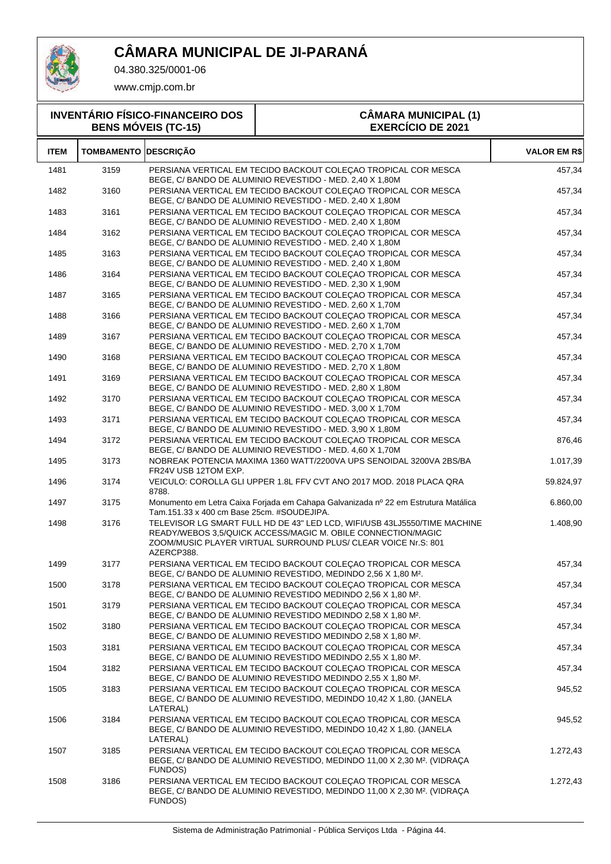

T

04.380.325/0001-06

| <b>INVENTÁRIO FÍSICO-FINANCEIRO DOS</b><br><b>BENS MÓVEIS (TC-15)</b> |                             |                                            | <b>CÂMARA MUNICIPAL (1)</b><br><b>EXERCÍCIO DE 2021</b>                                                                                                                                                     |              |
|-----------------------------------------------------------------------|-----------------------------|--------------------------------------------|-------------------------------------------------------------------------------------------------------------------------------------------------------------------------------------------------------------|--------------|
| <b>ITEM</b>                                                           | <b>TOMBAMENTO DESCRIÇÃO</b> |                                            |                                                                                                                                                                                                             | VALOR EM R\$ |
| 1481                                                                  | 3159                        |                                            | PERSIANA VERTICAL EM TECIDO BACKOUT COLEÇAO TROPICAL COR MESCA<br>BEGE, C/BANDO DE ALUMINIO REVESTIDO - MED. 2,40 X 1,80M                                                                                   | 457,34       |
| 1482                                                                  | 3160                        |                                            | PERSIANA VERTICAL EM TECIDO BACKOUT COLECAO TROPICAL COR MESCA<br>BEGE, C/BANDO DE ALUMINIO REVESTIDO - MED. 2,40 X 1,80M                                                                                   | 457,34       |
| 1483                                                                  | 3161                        |                                            | PERSIANA VERTICAL EM TECIDO BACKOUT COLECAO TROPICAL COR MESCA<br>BEGE, C/ BANDO DE ALUMINIO REVESTIDO - MED. 2,40 X 1,80M                                                                                  | 457,34       |
| 1484                                                                  | 3162                        |                                            | PERSIANA VERTICAL EM TECIDO BACKOUT COLECAO TROPICAL COR MESCA<br>BEGE, C/BANDO DE ALUMINIO REVESTIDO - MED. 2,40 X 1,80M                                                                                   | 457,34       |
| 1485                                                                  | 3163                        |                                            | PERSIANA VERTICAL EM TECIDO BACKOUT COLECAO TROPICAL COR MESCA<br>BEGE, C/BANDO DE ALUMINIO REVESTIDO - MED. 2,40 X 1,80M                                                                                   | 457,34       |
| 1486                                                                  | 3164                        |                                            | PERSIANA VERTICAL EM TECIDO BACKOUT COLECAO TROPICAL COR MESCA<br>BEGE, C/ BANDO DE ALUMINIO REVESTIDO - MED. 2,30 X 1,90M                                                                                  | 457,34       |
| 1487                                                                  | 3165                        |                                            | PERSIANA VERTICAL EM TECIDO BACKOUT COLECAO TROPICAL COR MESCA<br>BEGE, C/ BANDO DE ALUMINIO REVESTIDO - MED. 2,60 X 1,70M                                                                                  | 457,34       |
| 1488                                                                  | 3166                        |                                            | PERSIANA VERTICAL EM TECIDO BACKOUT COLECAO TROPICAL COR MESCA<br>BEGE, C/ BANDO DE ALUMINIO REVESTIDO - MED. 2,60 X 1,70M                                                                                  | 457,34       |
| 1489                                                                  | 3167                        |                                            | PERSIANA VERTICAL EM TECIDO BACKOUT COLECAO TROPICAL COR MESCA<br>BEGE, C/BANDO DE ALUMINIO REVESTIDO - MED. 2,70 X 1,70M                                                                                   | 457,34       |
| 1490                                                                  | 3168                        |                                            | PERSIANA VERTICAL EM TECIDO BACKOUT COLECAO TROPICAL COR MESCA<br>BEGE, C/ BANDO DE ALUMINIO REVESTIDO - MED. 2,70 X 1,80M                                                                                  | 457,34       |
| 1491                                                                  | 3169                        |                                            | PERSIANA VERTICAL EM TECIDO BACKOUT COLECAO TROPICAL COR MESCA<br>BEGE, C/ BANDO DE ALUMINIO REVESTIDO - MED. 2,80 X 1,80M                                                                                  | 457,34       |
| 1492                                                                  | 3170                        |                                            | PERSIANA VERTICAL EM TECIDO BACKOUT COLECAO TROPICAL COR MESCA<br>BEGE, C/BANDO DE ALUMINIO REVESTIDO - MED. 3,00 X 1,70M                                                                                   | 457,34       |
| 1493                                                                  | 3171                        |                                            | PERSIANA VERTICAL EM TECIDO BACKOUT COLEÇAO TROPICAL COR MESCA<br>BEGE, C/ BANDO DE ALUMINIO REVESTIDO - MED. 3,90 X 1,80M                                                                                  | 457,34       |
| 1494                                                                  | 3172                        |                                            | PERSIANA VERTICAL EM TECIDO BACKOUT COLEÇAO TROPICAL COR MESCA<br>BEGE, C/BANDO DE ALUMINIO REVESTIDO - MED. 4,60 X 1,70M                                                                                   | 876,46       |
| 1495                                                                  | 3173                        | FR24V USB 12TOM EXP.                       | NOBREAK POTENCIA MAXIMA 1360 WATT/2200VA UPS SENOIDAL 3200VA 2BS/BA                                                                                                                                         | 1.017,39     |
| 1496                                                                  | 3174                        | 8788.                                      | VEICULO: COROLLA GLI UPPER 1.8L FFV CVT ANO 2017 MOD. 2018 PLACA QRA                                                                                                                                        | 59.824,97    |
| 1497                                                                  | 3175                        | Tam.151.33 x 400 cm Base 25cm. #SOUDEJIPA. | Monumento em Letra Caixa Forjada em Cahapa Galvanizada nº 22 em Estrutura Matálica                                                                                                                          | 6.860,00     |
| 1498                                                                  | 3176                        | AZERCP388.                                 | TELEVISOR LG SMART FULL HD DE 43" LED LCD, WIFI/USB 43LJ5550/TIME MACHINE<br>READY/WEBOS 3,5/QUICK ACCESS/MAGIC M. OBILE CONNECTION/MAGIC<br>ZOOM/MUSIC PLAYER VIRTUAL SURROUND PLUS/ CLEAR VOICE Nr.S: 801 | 1.408,90     |
| 1499                                                                  | 3177                        |                                            | PERSIANA VERTICAL EM TECIDO BACKOUT COLEÇAO TROPICAL COR MESCA<br>BEGE, C/BANDO DE ALUMINIO REVESTIDO, MEDINDO 2,56 X 1,80 M <sup>2</sup> .                                                                 | 457,34       |
| 1500                                                                  | 3178                        |                                            | PERSIANA VERTICAL EM TECIDO BACKOUT COLECAO TROPICAL COR MESCA<br>BEGE, C/BANDO DE ALUMINIO REVESTIDO MEDINDO 2,56 X 1,80 M <sup>2</sup> .                                                                  | 457,34       |
| 1501                                                                  | 3179                        |                                            | PERSIANA VERTICAL EM TECIDO BACKOUT COLECAO TROPICAL COR MESCA<br>BEGE, C/ BANDO DE ALUMINIO REVESTIDO MEDINDO 2,58 X 1,80 M <sup>2</sup> .                                                                 | 457,34       |
| 1502                                                                  | 3180                        |                                            | PERSIANA VERTICAL EM TECIDO BACKOUT COLECAO TROPICAL COR MESCA<br>BEGE, C/BANDO DE ALUMINIO REVESTIDO MEDINDO 2,58 X 1,80 M <sup>2</sup> .                                                                  | 457,34       |
| 1503                                                                  | 3181                        |                                            | PERSIANA VERTICAL EM TECIDO BACKOUT COLECAO TROPICAL COR MESCA<br>BEGE, C/ BANDO DE ALUMINIO REVESTIDO MEDINDO 2,55 X 1,80 M <sup>2</sup> .                                                                 | 457,34       |
| 1504                                                                  | 3182                        |                                            | PERSIANA VERTICAL EM TECIDO BACKOUT COLECAO TROPICAL COR MESCA<br>BEGE, C/BANDO DE ALUMINIO REVESTIDO MEDINDO 2,55 X 1,80 M <sup>2</sup> .                                                                  | 457,34       |
| 1505                                                                  | 3183                        | LATERAL)                                   | PERSIANA VERTICAL EM TECIDO BACKOUT COLEÇAO TROPICAL COR MESCA<br>BEGE, C/BANDO DE ALUMINIO REVESTIDO, MEDINDO 10,42 X 1,80. (JANELA                                                                        | 945,52       |
| 1506                                                                  | 3184                        | LATERAL)                                   | PERSIANA VERTICAL EM TECIDO BACKOUT COLEÇAO TROPICAL COR MESCA<br>BEGE, C/BANDO DE ALUMINIO REVESTIDO, MEDINDO 10,42 X 1,80. (JANELA                                                                        | 945,52       |
| 1507                                                                  | 3185                        | FUNDOS)                                    | PERSIANA VERTICAL EM TECIDO BACKOUT COLEÇAO TROPICAL COR MESCA<br>BEGE, C/BANDO DE ALUMINIO REVESTIDO, MEDINDO 11,00 X 2,30 M <sup>2</sup> . (VIDRAÇA                                                       | 1.272,43     |
| 1508                                                                  | 3186                        | FUNDOS)                                    | PERSIANA VERTICAL EM TECIDO BACKOUT COLEÇAO TROPICAL COR MESCA<br>BEGE, C/BANDO DE ALUMINIO REVESTIDO, MEDINDO 11,00 X 2,30 M <sup>2</sup> . (VIDRAÇA                                                       | 1.272,43     |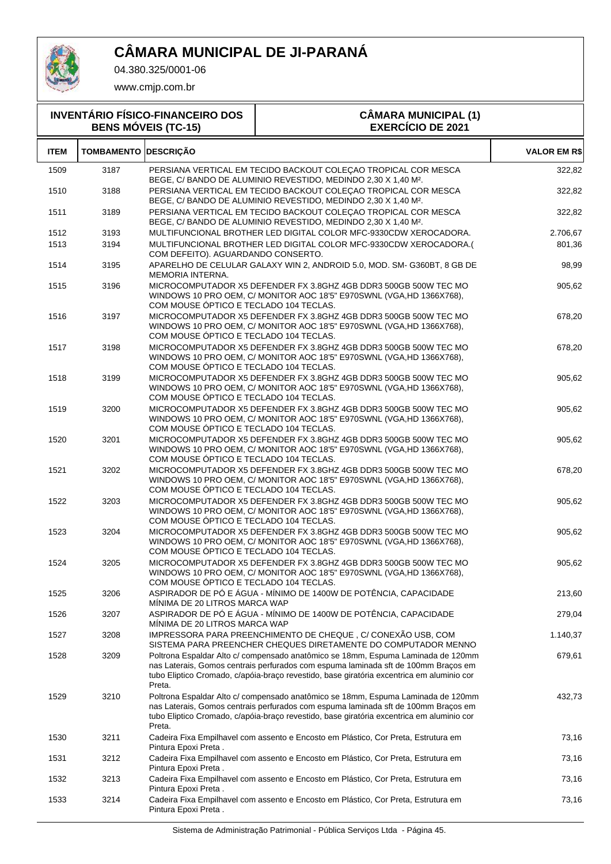

04.380.325/0001-06

| <b>INVENTÁRIO FÍSICO-FINANCEIRO DOS</b><br><b>BENS MÓVEIS (TC-15)</b> |                             |                                        | <b>CÂMARA MUNICIPAL (1)</b><br><b>EXERCÍCIO DE 2021</b>                                                                                                                                                                                                             |                     |
|-----------------------------------------------------------------------|-----------------------------|----------------------------------------|---------------------------------------------------------------------------------------------------------------------------------------------------------------------------------------------------------------------------------------------------------------------|---------------------|
| <b>ITEM</b>                                                           | <b>TOMBAMENTO DESCRIÇÃO</b> |                                        |                                                                                                                                                                                                                                                                     | <b>VALOR EM R\$</b> |
| 1509                                                                  | 3187                        |                                        | PERSIANA VERTICAL EM TECIDO BACKOUT COLEÇAO TROPICAL COR MESCA<br>BEGE, C/BANDO DE ALUMINIO REVESTIDO, MEDINDO 2,30 X 1,40 M <sup>2</sup> .                                                                                                                         | 322,82              |
| 1510                                                                  | 3188                        |                                        | PERSIANA VERTICAL EM TECIDO BACKOUT COLECAO TROPICAL COR MESCA<br>BEGE, C/ BANDO DE ALUMINIO REVESTIDO, MEDINDO 2,30 X 1,40 M <sup>2</sup> .                                                                                                                        | 322,82              |
| 1511                                                                  | 3189                        |                                        | PERSIANA VERTICAL EM TECIDO BACKOUT COLEÇAO TROPICAL COR MESCA<br>BEGE, C/ BANDO DE ALUMINIO REVESTIDO, MEDINDO 2,30 X 1,40 M <sup>2</sup> .                                                                                                                        | 322,82              |
| 1512                                                                  | 3193                        |                                        | MULTIFUNCIONAL BROTHER LED DIGITAL COLOR MFC-9330CDW XEROCADORA.                                                                                                                                                                                                    | 2.706,67            |
| 1513                                                                  | 3194                        | COM DEFEITO). AGUARDANDO CONSERTO.     | MULTIFUNCIONAL BROTHER LED DIGITAL COLOR MFC-9330CDW XEROCADORA.(                                                                                                                                                                                                   | 801,36              |
| 1514                                                                  | 3195                        | MEMORIA INTERNA.                       | APARELHO DE CELULAR GALAXY WIN 2, ANDROID 5.0, MOD. SM- G360BT, 8 GB DE                                                                                                                                                                                             | 98,99               |
| 1515                                                                  | 3196                        | COM MOUSE ÓPTICO E TECLADO 104 TECLAS. | MICROCOMPUTADOR X5 DEFENDER FX 3.8GHZ 4GB DDR3 500GB 500W TEC MO<br>WINDOWS 10 PRO OEM, C/ MONITOR AOC 18'5" E970SWNL (VGA, HD 1366X768),                                                                                                                           | 905,62              |
| 1516                                                                  | 3197                        | COM MOUSE ÓPTICO E TECLADO 104 TECLAS. | MICROCOMPUTADOR X5 DEFENDER FX 3.8GHZ 4GB DDR3 500GB 500W TEC MO<br>WINDOWS 10 PRO OEM, C/ MONITOR AOC 18'5" E970SWNL (VGA, HD 1366X768),                                                                                                                           | 678,20              |
| 1517                                                                  | 3198                        | COM MOUSE ÓPTICO E TECLADO 104 TECLAS. | MICROCOMPUTADOR X5 DEFENDER FX 3.8GHZ 4GB DDR3 500GB 500W TEC MO<br>WINDOWS 10 PRO OEM, C/ MONITOR AOC 18'5" E970SWNL (VGA, HD 1366X768),                                                                                                                           | 678,20              |
| 1518                                                                  | 3199                        | COM MOUSE ÓPTICO E TECLADO 104 TECLAS. | MICROCOMPUTADOR X5 DEFENDER FX 3.8GHZ 4GB DDR3 500GB 500W TEC MO<br>WINDOWS 10 PRO OEM, C/ MONITOR AOC 18'5" E970SWNL (VGA, HD 1366X768),                                                                                                                           | 905,62              |
| 1519                                                                  | 3200                        | COM MOUSE ÓPTICO E TECLADO 104 TECLAS. | MICROCOMPUTADOR X5 DEFENDER FX 3.8GHZ 4GB DDR3 500GB 500W TEC MO<br>WINDOWS 10 PRO OEM, C/ MONITOR AOC 18'5" E970SWNL (VGA, HD 1366X768),                                                                                                                           | 905,62              |
| 1520                                                                  | 3201                        | COM MOUSE ÓPTICO E TECLADO 104 TECLAS. | MICROCOMPUTADOR X5 DEFENDER FX 3.8GHZ 4GB DDR3 500GB 500W TEC MO<br>WINDOWS 10 PRO OEM, C/ MONITOR AOC 18'5" E970SWNL (VGA, HD 1366X768),                                                                                                                           | 905,62              |
| 1521                                                                  | 3202                        | COM MOUSE ÓPTICO E TECLADO 104 TECLAS. | MICROCOMPUTADOR X5 DEFENDER FX 3.8GHZ 4GB DDR3 500GB 500W TEC MO<br>WINDOWS 10 PRO OEM, C/ MONITOR AOC 18'5" E970SWNL (VGA, HD 1366X768),                                                                                                                           | 678,20              |
| 1522                                                                  | 3203                        | COM MOUSE ÓPTICO E TECLADO 104 TECLAS. | MICROCOMPUTADOR X5 DEFENDER FX 3.8GHZ 4GB DDR3 500GB 500W TEC MO<br>WINDOWS 10 PRO OEM, C/ MONITOR AOC 18'5" E970SWNL (VGA, HD 1366X768),                                                                                                                           | 905,62              |
| 1523                                                                  | 3204                        | COM MOUSE ÓPTICO E TECLADO 104 TECLAS. | MICROCOMPUTADOR X5 DEFENDER FX 3.8GHZ 4GB DDR3 500GB 500W TEC MO<br>WINDOWS 10 PRO OEM, C/ MONITOR AOC 18'5" E970SWNL (VGA, HD 1366X768),                                                                                                                           | 905,62              |
| 1524                                                                  | 3205                        | COM MOUSE ÓPTICO E TECLADO 104 TECLAS. | MICROCOMPUTADOR X5 DEFENDER FX 3.8GHZ 4GB DDR3 500GB 500W TEC MO<br>WINDOWS 10 PRO OEM, C/ MONITOR AOC 18'5" E970SWNL (VGA, HD 1366X768),                                                                                                                           | 905,62              |
| 1525                                                                  | 3206                        | MÍNIMA DE 20 LITROS MARCA WAP          | ASPIRADOR DE PÓ E ÁGUA - MÍNIMO DE 1400W DE POTÊNCIA, CAPACIDADE                                                                                                                                                                                                    | 213,60              |
| 1526                                                                  | 3207                        | MINIMA DE 20 LITROS MARCA WAP          | ASPIRADOR DE PÓ E ÁGUA - MÍNIMO DE 1400W DE POTÊNCIA, CAPACIDADE                                                                                                                                                                                                    | 279,04              |
| 1527                                                                  | 3208                        |                                        | IMPRESSORA PARA PREENCHIMENTO DE CHEQUE, C/ CONEXÃO USB, COM<br>SISTEMA PARA PREENCHER CHEQUES DIRETAMENTE DO COMPUTADOR MENNO                                                                                                                                      | 1.140,37            |
| 1528                                                                  | 3209                        | Preta.                                 | Poltrona Espaldar Alto c/ compensado anatômico se 18mm, Espuma Laminada de 120mm<br>nas Laterais, Gomos centrais perfurados com espuma laminada sft de 100mm Braços em<br>tubo Eliptico Cromado, c/apóia-braço revestido, base giratória excentrica em aluminio cor | 679,61              |
| 1529                                                                  | 3210                        | Preta.                                 | Poltrona Espaldar Alto c/ compensado anatômico se 18mm, Espuma Laminada de 120mm<br>nas Laterais, Gomos centrais perfurados com espuma laminada sft de 100mm Braços em<br>tubo Eliptico Cromado, c/apóia-braço revestido, base giratória excentrica em aluminio cor | 432,73              |
| 1530                                                                  | 3211                        | Pintura Epoxi Preta.                   | Cadeira Fixa Empilhavel com assento e Encosto em Plástico, Cor Preta, Estrutura em                                                                                                                                                                                  | 73,16               |
| 1531                                                                  | 3212                        | Pintura Epoxi Preta.                   | Cadeira Fixa Empilhavel com assento e Encosto em Plástico, Cor Preta, Estrutura em                                                                                                                                                                                  | 73,16               |
| 1532                                                                  | 3213                        | Pintura Epoxi Preta.                   | Cadeira Fixa Empilhavel com assento e Encosto em Plástico, Cor Preta, Estrutura em                                                                                                                                                                                  | 73,16               |
| 1533                                                                  | 3214                        | Pintura Epoxi Preta.                   | Cadeira Fixa Empilhavel com assento e Encosto em Plástico, Cor Preta, Estrutura em                                                                                                                                                                                  | 73,16               |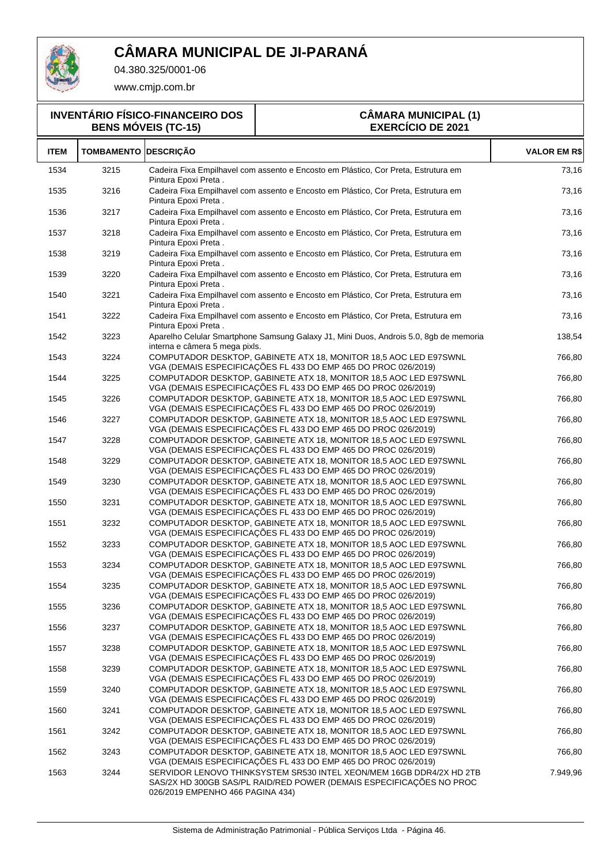

04.380.325/0001-06

www.cmjp.com.br

#### **INVENTÁRIO FÍSICO-FINANCEIRO DOS BENS MÓVEIS (TC-15)**

#### **CÂMARA MUNICIPAL (1) EXERCÍCIO DE 2021**

| <b>ITEM</b> | <b>TOMBAMENTO DESCRIÇÃO</b> |                                                                                                                                                                                  | <b>VALOR EM R\$</b> |
|-------------|-----------------------------|----------------------------------------------------------------------------------------------------------------------------------------------------------------------------------|---------------------|
| 1534        | 3215                        | Cadeira Fixa Empilhavel com assento e Encosto em Plástico, Cor Preta, Estrutura em<br>Pintura Epoxi Preta.                                                                       | 73,16               |
| 1535        | 3216                        | Cadeira Fixa Empilhavel com assento e Encosto em Plástico, Cor Preta, Estrutura em<br>Pintura Epoxi Preta.                                                                       | 73,16               |
| 1536        | 3217                        | Cadeira Fixa Empilhavel com assento e Encosto em Plástico, Cor Preta, Estrutura em<br>Pintura Epoxi Preta .                                                                      | 73,16               |
| 1537        | 3218                        | Cadeira Fixa Empilhavel com assento e Encosto em Plástico, Cor Preta, Estrutura em<br>Pintura Epoxi Preta.                                                                       | 73,16               |
| 1538        | 3219                        | Cadeira Fixa Empilhavel com assento e Encosto em Plástico, Cor Preta, Estrutura em<br>Pintura Epoxi Preta.                                                                       | 73,16               |
| 1539        | 3220                        | Cadeira Fixa Empilhavel com assento e Encosto em Plástico, Cor Preta, Estrutura em<br>Pintura Epoxi Preta.                                                                       | 73,16               |
| 1540        | 3221                        | Cadeira Fixa Empilhavel com assento e Encosto em Plástico, Cor Preta, Estrutura em<br>Pintura Epoxi Preta.                                                                       | 73,16               |
| 1541        | 3222                        | Cadeira Fixa Empilhavel com assento e Encosto em Plástico, Cor Preta, Estrutura em<br>Pintura Epoxi Preta.                                                                       | 73,16               |
| 1542        | 3223                        | Aparelho Celular Smartphone Samsung Galaxy J1, Mini Duos, Androis 5.0, 8gb de memoria<br>interna e câmera 5 mega pixls.                                                          | 138,54              |
| 1543        | 3224                        | COMPUTADOR DESKTOP, GABINETE ATX 18, MONITOR 18.5 AOC LED E97SWNL<br>VGA (DEMAIS ESPECIFICAÇÕES FL 433 DO EMP 465 DO PROC 026/2019)                                              | 766,80              |
| 1544        | 3225                        | COMPUTADOR DESKTOP, GABINETE ATX 18, MONITOR 18,5 AOC LED E97SWNL<br>VGA (DEMAIS ESPECIFICAÇÕES FL 433 DO EMP 465 DO PROC 026/2019)                                              | 766,80              |
| 1545        | 3226                        | COMPUTADOR DESKTOP, GABINETE ATX 18, MONITOR 18,5 AOC LED E97SWNL<br>VGA (DEMAIS ESPECIFICAÇÕES FL 433 DO EMP 465 DO PROC 026/2019)                                              | 766,80              |
| 1546        | 3227                        | COMPUTADOR DESKTOP, GABINETE ATX 18, MONITOR 18.5 AOC LED E97SWNL<br>VGA (DEMAIS ESPECIFICAÇÕES FL 433 DO EMP 465 DO PROC 026/2019)                                              | 766,80              |
| 1547        | 3228                        | COMPUTADOR DESKTOP, GABINETE ATX 18, MONITOR 18.5 AOC LED E97SWNL<br>VGA (DEMAIS ESPECIFICAÇÕES FL 433 DO EMP 465 DO PROC 026/2019)                                              | 766,80              |
| 1548        | 3229                        | COMPUTADOR DESKTOP, GABINETE ATX 18, MONITOR 18,5 AOC LED E97SWNL<br>VGA (DEMAIS ESPECIFICAÇÕES FL 433 DO EMP 465 DO PROC 026/2019)                                              | 766,80              |
| 1549        | 3230                        | COMPUTADOR DESKTOP, GABINETE ATX 18, MONITOR 18.5 AOC LED E97SWNL<br>VGA (DEMAIS ESPECIFICAÇÕES FL 433 DO EMP 465 DO PROC 026/2019)                                              | 766,80              |
| 1550        | 3231                        | COMPUTADOR DESKTOP, GABINETE ATX 18, MONITOR 18,5 AOC LED E97SWNL<br>VGA (DEMAIS ESPECIFICAÇÕES FL 433 DO EMP 465 DO PROC 026/2019)                                              | 766,80              |
| 1551        | 3232                        | COMPUTADOR DESKTOP, GABINETE ATX 18, MONITOR 18,5 AOC LED E97SWNL<br>VGA (DEMAIS ESPECIFICAÇÕES FL 433 DO EMP 465 DO PROC 026/2019)                                              | 766,80              |
| 1552        | 3233                        | COMPUTADOR DESKTOP, GABINETE ATX 18, MONITOR 18.5 AOC LED E97SWNL<br>VGA (DEMAIS ESPECIFICAÇÕES FL 433 DO EMP 465 DO PROC 026/2019)                                              | 766,80              |
| 1553        | 3234                        | COMPUTADOR DESKTOP, GABINETE ATX 18, MONITOR 18.5 AOC LED E97SWNL<br>VGA (DEMAIS ESPECIFICAÇÕES FL 433 DO EMP 465 DO PROC 026/2019)                                              | 766,80              |
| 1554        | 3235                        | COMPUTADOR DESKTOP, GABINETE ATX 18, MONITOR 18,5 AOC LED E97SWNL<br>VGA (DEMAIS ESPECIFICAÇÕES FL 433 DO EMP 465 DO PROC 026/2019)                                              | 766,80              |
| 1555        | 3236                        | COMPUTADOR DESKTOP, GABINETE ATX 18, MONITOR 18,5 AOC LED E97SWNL<br>VGA (DEMAIS ESPECIFICAÇÕES FL 433 DO EMP 465 DO PROC 026/2019)                                              | 766,80              |
| 1556        | 3237                        | COMPUTADOR DESKTOP, GABINETE ATX 18, MONITOR 18.5 AOC LED E97SWNL<br>VGA (DEMAIS ESPECIFICAÇÕES FL 433 DO EMP 465 DO PROC 026/2019)                                              | 766,80              |
| 1557        | 3238                        | COMPUTADOR DESKTOP, GABINETE ATX 18, MONITOR 18,5 AOC LED E97SWNL<br>VGA (DEMAIS ESPECIFICAÇÕES FL 433 DO EMP 465 DO PROC 026/2019)                                              | 766,80              |
| 1558        | 3239                        | COMPUTADOR DESKTOP, GABINETE ATX 18, MONITOR 18.5 AOC LED E97SWNL<br>VGA (DEMAIS ESPECIFICAÇÕES FL 433 DO EMP 465 DO PROC 026/2019)                                              | 766,80              |
| 1559        | 3240                        | COMPUTADOR DESKTOP, GABINETE ATX 18, MONITOR 18.5 AOC LED E97SWNL<br>VGA (DEMAIS ESPECIFICAÇÕES FL 433 DO EMP 465 DO PROC 026/2019)                                              | 766,80              |
| 1560        | 3241                        | COMPUTADOR DESKTOP, GABINETE ATX 18, MONITOR 18.5 AOC LED E97SWNL<br>VGA (DEMAIS ESPECIFICAÇÕES FL 433 DO EMP 465 DO PROC 026/2019)                                              | 766,80              |
| 1561        | 3242                        | COMPUTADOR DESKTOP, GABINETE ATX 18, MONITOR 18.5 AOC LED E97SWNL<br>VGA (DEMAIS ESPECIFICAÇÕES FL 433 DO EMP 465 DO PROC 026/2019)                                              | 766,80              |
| 1562        | 3243                        | COMPUTADOR DESKTOP, GABINETE ATX 18, MONITOR 18,5 AOC LED E97SWNL<br>VGA (DEMAIS ESPECIFICAÇÕES FL 433 DO EMP 465 DO PROC 026/2019)                                              | 766,80              |
| 1563        | 3244                        | SERVIDOR LENOVO THINKSYSTEM SR530 INTEL XEON/MEM 16GB DDR4/2X HD 2TB<br>SAS/2X HD 300GB SAS/PL RAID/RED POWER (DEMAIS ESPECIFICAÇÕES NO PROC<br>026/2019 EMPENHO 466 PAGINA 434) | 7.949,96            |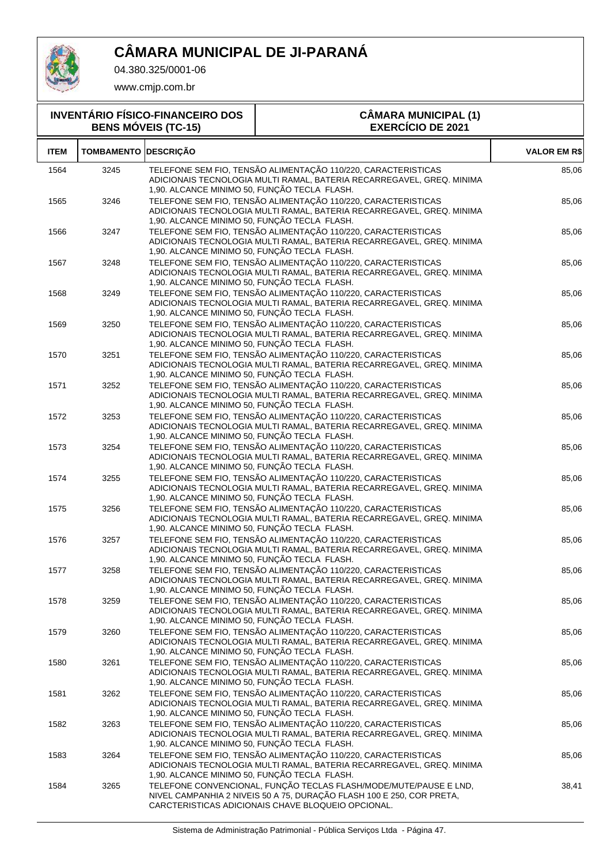

04.380.325/0001-06

| <b>INVENTÁRIO FÍSICO-FINANCEIRO DOS</b><br><b>BENS MÓVEIS (TC-15)</b> |                             |                                              | <b>CÂMARA MUNICIPAL (1)</b><br><b>EXERCÍCIO DE 2021</b>                                                                                                                                          |                     |
|-----------------------------------------------------------------------|-----------------------------|----------------------------------------------|--------------------------------------------------------------------------------------------------------------------------------------------------------------------------------------------------|---------------------|
| <b>ITEM</b>                                                           | <b>TOMBAMENTO DESCRIÇÃO</b> |                                              |                                                                                                                                                                                                  | <b>VALOR EM R\$</b> |
| 1564                                                                  | 3245                        | 1,90. ALCANCE MINIMO 50, FUNÇÃO TECLA FLASH. | TELEFONE SEM FIO, TENSÃO ALIMENTAÇÃO 110/220, CARACTERISTICAS<br>ADICIONAIS TECNOLOGIA MULTI RAMAL, BATERIA RECARREGAVEL, GREQ. MINIMA                                                           | 85,06               |
| 1565                                                                  | 3246                        | 1,90. ALCANCE MINIMO 50, FUNÇÃO TECLA FLASH. | TELEFONE SEM FIO, TENSÃO ALIMENTAÇÃO 110/220, CARACTERISTICAS<br>ADICIONAIS TECNOLOGIA MULTI RAMAL, BATERIA RECARREGAVEL, GREQ. MINIMA                                                           | 85,06               |
| 1566                                                                  | 3247                        | 1,90. ALCANCE MINIMO 50, FUNÇÃO TECLA FLASH. | TELEFONE SEM FIO, TENSÃO ALIMENTAÇÃO 110/220, CARACTERISTICAS<br>ADICIONAIS TECNOLOGIA MULTI RAMAL, BATERIA RECARREGAVEL, GREQ. MINIMA                                                           | 85,06               |
| 1567                                                                  | 3248                        | 1,90. ALCANCE MINIMO 50, FUNÇÃO TECLA FLASH. | TELEFONE SEM FIO, TENSÃO ALIMENTAÇÃO 110/220, CARACTERISTICAS<br>ADICIONAIS TECNOLOGIA MULTI RAMAL, BATERIA RECARREGAVEL, GREQ. MINIMA                                                           | 85,06               |
| 1568                                                                  | 3249                        | 1,90. ALCANCE MINIMO 50, FUNÇÃO TECLA FLASH. | TELEFONE SEM FIO, TENSÃO ALIMENTAÇÃO 110/220, CARACTERISTICAS<br>ADICIONAIS TECNOLOGIA MULTI RAMAL, BATERIA RECARREGAVEL, GREQ. MINIMA                                                           | 85,06               |
| 1569                                                                  | 3250                        | 1,90. ALCANCE MINIMO 50, FUNÇÃO TECLA FLASH. | TELEFONE SEM FIO, TENSÃO ALIMENTAÇÃO 110/220, CARACTERISTICAS<br>ADICIONAIS TECNOLOGIA MULTI RAMAL, BATERIA RECARREGAVEL, GREQ. MINIMA                                                           | 85,06               |
| 1570                                                                  | 3251                        | 1,90. ALCANCE MINIMO 50, FUNÇÃO TECLA FLASH. | TELEFONE SEM FIO, TENSÃO ALIMENTAÇÃO 110/220, CARACTERISTICAS<br>ADICIONAIS TECNOLOGIA MULTI RAMAL, BATERIA RECARREGAVEL, GREQ. MINIMA                                                           | 85,06               |
| 1571                                                                  | 3252                        | 1,90. ALCANCE MINIMO 50, FUNÇÃO TECLA FLASH. | TELEFONE SEM FIO, TENSÃO ALIMENTAÇÃO 110/220, CARACTERISTICAS<br>ADICIONAIS TECNOLOGIA MULTI RAMAL, BATERIA RECARREGAVEL, GREQ. MINIMA                                                           | 85,06               |
| 1572                                                                  | 3253                        | 1,90. ALCANCE MINIMO 50, FUNÇÃO TECLA FLASH. | TELEFONE SEM FIO, TENSÃO ALIMENTAÇÃO 110/220, CARACTERISTICAS<br>ADICIONAIS TECNOLOGIA MULTI RAMAL, BATERIA RECARREGAVEL, GREQ. MINIMA                                                           | 85,06               |
| 1573                                                                  | 3254                        | 1,90. ALCANCE MINIMO 50, FUNÇÃO TECLA FLASH. | TELEFONE SEM FIO, TENSÃO ALIMENTAÇÃO 110/220, CARACTERISTICAS<br>ADICIONAIS TECNOLOGIA MULTI RAMAL, BATERIA RECARREGAVEL, GREQ. MINIMA                                                           | 85,06               |
| 1574                                                                  | 3255                        | 1,90. ALCANCE MINIMO 50, FUNÇÃO TECLA FLASH. | TELEFONE SEM FIO, TENSÃO ALIMENTAÇÃO 110/220, CARACTERISTICAS<br>ADICIONAIS TECNOLOGIA MULTI RAMAL, BATERIA RECARREGAVEL, GREQ. MINIMA                                                           | 85,06               |
| 1575                                                                  | 3256                        | 1,90. ALCANCE MINIMO 50, FUNÇÃO TECLA FLASH. | TELEFONE SEM FIO, TENSÃO ALIMENTAÇÃO 110/220, CARACTERISTICAS<br>ADICIONAIS TECNOLOGIA MULTI RAMAL, BATERIA RECARREGAVEL, GREQ. MINIMA                                                           | 85,06               |
| 1576                                                                  | 3257                        | 1,90. ALCANCE MINIMO 50, FUNÇÃO TECLA FLASH. | TELEFONE SEM FIO, TENSÃO ALIMENTAÇÃO 110/220, CARACTERISTICAS<br>ADICIONAIS TECNOLOGIA MULTI RAMAL, BATERIA RECARREGAVEL, GREQ. MINIMA                                                           | 85,06               |
| 1577                                                                  | 3258                        | 1,90. ALCANCE MINIMO 50, FUNÇÃO TECLA FLASH. | TELEFONE SEM FIO, TENSÃO ALIMENTAÇÃO 110/220, CARACTERISTICAS<br>ADICIONAIS TECNOLOGIA MULTI RAMAL, BATERIA RECARREGAVEL, GREQ. MINIMA                                                           | 85,06               |
| 1578                                                                  | 3259                        | 1,90. ALCANCE MINIMO 50, FUNÇÃO TECLA FLASH. | TELEFONE SEM FIO, TENSÃO ALIMENTAÇÃO 110/220, CARACTERISTICAS<br>ADICIONAIS TECNOLOGIA MULTI RAMAL, BATERIA RECARREGAVEL, GREQ. MINIMA                                                           | 85,06               |
| 1579                                                                  | 3260                        | 1,90. ALCANCE MINIMO 50, FUNÇÃO TECLA FLASH. | TELEFONE SEM FIO, TENSÃO ALIMENTAÇÃO 110/220, CARACTERISTICAS<br>ADICIONAIS TECNOLOGIA MULTI RAMAL, BATERIA RECARREGAVEL, GREQ. MINIMA                                                           | 85,06               |
| 1580                                                                  | 3261                        | 1,90. ALCANCE MINIMO 50, FUNÇÃO TECLA FLASH. | TELEFONE SEM FIO, TENSÃO ALIMENTAÇÃO 110/220, CARACTERISTICAS<br>ADICIONAIS TECNOLOGIA MULTI RAMAL, BATERIA RECARREGAVEL, GREQ. MINIMA                                                           | 85,06               |
| 1581                                                                  | 3262                        | 1,90. ALCANCE MINIMO 50, FUNÇÃO TECLA FLASH. | TELEFONE SEM FIO, TENSÃO ALIMENTAÇÃO 110/220, CARACTERISTICAS<br>ADICIONAIS TECNOLOGIA MULTI RAMAL, BATERIA RECARREGAVEL, GREQ. MINIMA                                                           | 85,06               |
| 1582                                                                  | 3263                        | 1,90. ALCANCE MINIMO 50, FUNÇÃO TECLA FLASH. | TELEFONE SEM FIO, TENSÃO ALIMENTAÇÃO 110/220, CARACTERISTICAS<br>ADICIONAIS TECNOLOGIA MULTI RAMAL, BATERIA RECARREGAVEL, GREQ. MINIMA                                                           | 85,06               |
| 1583                                                                  | 3264                        | 1,90. ALCANCE MINIMO 50, FUNÇÃO TECLA FLASH. | TELEFONE SEM FIO, TENSÃO ALIMENTAÇÃO 110/220, CARACTERISTICAS<br>ADICIONAIS TECNOLOGIA MULTI RAMAL, BATERIA RECARREGAVEL, GREQ. MINIMA                                                           | 85,06               |
| 1584                                                                  | 3265                        |                                              | TELEFONE CONVENCIONAL, FUNÇÃO TECLAS FLASH/MODE/MUTE/PAUSE E LND,<br>NIVEL CAMPANHIA 2 NIVEIS 50 A 75, DURAÇÃO FLASH 100 E 250, COR PRETA,<br>CARCTERISTICAS ADICIONAIS CHAVE BLOQUEIO OPCIONAL. | 38,41               |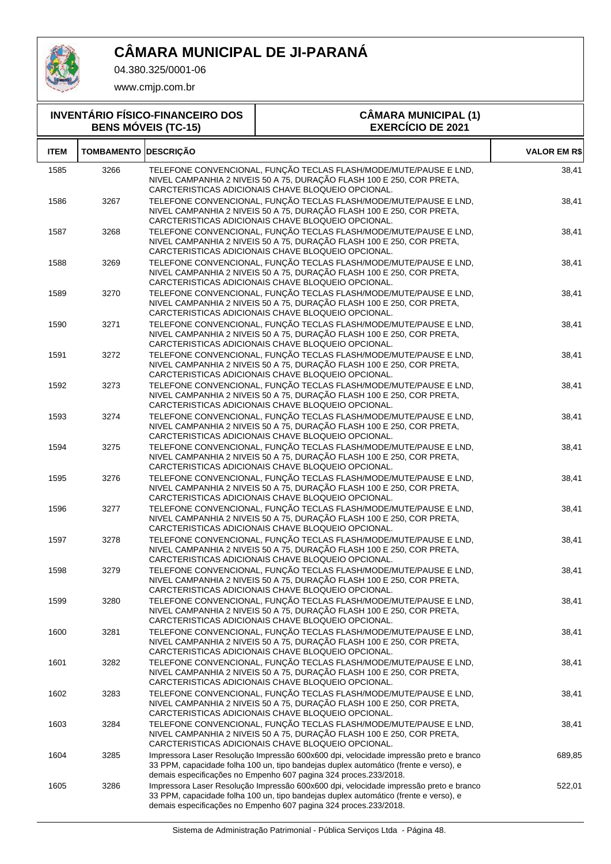

04.380.325/0001-06

| <b>INVENTÁRIO FÍSICO-FINANCEIRO DOS</b><br><b>BENS MÓVEIS (TC-15)</b> |                             | <b>CÂMARA MUNICIPAL (1)</b><br><b>EXERCÍCIO DE 2021</b>                                                                                                                                                                                           |                     |
|-----------------------------------------------------------------------|-----------------------------|---------------------------------------------------------------------------------------------------------------------------------------------------------------------------------------------------------------------------------------------------|---------------------|
| <b>ITEM</b>                                                           | <b>TOMBAMENTO DESCRIÇÃO</b> |                                                                                                                                                                                                                                                   | <b>VALOR EM R\$</b> |
| 1585                                                                  | 3266                        | TELEFONE CONVENCIONAL, FUNÇÃO TECLAS FLASH/MODE/MUTE/PAUSE E LND,<br>NIVEL CAMPANHIA 2 NIVEIS 50 A 75, DURAÇÃO FLASH 100 E 250, COR PRETA,<br>CARCTERISTICAS ADICIONAIS CHAVE BLOQUEIO OPCIONAL.                                                  | 38,41               |
| 1586                                                                  | 3267                        | TELEFONE CONVENCIONAL, FUNÇÃO TECLAS FLASH/MODE/MUTE/PAUSE E LND,<br>NIVEL CAMPANHIA 2 NIVEIS 50 A 75, DURAÇÃO FLASH 100 E 250, COR PRETA,<br>CARCTERISTICAS ADICIONAIS CHAVE BLOQUEIO OPCIONAL.                                                  | 38,41               |
| 1587                                                                  | 3268                        | TELEFONE CONVENCIONAL, FUNÇÃO TECLAS FLASH/MODE/MUTE/PAUSE E LND,<br>NIVEL CAMPANHIA 2 NIVEIS 50 A 75, DURAÇÃO FLASH 100 E 250, COR PRETA,<br>CARCTERISTICAS ADICIONAIS CHAVE BLOQUEIO OPCIONAL.                                                  | 38,41               |
| 1588                                                                  | 3269                        | TELEFONE CONVENCIONAL, FUNÇÃO TECLAS FLASH/MODE/MUTE/PAUSE E LND,<br>NIVEL CAMPANHIA 2 NIVEIS 50 A 75, DURAÇÃO FLASH 100 E 250, COR PRETA,<br>CARCTERISTICAS ADICIONAIS CHAVE BLOQUEIO OPCIONAL.                                                  | 38,41               |
| 1589                                                                  | 3270                        | TELEFONE CONVENCIONAL, FUNÇÃO TECLAS FLASH/MODE/MUTE/PAUSE E LND,<br>NIVEL CAMPANHIA 2 NIVEIS 50 A 75, DURAÇÃO FLASH 100 E 250, COR PRETA,<br>CARCTERISTICAS ADICIONAIS CHAVE BLOQUEIO OPCIONAL.                                                  | 38,41               |
| 1590                                                                  | 3271                        | TELEFONE CONVENCIONAL, FUNÇÃO TECLAS FLASH/MODE/MUTE/PAUSE E LND,<br>NIVEL CAMPANHIA 2 NIVEIS 50 A 75, DURAÇÃO FLASH 100 E 250, COR PRETA,<br>CARCTERISTICAS ADICIONAIS CHAVE BLOQUEIO OPCIONAL.                                                  | 38,41               |
| 1591                                                                  | 3272                        | TELEFONE CONVENCIONAL, FUNÇÃO TECLAS FLASH/MODE/MUTE/PAUSE E LND,<br>NIVEL CAMPANHIA 2 NIVEIS 50 A 75, DURAÇÃO FLASH 100 E 250, COR PRETA,<br>CARCTERISTICAS ADICIONAIS CHAVE BLOQUEIO OPCIONAL.                                                  | 38,41               |
| 1592                                                                  | 3273                        | TELEFONE CONVENCIONAL, FUNÇÃO TECLAS FLASH/MODE/MUTE/PAUSE E LND,<br>NIVEL CAMPANHIA 2 NIVEIS 50 A 75, DURAÇÃO FLASH 100 E 250, COR PRETA,<br>CARCTERISTICAS ADICIONAIS CHAVE BLOQUEIO OPCIONAL.                                                  | 38,41               |
| 1593                                                                  | 3274                        | TELEFONE CONVENCIONAL, FUNÇÃO TECLAS FLASH/MODE/MUTE/PAUSE E LND,<br>NIVEL CAMPANHIA 2 NIVEIS 50 A 75, DURAÇÃO FLASH 100 E 250, COR PRETA,<br>CARCTERISTICAS ADICIONAIS CHAVE BLOQUEIO OPCIONAL.                                                  | 38,41               |
| 1594                                                                  | 3275                        | TELEFONE CONVENCIONAL, FUNÇÃO TECLAS FLASH/MODE/MUTE/PAUSE E LND,<br>NIVEL CAMPANHIA 2 NIVEIS 50 A 75, DURAÇÃO FLASH 100 E 250, COR PRETA,<br>CARCTERISTICAS ADICIONAIS CHAVE BLOQUEIO OPCIONAL.                                                  | 38,41               |
| 1595                                                                  | 3276                        | TELEFONE CONVENCIONAL, FUNÇÃO TECLAS FLASH/MODE/MUTE/PAUSE E LND,<br>NIVEL CAMPANHIA 2 NIVEIS 50 A 75, DURAÇÃO FLASH 100 E 250, COR PRETA,<br>CARCTERISTICAS ADICIONAIS CHAVE BLOQUEIO OPCIONAL.                                                  | 38,41               |
| 1596                                                                  | 3277                        | TELEFONE CONVENCIONAL, FUNÇÃO TECLAS FLASH/MODE/MUTE/PAUSE E LND,<br>NIVEL CAMPANHIA 2 NIVEIS 50 A 75, DURAÇÃO FLASH 100 E 250, COR PRETA,<br>CARCTERISTICAS ADICIONAIS CHAVE BLOQUEIO OPCIONAL.                                                  | 38,41               |
| 1597                                                                  | 3278                        | TELEFONE CONVENCIONAL, FUNÇÃO TECLAS FLASH/MODE/MUTE/PAUSE E LND,<br>NIVEL CAMPANHIA 2 NIVEIS 50 A 75, DURAÇÃO FLASH 100 E 250, COR PRETA,<br>CARCTERISTICAS ADICIONAIS CHAVE BLOQUEIO OPCIONAL.                                                  | 38,41               |
| 1598                                                                  | 3279                        | TELEFONE CONVENCIONAL, FUNÇÃO TECLAS FLASH/MODE/MUTE/PAUSE E LND,<br>NIVEL CAMPANHIA 2 NIVEIS 50 A 75, DURAÇÃO FLASH 100 E 250, COR PRETA,<br>CARCTERISTICAS ADICIONAIS CHAVE BLOQUEIO OPCIONAL.                                                  | 38,41               |
| 1599                                                                  | 3280                        | TELEFONE CONVENCIONAL, FUNÇÃO TECLAS FLASH/MODE/MUTE/PAUSE E LND,<br>NIVEL CAMPANHIA 2 NIVEIS 50 A 75, DURAÇÃO FLASH 100 E 250, COR PRETA,<br>CARCTERISTICAS ADICIONAIS CHAVE BLOQUEIO OPCIONAL.                                                  | 38,41               |
| 1600                                                                  | 3281                        | TELEFONE CONVENCIONAL, FUNÇÃO TECLAS FLASH/MODE/MUTE/PAUSE E LND,<br>NIVEL CAMPANHIA 2 NIVEIS 50 A 75, DURAÇÃO FLASH 100 E 250, COR PRETA,<br>CARCTERISTICAS ADICIONAIS CHAVE BLOQUEIO OPCIONAL.                                                  | 38,41               |
| 1601                                                                  | 3282                        | TELEFONE CONVENCIONAL, FUNÇÃO TECLAS FLASH/MODE/MUTE/PAUSE E LND,<br>NIVEL CAMPANHIA 2 NIVEIS 50 A 75, DURAÇÃO FLASH 100 E 250, COR PRETA,<br>CARCTERISTICAS ADICIONAIS CHAVE BLOQUEIO OPCIONAL.                                                  | 38,41               |
| 1602                                                                  | 3283                        | TELEFONE CONVENCIONAL, FUNÇÃO TECLAS FLASH/MODE/MUTE/PAUSE E LND,<br>NIVEL CAMPANHIA 2 NIVEIS 50 A 75, DURAÇÃO FLASH 100 E 250, COR PRETA,<br>CARCTERISTICAS ADICIONAIS CHAVE BLOQUEIO OPCIONAL.                                                  | 38,41               |
| 1603                                                                  | 3284                        | TELEFONE CONVENCIONAL, FUNÇÃO TECLAS FLASH/MODE/MUTE/PAUSE E LND,<br>NIVEL CAMPANHIA 2 NIVEIS 50 A 75, DURAÇÃO FLASH 100 E 250, COR PRETA,<br>CARCTERISTICAS ADICIONAIS CHAVE BLOQUEIO OPCIONAL.                                                  | 38,41               |
| 1604                                                                  | 3285                        | Impressora Laser Resolução Impressão 600x600 dpi, velocidade impressão preto e branco<br>33 PPM, capacidade folha 100 un, tipo bandejas duplex automático (frente e verso), e<br>demais especificações no Empenho 607 pagina 324 proces.233/2018. | 689,85              |
| 1605                                                                  | 3286                        | Impressora Laser Resolução Impressão 600x600 dpi, velocidade impressão preto e branco<br>33 PPM, capacidade folha 100 un, tipo bandejas duplex automático (frente e verso), e<br>demais especificações no Empenho 607 pagina 324 proces.233/2018. | 522,01              |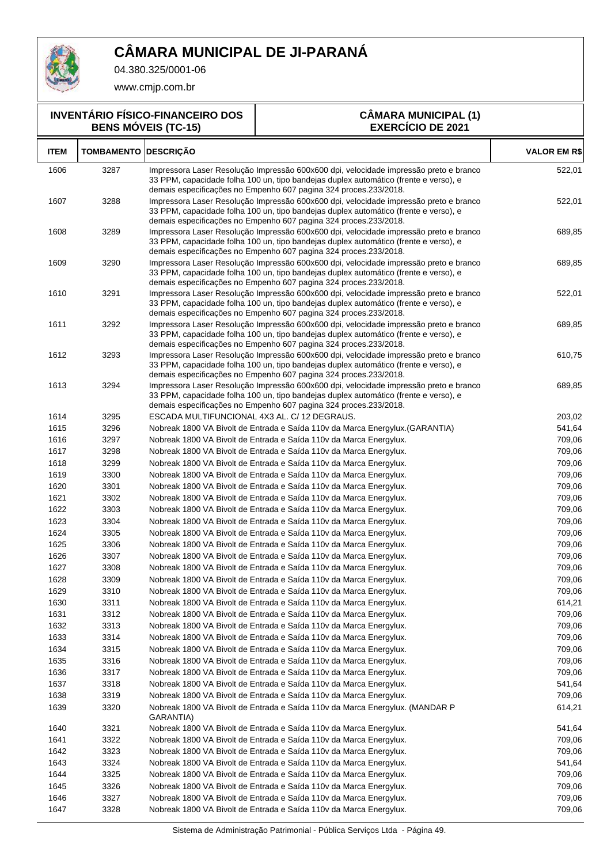

04.380.325/0001-06

www.cmjp.com.br

#### **INVENTÁRIO FÍSICO-FINANCEIRO DOS BENS MÓVEIS (TC-15)**

#### **CÂMARA MUNICIPAL (1) EXERCÍCIO DE 2021**

| <b>ITEM</b>  | <b>TOMBAMENTO</b> | <b>DESCRIÇÃO</b>                                                                                                                                                                                                                                  | <b>VALOR EM R\$</b> |
|--------------|-------------------|---------------------------------------------------------------------------------------------------------------------------------------------------------------------------------------------------------------------------------------------------|---------------------|
| 1606         | 3287              | Impressora Laser Resolução Impressão 600x600 dpi, velocidade impressão preto e branco<br>33 PPM, capacidade folha 100 un, tipo bandejas duplex automático (frente e verso), e<br>demais especificações no Empenho 607 pagina 324 proces.233/2018. | 522,01              |
| 1607         | 3288              | Impressora Laser Resolução Impressão 600x600 dpi, velocidade impressão preto e branco<br>33 PPM, capacidade folha 100 un, tipo bandejas duplex automático (frente e verso), e<br>demais especificações no Empenho 607 pagina 324 proces.233/2018. | 522,01              |
| 1608         | 3289              | Impressora Laser Resolução Impressão 600x600 dpi, velocidade impressão preto e branco<br>33 PPM, capacidade folha 100 un, tipo bandejas duplex automático (frente e verso), e<br>demais especificações no Empenho 607 pagina 324 proces.233/2018. | 689,85              |
| 1609         | 3290              | Impressora Laser Resolução Impressão 600x600 dpi, velocidade impressão preto e branco<br>33 PPM, capacidade folha 100 un, tipo bandejas duplex automático (frente e verso), e<br>demais especificações no Empenho 607 pagina 324 proces.233/2018. | 689,85              |
| 1610         | 3291              | Impressora Laser Resolução Impressão 600x600 dpi, velocidade impressão preto e branco<br>33 PPM, capacidade folha 100 un, tipo bandejas duplex automático (frente e verso), e<br>demais especificações no Empenho 607 pagina 324 proces.233/2018. | 522,01              |
| 1611         | 3292              | Impressora Laser Resolução Impressão 600x600 dpi, velocidade impressão preto e branco<br>33 PPM, capacidade folha 100 un, tipo bandejas duplex automático (frente e verso), e<br>demais especificações no Empenho 607 pagina 324 proces.233/2018. | 689,85              |
| 1612         | 3293              | Impressora Laser Resolução Impressão 600x600 dpi, velocidade impressão preto e branco<br>33 PPM, capacidade folha 100 un, tipo bandejas duplex automático (frente e verso), e<br>demais especificações no Empenho 607 pagina 324 proces.233/2018. | 610,75              |
| 1613         | 3294              | Impressora Laser Resolução Impressão 600x600 dpi, velocidade impressão preto e branco<br>33 PPM, capacidade folha 100 un, tipo bandejas duplex automático (frente e verso), e<br>demais especificações no Empenho 607 pagina 324 proces.233/2018. | 689,85              |
| 1614         | 3295              | ESCADA MULTIFUNCIONAL 4X3 AL. C/ 12 DEGRAUS.                                                                                                                                                                                                      | 203,02              |
| 1615         | 3296              | Nobreak 1800 VA Bivolt de Entrada e Saída 110v da Marca Energylux. (GARANTIA)                                                                                                                                                                     | 541,64              |
| 1616         | 3297              | Nobreak 1800 VA Bivolt de Entrada e Saída 110v da Marca Energylux.                                                                                                                                                                                | 709,06              |
| 1617         | 3298              | Nobreak 1800 VA Bivolt de Entrada e Saída 110v da Marca Energylux.                                                                                                                                                                                | 709,06              |
| 1618         | 3299              | Nobreak 1800 VA Bivolt de Entrada e Saída 110v da Marca Energylux.                                                                                                                                                                                | 709,06              |
| 1619         | 3300              | Nobreak 1800 VA Bivolt de Entrada e Saída 110v da Marca Energylux.                                                                                                                                                                                | 709,06              |
| 1620         | 3301              | Nobreak 1800 VA Bivolt de Entrada e Saída 110v da Marca Energylux.                                                                                                                                                                                | 709,06              |
| 1621         | 3302              | Nobreak 1800 VA Bivolt de Entrada e Saída 110v da Marca Energylux.                                                                                                                                                                                | 709,06              |
| 1622         | 3303              | Nobreak 1800 VA Bivolt de Entrada e Saída 110v da Marca Energylux.                                                                                                                                                                                | 709,06              |
| 1623         | 3304              | Nobreak 1800 VA Bivolt de Entrada e Saída 110v da Marca Energylux.                                                                                                                                                                                | 709,06              |
| 1624         | 3305              | Nobreak 1800 VA Bivolt de Entrada e Saída 110v da Marca Energylux.                                                                                                                                                                                | 709,06              |
| 1625         | 3306              | Nobreak 1800 VA Bivolt de Entrada e Saída 110v da Marca Energylux.                                                                                                                                                                                | 709,06              |
| 1626         | 3307              | Nobreak 1800 VA Bivolt de Entrada e Saída 110v da Marca Energylux.                                                                                                                                                                                | 709,06              |
| 1627<br>1628 | 3308<br>3309      | Nobreak 1800 VA Bivolt de Entrada e Saída 110v da Marca Energylux.                                                                                                                                                                                | 709,06<br>709,06    |
| 1629         | 3310              | Nobreak 1800 VA Bivolt de Entrada e Saída 110v da Marca Energylux.<br>Nobreak 1800 VA Bivolt de Entrada e Saída 110v da Marca Energylux.                                                                                                          | 709,06              |
| 1630         | 3311              | Nobreak 1800 VA Bivolt de Entrada e Saída 110v da Marca Energylux.                                                                                                                                                                                | 614,21              |
| 1631         | 3312              | Nobreak 1800 VA Bivolt de Entrada e Saída 110v da Marca Energylux.                                                                                                                                                                                | 709,06              |
| 1632         | 3313              | Nobreak 1800 VA Bivolt de Entrada e Saída 110v da Marca Energylux.                                                                                                                                                                                | 709,06              |
| 1633         | 3314              | Nobreak 1800 VA Bivolt de Entrada e Saída 110v da Marca Energylux.                                                                                                                                                                                | 709,06              |
| 1634         | 3315              | Nobreak 1800 VA Bivolt de Entrada e Saída 110v da Marca Energylux.                                                                                                                                                                                | 709,06              |
| 1635         | 3316              | Nobreak 1800 VA Bivolt de Entrada e Saída 110v da Marca Energylux.                                                                                                                                                                                | 709,06              |
| 1636         | 3317              | Nobreak 1800 VA Bivolt de Entrada e Saída 110v da Marca Energylux.                                                                                                                                                                                | 709,06              |
| 1637         | 3318              | Nobreak 1800 VA Bivolt de Entrada e Saída 110v da Marca Energylux.                                                                                                                                                                                | 541,64              |
| 1638         | 3319              | Nobreak 1800 VA Bivolt de Entrada e Saída 110v da Marca Energylux.                                                                                                                                                                                | 709,06              |
| 1639         | 3320              | Nobreak 1800 VA Bivolt de Entrada e Saída 110v da Marca Energylux. (MANDAR P<br>GARANTIA)                                                                                                                                                         | 614,21              |
| 1640         | 3321              | Nobreak 1800 VA Bivolt de Entrada e Saída 110v da Marca Energylux.                                                                                                                                                                                | 541,64              |
| 1641         | 3322              | Nobreak 1800 VA Bivolt de Entrada e Saída 110v da Marca Energylux.                                                                                                                                                                                | 709,06              |
| 1642         | 3323              | Nobreak 1800 VA Bivolt de Entrada e Saída 110v da Marca Energylux.                                                                                                                                                                                | 709,06              |
| 1643         | 3324              | Nobreak 1800 VA Bivolt de Entrada e Saída 110v da Marca Energylux.                                                                                                                                                                                | 541,64              |
| 1644         | 3325              | Nobreak 1800 VA Bivolt de Entrada e Saída 110v da Marca Energylux.                                                                                                                                                                                | 709,06              |
| 1645         | 3326              | Nobreak 1800 VA Bivolt de Entrada e Saída 110v da Marca Energylux.                                                                                                                                                                                | 709,06              |
| 1646<br>1647 | 3327<br>3328      | Nobreak 1800 VA Bivolt de Entrada e Saída 110v da Marca Energylux.<br>Nobreak 1800 VA Bivolt de Entrada e Saída 110v da Marca Energylux.                                                                                                          | 709,06<br>709,06    |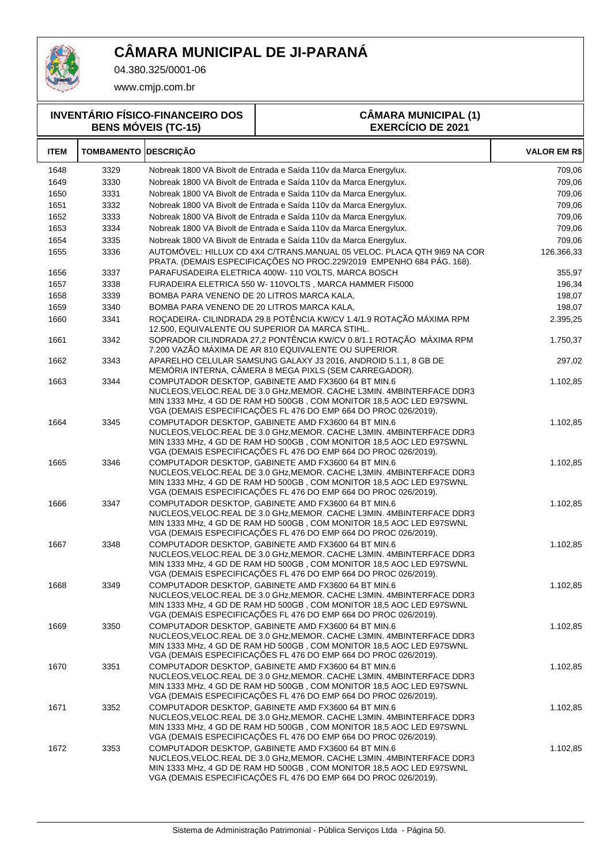

04.380.325/0001-06

www.cmjp.com.br

**INVENTÁRIO FÍSICO-FINANCEIRO DOS BENS MÓVEIS (TC-15)**

#### **CÂMARA MUNICIPAL (1) EXERCÍCIO DE 2021**

| <b>ITEM</b> | <b>TOMBAMENTO DESCRIÇÃO</b> |                                                                                                                                                                                                                                                                          | <b>VALOR EM R\$</b> |
|-------------|-----------------------------|--------------------------------------------------------------------------------------------------------------------------------------------------------------------------------------------------------------------------------------------------------------------------|---------------------|
| 1648        | 3329                        | Nobreak 1800 VA Bivolt de Entrada e Saída 110v da Marca Energylux.                                                                                                                                                                                                       | 709,06              |
| 1649        | 3330                        | Nobreak 1800 VA Bivolt de Entrada e Saída 110v da Marca Energylux.                                                                                                                                                                                                       | 709,06              |
| 1650        | 3331                        | Nobreak 1800 VA Bivolt de Entrada e Saída 110v da Marca Energylux.                                                                                                                                                                                                       | 709,06              |
| 1651        | 3332                        | Nobreak 1800 VA Bivolt de Entrada e Saída 110v da Marca Energylux.                                                                                                                                                                                                       | 709,06              |
| 1652        | 3333                        | Nobreak 1800 VA Bivolt de Entrada e Saída 110v da Marca Energylux.                                                                                                                                                                                                       | 709,06              |
| 1653        | 3334                        | Nobreak 1800 VA Bivolt de Entrada e Saída 110v da Marca Energylux.                                                                                                                                                                                                       | 709,06              |
| 1654        | 3335                        | Nobreak 1800 VA Bivolt de Entrada e Saída 110v da Marca Energylux.                                                                                                                                                                                                       | 709,06              |
| 1655        | 3336                        | AUTOMÓVEL: HILLUX CD 4X4 C/TRANS.MANUAL 05 VELOC. PLACA QTH 9169 NA COR<br>PRATA. (DEMAIS ESPECIFICAÇÕES NO PROC.229/2019 EMPENHO 684 PÁG. 168).                                                                                                                         | 126.366,33          |
| 1656        | 3337                        | PARAFUSADEIRA ELETRICA 400W-110 VOLTS, MARCA BOSCH                                                                                                                                                                                                                       | 355,97              |
| 1657        | 3338                        | FURADEIRA ELETRICA 550 W-110VOLTS, MARCA HAMMER FI5000                                                                                                                                                                                                                   | 196,34              |
| 1658        | 3339                        | BOMBA PARA VENENO DE 20 LITROS MARCA KALA,                                                                                                                                                                                                                               | 198,07              |
| 1659        | 3340                        | BOMBA PARA VENENO DE 20 LITROS MARCA KALA,                                                                                                                                                                                                                               | 198,07              |
| 1660        | 3341                        | ROÇADEIRA- CILINDRADA 29.8 POTÊNCIA KW/CV 1.4/1.9 ROTAÇÃO MÁXIMA RPM<br>12.500, EQUIVALENTE OU SUPERIOR DA MARCA STIHL.                                                                                                                                                  | 2.395,25            |
| 1661        | 3342                        | SOPRADOR CILINDRADA 27,2 PONTÊNCIA KW/CV 0.8/1.1 ROTAÇÃO MÁXIMA RPM<br>7.200 VAZÃO MÁXIMA DE AR 810 EQUIVALENTE OU SUPERIOR.                                                                                                                                             | 1.750,37            |
| 1662        | 3343                        | APARELHO CELULAR SAMSUNG GALAXY J3 2016, ANDROID 5.1.1, 8 GB DE<br>MEMÓRIA INTERNA, CÂMERA 8 MEGA PIXLS (SEM CARREGADOR).                                                                                                                                                | 297,02              |
| 1663        | 3344                        | COMPUTADOR DESKTOP, GABINETE AMD FX3600 64 BT MIN.6<br>NUCLEOS, VELOC.REAL DE 3.0 GHz, MEMOR. CACHE L3MIN. 4MBINTERFACE DDR3<br>MIN 1333 MHz, 4 GD DE RAM HD 500GB, COM MONITOR 18,5 AOC LED E97SWNL<br>VGA (DEMAIS ESPECIFICAÇÕES FL 476 DO EMP 664 DO PROC 026/2019).  | 1.102,85            |
| 1664        | 3345                        | COMPUTADOR DESKTOP, GABINETE AMD FX3600 64 BT MIN.6<br>NUCLEOS, VELOC.REAL DE 3.0 GHz, MEMOR. CACHE L3MIN. 4MBINTERFACE DDR3<br>MIN 1333 MHz, 4 GD DE RAM HD 500GB, COM MONITOR 18,5 AOC LED E97SWNL<br>VGA (DEMAIS ESPECIFICAÇÕES FL 476 DO EMP 664 DO PROC 026/2019).  | 1.102,85            |
| 1665        | 3346                        | COMPUTADOR DESKTOP, GABINETE AMD FX3600 64 BT MIN.6<br>NUCLEOS, VELOC.REAL DE 3.0 GHz, MEMOR. CACHE L3MIN. 4MBINTERFACE DDR3<br>MIN 1333 MHz, 4 GD DE RAM HD 500GB, COM MONITOR 18,5 AOC LED E97SWNL<br>VGA (DEMAIS ESPECIFICAÇÕES FL 476 DO EMP 664 DO PROC 026/2019).  | 1.102,85            |
| 1666        | 3347                        | COMPUTADOR DESKTOP, GABINETE AMD FX3600 64 BT MIN.6<br>NUCLEOS, VELOC.REAL DE 3.0 GHz, MEMOR. CACHE L3MIN. 4MBINTERFACE DDR3<br>MIN 1333 MHz, 4 GD DE RAM HD 500GB, COM MONITOR 18,5 AOC LED E97SWNL<br>VGA (DEMAIS ESPECIFICAÇÕES FL 476 DO EMP 664 DO PROC 026/2019).  | 1.102,85            |
| 1667        | 3348                        | COMPUTADOR DESKTOP, GABINETE AMD FX3600 64 BT MIN.6<br>NUCLEOS, VELOC. REAL DE 3.0 GHZ, MEMOR. CACHE L3MIN. 4MBINTERFACE DDR3<br>MIN 1333 MHz, 4 GD DE RAM HD 500GB, COM MONITOR 18,5 AOC LED E97SWNL<br>VGA (DEMAIS ESPECIFICAÇÕES FL 476 DO EMP 664 DO PROC 026/2019). | 1.102,85            |
| 1668        | 3349                        | COMPUTADOR DESKTOP, GABINETE AMD FX3600 64 BT MIN.6<br>NUCLEOS, VELOC.REAL DE 3.0 GHz, MEMOR. CACHE L3MIN. 4MBINTERFACE DDR3<br>MIN 1333 MHz, 4 GD DE RAM HD 500GB, COM MONITOR 18,5 AOC LED E97SWNL<br>VGA (DEMAIS ESPECIFICAÇÕES FL 476 DO EMP 664 DO PROC 026/2019).  | 1.102,85            |
| 1669        | 3350                        | COMPUTADOR DESKTOP, GABINETE AMD FX3600 64 BT MIN.6<br>NUCLEOS, VELOC. REAL DE 3.0 GHZ, MEMOR. CACHE L3MIN. 4MBINTERFACE DDR3<br>MIN 1333 MHz, 4 GD DE RAM HD 500GB, COM MONITOR 18,5 AOC LED E97SWNL<br>VGA (DEMAIS ESPECIFICAÇÕES FL 476 DO EMP 664 DO PROC 026/2019). | 1.102,85            |
| 1670        | 3351                        | COMPUTADOR DESKTOP, GABINETE AMD FX3600 64 BT MIN.6<br>NUCLEOS, VELOC. REAL DE 3.0 GHZ, MEMOR. CACHE L3MIN. 4MBINTERFACE DDR3<br>MIN 1333 MHz, 4 GD DE RAM HD 500GB, COM MONITOR 18,5 AOC LED E97SWNL<br>VGA (DEMAIS ESPECIFICAÇÕES FL 476 DO EMP 664 DO PROC 026/2019). | 1.102,85            |
| 1671        | 3352                        | COMPUTADOR DESKTOP, GABINETE AMD FX3600 64 BT MIN.6<br>NUCLEOS, VELOC. REAL DE 3.0 GHZ, MEMOR. CACHE L3MIN. 4MBINTERFACE DDR3<br>MIN 1333 MHz, 4 GD DE RAM HD 500GB, COM MONITOR 18,5 AOC LED E97SWNL<br>VGA (DEMAIS ESPECIFICAÇÕES FL 476 DO EMP 664 DO PROC 026/2019). | 1.102,85            |
| 1672        | 3353                        | COMPUTADOR DESKTOP, GABINETE AMD FX3600 64 BT MIN.6<br>NUCLEOS, VELOC. REAL DE 3.0 GHZ, MEMOR. CACHE L3MIN. 4MBINTERFACE DDR3<br>MIN 1333 MHz, 4 GD DE RAM HD 500GB, COM MONITOR 18,5 AOC LED E97SWNL<br>VGA (DEMAIS ESPECIFICAÇÕES FL 476 DO EMP 664 DO PROC 026/2019). | 1.102,85            |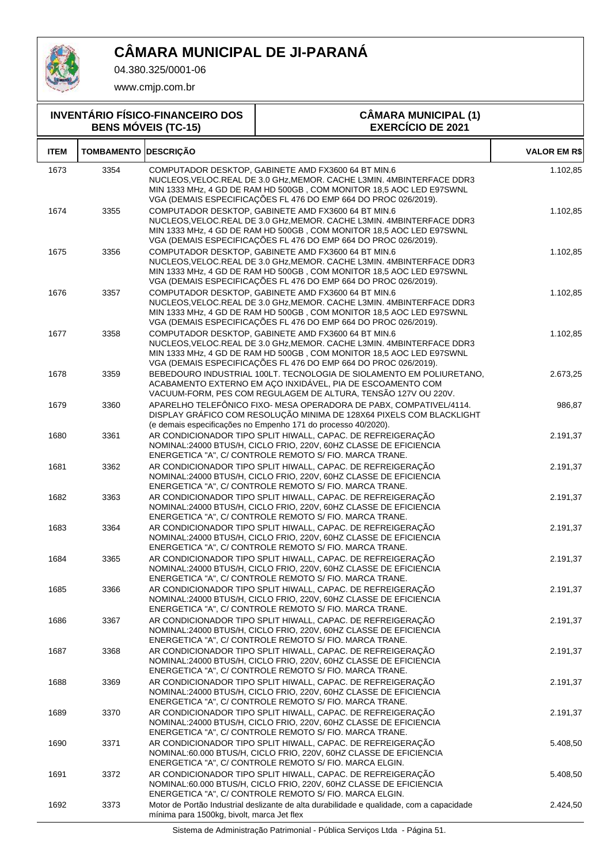

04.380.325/0001-06

www.cmjp.com.br

| <b>INVENTÁRIO FÍSICO-FINANCEIRO DOS</b><br><b>BENS MÓVEIS (TC-15)</b> |                             | <b>CÂMARA MUNICIPAL (1)</b><br><b>EXERCÍCIO DE 2021</b>                                                                                                                                                                                                                  |                     |
|-----------------------------------------------------------------------|-----------------------------|--------------------------------------------------------------------------------------------------------------------------------------------------------------------------------------------------------------------------------------------------------------------------|---------------------|
| <b>ITEM</b>                                                           | <b>TOMBAMENTO DESCRIÇÃO</b> |                                                                                                                                                                                                                                                                          | <b>VALOR EM R\$</b> |
| 1673                                                                  | 3354                        | COMPUTADOR DESKTOP, GABINETE AMD FX3600 64 BT MIN.6<br>NUCLEOS, VELOC.REAL DE 3.0 GHz, MEMOR. CACHE L3MIN. 4MBINTERFACE DDR3<br>MIN 1333 MHz, 4 GD DE RAM HD 500GB, COM MONITOR 18,5 AOC LED E97SWNL<br>VGA (DEMAIS ESPECIFICAÇÕES FL 476 DO EMP 664 DO PROC 026/2019).  | 1.102,85            |
| 1674                                                                  | 3355                        | COMPUTADOR DESKTOP, GABINETE AMD FX3600 64 BT MIN.6<br>NUCLEOS, VELOC.REAL DE 3.0 GHz, MEMOR. CACHE L3MIN. 4MBINTERFACE DDR3<br>MIN 1333 MHz, 4 GD DE RAM HD 500GB, COM MONITOR 18,5 AOC LED E97SWNL<br>VGA (DEMAIS ESPECIFICAÇÕES FL 476 DO EMP 664 DO PROC 026/2019).  | 1.102,85            |
| 1675                                                                  | 3356                        | COMPUTADOR DESKTOP, GABINETE AMD FX3600 64 BT MIN.6<br>NUCLEOS, VELOC. REAL DE 3.0 GHZ, MEMOR. CACHE L3MIN. 4MBINTERFACE DDR3<br>MIN 1333 MHz, 4 GD DE RAM HD 500GB, COM MONITOR 18,5 AOC LED E97SWNL<br>VGA (DEMAIS ESPECIFICAÇÕES FL 476 DO EMP 664 DO PROC 026/2019). | 1.102,85            |
| 1676                                                                  | 3357                        | COMPUTADOR DESKTOP, GABINETE AMD FX3600 64 BT MIN.6<br>NUCLEOS, VELOC.REAL DE 3.0 GHz, MEMOR. CACHE L3MIN. 4MBINTERFACE DDR3<br>MIN 1333 MHz, 4 GD DE RAM HD 500GB, COM MONITOR 18,5 AOC LED E97SWNL<br>VGA (DEMAIS ESPECIFICAÇÕES FL 476 DO EMP 664 DO PROC 026/2019).  | 1.102,85            |
| 1677                                                                  | 3358                        | COMPUTADOR DESKTOP, GABINETE AMD FX3600 64 BT MIN.6<br>NUCLEOS, VELOC.REAL DE 3.0 GHz, MEMOR. CACHE L3MIN. 4MBINTERFACE DDR3<br>MIN 1333 MHz, 4 GD DE RAM HD 500GB, COM MONITOR 18,5 AOC LED E97SWNL<br>VGA (DEMAIS ESPECIFICAÇÕES FL 476 DO EMP 664 DO PROC 026/2019).  | 1.102,85            |
| 1678                                                                  | 3359                        | BEBEDOURO INDUSTRIAL 100LT. TECNOLOGIA DE SIOLAMENTO EM POLIURETANO,<br>ACABAMENTO EXTERNO EM AÇO INXIDÁVEL, PIA DE ESCOAMENTO COM<br>VACUUM-FORM, PES COM REGULAGEM DE ALTURA, TENSÃO 127V OU 220V.                                                                     | 2.673,25            |
| 1679                                                                  | 3360                        | APARELHO TELEFÔNICO FIXO- MESA OPERADORA DE PABX, COMPATIVEL/4114.<br>DISPLAY GRÁFICO COM RESOLUÇÃO MINIMA DE 128X64 PIXELS COM BLACKLIGHT<br>(e demais especificações no Empenho 171 do processo 40/2020).                                                              | 986,87              |
| 1680                                                                  | 3361                        | AR CONDICIONADOR TIPO SPLIT HIWALL, CAPAC. DE REFREIGERAÇÃO<br>NOMINAL:24000 BTUS/H, CICLO FRIO, 220V, 60HZ CLASSE DE EFICIENCIA<br>ENERGETICA "A", C/ CONTROLE REMOTO S/ FIO. MARCA TRANE.                                                                              | 2.191,37            |
| 1681                                                                  | 3362                        | AR CONDICIONADOR TIPO SPLIT HIWALL, CAPAC. DE REFREIGERAÇÃO<br>NOMINAL:24000 BTUS/H, CICLO FRIO, 220V, 60HZ CLASSE DE EFICIENCIA<br>ENERGETICA "A", C/ CONTROLE REMOTO S/ FIO. MARCA TRANE.                                                                              | 2.191,37            |
| 1682                                                                  | 3363                        | AR CONDICIONADOR TIPO SPLIT HIWALL, CAPAC. DE REFREIGERAÇÃO<br>NOMINAL:24000 BTUS/H, CICLO FRIO, 220V, 60HZ CLASSE DE EFICIENCIA<br>ENERGETICA "A", C/ CONTROLE REMOTO S/ FIO. MARCA TRANE.                                                                              | 2.191,37            |
| 1683                                                                  | 3364                        | AR CONDICIONADOR TIPO SPLIT HIWALL, CAPAC. DE REFREIGERAÇÃO<br>NOMINAL:24000 BTUS/H, CICLO FRIO, 220V, 60HZ CLASSE DE EFICIENCIA<br>ENERGETICA "A", C/ CONTROLE REMOTO S/ FIO. MARCA TRANE.                                                                              | 2.191,37            |
| 1684                                                                  | 3365                        | AR CONDICIONADOR TIPO SPLIT HIWALL, CAPAC. DE REFREIGERAÇÃO<br>NOMINAL:24000 BTUS/H, CICLO FRIO, 220V, 60HZ CLASSE DE EFICIENCIA<br>ENERGETICA "A", C/ CONTROLE REMOTO S/ FIO. MARCA TRANE.                                                                              | 2.191,37            |
| 1685                                                                  | 3366                        | AR CONDICIONADOR TIPO SPLIT HIWALL, CAPAC. DE REFREIGERAÇÃO<br>NOMINAL:24000 BTUS/H, CICLO FRIO, 220V, 60HZ CLASSE DE EFICIENCIA<br>ENERGETICA "A", C/ CONTROLE REMOTO S/ FIO. MARCA TRANE.                                                                              | 2.191,37            |
| 1686                                                                  | 3367                        | AR CONDICIONADOR TIPO SPLIT HIWALL, CAPAC. DE REFREIGERAÇÃO<br>NOMINAL:24000 BTUS/H, CICLO FRIO, 220V, 60HZ CLASSE DE EFICIENCIA<br>ENERGETICA "A", C/ CONTROLE REMOTO S/ FIO. MARCA TRANE.                                                                              | 2.191,37            |
| 1687                                                                  | 3368                        | AR CONDICIONADOR TIPO SPLIT HIWALL, CAPAC. DE REFREIGERAÇÃO<br>NOMINAL:24000 BTUS/H, CICLO FRIO, 220V, 60HZ CLASSE DE EFICIENCIA<br>ENERGETICA "A", C/ CONTROLE REMOTO S/ FIO. MARCA TRANE.                                                                              | 2.191,37            |
| 1688                                                                  | 3369                        | AR CONDICIONADOR TIPO SPLIT HIWALL, CAPAC. DE REFREIGERAÇÃO<br>NOMINAL:24000 BTUS/H, CICLO FRIO, 220V, 60HZ CLASSE DE EFICIENCIA<br>ENERGETICA "A", C/ CONTROLE REMOTO S/ FIO. MARCA TRANE.                                                                              | 2.191,37            |
| 1689                                                                  | 3370                        | AR CONDICIONADOR TIPO SPLIT HIWALL, CAPAC. DE REFREIGERAÇÃO<br>NOMINAL:24000 BTUS/H, CICLO FRIO, 220V, 60HZ CLASSE DE EFICIENCIA<br>ENERGETICA "A", C/ CONTROLE REMOTO S/ FIO. MARCA TRANE.                                                                              | 2.191,37            |
| 1690                                                                  | 3371                        | AR CONDICIONADOR TIPO SPLIT HIWALL, CAPAC. DE REFREIGERAÇÃO<br>NOMINAL:60.000 BTUS/H, CICLO FRIO, 220V, 60HZ CLASSE DE EFICIENCIA<br>ENERGETICA "A", C/ CONTROLE REMOTO S/ FIO. MARCA ELGIN.                                                                             | 5.408,50            |
| 1691                                                                  | 3372                        | AR CONDICIONADOR TIPO SPLIT HIWALL, CAPAC. DE REFREIGERAÇÃO<br>NOMINAL:60.000 BTUS/H, CICLO FRIO, 220V, 60HZ CLASSE DE EFICIENCIA<br>ENERGETICA "A", C/ CONTROLE REMOTO S/ FIO. MARCA ELGIN.                                                                             | 5.408,50            |
| 1692                                                                  | 3373                        | Motor de Portão Industrial deslizante de alta durabilidade e qualidade, com a capacidade                                                                                                                                                                                 | 2.424,50            |

Sistema de Administração Patrimonial - Pública Serviços Ltda - Página 51.

mínima para 1500kg, bivolt, marca Jet flex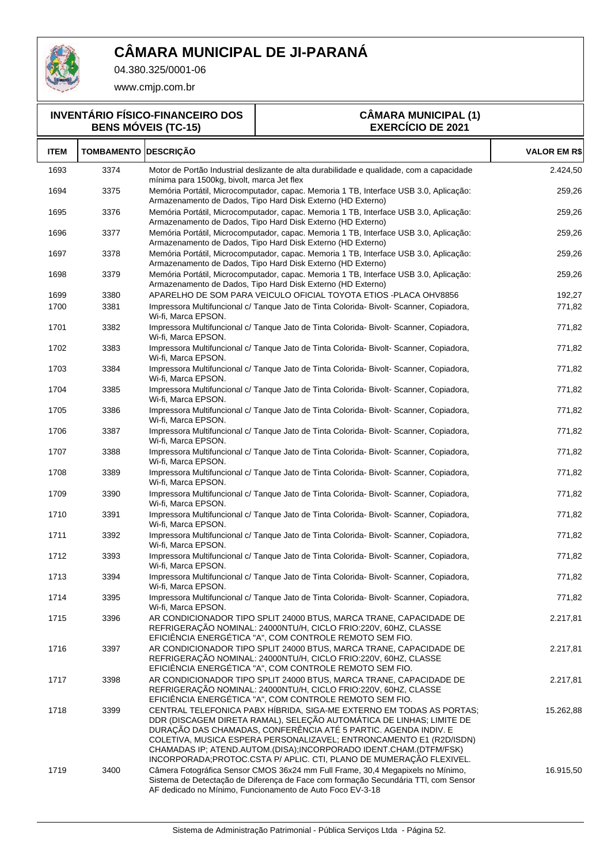

04.380.325/0001-06

www.cmjp.com.br

#### **INVENTÁRIO FÍSICO-FINANCEIRO DOS BENS MÓVEIS (TC-15)**

#### **CÂMARA MUNICIPAL (1) EXERCÍCIO DE 2021**

| <b>ITEM</b> | <b>TOMBAMENTO DESCRIÇÃO</b> |                                                                                                                                                                                                                                                                                                                                                                                                                                    | <b>VALOR EM R\$</b> |
|-------------|-----------------------------|------------------------------------------------------------------------------------------------------------------------------------------------------------------------------------------------------------------------------------------------------------------------------------------------------------------------------------------------------------------------------------------------------------------------------------|---------------------|
| 1693        | 3374                        | Motor de Portão Industrial deslizante de alta durabilidade e qualidade, com a capacidade<br>mínima para 1500kg, bivolt, marca Jet flex                                                                                                                                                                                                                                                                                             | 2.424,50            |
| 1694        | 3375                        | Memória Portátil, Microcomputador, capac. Memoria 1 TB, Interface USB 3.0, Aplicação:<br>Armazenamento de Dados, Tipo Hard Disk Externo (HD Externo)                                                                                                                                                                                                                                                                               | 259,26              |
| 1695        | 3376                        | Memória Portátil, Microcomputador, capac. Memoria 1 TB, Interface USB 3.0, Aplicação:<br>Armazenamento de Dados, Tipo Hard Disk Externo (HD Externo)                                                                                                                                                                                                                                                                               | 259,26              |
| 1696        | 3377                        | Memória Portátil, Microcomputador, capac. Memoria 1 TB, Interface USB 3.0, Aplicação:<br>Armazenamento de Dados, Tipo Hard Disk Externo (HD Externo)                                                                                                                                                                                                                                                                               | 259,26              |
| 1697        | 3378                        | Memória Portátil, Microcomputador, capac. Memoria 1 TB, Interface USB 3.0, Aplicação:<br>Armazenamento de Dados, Tipo Hard Disk Externo (HD Externo)                                                                                                                                                                                                                                                                               | 259,26              |
| 1698        | 3379                        | Memória Portátil, Microcomputador, capac. Memoria 1 TB, Interface USB 3.0, Aplicação:<br>Armazenamento de Dados, Tipo Hard Disk Externo (HD Externo)                                                                                                                                                                                                                                                                               | 259,26              |
| 1699        | 3380                        | APARELHO DE SOM PARA VEICULO OFICIAL TOYOTA ETIOS -PLACA OHV8856                                                                                                                                                                                                                                                                                                                                                                   | 192,27              |
| 1700        | 3381                        | Impressora Multifuncional c/ Tanque Jato de Tinta Colorida- Bivolt- Scanner, Copiadora,<br>Wi-fi, Marca EPSON.                                                                                                                                                                                                                                                                                                                     | 771,82              |
| 1701        | 3382                        | Impressora Multifuncional c/ Tanque Jato de Tinta Colorida- Bivolt- Scanner, Copiadora,<br>Wi-fi, Marca EPSON.                                                                                                                                                                                                                                                                                                                     | 771,82              |
| 1702        | 3383                        | Impressora Multifuncional c/ Tanque Jato de Tinta Colorida- Bivolt- Scanner, Copiadora,<br>Wi-fi, Marca EPSON.                                                                                                                                                                                                                                                                                                                     | 771,82              |
| 1703        | 3384                        | Impressora Multifuncional c/ Tanque Jato de Tinta Colorida- Bivolt- Scanner, Copiadora,<br>Wi-fi. Marca EPSON.                                                                                                                                                                                                                                                                                                                     | 771,82              |
| 1704        | 3385                        | Impressora Multifuncional c/ Tanque Jato de Tinta Colorida- Bivolt- Scanner, Copiadora,<br>Wi-fi, Marca EPSON.                                                                                                                                                                                                                                                                                                                     | 771,82              |
| 1705        | 3386                        | Impressora Multifuncional c/ Tanque Jato de Tinta Colorida- Bivolt- Scanner, Copiadora,<br>Wi-fi, Marca EPSON.                                                                                                                                                                                                                                                                                                                     | 771,82              |
| 1706        | 3387                        | Impressora Multifuncional c/ Tanque Jato de Tinta Colorida- Bivolt- Scanner, Copiadora,<br>Wi-fi, Marca EPSON.                                                                                                                                                                                                                                                                                                                     | 771,82              |
| 1707        | 3388                        | Impressora Multifuncional c/ Tanque Jato de Tinta Colorida- Bivolt- Scanner, Copiadora,<br>Wi-fi, Marca EPSON.                                                                                                                                                                                                                                                                                                                     | 771,82              |
| 1708        | 3389                        | Impressora Multifuncional c/ Tanque Jato de Tinta Colorida- Bivolt- Scanner, Copiadora,<br>Wi-fi, Marca EPSON.                                                                                                                                                                                                                                                                                                                     | 771,82              |
| 1709        | 3390                        | Impressora Multifuncional c/ Tanque Jato de Tinta Colorida- Bivolt- Scanner, Copiadora,<br>Wi-fi, Marca EPSON.                                                                                                                                                                                                                                                                                                                     | 771,82              |
| 1710        | 3391                        | Impressora Multifuncional c/ Tanque Jato de Tinta Colorida- Bivolt- Scanner, Copiadora,<br>Wi-fi, Marca EPSON.                                                                                                                                                                                                                                                                                                                     | 771,82              |
| 1711        | 3392                        | Impressora Multifuncional c/ Tanque Jato de Tinta Colorida- Bivolt- Scanner, Copiadora,<br>Wi-fi, Marca EPSON.                                                                                                                                                                                                                                                                                                                     | 771,82              |
| 1712        | 3393                        | Impressora Multifuncional c/ Tanque Jato de Tinta Colorida- Bivolt- Scanner, Copiadora,<br>Wi-fi, Marca EPSON.                                                                                                                                                                                                                                                                                                                     | 771,82              |
| 1713        | 3394                        | Impressora Multifuncional c/ Tanque Jato de Tinta Colorida- Bivolt- Scanner, Copiadora,<br>Wi-fi. Marca EPSON.                                                                                                                                                                                                                                                                                                                     | 771,82              |
| 1714        | 3395                        | Impressora Multifuncional c/ Tanque Jato de Tinta Colorida- Bivolt- Scanner, Copiadora,<br>Wi-fi, Marca EPSON.                                                                                                                                                                                                                                                                                                                     | 771,82              |
| 1715        | 3396                        | AR CONDICIONADOR TIPO SPLIT 24000 BTUS, MARCA TRANE, CAPACIDADE DE<br>REFRIGERAÇÃO NOMINAL: 24000NTU/H, CICLO FRIO:220V, 60HZ, CLASSE<br>EFICIÊNCIA ENERGÉTICA "A", COM CONTROLE REMOTO SEM FIO.                                                                                                                                                                                                                                   | 2.217,81            |
| 1716        | 3397                        | AR CONDICIONADOR TIPO SPLIT 24000 BTUS, MARCA TRANE, CAPACIDADE DE<br>REFRIGERAÇÃO NOMINAL: 24000NTU/H, CICLO FRIO:220V, 60HZ, CLASSE<br>EFICIÊNCIA ENERGÉTICA "A", COM CONTROLE REMOTO SEM FIO.                                                                                                                                                                                                                                   | 2.217,81            |
| 1717        | 3398                        | AR CONDICIONADOR TIPO SPLIT 24000 BTUS, MARCA TRANE, CAPACIDADE DE<br>REFRIGERAÇÃO NOMINAL: 24000NTU/H, CICLO FRIO:220V, 60HZ, CLASSE<br>EFICIÊNCIA ENERGÉTICA "A", COM CONTROLE REMOTO SEM FIO.                                                                                                                                                                                                                                   | 2.217,81            |
| 1718        | 3399                        | CENTRAL TELEFONICA PABX HÍBRIDA, SIGA-ME EXTERNO EM TODAS AS PORTAS;<br>DDR (DISCAGEM DIRETA RAMAL), SELEÇÃO AUTOMÁTICA DE LINHAS; LIMITE DE<br>DURAÇÃO DAS CHAMADAS, CONFERÊNCIA ATÉ 5 PARTIC. AGENDA INDIV. E<br>COLETIVA, MUSICA ESPERA PERSONALIZAVEL; ENTRONCAMENTO E1 (R2D/ISDN)<br>CHAMADAS IP; ATEND.AUTOM.(DISA);INCORPORADO IDENT.CHAM.(DTFM/FSK)<br>INCORPORADA;PROTOC.CSTA P/ APLIC. CTI, PLANO DE MUMERAÇÃO FLEXIVEL. | 15.262,88           |
| 1719        | 3400                        | Câmera Fotográfica Sensor CMOS 36x24 mm Full Frame, 30,4 Megapixels no Mínimo,<br>Sistema de Detectação de Diferença de Face com formação Secundária TTI, com Sensor<br>AF dedicado no Mínimo, Funcionamento de Auto Foco EV-3-18                                                                                                                                                                                                  | 16.915,50           |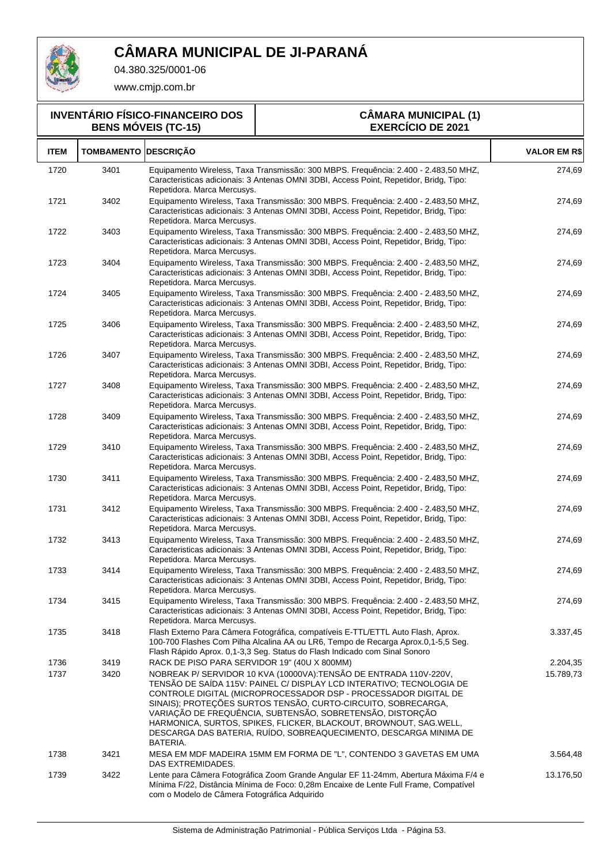

04.380.325/0001-06

www.cmjp.com.br

#### **INVENTÁRIO FÍSICO-FINANCEIRO DOS BENS MÓVEIS (TC-15)**

#### **CÂMARA MUNICIPAL (1) EXERCÍCIO DE 2021**

| <b>ITEM</b> | <b>TOMBAMENTO DESCRIÇÃO</b> |                                                                                                                                                                                                                                                                                                                                                                                                                                                                                                   | <b>VALOR EM R\$</b> |
|-------------|-----------------------------|---------------------------------------------------------------------------------------------------------------------------------------------------------------------------------------------------------------------------------------------------------------------------------------------------------------------------------------------------------------------------------------------------------------------------------------------------------------------------------------------------|---------------------|
| 1720        | 3401                        | Equipamento Wireless, Taxa Transmissão: 300 MBPS. Frequência: 2.400 - 2.483,50 MHZ,<br>Caracteristicas adicionais: 3 Antenas OMNI 3DBI, Access Point, Repetidor, Bridg, Tipo:<br>Repetidora. Marca Mercusys.                                                                                                                                                                                                                                                                                      | 274,69              |
| 1721        | 3402                        | Equipamento Wireless, Taxa Transmissão: 300 MBPS. Frequência: 2.400 - 2.483.50 MHZ,<br>Caracteristicas adicionais: 3 Antenas OMNI 3DBI, Access Point, Repetidor, Bridg, Tipo:<br>Repetidora. Marca Mercusys.                                                                                                                                                                                                                                                                                      | 274,69              |
| 1722        | 3403                        | Equipamento Wireless, Taxa Transmissão: 300 MBPS. Frequência: 2.400 - 2.483,50 MHZ,<br>Caracteristicas adicionais: 3 Antenas OMNI 3DBI, Access Point, Repetidor, Bridg, Tipo:<br>Repetidora. Marca Mercusys.                                                                                                                                                                                                                                                                                      | 274,69              |
| 1723        | 3404                        | Equipamento Wireless, Taxa Transmissão: 300 MBPS. Frequência: 2.400 - 2.483,50 MHZ,<br>Caracteristicas adicionais: 3 Antenas OMNI 3DBI, Access Point, Repetidor, Bridg, Tipo:<br>Repetidora. Marca Mercusys.                                                                                                                                                                                                                                                                                      | 274,69              |
| 1724        | 3405                        | Equipamento Wireless, Taxa Transmissão: 300 MBPS. Frequência: 2.400 - 2.483,50 MHZ,<br>Caracteristicas adicionais: 3 Antenas OMNI 3DBI, Access Point, Repetidor, Bridg, Tipo:<br>Repetidora. Marca Mercusys.                                                                                                                                                                                                                                                                                      | 274,69              |
| 1725        | 3406                        | Equipamento Wireless, Taxa Transmissão: 300 MBPS. Frequência: 2.400 - 2.483,50 MHZ,<br>Caracteristicas adicionais: 3 Antenas OMNI 3DBI, Access Point, Repetidor, Bridg, Tipo:<br>Repetidora. Marca Mercusys.                                                                                                                                                                                                                                                                                      | 274,69              |
| 1726        | 3407                        | Equipamento Wireless, Taxa Transmissão: 300 MBPS. Frequência: 2.400 - 2.483,50 MHZ,<br>Caracteristicas adicionais: 3 Antenas OMNI 3DBI, Access Point, Repetidor, Bridg, Tipo:<br>Repetidora. Marca Mercusys.                                                                                                                                                                                                                                                                                      | 274,69              |
| 1727        | 3408                        | Equipamento Wireless, Taxa Transmissão: 300 MBPS. Frequência: 2.400 - 2.483,50 MHZ,<br>Caracteristicas adicionais: 3 Antenas OMNI 3DBI, Access Point, Repetidor, Bridg, Tipo:<br>Repetidora. Marca Mercusys.                                                                                                                                                                                                                                                                                      | 274,69              |
| 1728        | 3409                        | Equipamento Wireless, Taxa Transmissão: 300 MBPS. Frequência: 2.400 - 2.483,50 MHZ,<br>Caracteristicas adicionais: 3 Antenas OMNI 3DBI, Access Point, Repetidor, Bridg, Tipo:<br>Repetidora. Marca Mercusys.                                                                                                                                                                                                                                                                                      | 274,69              |
| 1729        | 3410                        | Equipamento Wireless, Taxa Transmissão: 300 MBPS. Frequência: 2.400 - 2.483,50 MHZ,<br>Caracteristicas adicionais: 3 Antenas OMNI 3DBI, Access Point, Repetidor, Bridg, Tipo:<br>Repetidora. Marca Mercusys.                                                                                                                                                                                                                                                                                      | 274,69              |
| 1730        | 3411                        | Equipamento Wireless, Taxa Transmissão: 300 MBPS. Frequência: 2.400 - 2.483,50 MHZ,<br>Caracteristicas adicionais: 3 Antenas OMNI 3DBI, Access Point, Repetidor, Bridg, Tipo:<br>Repetidora. Marca Mercusys.                                                                                                                                                                                                                                                                                      | 274,69              |
| 1731        | 3412                        | Equipamento Wireless, Taxa Transmissão: 300 MBPS. Frequência: 2.400 - 2.483,50 MHZ,<br>Caracteristicas adicionais: 3 Antenas OMNI 3DBI, Access Point, Repetidor, Bridg, Tipo:<br>Repetidora. Marca Mercusys.                                                                                                                                                                                                                                                                                      | 274,69              |
| 1732        | 3413                        | Equipamento Wireless, Taxa Transmissão: 300 MBPS. Frequência: 2.400 - 2.483.50 MHZ,<br>Caracteristicas adicionais: 3 Antenas OMNI 3DBI, Access Point, Repetidor, Bridg, Tipo:<br>Repetidora. Marca Mercusys.                                                                                                                                                                                                                                                                                      | 274,69              |
| 1733        | 3414                        | Equipamento Wireless, Taxa Transmissão: 300 MBPS. Frequência: 2.400 - 2.483,50 MHZ,<br>Caracteristicas adicionais: 3 Antenas OMNI 3DBI, Access Point, Repetidor, Bridg, Tipo:<br>Repetidora. Marca Mercusys.                                                                                                                                                                                                                                                                                      | 274,69              |
| 1734        | 3415                        | Equipamento Wireless, Taxa Transmissão: 300 MBPS. Frequência: 2.400 - 2.483,50 MHZ,<br>Caracteristicas adicionais: 3 Antenas OMNI 3DBI, Access Point, Repetidor, Bridg, Tipo:<br>Repetidora. Marca Mercusys.                                                                                                                                                                                                                                                                                      | 274,69              |
| 1735        | 3418                        | Flash Externo Para Câmera Fotográfica, compatíveis E-TTL/ETTL Auto Flash, Aprox.<br>100-700 Flashes Com Pilha Alcalina AA ou LR6, Tempo de Recarga Aprox.0,1-5,5 Seg.<br>Flash Rápido Aprox. 0,1-3,3 Seg. Status do Flash Indicado com Sinal Sonoro                                                                                                                                                                                                                                               | 3.337,45            |
| 1736        | 3419                        | RACK DE PISO PARA SERVIDOR 19" (40U X 800MM)                                                                                                                                                                                                                                                                                                                                                                                                                                                      | 2.204,35            |
| 1737        | 3420                        | NOBREAK P/ SERVIDOR 10 KVA (10000VA):TENSÃO DE ENTRADA 110V-220V,<br>TENSÃO DE SAÍDA 115V: PAINEL C/ DISPLAY LCD INTERATIVO; TECNOLOGIA DE<br>CONTROLE DIGITAL (MICROPROCESSADOR DSP - PROCESSADOR DIGITAL DE<br>SINAIS); PROTEÇÕES SURTOS TENSÃO, CURTO-CIRCUITO, SOBRECARGA,<br>VARIAÇÃO DE FREQUÊNCIA, SUBTENSÃO, SOBRETENSÃO, DISTORÇÃO<br>HARMONICA, SURTOS, SPIKES, FLICKER, BLACKOUT, BROWNOUT, SAG.WELL,<br>DESCARGA DAS BATERIA, RUÍDO, SOBREAQUECIMENTO, DESCARGA MINIMA DE<br>BATERIA. | 15.789,73           |
| 1738        | 3421                        | MESA EM MDF MADEIRA 15MM EM FORMA DE "L", CONTENDO 3 GAVETAS EM UMA<br>DAS EXTREMIDADES.                                                                                                                                                                                                                                                                                                                                                                                                          | 3.564,48            |
| 1739        | 3422                        | Lente para Câmera Fotográfica Zoom Grande Angular EF 11-24mm, Abertura Máxima F/4 e<br>Mínima F/22, Distância Mínima de Foco: 0,28m Encaixe de Lente Full Frame, Compatível<br>com o Modelo de Câmera Fotográfica Adquirido                                                                                                                                                                                                                                                                       | 13.176,50           |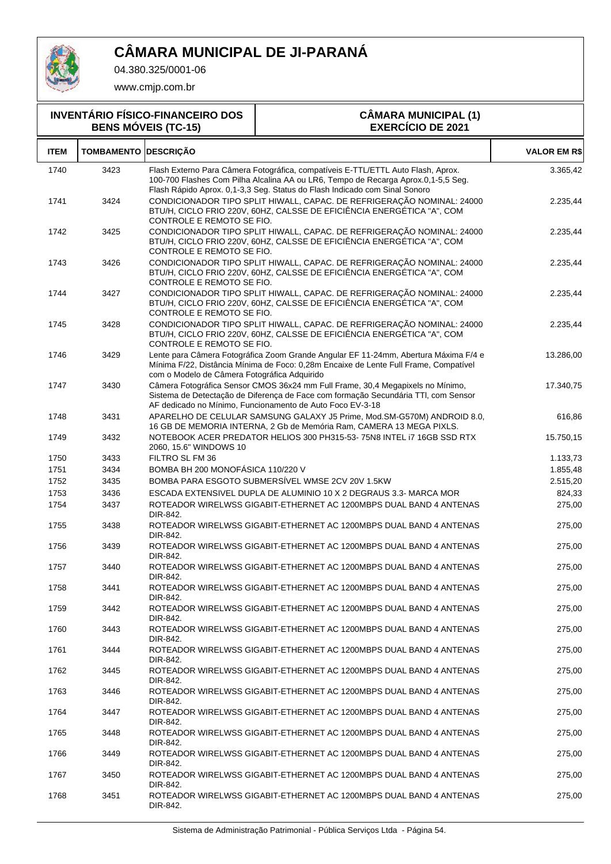

04.380.325/0001-06

| <b>INVENTÁRIO FÍSICO-FINANCEIRO DOS</b><br><b>BENS MÓVEIS (TC-15)</b> |                             |                                                                                                                                                                               | <b>CÂMARA MUNICIPAL (1)</b><br><b>EXERCÍCIO DE 2021</b>                                                                                                                                                                                             |                     |  |
|-----------------------------------------------------------------------|-----------------------------|-------------------------------------------------------------------------------------------------------------------------------------------------------------------------------|-----------------------------------------------------------------------------------------------------------------------------------------------------------------------------------------------------------------------------------------------------|---------------------|--|
| <b>ITEM</b>                                                           | <b>TOMBAMENTO DESCRIÇÃO</b> |                                                                                                                                                                               |                                                                                                                                                                                                                                                     | <b>VALOR EM R\$</b> |  |
| 1740                                                                  | 3423                        |                                                                                                                                                                               | Flash Externo Para Câmera Fotográfica, compatíveis E-TTL/ETTL Auto Flash, Aprox.<br>100-700 Flashes Com Pilha Alcalina AA ou LR6, Tempo de Recarga Aprox.0,1-5,5 Seg.<br>Flash Rápido Aprox. 0,1-3,3 Seg. Status do Flash Indicado com Sinal Sonoro | 3.365,42            |  |
| 1741                                                                  | 3424                        | CONTROLE E REMOTO SE FIO.                                                                                                                                                     | CONDICIONADOR TIPO SPLIT HIWALL, CAPAC. DE REFRIGERAÇÃO NOMINAL: 24000<br>BTU/H, CICLO FRIO 220V, 60HZ, CALSSE DE EFICIÊNCIA ENERGÉTICA "A", COM                                                                                                    | 2.235,44            |  |
| 1742                                                                  | 3425                        | CONTROLE E REMOTO SE FIO.                                                                                                                                                     | CONDICIONADOR TIPO SPLIT HIWALL, CAPAC. DE REFRIGERAÇÃO NOMINAL: 24000<br>BTU/H, CICLO FRIO 220V, 60HZ, CALSSE DE EFICIÊNCIA ENERGÉTICA "A", COM                                                                                                    | 2.235,44            |  |
| 1743                                                                  | 3426                        | CONDICIONADOR TIPO SPLIT HIWALL, CAPAC. DE REFRIGERAÇÃO NOMINAL: 24000<br>BTU/H, CICLO FRIO 220V, 60HZ, CALSSE DE EFICIÊNCIA ENERGÉTICA "A", COM<br>CONTROLE E REMOTO SE FIO. | 2.235,44                                                                                                                                                                                                                                            |                     |  |
| 1744                                                                  | 3427                        | CONTROLE E REMOTO SE FIO.                                                                                                                                                     | CONDICIONADOR TIPO SPLIT HIWALL, CAPAC. DE REFRIGERAÇÃO NOMINAL: 24000<br>BTU/H, CICLO FRIO 220V, 60HZ, CALSSE DE EFICIÊNCIA ENERGÉTICA "A", COM                                                                                                    | 2.235,44            |  |
| 1745                                                                  | 3428                        | CONTROLE E REMOTO SE FIO.                                                                                                                                                     | CONDICIONADOR TIPO SPLIT HIWALL, CAPAC. DE REFRIGERAÇÃO NOMINAL: 24000<br>BTU/H, CICLO FRIO 220V, 60HZ, CALSSE DE EFICIÊNCIA ENERGÉTICA "A", COM                                                                                                    | 2.235,44            |  |
| 1746                                                                  | 3429                        | com o Modelo de Câmera Fotográfica Adquirido                                                                                                                                  | Lente para Câmera Fotográfica Zoom Grande Angular EF 11-24mm, Abertura Máxima F/4 e<br>Mínima F/22, Distância Mínima de Foco: 0,28m Encaixe de Lente Full Frame, Compatível                                                                         | 13.286,00           |  |
| 1747                                                                  | 3430                        |                                                                                                                                                                               | Câmera Fotográfica Sensor CMOS 36x24 mm Full Frame, 30,4 Megapixels no Mínimo,<br>Sistema de Detectação de Diferença de Face com formação Secundária TTI, com Sensor<br>AF dedicado no Mínimo, Funcionamento de Auto Foco EV-3-18                   | 17.340,75           |  |
| 1748                                                                  | 3431                        |                                                                                                                                                                               | APARELHO DE CELULAR SAMSUNG GALAXY J5 Prime, Mod.SM-G570M) ANDROID 8.0,<br>16 GB DE MEMORIA INTERNA, 2 Gb de Memória Ram, CAMERA 13 MEGA PIXLS.                                                                                                     | 616,86              |  |
| 1749                                                                  | 3432                        | 2060, 15.6" WINDOWS 10                                                                                                                                                        | NOTEBOOK ACER PREDATOR HELIOS 300 PH315-53-75N8 INTEL I7 16GB SSD RTX                                                                                                                                                                               | 15.750,15           |  |
| 1750                                                                  | 3433                        | FILTRO SL FM 36                                                                                                                                                               |                                                                                                                                                                                                                                                     | 1.133,73            |  |
| 1751                                                                  | 3434                        | BOMBA BH 200 MONOFÁSICA 110/220 V                                                                                                                                             |                                                                                                                                                                                                                                                     | 1.855,48            |  |
| 1752                                                                  | 3435                        |                                                                                                                                                                               | BOMBA PARA ESGOTO SUBMERSÍVEL WMSE 2CV 20V 1.5KW                                                                                                                                                                                                    | 2.515,20            |  |
| 1753                                                                  | 3436                        |                                                                                                                                                                               | ESCADA EXTENSIVEL DUPLA DE ALUMINIO 10 X 2 DEGRAUS 3.3- MARCA MOR                                                                                                                                                                                   | 824,33              |  |
| 1754                                                                  | 3437                        | DIR-842.                                                                                                                                                                      | ROTEADOR WIRELWSS GIGABIT-ETHERNET AC 1200MBPS DUAL BAND 4 ANTENAS                                                                                                                                                                                  | 275,00              |  |
| 1755                                                                  | 3438                        | DIR-842.                                                                                                                                                                      | ROTEADOR WIRELWSS GIGABIT-ETHERNET AC 1200MBPS DUAL BAND 4 ANTENAS                                                                                                                                                                                  | 275,00              |  |
| 1756                                                                  | 3439                        | DIR-842.                                                                                                                                                                      | ROTEADOR WIRELWSS GIGABIT-ETHERNET AC 1200MBPS DUAL BAND 4 ANTENAS                                                                                                                                                                                  | 275,00              |  |
| 1757                                                                  | 3440                        | DIR-842.                                                                                                                                                                      | ROTEADOR WIRELWSS GIGABIT-ETHERNET AC 1200MBPS DUAL BAND 4 ANTENAS                                                                                                                                                                                  | 275,00              |  |
| 1758                                                                  | 3441                        | DIR-842.                                                                                                                                                                      | ROTEADOR WIRELWSS GIGABIT-ETHERNET AC 1200MBPS DUAL BAND 4 ANTENAS                                                                                                                                                                                  | 275,00              |  |
| 1759                                                                  | 3442                        | DIR-842.                                                                                                                                                                      | ROTEADOR WIRELWSS GIGABIT-ETHERNET AC 1200MBPS DUAL BAND 4 ANTENAS                                                                                                                                                                                  | 275,00              |  |
| 1760                                                                  | 3443                        | DIR-842.                                                                                                                                                                      | ROTEADOR WIRELWSS GIGABIT-ETHERNET AC 1200MBPS DUAL BAND 4 ANTENAS                                                                                                                                                                                  | 275,00              |  |
| 1761                                                                  | 3444                        | DIR-842.                                                                                                                                                                      | ROTEADOR WIRELWSS GIGABIT-ETHERNET AC 1200MBPS DUAL BAND 4 ANTENAS                                                                                                                                                                                  | 275,00              |  |
| 1762                                                                  | 3445                        | DIR-842.                                                                                                                                                                      | ROTEADOR WIRELWSS GIGABIT-ETHERNET AC 1200MBPS DUAL BAND 4 ANTENAS                                                                                                                                                                                  | 275,00              |  |
| 1763                                                                  | 3446                        | DIR-842.                                                                                                                                                                      | ROTEADOR WIRELWSS GIGABIT-ETHERNET AC 1200MBPS DUAL BAND 4 ANTENAS                                                                                                                                                                                  | 275,00              |  |
| 1764                                                                  | 3447                        | DIR-842.                                                                                                                                                                      | ROTEADOR WIRELWSS GIGABIT-ETHERNET AC 1200MBPS DUAL BAND 4 ANTENAS                                                                                                                                                                                  | 275,00              |  |
| 1765                                                                  | 3448                        | DIR-842.                                                                                                                                                                      | ROTEADOR WIRELWSS GIGABIT-ETHERNET AC 1200MBPS DUAL BAND 4 ANTENAS                                                                                                                                                                                  | 275,00              |  |
| 1766                                                                  | 3449                        | DIR-842.                                                                                                                                                                      | ROTEADOR WIRELWSS GIGABIT-ETHERNET AC 1200MBPS DUAL BAND 4 ANTENAS                                                                                                                                                                                  | 275,00              |  |
| 1767                                                                  | 3450                        | DIR-842.                                                                                                                                                                      | ROTEADOR WIRELWSS GIGABIT-ETHERNET AC 1200MBPS DUAL BAND 4 ANTENAS                                                                                                                                                                                  | 275,00              |  |
| 1768                                                                  | 3451                        | DIR-842.                                                                                                                                                                      | ROTEADOR WIRELWSS GIGABIT-ETHERNET AC 1200MBPS DUAL BAND 4 ANTENAS                                                                                                                                                                                  | 275,00              |  |